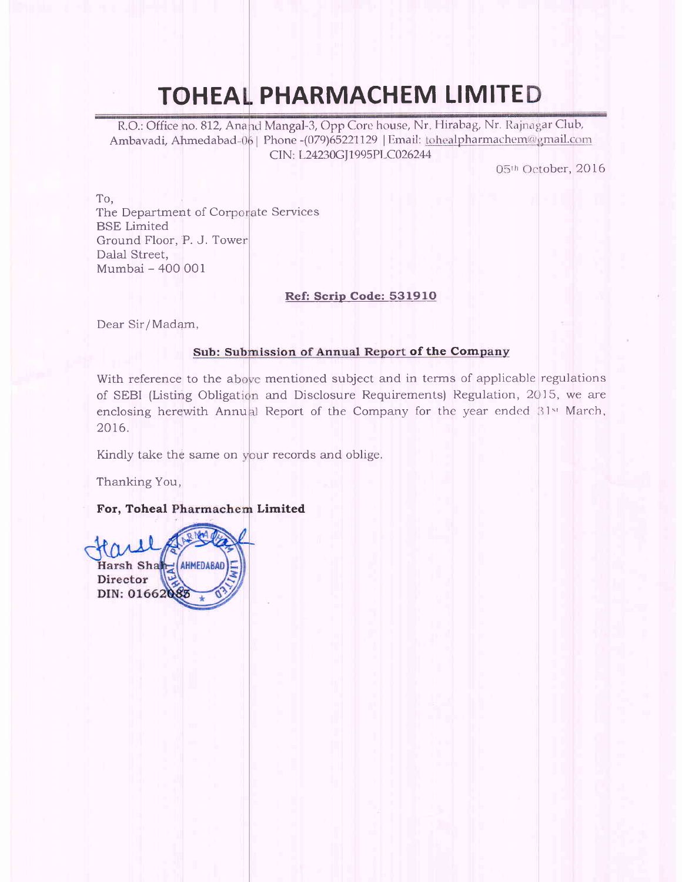# TOHEAL PHARMACHEM LIMITED

R.O.: Office no. 812, Anand Mangal-3, Opp Core house, Nr. Hirabag, Nr. Rajnagar Club, Ambavadi, Ahmedabad-06 | Phone -(079)65221129 | Email: tohealpharmachem@gmail.com CIN: L24230GJ1995PLC026244

05th October, 2016

To,

The Department of Corporate Services BSE Limited Ground Floor, P. J. Towe Dalal Street, Mumbai - 400 001

#### Ref: Scrip Code: 531910

Dear Sir/Madam,

#### Sub: Submission of Annual Report of the Company

With reference to the above mentioned subject and in terms of applicable regulations of SEBI (Listing Obligation and Disclosure Requirements) Regulation, 2015, we are enclosing herewith Annual Report of the Company for the year ended 31st March, 2016.

Kindly take the same on your records and oblige

Thanking You,

#### For, Toheal Limited

Harsh Shah (AHMEDABAD Director DIN: 0166208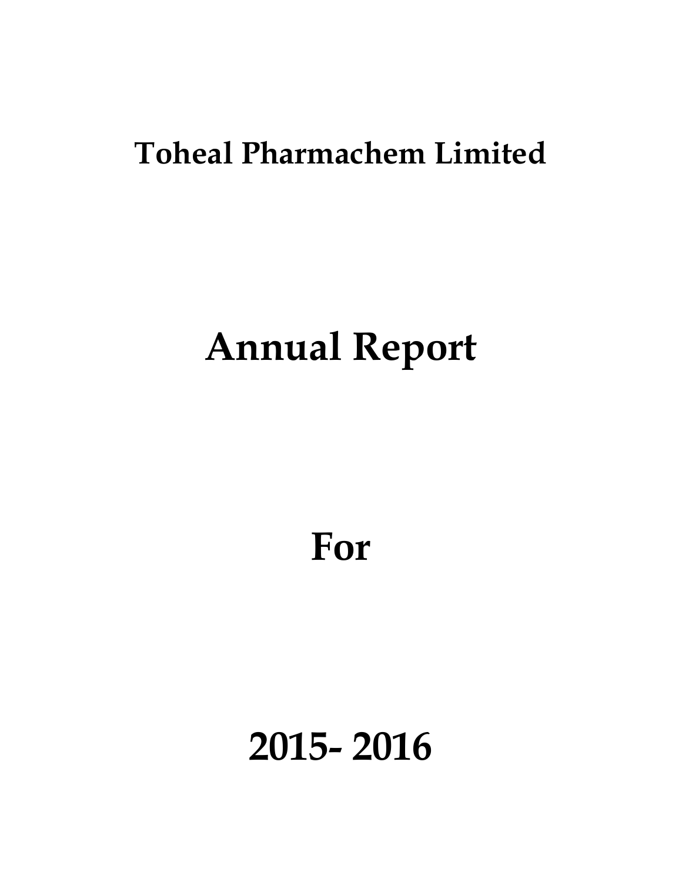# **Toheal Pharmachem Limited**

# **Annual Report**

**For** 

**2015- 2016**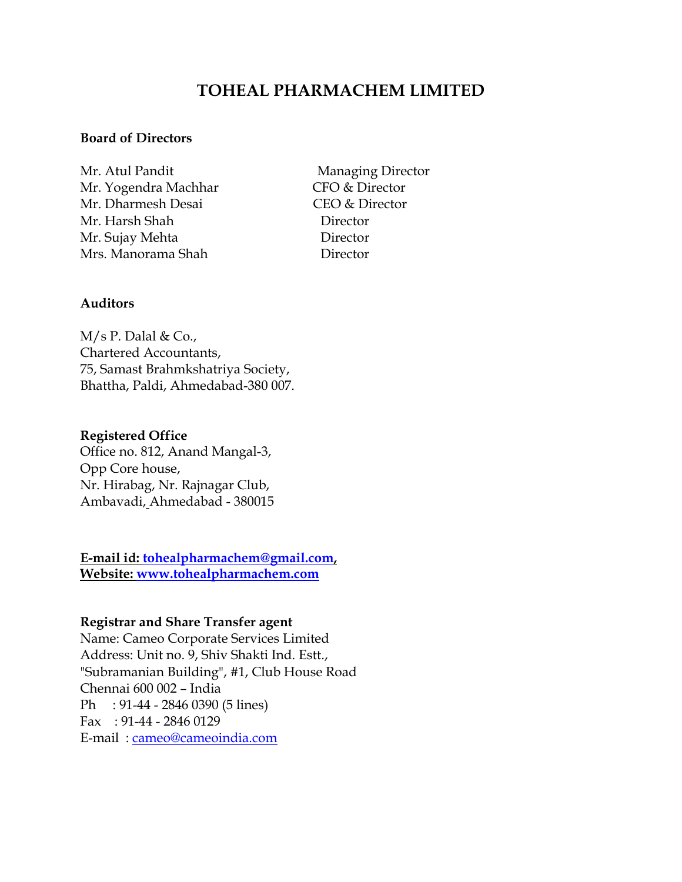## **TOHEAL PHARMACHEM LIMITED**

#### **Board of Directors**

Mr. Atul Pandit Managing Director Mr. Yogendra Machhar CFO & Director Mr. Dharmesh Desai CEO & Director Mr. Harsh Shah Director Mr. Sujay Mehta Director Mrs. Manorama Shah **Director** 

#### **Auditors**

 $M/s$  P. Dalal & Co., Chartered Accountants, 75, Samast Brahmkshatriya Society, Bhattha, Paldi, Ahmedabad-380 007.

#### **Registered Office**

Office no. 812, Anand Mangal-3, Opp Core house, Nr. Hirabag, Nr. Rajnagar Club, Ambavadi, Ahmedabad - 380015

**E-mail id: tohealpharmachem@gmail.com, Website: www.tohealpharmachem.com** 

#### **Registrar and Share Transfer agent**

Name: Cameo Corporate Services Limited Address: Unit no. 9, Shiv Shakti Ind. Estt., "Subramanian Building", #1, Club House Road Chennai 600 002 – India Ph : 91-44 - 2846 0390 (5 lines) Fax : 91-44 - 2846 0129 E-mail : cameo@cameoindia.com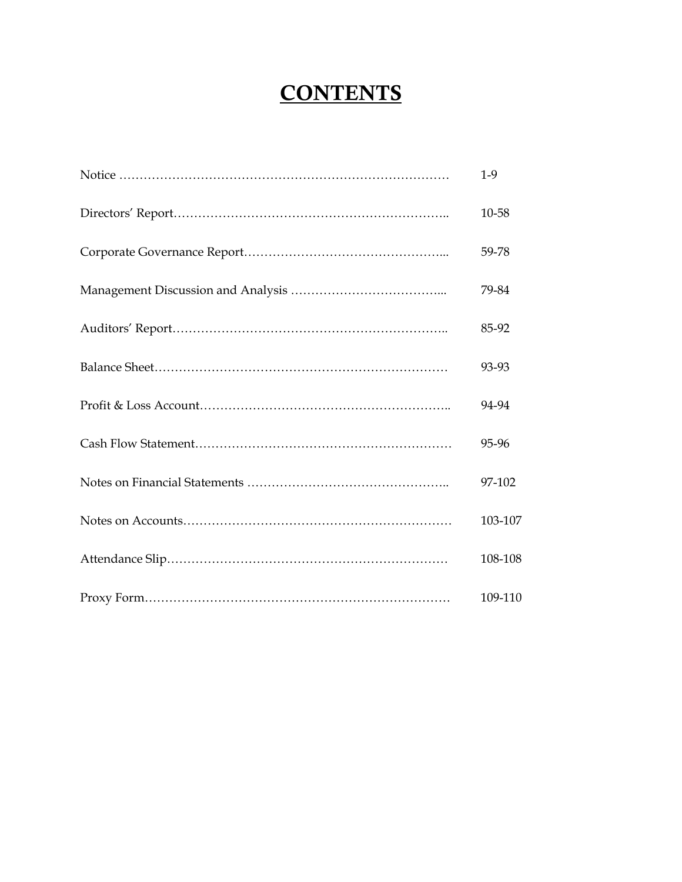# **CONTENTS**

| $1-9$   |
|---------|
| 10-58   |
| 59-78   |
| 79-84   |
| 85-92   |
| 93-93   |
| 94-94   |
| 95-96   |
| 97-102  |
| 103-107 |
| 108-108 |
| 109-110 |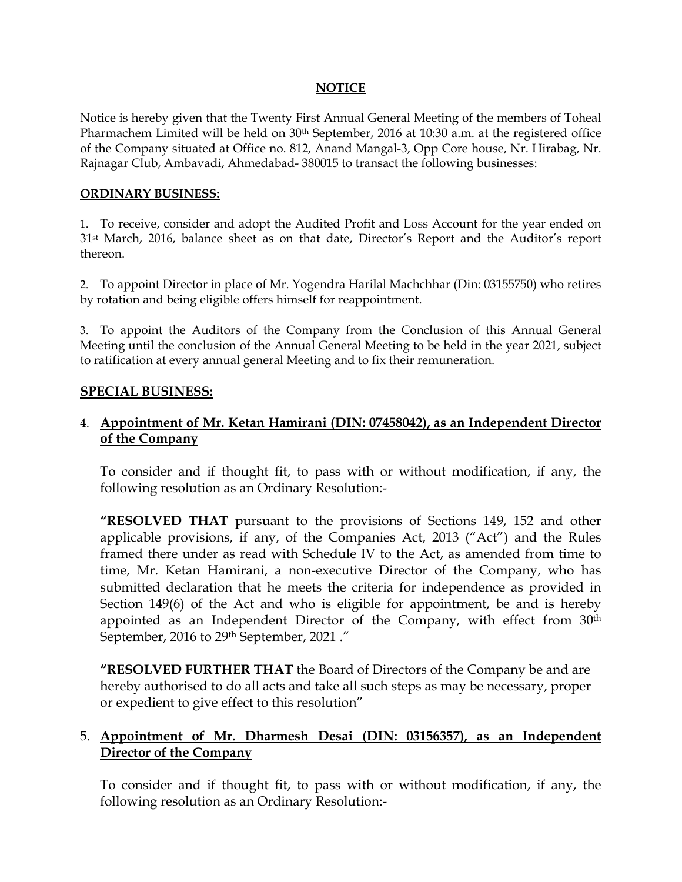#### **NOTICE**

Notice is hereby given that the Twenty First Annual General Meeting of the members of Toheal Pharmachem Limited will be held on 30<sup>th</sup> September, 2016 at 10:30 a.m. at the registered office of the Company situated at Office no. 812, Anand Mangal-3, Opp Core house, Nr. Hirabag, Nr. Rajnagar Club, Ambavadi, Ahmedabad- 380015 to transact the following businesses:

#### **ORDINARY BUSINESS:**

1. To receive, consider and adopt the Audited Profit and Loss Account for the year ended on 31st March, 2016, balance sheet as on that date, Director's Report and the Auditor's report thereon.

2. To appoint Director in place of Mr. Yogendra Harilal Machchhar (Din: 03155750) who retires by rotation and being eligible offers himself for reappointment.

3. To appoint the Auditors of the Company from the Conclusion of this Annual General Meeting until the conclusion of the Annual General Meeting to be held in the year 2021, subject to ratification at every annual general Meeting and to fix their remuneration.

#### **SPECIAL BUSINESS:**

#### 4. **Appointment of Mr. Ketan Hamirani (DIN: 07458042), as an Independent Director of the Company**

To consider and if thought fit, to pass with or without modification, if any, the following resolution as an Ordinary Resolution:-

**"RESOLVED THAT** pursuant to the provisions of Sections 149, 152 and other applicable provisions, if any, of the Companies Act, 2013 ("Act") and the Rules framed there under as read with Schedule IV to the Act, as amended from time to time, Mr. Ketan Hamirani, a non-executive Director of the Company, who has submitted declaration that he meets the criteria for independence as provided in Section 149(6) of the Act and who is eligible for appointment, be and is hereby appointed as an Independent Director of the Company, with effect from 30<sup>th</sup> September, 2016 to 29th September, 2021 ."

**"RESOLVED FURTHER THAT** the Board of Directors of the Company be and are hereby authorised to do all acts and take all such steps as may be necessary, proper or expedient to give effect to this resolution"

#### 5. **Appointment of Mr. Dharmesh Desai (DIN: 03156357), as an Independent Director of the Company**

To consider and if thought fit, to pass with or without modification, if any, the following resolution as an Ordinary Resolution:-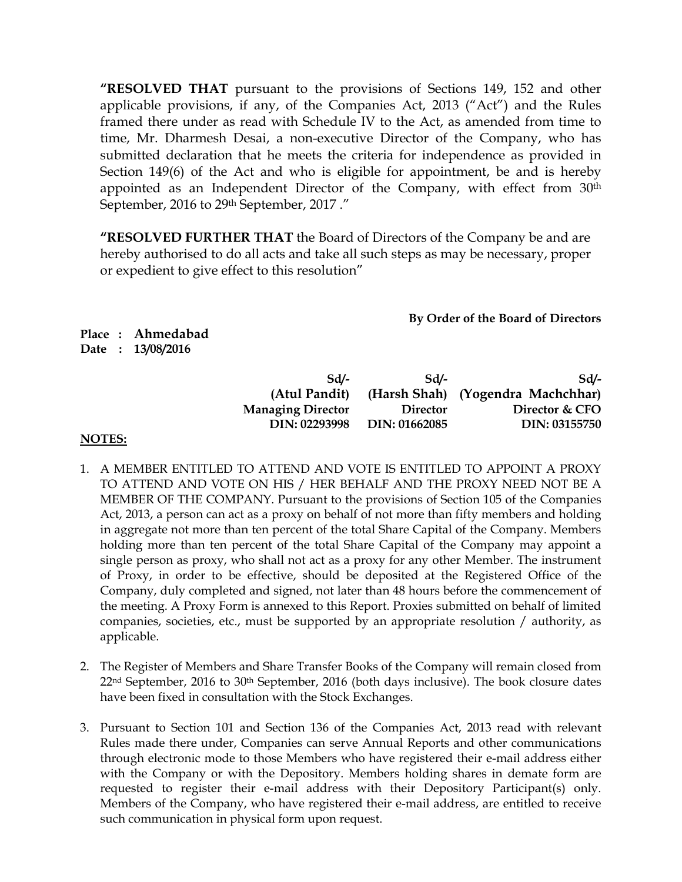**"RESOLVED THAT** pursuant to the provisions of Sections 149, 152 and other applicable provisions, if any, of the Companies Act, 2013 ("Act") and the Rules framed there under as read with Schedule IV to the Act, as amended from time to time, Mr. Dharmesh Desai, a non-executive Director of the Company, who has submitted declaration that he meets the criteria for independence as provided in Section 149(6) of the Act and who is eligible for appointment, be and is hereby appointed as an Independent Director of the Company, with effect from 30<sup>th</sup> September, 2016 to 29th September, 2017 ."

**"RESOLVED FURTHER THAT** the Board of Directors of the Company be and are hereby authorised to do all acts and take all such steps as may be necessary, proper or expedient to give effect to this resolution"

**By Order of the Board of Directors** 

**Place : Ahmedabad Date : 13/08/2016** 

| Sd                       | Sd              | Sd/-                              |
|--------------------------|-----------------|-----------------------------------|
| (Atul Pandit)            |                 | (Harsh Shah) (Yogendra Machchhar) |
| <b>Managing Director</b> | <b>Director</b> | Director & CFO                    |
| DIN: 02293998            | DIN: 01662085   | DIN: 03155750                     |

#### **NOTES:**

- 1. A MEMBER ENTITLED TO ATTEND AND VOTE IS ENTITLED TO APPOINT A PROXY TO ATTEND AND VOTE ON HIS / HER BEHALF AND THE PROXY NEED NOT BE A MEMBER OF THE COMPANY. Pursuant to the provisions of Section 105 of the Companies Act, 2013, a person can act as a proxy on behalf of not more than fifty members and holding in aggregate not more than ten percent of the total Share Capital of the Company. Members holding more than ten percent of the total Share Capital of the Company may appoint a single person as proxy, who shall not act as a proxy for any other Member. The instrument of Proxy, in order to be effective, should be deposited at the Registered Office of the Company, duly completed and signed, not later than 48 hours before the commencement of the meeting. A Proxy Form is annexed to this Report. Proxies submitted on behalf of limited companies, societies, etc., must be supported by an appropriate resolution / authority, as applicable.
- 2. The Register of Members and Share Transfer Books of the Company will remain closed from 22<sup>nd</sup> September, 2016 to 30<sup>th</sup> September, 2016 (both days inclusive). The book closure dates have been fixed in consultation with the Stock Exchanges.
- 3. Pursuant to Section 101 and Section 136 of the Companies Act, 2013 read with relevant Rules made there under, Companies can serve Annual Reports and other communications through electronic mode to those Members who have registered their e-mail address either with the Company or with the Depository. Members holding shares in demate form are requested to register their e-mail address with their Depository Participant(s) only. Members of the Company, who have registered their e-mail address, are entitled to receive such communication in physical form upon request.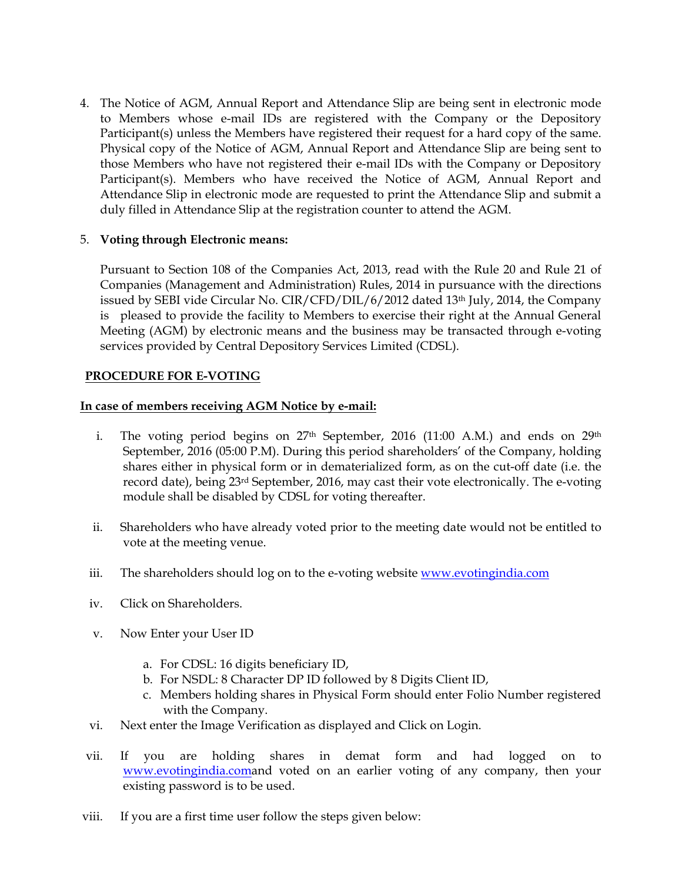4. The Notice of AGM, Annual Report and Attendance Slip are being sent in electronic mode to Members whose e-mail IDs are registered with the Company or the Depository Participant(s) unless the Members have registered their request for a hard copy of the same. Physical copy of the Notice of AGM, Annual Report and Attendance Slip are being sent to those Members who have not registered their e-mail IDs with the Company or Depository Participant(s). Members who have received the Notice of AGM, Annual Report and Attendance Slip in electronic mode are requested to print the Attendance Slip and submit a duly filled in Attendance Slip at the registration counter to attend the AGM.

#### 5. **Voting through Electronic means:**

Pursuant to Section 108 of the Companies Act, 2013, read with the Rule 20 and Rule 21 of Companies (Management and Administration) Rules, 2014 in pursuance with the directions issued by SEBI vide Circular No.  $CIR/CFD/DIL/6/2012$  dated 13<sup>th</sup> July, 2014, the Company is pleased to provide the facility to Members to exercise their right at the Annual General Meeting (AGM) by electronic means and the business may be transacted through e-voting services provided by Central Depository Services Limited (CDSL).

#### **PROCEDURE FOR E-VOTING**

#### **In case of members receiving AGM Notice by e-mail:**

- i. The voting period begins on  $27<sup>th</sup>$  September, 2016 (11:00 A.M.) and ends on  $29<sup>th</sup>$ September, 2016 (05:00 P.M). During this period shareholders' of the Company, holding shares either in physical form or in dematerialized form, as on the cut-off date (i.e. the record date), being  $23^{rd}$  September, 2016, may cast their vote electronically. The e-voting module shall be disabled by CDSL for voting thereafter.
- ii. Shareholders who have already voted prior to the meeting date would not be entitled to vote at the meeting venue.
- iii. The shareholders should log on to the e-voting website www.evotingindia.com
- iv. Click on Shareholders.
- v. Now Enter your User ID
	- a. For CDSL: 16 digits beneficiary ID,
	- b. For NSDL: 8 Character DP ID followed by 8 Digits Client ID,
	- c. Members holding shares in Physical Form should enter Folio Number registered with the Company.
- vi. Next enter the Image Verification as displayed and Click on Login.
- vii. If you are holding shares in demat form and had logged on to www.evotingindia.comand voted on an earlier voting of any company, then your existing password is to be used.
- viii. If you are a first time user follow the steps given below: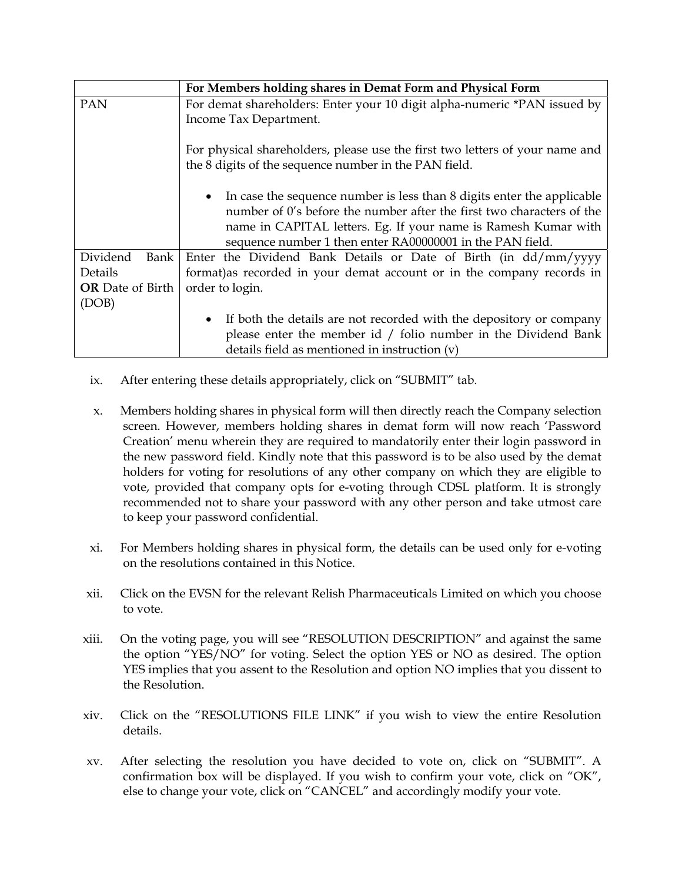|                         | For Members holding shares in Demat Form and Physical Form                                                                                                                                                                                                                       |
|-------------------------|----------------------------------------------------------------------------------------------------------------------------------------------------------------------------------------------------------------------------------------------------------------------------------|
| <b>PAN</b>              | For demat shareholders: Enter your 10 digit alpha-numeric *PAN issued by                                                                                                                                                                                                         |
|                         | Income Tax Department.                                                                                                                                                                                                                                                           |
|                         | For physical shareholders, please use the first two letters of your name and<br>the 8 digits of the sequence number in the PAN field.                                                                                                                                            |
|                         | • In case the sequence number is less than 8 digits enter the applicable<br>number of 0's before the number after the first two characters of the<br>name in CAPITAL letters. Eg. If your name is Ramesh Kumar with<br>sequence number 1 then enter RA00000001 in the PAN field. |
| Dividend<br><b>Bank</b> | Enter the Dividend Bank Details or Date of Birth (in dd/mm/yyyy                                                                                                                                                                                                                  |
| Details                 | format) as recorded in your demat account or in the company records in                                                                                                                                                                                                           |
| <b>OR</b> Date of Birth | order to login.                                                                                                                                                                                                                                                                  |
| (DOB)                   |                                                                                                                                                                                                                                                                                  |
|                         | If both the details are not recorded with the depository or company                                                                                                                                                                                                              |
|                         | please enter the member id $/$ folio number in the Dividend Bank                                                                                                                                                                                                                 |
|                         | details field as mentioned in instruction (v)                                                                                                                                                                                                                                    |

- ix. After entering these details appropriately, click on "SUBMIT" tab.
- x. Members holding shares in physical form will then directly reach the Company selection screen. However, members holding shares in demat form will now reach 'Password Creation' menu wherein they are required to mandatorily enter their login password in the new password field. Kindly note that this password is to be also used by the demat holders for voting for resolutions of any other company on which they are eligible to vote, provided that company opts for e-voting through CDSL platform. It is strongly recommended not to share your password with any other person and take utmost care to keep your password confidential.
- xi. For Members holding shares in physical form, the details can be used only for e-voting on the resolutions contained in this Notice.
- xii. Click on the EVSN for the relevant Relish Pharmaceuticals Limited on which you choose to vote.
- xiii. On the voting page, you will see "RESOLUTION DESCRIPTION" and against the same the option "YES/NO" for voting. Select the option YES or NO as desired. The option YES implies that you assent to the Resolution and option NO implies that you dissent to the Resolution.
- xiv. Click on the "RESOLUTIONS FILE LINK" if you wish to view the entire Resolution details.
- xv. After selecting the resolution you have decided to vote on, click on "SUBMIT". A confirmation box will be displayed. If you wish to confirm your vote, click on "OK", else to change your vote, click on "CANCEL" and accordingly modify your vote.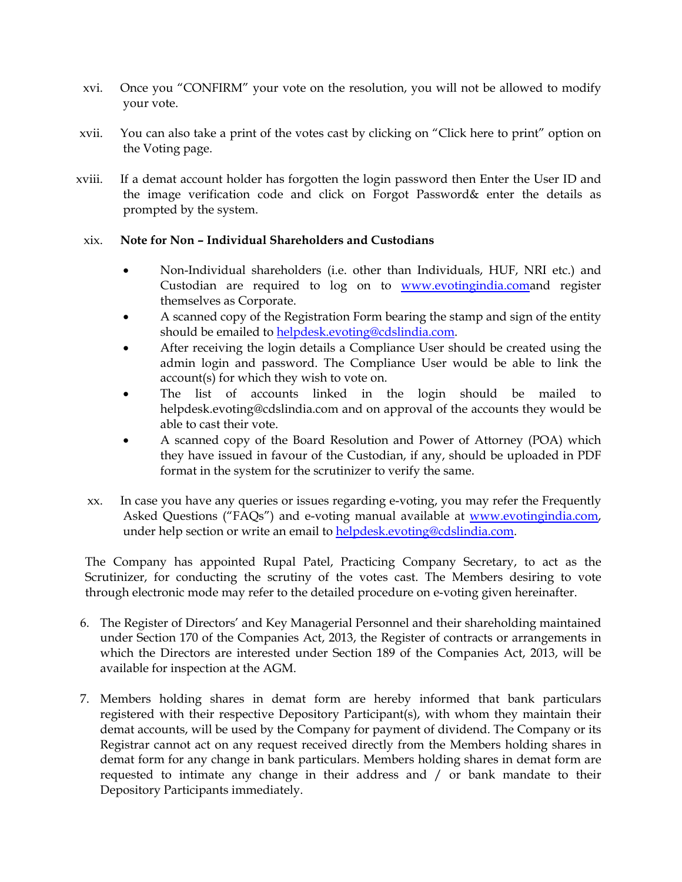- xvi. Once you "CONFIRM" your vote on the resolution, you will not be allowed to modify your vote.
- xvii. You can also take a print of the votes cast by clicking on "Click here to print" option on the Voting page.
- xviii. If a demat account holder has forgotten the login password then Enter the User ID and the image verification code and click on Forgot Password& enter the details as prompted by the system.

#### xix. **Note for Non – Individual Shareholders and Custodians**

- Non-Individual shareholders (i.e. other than Individuals, HUF, NRI etc.) and Custodian are required to log on to **www.evotingindia.comand** register themselves as Corporate.
- A scanned copy of the Registration Form bearing the stamp and sign of the entity should be emailed to helpdesk.evoting@cdslindia.com.
- After receiving the login details a Compliance User should be created using the admin login and password. The Compliance User would be able to link the account(s) for which they wish to vote on.
- The list of accounts linked in the login should be mailed to helpdesk.evoting@cdslindia.com and on approval of the accounts they would be able to cast their vote.
- A scanned copy of the Board Resolution and Power of Attorney (POA) which they have issued in favour of the Custodian, if any, should be uploaded in PDF format in the system for the scrutinizer to verify the same.
- xx. In case you have any queries or issues regarding e-voting, you may refer the Frequently Asked Questions ("FAQs") and e-voting manual available at www.evotingindia.com, under help section or write an email to helpdesk.evoting@cdslindia.com.

The Company has appointed Rupal Patel, Practicing Company Secretary, to act as the Scrutinizer, for conducting the scrutiny of the votes cast. The Members desiring to vote through electronic mode may refer to the detailed procedure on e-voting given hereinafter.

- 6. The Register of Directors' and Key Managerial Personnel and their shareholding maintained under Section 170 of the Companies Act, 2013, the Register of contracts or arrangements in which the Directors are interested under Section 189 of the Companies Act, 2013, will be available for inspection at the AGM.
- 7. Members holding shares in demat form are hereby informed that bank particulars registered with their respective Depository Participant(s), with whom they maintain their demat accounts, will be used by the Company for payment of dividend. The Company or its Registrar cannot act on any request received directly from the Members holding shares in demat form for any change in bank particulars. Members holding shares in demat form are requested to intimate any change in their address and / or bank mandate to their Depository Participants immediately.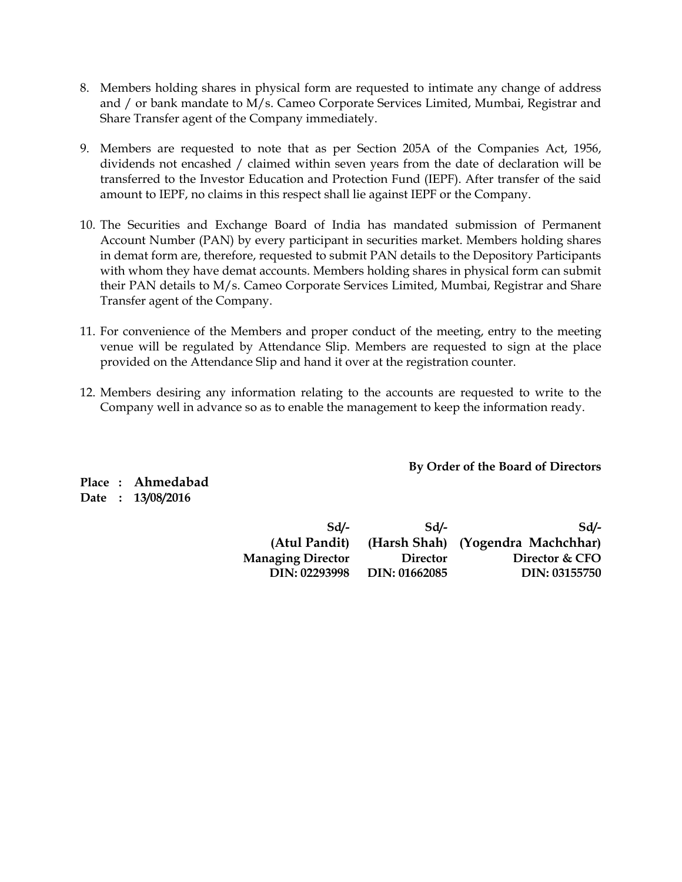- 8. Members holding shares in physical form are requested to intimate any change of address and / or bank mandate to M/s. Cameo Corporate Services Limited, Mumbai, Registrar and Share Transfer agent of the Company immediately.
- 9. Members are requested to note that as per Section 205A of the Companies Act, 1956, dividends not encashed / claimed within seven years from the date of declaration will be transferred to the Investor Education and Protection Fund (IEPF). After transfer of the said amount to IEPF, no claims in this respect shall lie against IEPF or the Company.
- 10. The Securities and Exchange Board of India has mandated submission of Permanent Account Number (PAN) by every participant in securities market. Members holding shares in demat form are, therefore, requested to submit PAN details to the Depository Participants with whom they have demat accounts. Members holding shares in physical form can submit their PAN details to M/s. Cameo Corporate Services Limited, Mumbai, Registrar and Share Transfer agent of the Company.
- 11. For convenience of the Members and proper conduct of the meeting, entry to the meeting venue will be regulated by Attendance Slip. Members are requested to sign at the place provided on the Attendance Slip and hand it over at the registration counter.
- 12. Members desiring any information relating to the accounts are requested to write to the Company well in advance so as to enable the management to keep the information ready.

**By Order of the Board of Directors** 

**Place : Ahmedabad Date : 13/08/2016** 

| Sd                       | Sd              | $Sd/-$                            |
|--------------------------|-----------------|-----------------------------------|
| (Atul Pandit)            |                 | (Harsh Shah) (Yogendra Machchhar) |
| <b>Managing Director</b> | <b>Director</b> | Director & CFO                    |
| DIN: 02293998            | DIN: 01662085   | DIN: 03155750                     |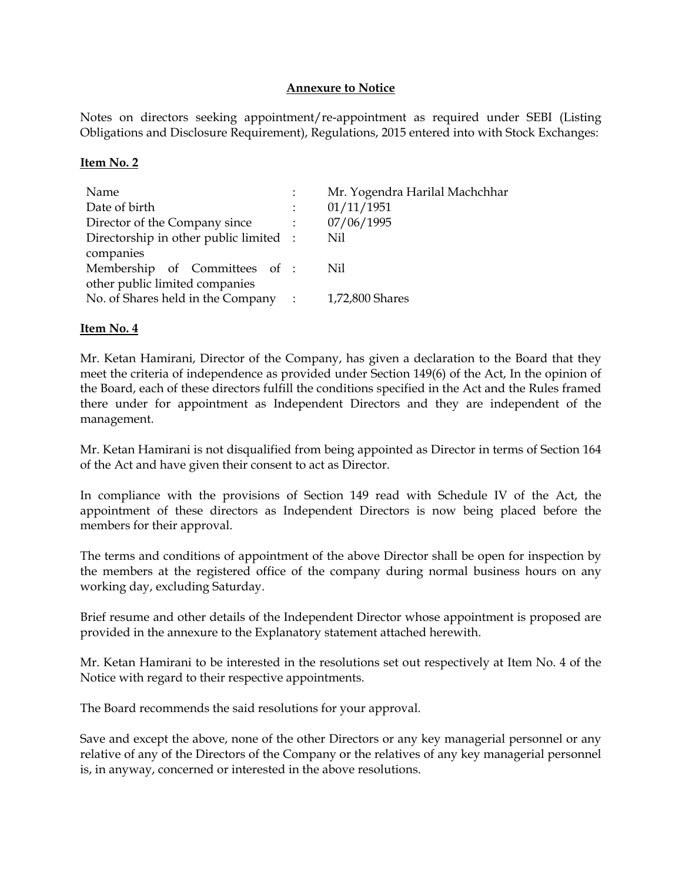#### **Annexure to Notice**

Notes on directors seeking appointment/re-appointment as required under SEBI (Listing Obligations and Disclosure Requirement), Regulations, 2015 entered into with Stock Exchanges:

#### **Item No. 2**

| Name                                   | Mr. Yogendra Harilal Machchhar |
|----------------------------------------|--------------------------------|
| Date of birth                          | 01/11/1951                     |
| Director of the Company since          | 07/06/1995                     |
| Directorship in other public limited : | Nil                            |
| companies                              |                                |
| Membership of Committees of :          | Nil                            |
| other public limited companies         |                                |
| No. of Shares held in the Company :    | 1,72,800 Shares                |
|                                        |                                |

#### **Item No. 4**

Mr. Ketan Hamirani, Director of the Company, has given a declaration to the Board that they meet the criteria of independence as provided under Section 149(6) of the Act, In the opinion of the Board, each of these directors fulfill the conditions specified in the Act and the Rules framed there under for appointment as Independent Directors and they are independent of the management.

Mr. Ketan Hamirani is not disqualified from being appointed as Director in terms of Section 164 of the Act and have given their consent to act as Director.

In compliance with the provisions of Section 149 read with Schedule IV of the Act, the appointment of these directors as Independent Directors is now being placed before the members for their approval.

The terms and conditions of appointment of the above Director shall be open for inspection by the members at the registered office of the company during normal business hours on any working day, excluding Saturday.

Brief resume and other details of the Independent Director whose appointment is proposed are provided in the annexure to the Explanatory statement attached herewith.

Mr. Ketan Hamirani to be interested in the resolutions set out respectively at Item No. 4 of the Notice with regard to their respective appointments.

The Board recommends the said resolutions for your approval.

Save and except the above, none of the other Directors or any key managerial personnel or any relative of any of the Directors of the Company or the relatives of any key managerial personnel is, in anyway, concerned or interested in the above resolutions.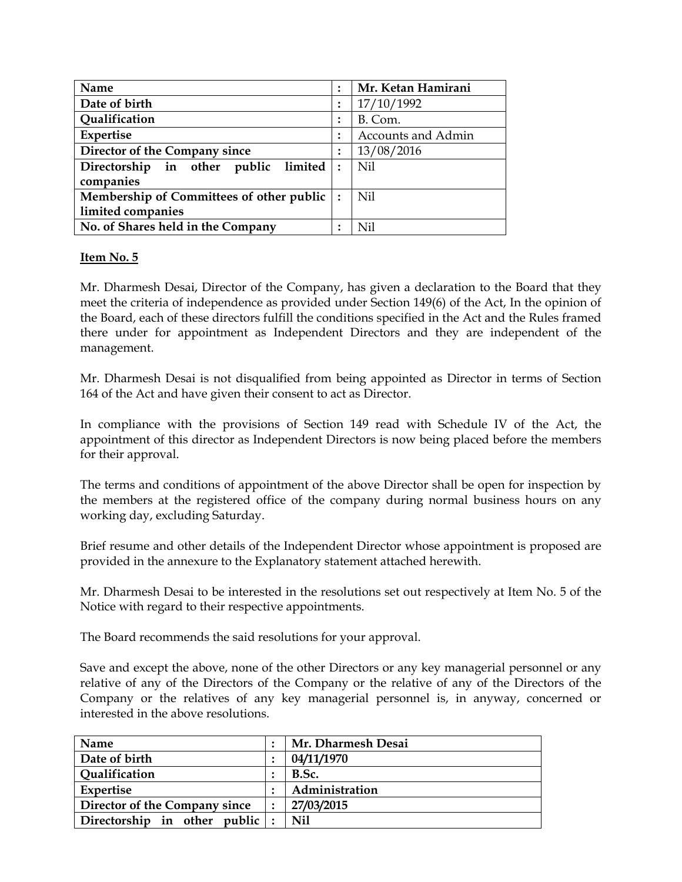| Name                                     | Mr. Ketan Hamirani        |
|------------------------------------------|---------------------------|
| Date of birth                            | 17/10/1992                |
| Qualification                            | B. Com.                   |
| Expertise                                | <b>Accounts and Admin</b> |
| Director of the Company since            | 13/08/2016                |
| limited<br>Directorship in other public  | Nil                       |
| companies                                |                           |
| Membership of Committees of other public | Nil                       |
| limited companies                        |                           |
| No. of Shares held in the Company        | Nil                       |

#### **Item No. 5**

Mr. Dharmesh Desai, Director of the Company, has given a declaration to the Board that they meet the criteria of independence as provided under Section 149(6) of the Act, In the opinion of the Board, each of these directors fulfill the conditions specified in the Act and the Rules framed there under for appointment as Independent Directors and they are independent of the management.

Mr. Dharmesh Desai is not disqualified from being appointed as Director in terms of Section 164 of the Act and have given their consent to act as Director.

In compliance with the provisions of Section 149 read with Schedule IV of the Act, the appointment of this director as Independent Directors is now being placed before the members for their approval.

The terms and conditions of appointment of the above Director shall be open for inspection by the members at the registered office of the company during normal business hours on any working day, excluding Saturday.

Brief resume and other details of the Independent Director whose appointment is proposed are provided in the annexure to the Explanatory statement attached herewith.

Mr. Dharmesh Desai to be interested in the resolutions set out respectively at Item No. 5 of the Notice with regard to their respective appointments.

The Board recommends the said resolutions for your approval.

Save and except the above, none of the other Directors or any key managerial personnel or any relative of any of the Directors of the Company or the relative of any of the Directors of the Company or the relatives of any key managerial personnel is, in anyway, concerned or interested in the above resolutions.

| Name                          | Mr. Dharmesh Desai |
|-------------------------------|--------------------|
| Date of birth                 | 04/11/1970         |
| <b>Qualification</b>          | B.Sc.              |
| Expertise                     | Administration     |
| Director of the Company since | 27/03/2015         |
| Directorship in other public  | Nil                |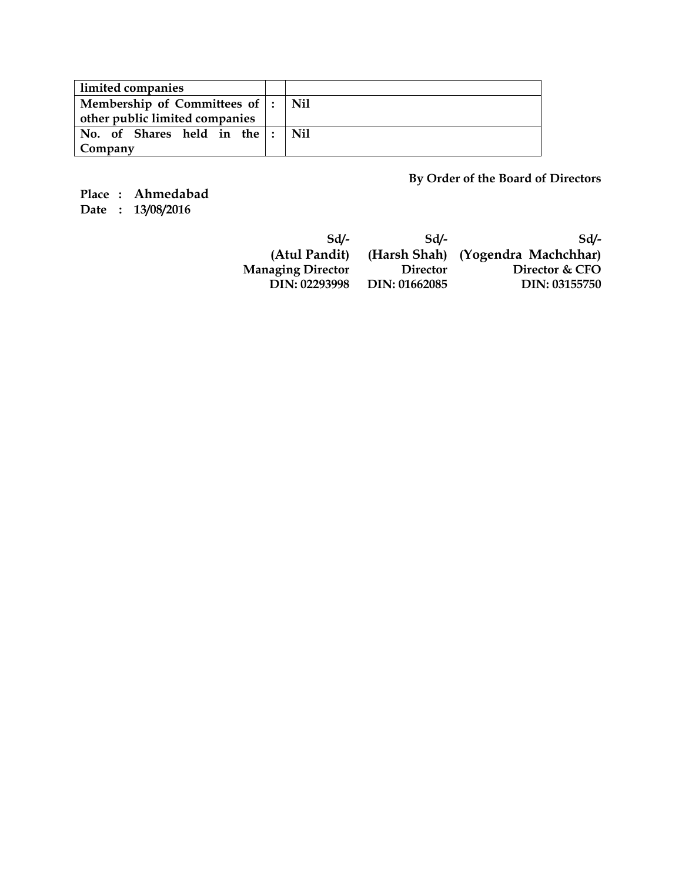| limited companies                    |     |
|--------------------------------------|-----|
| Membership of Committees of  :   Nil |     |
| other public limited companies       |     |
| No. of Shares held in the :          | Nil |
| Company                              |     |

**By Order of the Board of Directors** 

**Place : Ahmedabad Date : 13/08/2016** 

> **Sd/- Sd/- Sd/- (Atul Pandit) (Harsh Shah) (Yogendra Machchhar) Managing Director Director Director & CFO DIN: 02293998 DIN: 01662085 DIN: 03155750**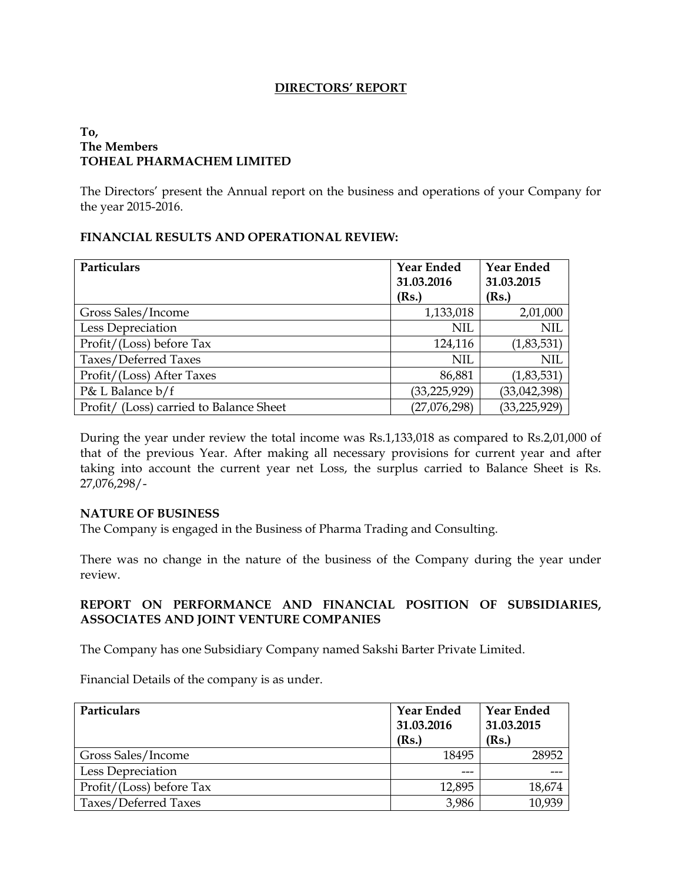#### **DIRECTORS' REPORT**

#### **To, The Members TOHEAL PHARMACHEM LIMITED**

The Directors' present the Annual report on the business and operations of your Company for the year 2015-2016.

#### **FINANCIAL RESULTS AND OPERATIONAL REVIEW:**

| Particulars                             | <b>Year Ended</b> | <b>Year Ended</b> |
|-----------------------------------------|-------------------|-------------------|
|                                         | 31.03.2016        | 31.03.2015        |
|                                         | (Rs.)             | (Rs.)             |
| Gross Sales/Income                      | 1,133,018         | 2,01,000          |
| Less Depreciation                       | <b>NIL</b>        | <b>NIL</b>        |
| Profit/(Loss) before Tax                | 124,116           | (1,83,531)        |
| Taxes/Deferred Taxes                    | <b>NIL</b>        | <b>NIL</b>        |
| Profit/(Loss) After Taxes               | 86,881            | (1,83,531)        |
| P& L Balance b/f                        | (33, 225, 929)    | (33, 042, 398)    |
| Profit/ (Loss) carried to Balance Sheet | (27,076,298)      | (33, 225, 929)    |

During the year under review the total income was Rs.1,133,018 as compared to Rs.2,01,000 of that of the previous Year. After making all necessary provisions for current year and after taking into account the current year net Loss, the surplus carried to Balance Sheet is Rs. 27,076,298/-

#### **NATURE OF BUSINESS**

The Company is engaged in the Business of Pharma Trading and Consulting.

There was no change in the nature of the business of the Company during the year under review.

#### **REPORT ON PERFORMANCE AND FINANCIAL POSITION OF SUBSIDIARIES, ASSOCIATES AND JOINT VENTURE COMPANIES**

The Company has one Subsidiary Company named Sakshi Barter Private Limited.

Financial Details of the company is as under.

| <b>Particulars</b>       | <b>Year Ended</b><br>31.03.2016<br>(Rs.) | <b>Year Ended</b><br>31.03.2015<br>(Rs.) |
|--------------------------|------------------------------------------|------------------------------------------|
| Gross Sales/Income       | 18495                                    | 28952                                    |
| Less Depreciation        | ---                                      |                                          |
| Profit/(Loss) before Tax | 12,895                                   | 18,674                                   |
| Taxes/Deferred Taxes     | 3,986                                    | 10,939                                   |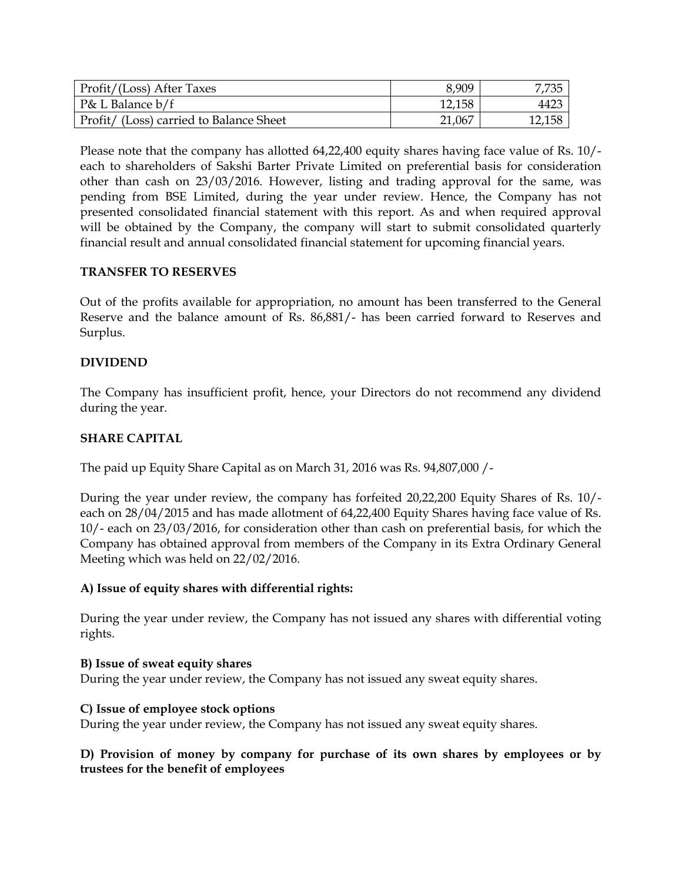| Profit/(Loss) After Taxes               | 8,909  | 7,735  |
|-----------------------------------------|--------|--------|
| P& L Balance b/f                        | 12,158 | 4423   |
| Profit/ (Loss) carried to Balance Sheet | 21,067 | 12,158 |

Please note that the company has allotted 64,22,400 equity shares having face value of Rs. 10/ each to shareholders of Sakshi Barter Private Limited on preferential basis for consideration other than cash on 23/03/2016. However, listing and trading approval for the same, was pending from BSE Limited, during the year under review. Hence, the Company has not presented consolidated financial statement with this report. As and when required approval will be obtained by the Company, the company will start to submit consolidated quarterly financial result and annual consolidated financial statement for upcoming financial years.

#### **TRANSFER TO RESERVES**

Out of the profits available for appropriation, no amount has been transferred to the General Reserve and the balance amount of Rs. 86,881/- has been carried forward to Reserves and Surplus.

#### **DIVIDEND**

The Company has insufficient profit, hence, your Directors do not recommend any dividend during the year.

#### **SHARE CAPITAL**

The paid up Equity Share Capital as on March 31, 2016 was Rs. 94,807,000 /-

During the year under review, the company has forfeited 20,22,200 Equity Shares of Rs. 10/ each on 28/04/2015 and has made allotment of 64,22,400 Equity Shares having face value of Rs. 10/- each on 23/03/2016, for consideration other than cash on preferential basis, for which the Company has obtained approval from members of the Company in its Extra Ordinary General Meeting which was held on 22/02/2016.

#### **A) Issue of equity shares with differential rights:**

During the year under review, the Company has not issued any shares with differential voting rights.

#### **B) Issue of sweat equity shares**

During the year under review, the Company has not issued any sweat equity shares.

#### **C) Issue of employee stock options**

During the year under review, the Company has not issued any sweat equity shares.

**D) Provision of money by company for purchase of its own shares by employees or by trustees for the benefit of employees**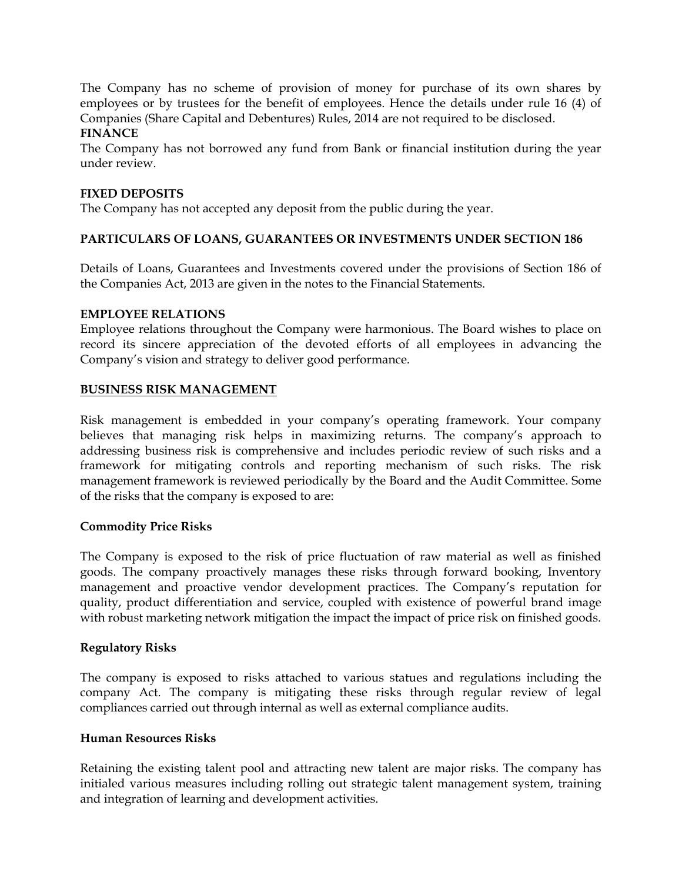The Company has no scheme of provision of money for purchase of its own shares by employees or by trustees for the benefit of employees. Hence the details under rule 16 (4) of Companies (Share Capital and Debentures) Rules, 2014 are not required to be disclosed. **FINANCE** 

The Company has not borrowed any fund from Bank or financial institution during the year under review.

#### **FIXED DEPOSITS**

The Company has not accepted any deposit from the public during the year.

#### **PARTICULARS OF LOANS, GUARANTEES OR INVESTMENTS UNDER SECTION 186**

Details of Loans, Guarantees and Investments covered under the provisions of Section 186 of the Companies Act, 2013 are given in the notes to the Financial Statements.

#### **EMPLOYEE RELATIONS**

Employee relations throughout the Company were harmonious. The Board wishes to place on record its sincere appreciation of the devoted efforts of all employees in advancing the Company's vision and strategy to deliver good performance.

#### **BUSINESS RISK MANAGEMENT**

Risk management is embedded in your company's operating framework. Your company believes that managing risk helps in maximizing returns. The company's approach to addressing business risk is comprehensive and includes periodic review of such risks and a framework for mitigating controls and reporting mechanism of such risks. The risk management framework is reviewed periodically by the Board and the Audit Committee. Some of the risks that the company is exposed to are:

#### **Commodity Price Risks**

The Company is exposed to the risk of price fluctuation of raw material as well as finished goods. The company proactively manages these risks through forward booking, Inventory management and proactive vendor development practices. The Company's reputation for quality, product differentiation and service, coupled with existence of powerful brand image with robust marketing network mitigation the impact the impact of price risk on finished goods.

#### **Regulatory Risks**

The company is exposed to risks attached to various statues and regulations including the company Act. The company is mitigating these risks through regular review of legal compliances carried out through internal as well as external compliance audits.

#### **Human Resources Risks**

Retaining the existing talent pool and attracting new talent are major risks. The company has initialed various measures including rolling out strategic talent management system, training and integration of learning and development activities.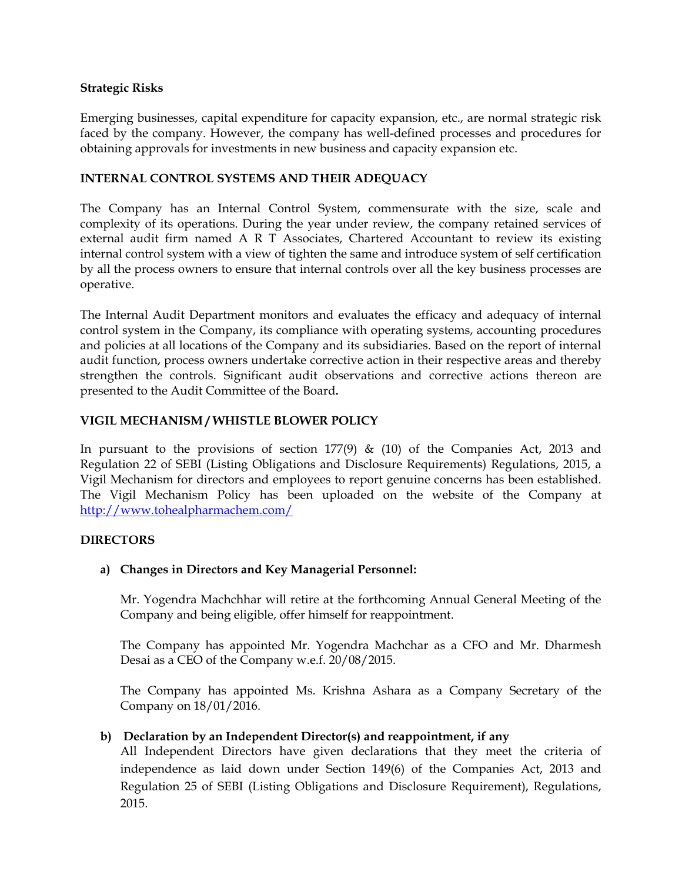#### **Strategic Risks**

Emerging businesses, capital expenditure for capacity expansion, etc., are normal strategic risk faced by the company. However, the company has well-defined processes and procedures for obtaining approvals for investments in new business and capacity expansion etc.

#### **INTERNAL CONTROL SYSTEMS AND THEIR ADEQUACY**

The Company has an Internal Control System, commensurate with the size, scale and complexity of its operations. During the year under review, the company retained services of external audit firm named A R T Associates, Chartered Accountant to review its existing internal control system with a view of tighten the same and introduce system of self certification by all the process owners to ensure that internal controls over all the key business processes are operative.

The Internal Audit Department monitors and evaluates the efficacy and adequacy of internal control system in the Company, its compliance with operating systems, accounting procedures and policies at all locations of the Company and its subsidiaries. Based on the report of internal audit function, process owners undertake corrective action in their respective areas and thereby strengthen the controls. Significant audit observations and corrective actions thereon are presented to the Audit Committee of the Board**.** 

#### **VIGIL MECHANISM / WHISTLE BLOWER POLICY**

In pursuant to the provisions of section  $177(9)$  &  $(10)$  of the Companies Act, 2013 and Regulation 22 of SEBI (Listing Obligations and Disclosure Requirements) Regulations, 2015, a Vigil Mechanism for directors and employees to report genuine concerns has been established. The Vigil Mechanism Policy has been uploaded on the website of the Company at http://www.tohealpharmachem.com/

#### **DIRECTORS**

#### **a) Changes in Directors and Key Managerial Personnel:**

Mr. Yogendra Machchhar will retire at the forthcoming Annual General Meeting of the Company and being eligible, offer himself for reappointment.

The Company has appointed Mr. Yogendra Machchar as a CFO and Mr. Dharmesh Desai as a CEO of the Company w.e.f. 20/08/2015.

The Company has appointed Ms. Krishna Ashara as a Company Secretary of the Company on 18/01/2016.

#### **b) Declaration by an Independent Director(s) and reappointment, if any**

All Independent Directors have given declarations that they meet the criteria of independence as laid down under Section 149(6) of the Companies Act, 2013 and Regulation 25 of SEBI (Listing Obligations and Disclosure Requirement), Regulations, 2015.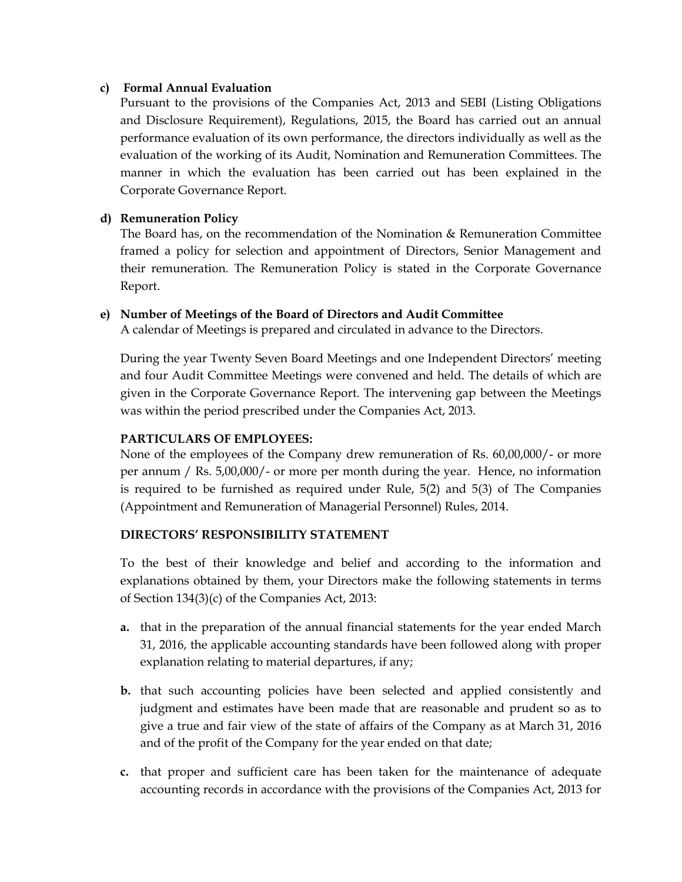#### **c) Formal Annual Evaluation**

Pursuant to the provisions of the Companies Act, 2013 and SEBI (Listing Obligations and Disclosure Requirement), Regulations, 2015, the Board has carried out an annual performance evaluation of its own performance, the directors individually as well as the evaluation of the working of its Audit, Nomination and Remuneration Committees. The manner in which the evaluation has been carried out has been explained in the Corporate Governance Report.

#### **d) Remuneration Policy**

The Board has, on the recommendation of the Nomination & Remuneration Committee framed a policy for selection and appointment of Directors, Senior Management and their remuneration. The Remuneration Policy is stated in the Corporate Governance Report.

#### **e) Number of Meetings of the Board of Directors and Audit Committee**

A calendar of Meetings is prepared and circulated in advance to the Directors.

During the year Twenty Seven Board Meetings and one Independent Directors' meeting and four Audit Committee Meetings were convened and held. The details of which are given in the Corporate Governance Report. The intervening gap between the Meetings was within the period prescribed under the Companies Act, 2013.

#### **PARTICULARS OF EMPLOYEES:**

None of the employees of the Company drew remuneration of Rs. 60,00,000/- or more per annum / Rs. 5,00,000/- or more per month during the year. Hence, no information is required to be furnished as required under Rule, 5(2) and 5(3) of The Companies (Appointment and Remuneration of Managerial Personnel) Rules, 2014.

#### **DIRECTORS' RESPONSIBILITY STATEMENT**

To the best of their knowledge and belief and according to the information and explanations obtained by them, your Directors make the following statements in terms of Section 134(3)(c) of the Companies Act, 2013:

- **a.** that in the preparation of the annual financial statements for the year ended March 31, 2016, the applicable accounting standards have been followed along with proper explanation relating to material departures, if any;
- **b.** that such accounting policies have been selected and applied consistently and judgment and estimates have been made that are reasonable and prudent so as to give a true and fair view of the state of affairs of the Company as at March 31, 2016 and of the profit of the Company for the year ended on that date;
- **c.** that proper and sufficient care has been taken for the maintenance of adequate accounting records in accordance with the provisions of the Companies Act, 2013 for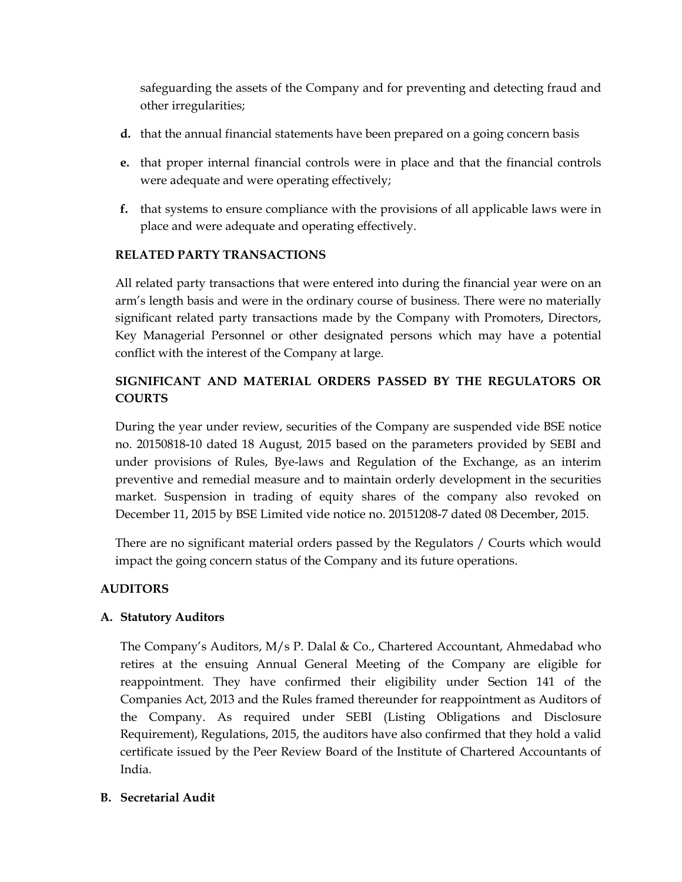safeguarding the assets of the Company and for preventing and detecting fraud and other irregularities;

- **d.** that the annual financial statements have been prepared on a going concern basis
- **e.** that proper internal financial controls were in place and that the financial controls were adequate and were operating effectively;
- **f.** that systems to ensure compliance with the provisions of all applicable laws were in place and were adequate and operating effectively.

#### **RELATED PARTY TRANSACTIONS**

All related party transactions that were entered into during the financial year were on an arm's length basis and were in the ordinary course of business. There were no materially significant related party transactions made by the Company with Promoters, Directors, Key Managerial Personnel or other designated persons which may have a potential conflict with the interest of the Company at large.

#### **SIGNIFICANT AND MATERIAL ORDERS PASSED BY THE REGULATORS OR COURTS**

During the year under review, securities of the Company are suspended vide BSE notice no. 20150818-10 dated 18 August, 2015 based on the parameters provided by SEBI and under provisions of Rules, Bye-laws and Regulation of the Exchange, as an interim preventive and remedial measure and to maintain orderly development in the securities market. Suspension in trading of equity shares of the company also revoked on December 11, 2015 by BSE Limited vide notice no. 20151208-7 dated 08 December, 2015.

There are no significant material orders passed by the Regulators / Courts which would impact the going concern status of the Company and its future operations.

#### **AUDITORS**

#### **A. Statutory Auditors**

The Company's Auditors, M/s P. Dalal & Co., Chartered Accountant, Ahmedabad who retires at the ensuing Annual General Meeting of the Company are eligible for reappointment. They have confirmed their eligibility under Section 141 of the Companies Act, 2013 and the Rules framed thereunder for reappointment as Auditors of the Company. As required under SEBI (Listing Obligations and Disclosure Requirement), Regulations, 2015, the auditors have also confirmed that they hold a valid certificate issued by the Peer Review Board of the Institute of Chartered Accountants of India.

#### **B. Secretarial Audit**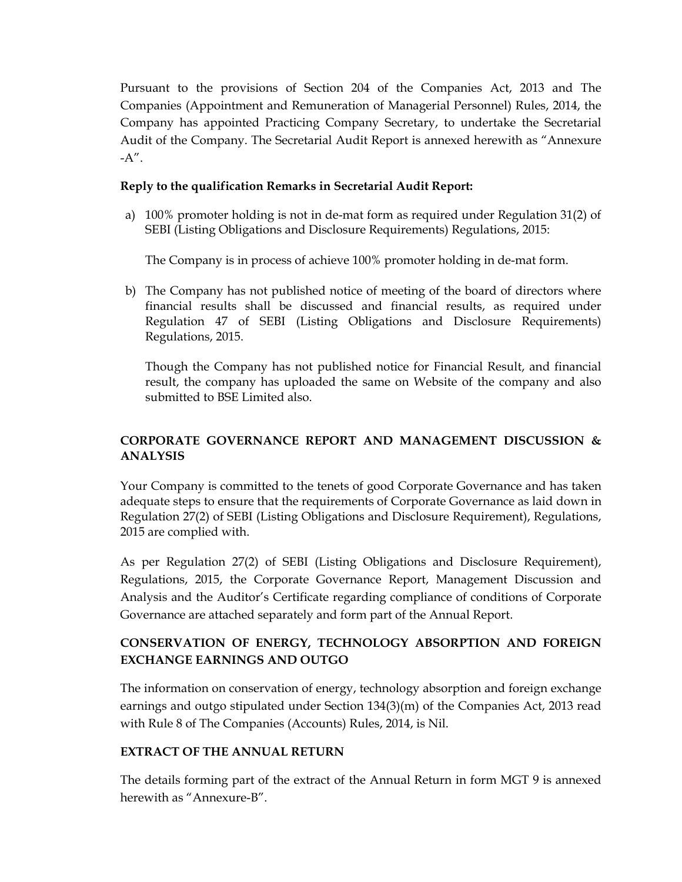Pursuant to the provisions of Section 204 of the Companies Act, 2013 and The Companies (Appointment and Remuneration of Managerial Personnel) Rules, 2014, the Company has appointed Practicing Company Secretary, to undertake the Secretarial Audit of the Company. The Secretarial Audit Report is annexed herewith as "Annexure  $-A''$ .

#### **Reply to the qualification Remarks in Secretarial Audit Report:**

a) 100% promoter holding is not in de-mat form as required under Regulation 31(2) of SEBI (Listing Obligations and Disclosure Requirements) Regulations, 2015:

The Company is in process of achieve 100% promoter holding in de-mat form.

b) The Company has not published notice of meeting of the board of directors where financial results shall be discussed and financial results, as required under Regulation 47 of SEBI (Listing Obligations and Disclosure Requirements) Regulations, 2015.

Though the Company has not published notice for Financial Result, and financial result, the company has uploaded the same on Website of the company and also submitted to BSE Limited also.

#### **CORPORATE GOVERNANCE REPORT AND MANAGEMENT DISCUSSION & ANALYSIS**

Your Company is committed to the tenets of good Corporate Governance and has taken adequate steps to ensure that the requirements of Corporate Governance as laid down in Regulation 27(2) of SEBI (Listing Obligations and Disclosure Requirement), Regulations, 2015 are complied with.

As per Regulation 27(2) of SEBI (Listing Obligations and Disclosure Requirement), Regulations, 2015, the Corporate Governance Report, Management Discussion and Analysis and the Auditor's Certificate regarding compliance of conditions of Corporate Governance are attached separately and form part of the Annual Report.

#### **CONSERVATION OF ENERGY, TECHNOLOGY ABSORPTION AND FOREIGN EXCHANGE EARNINGS AND OUTGO**

The information on conservation of energy, technology absorption and foreign exchange earnings and outgo stipulated under Section 134(3)(m) of the Companies Act, 2013 read with Rule 8 of The Companies (Accounts) Rules, 2014, is Nil.

#### **EXTRACT OF THE ANNUAL RETURN**

The details forming part of the extract of the Annual Return in form MGT 9 is annexed herewith as "Annexure-B".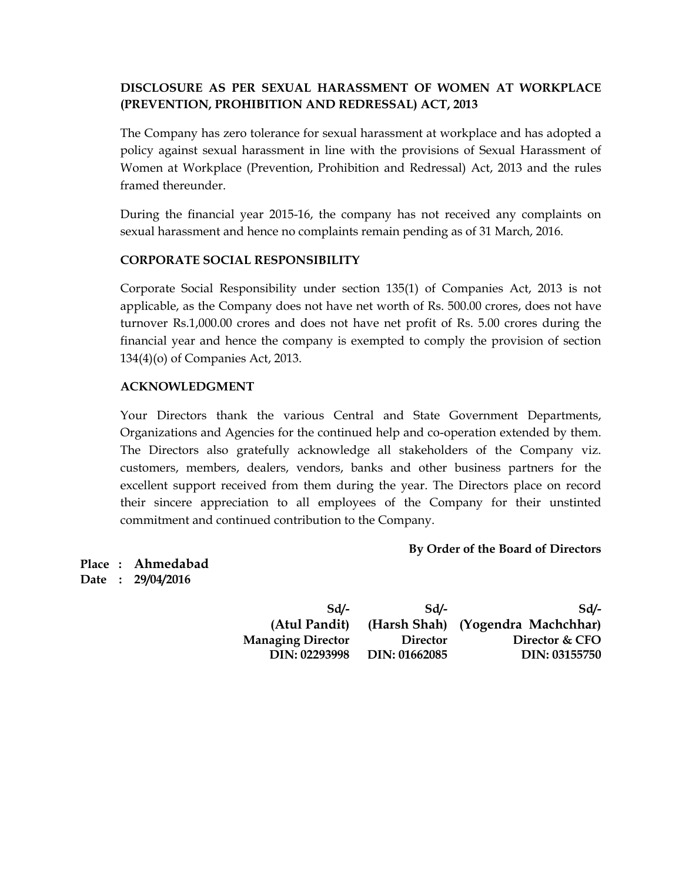#### **DISCLOSURE AS PER SEXUAL HARASSMENT OF WOMEN AT WORKPLACE (PREVENTION, PROHIBITION AND REDRESSAL) ACT, 2013**

The Company has zero tolerance for sexual harassment at workplace and has adopted a policy against sexual harassment in line with the provisions of Sexual Harassment of Women at Workplace (Prevention, Prohibition and Redressal) Act, 2013 and the rules framed thereunder.

During the financial year 2015-16, the company has not received any complaints on sexual harassment and hence no complaints remain pending as of 31 March, 2016.

#### **CORPORATE SOCIAL RESPONSIBILITY**

Corporate Social Responsibility under section 135(1) of Companies Act, 2013 is not applicable, as the Company does not have net worth of Rs. 500.00 crores, does not have turnover Rs.1,000.00 crores and does not have net profit of Rs. 5.00 crores during the financial year and hence the company is exempted to comply the provision of section 134(4)(o) of Companies Act, 2013.

#### **ACKNOWLEDGMENT**

Your Directors thank the various Central and State Government Departments, Organizations and Agencies for the continued help and co-operation extended by them. The Directors also gratefully acknowledge all stakeholders of the Company viz. customers, members, dealers, vendors, banks and other business partners for the excellent support received from them during the year. The Directors place on record their sincere appreciation to all employees of the Company for their unstinted commitment and continued contribution to the Company.

#### **By Order of the Board of Directors**

**Place : Ahmedabad Date : 29/04/2016** 

| Sd/-                     | Sd              | Sd/-                              |
|--------------------------|-----------------|-----------------------------------|
| (Atul Pandit)            |                 | (Harsh Shah) (Yogendra Machchhar) |
| <b>Managing Director</b> | <b>Director</b> | Director & CFO                    |
| DIN: 02293998            | DIN: 01662085   | DIN: 03155750                     |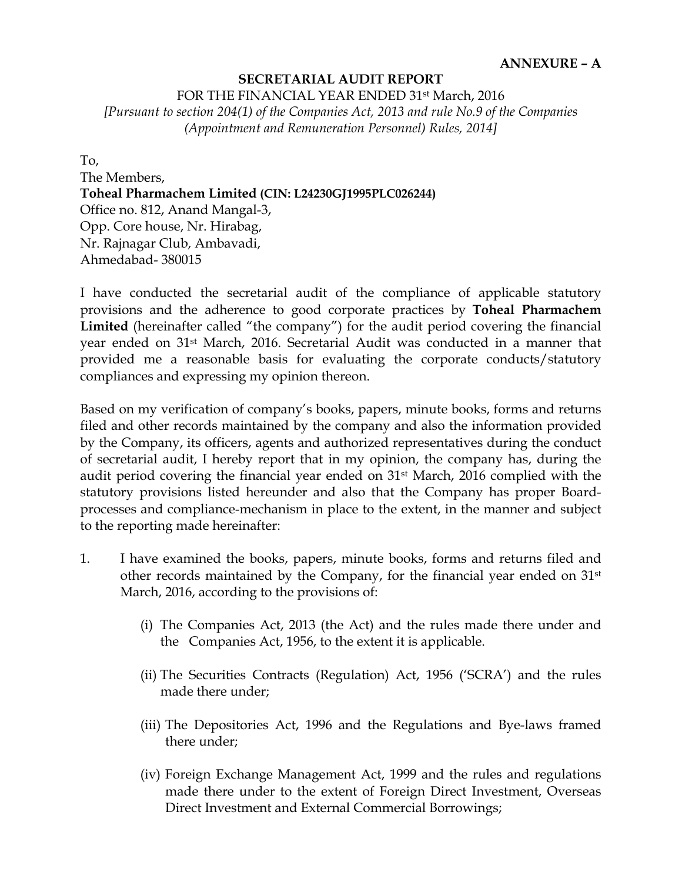#### **SECRETARIAL AUDIT REPORT**

FOR THE FINANCIAL YEAR ENDED 31st March, 2016

*[Pursuant to section 204(1) of the Companies Act, 2013 and rule No.9 of the Companies (Appointment and Remuneration Personnel) Rules, 2014]* 

To,

The Members, **Toheal Pharmachem Limited (CIN: L24230GJ1995PLC026244)**  Office no. 812, Anand Mangal-3, Opp. Core house, Nr. Hirabag, Nr. Rajnagar Club, Ambavadi, Ahmedabad- 380015

I have conducted the secretarial audit of the compliance of applicable statutory provisions and the adherence to good corporate practices by **Toheal Pharmachem Limited** (hereinafter called "the company") for the audit period covering the financial year ended on 31st March, 2016. Secretarial Audit was conducted in a manner that provided me a reasonable basis for evaluating the corporate conducts/statutory compliances and expressing my opinion thereon.

Based on my verification of company's books, papers, minute books, forms and returns filed and other records maintained by the company and also the information provided by the Company, its officers, agents and authorized representatives during the conduct of secretarial audit, I hereby report that in my opinion, the company has, during the audit period covering the financial year ended on 31st March, 2016 complied with the statutory provisions listed hereunder and also that the Company has proper Boardprocesses and compliance-mechanism in place to the extent, in the manner and subject to the reporting made hereinafter:

- 1. I have examined the books, papers, minute books, forms and returns filed and other records maintained by the Company, for the financial year ended on 31st March, 2016, according to the provisions of:
	- (i) The Companies Act, 2013 (the Act) and the rules made there under and the Companies Act, 1956, to the extent it is applicable.
	- (ii) The Securities Contracts (Regulation) Act, 1956 ('SCRA') and the rules made there under;
	- (iii) The Depositories Act, 1996 and the Regulations and Bye-laws framed there under;
	- (iv) Foreign Exchange Management Act, 1999 and the rules and regulations made there under to the extent of Foreign Direct Investment, Overseas Direct Investment and External Commercial Borrowings;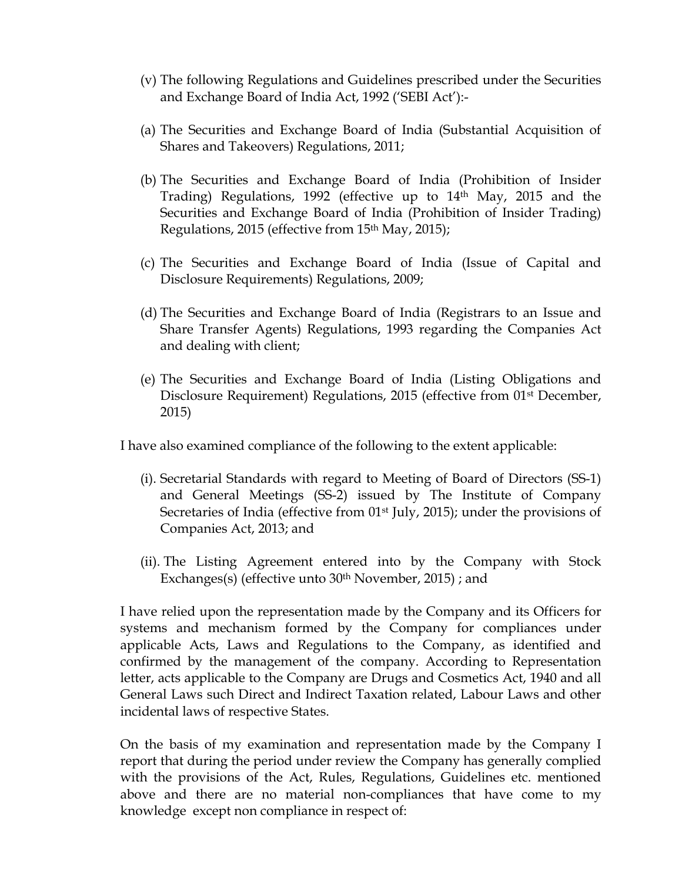- (v) The following Regulations and Guidelines prescribed under the Securities and Exchange Board of India Act, 1992 ('SEBI Act'):-
- (a) The Securities and Exchange Board of India (Substantial Acquisition of Shares and Takeovers) Regulations, 2011;
- (b) The Securities and Exchange Board of India (Prohibition of Insider Trading) Regulations, 1992 (effective up to  $14<sup>th</sup>$  May, 2015 and the Securities and Exchange Board of India (Prohibition of Insider Trading) Regulations, 2015 (effective from 15<sup>th</sup> May, 2015);
- (c) The Securities and Exchange Board of India (Issue of Capital and Disclosure Requirements) Regulations, 2009;
- (d) The Securities and Exchange Board of India (Registrars to an Issue and Share Transfer Agents) Regulations, 1993 regarding the Companies Act and dealing with client;
- (e) The Securities and Exchange Board of India (Listing Obligations and Disclosure Requirement) Regulations, 2015 (effective from 01st December, 2015)

I have also examined compliance of the following to the extent applicable:

- (i). Secretarial Standards with regard to Meeting of Board of Directors (SS-1) and General Meetings (SS-2) issued by The Institute of Company Secretaries of India (effective from 01<sup>st</sup> July, 2015); under the provisions of Companies Act, 2013; and
- (ii). The Listing Agreement entered into by the Company with Stock Exchanges(s) (effective unto 30<sup>th</sup> November, 2015); and

I have relied upon the representation made by the Company and its Officers for systems and mechanism formed by the Company for compliances under applicable Acts, Laws and Regulations to the Company, as identified and confirmed by the management of the company. According to Representation letter, acts applicable to the Company are Drugs and Cosmetics Act, 1940 and all General Laws such Direct and Indirect Taxation related, Labour Laws and other incidental laws of respective States.

On the basis of my examination and representation made by the Company I report that during the period under review the Company has generally complied with the provisions of the Act, Rules, Regulations, Guidelines etc. mentioned above and there are no material non-compliances that have come to my knowledge except non compliance in respect of: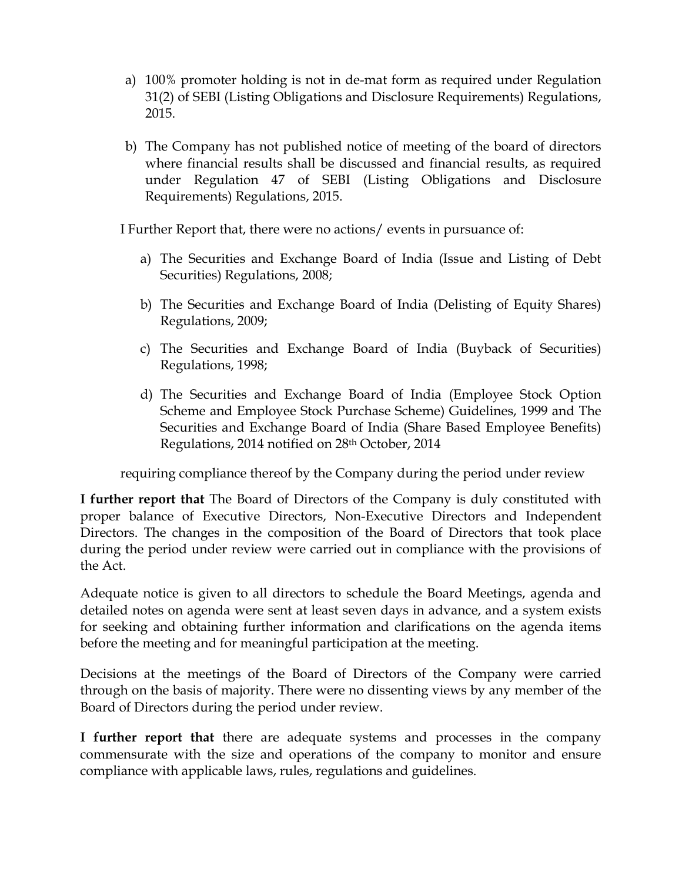- a) 100% promoter holding is not in de-mat form as required under Regulation 31(2) of SEBI (Listing Obligations and Disclosure Requirements) Regulations, 2015.
- b) The Company has not published notice of meeting of the board of directors where financial results shall be discussed and financial results, as required under Regulation 47 of SEBI (Listing Obligations and Disclosure Requirements) Regulations, 2015.

I Further Report that, there were no actions/ events in pursuance of:

- a) The Securities and Exchange Board of India (Issue and Listing of Debt Securities) Regulations, 2008;
- b) The Securities and Exchange Board of India (Delisting of Equity Shares) Regulations, 2009;
- c) The Securities and Exchange Board of India (Buyback of Securities) Regulations, 1998;
- d) The Securities and Exchange Board of India (Employee Stock Option Scheme and Employee Stock Purchase Scheme) Guidelines, 1999 and The Securities and Exchange Board of India (Share Based Employee Benefits) Regulations, 2014 notified on 28th October, 2014

requiring compliance thereof by the Company during the period under review

**I further report that** The Board of Directors of the Company is duly constituted with proper balance of Executive Directors, Non-Executive Directors and Independent Directors. The changes in the composition of the Board of Directors that took place during the period under review were carried out in compliance with the provisions of the Act.

Adequate notice is given to all directors to schedule the Board Meetings, agenda and detailed notes on agenda were sent at least seven days in advance, and a system exists for seeking and obtaining further information and clarifications on the agenda items before the meeting and for meaningful participation at the meeting.

Decisions at the meetings of the Board of Directors of the Company were carried through on the basis of majority. There were no dissenting views by any member of the Board of Directors during the period under review.

**I further report that** there are adequate systems and processes in the company commensurate with the size and operations of the company to monitor and ensure compliance with applicable laws, rules, regulations and guidelines.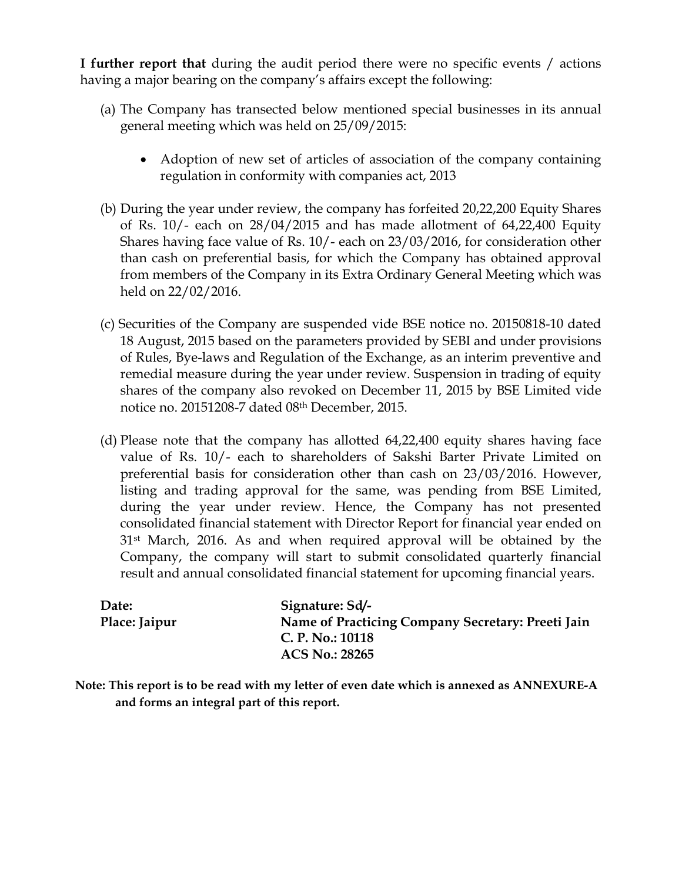**I further report that** during the audit period there were no specific events / actions having a major bearing on the company's affairs except the following:

- (a) The Company has transected below mentioned special businesses in its annual general meeting which was held on 25/09/2015:
	- Adoption of new set of articles of association of the company containing regulation in conformity with companies act, 2013
- (b) During the year under review, the company has forfeited 20,22,200 Equity Shares of Rs. 10/- each on 28/04/2015 and has made allotment of 64,22,400 Equity Shares having face value of Rs. 10/- each on 23/03/2016, for consideration other than cash on preferential basis, for which the Company has obtained approval from members of the Company in its Extra Ordinary General Meeting which was held on 22/02/2016.
- (c) Securities of the Company are suspended vide BSE notice no. 20150818-10 dated 18 August, 2015 based on the parameters provided by SEBI and under provisions of Rules, Bye-laws and Regulation of the Exchange, as an interim preventive and remedial measure during the year under review. Suspension in trading of equity shares of the company also revoked on December 11, 2015 by BSE Limited vide notice no. 20151208-7 dated 08th December, 2015.
- (d) Please note that the company has allotted 64,22,400 equity shares having face value of Rs. 10/- each to shareholders of Sakshi Barter Private Limited on preferential basis for consideration other than cash on 23/03/2016. However, listing and trading approval for the same, was pending from BSE Limited, during the year under review. Hence, the Company has not presented consolidated financial statement with Director Report for financial year ended on 31st March, 2016. As and when required approval will be obtained by the Company, the company will start to submit consolidated quarterly financial result and annual consolidated financial statement for upcoming financial years.

| Date:         | Signature: Sd/-                                   |
|---------------|---------------------------------------------------|
| Place: Jaipur | Name of Practicing Company Secretary: Preeti Jain |
|               | C. P. No.: $10118$                                |
|               | <b>ACS No.: 28265</b>                             |

**Note: This report is to be read with my letter of even date which is annexed as ANNEXURE-A and forms an integral part of this report.**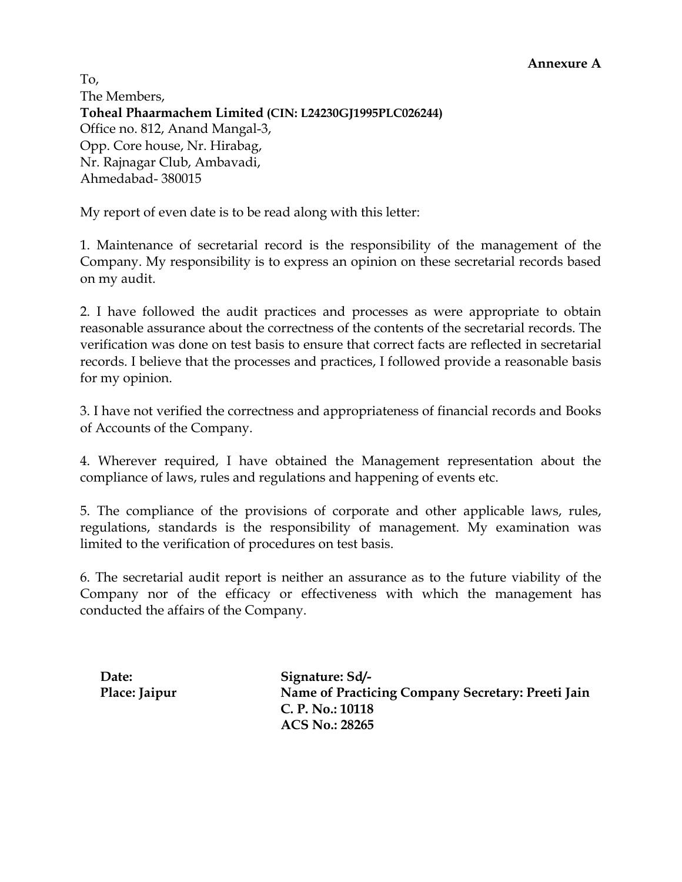To, The Members, **Toheal Phaarmachem Limited (CIN: L24230GJ1995PLC026244)**  Office no. 812, Anand Mangal-3, Opp. Core house, Nr. Hirabag, Nr. Rajnagar Club, Ambavadi, Ahmedabad- 380015

My report of even date is to be read along with this letter:

1. Maintenance of secretarial record is the responsibility of the management of the Company. My responsibility is to express an opinion on these secretarial records based on my audit.

2. I have followed the audit practices and processes as were appropriate to obtain reasonable assurance about the correctness of the contents of the secretarial records. The verification was done on test basis to ensure that correct facts are reflected in secretarial records. I believe that the processes and practices, I followed provide a reasonable basis for my opinion.

3. I have not verified the correctness and appropriateness of financial records and Books of Accounts of the Company.

4. Wherever required, I have obtained the Management representation about the compliance of laws, rules and regulations and happening of events etc.

5. The compliance of the provisions of corporate and other applicable laws, rules, regulations, standards is the responsibility of management. My examination was limited to the verification of procedures on test basis.

6. The secretarial audit report is neither an assurance as to the future viability of the Company nor of the efficacy or effectiveness with which the management has conducted the affairs of the Company.

Date: Sd/-Place: Jaipur **Name of Practicing Company Secretary: Preeti Jain C. P. No.: 10118 ACS No.: 28265**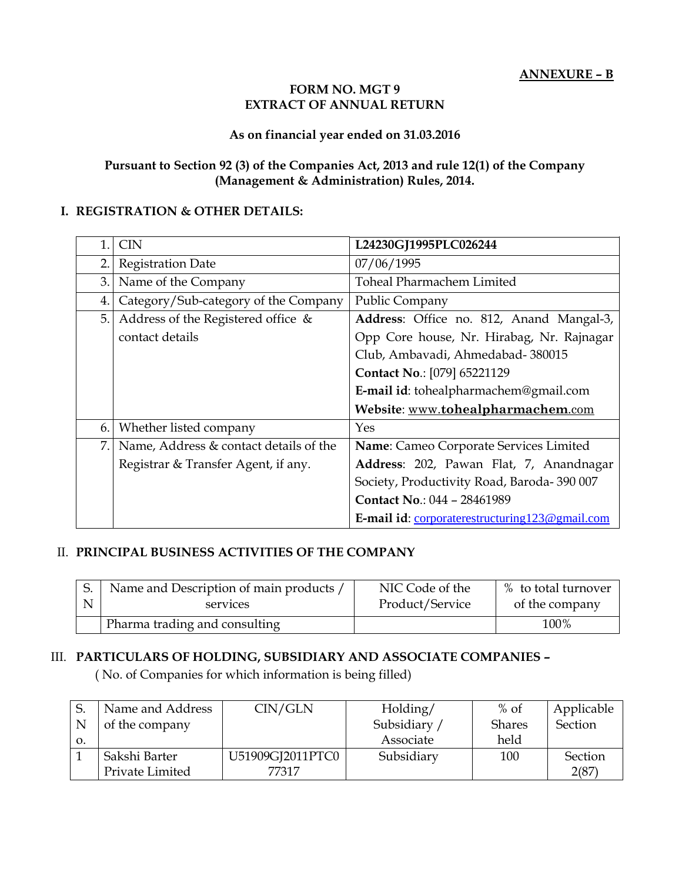#### **FORM NO. MGT 9 EXTRACT OF ANNUAL RETURN**

#### **As on financial year ended on 31.03.2016**

#### **Pursuant to Section 92 (3) of the Companies Act, 2013 and rule 12(1) of the Company (Management & Administration) Rules, 2014.**

#### **I. REGISTRATION & OTHER DETAILS:**

| 1. | <b>CIN</b>                             | L24230GJ1995PLC026244                           |
|----|----------------------------------------|-------------------------------------------------|
| 2. | <b>Registration Date</b>               | 07/06/1995                                      |
| 3. | Name of the Company                    | Toheal Pharmachem Limited                       |
| 4. | Category/Sub-category of the Company   | Public Company                                  |
| 5. | Address of the Registered office &     | Address: Office no. 812, Anand Mangal-3,        |
|    | contact details                        | Opp Core house, Nr. Hirabag, Nr. Rajnagar       |
|    |                                        | Club, Ambavadi, Ahmedabad- 380015               |
|    |                                        | Contact No.: [079] 65221129                     |
|    |                                        | E-mail id: tohealpharmachem@gmail.com           |
|    |                                        | Website: www.tohealpharmachem.com               |
| 6. | Whether listed company                 | Yes                                             |
| 7. | Name, Address & contact details of the | Name: Cameo Corporate Services Limited          |
|    | Registrar & Transfer Agent, if any.    | Address: 202, Pawan Flat, 7, Anandnagar         |
|    |                                        | Society, Productivity Road, Baroda-390 007      |
|    |                                        | Contact No.: 044 - 28461989                     |
|    |                                        | E-mail id: corporaterestructuring 123@gmail.com |

#### II. **PRINCIPAL BUSINESS ACTIVITIES OF THE COMPANY**

| Name and Description of main products / | NIC Code of the | % to total turnover |
|-----------------------------------------|-----------------|---------------------|
| services                                | Product/Service | of the company      |
| Pharma trading and consulting           |                 |                     |

#### III. **PARTICULARS OF HOLDING, SUBSIDIARY AND ASSOCIATE COMPANIES –**

( No. of Companies for which information is being filled)

|    | Name and Address | CIN/GLN          | Holding/   | $%$ of        | Applicable     |
|----|------------------|------------------|------------|---------------|----------------|
| N  | of the company   |                  | Subsidiary | <b>Shares</b> | <b>Section</b> |
| О. |                  |                  | Associate  | held          |                |
|    | Sakshi Barter    | U51909GJ2011PTC0 | Subsidiary | 100           | Section        |
|    | Private Limited  | 77317            |            |               | 2(87)          |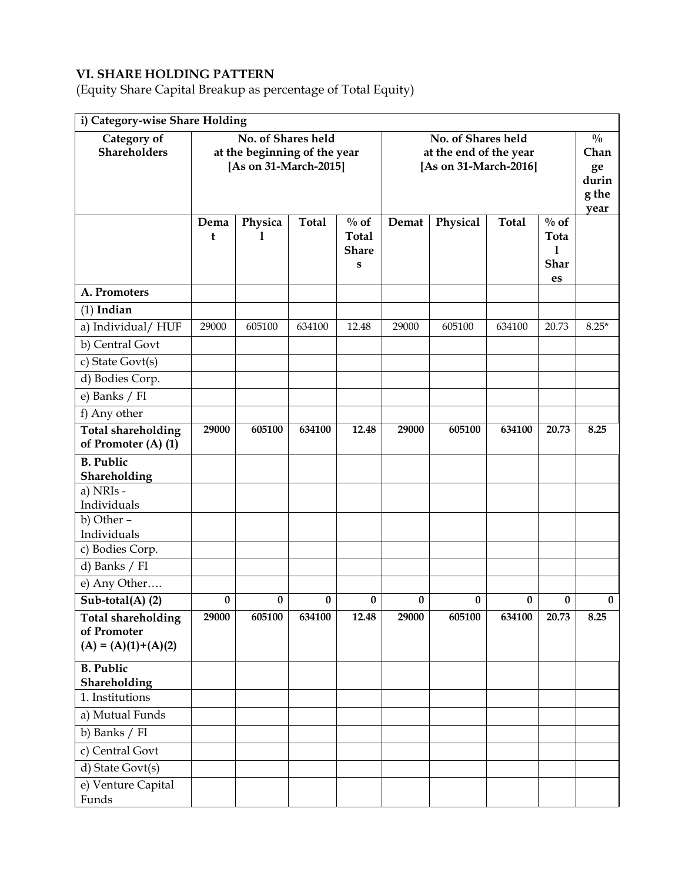### **VI. SHARE HOLDING PATTERN**

(Equity Share Capital Breakup as percentage of Total Equity)

| i) Category-wise Share Holding                   |           |                                                                             |              |                                                      |                                                                       |          |              |                                                       |          |  |  |
|--------------------------------------------------|-----------|-----------------------------------------------------------------------------|--------------|------------------------------------------------------|-----------------------------------------------------------------------|----------|--------------|-------------------------------------------------------|----------|--|--|
| Category of<br><b>Shareholders</b>               |           | No. of Shares held<br>at the beginning of the year<br>[As on 31-March-2015] |              |                                                      | No. of Shares held<br>at the end of the year<br>[As on 31-March-2016] |          |              | $\frac{0}{0}$<br>Chan<br>ge<br>durin<br>g the<br>year |          |  |  |
|                                                  | Dema<br>t | Physica<br>1                                                                | <b>Total</b> | $\%$ of<br><b>Total</b><br><b>Share</b><br>${\bf s}$ | Demat                                                                 | Physical | <b>Total</b> | $\%$ of<br>Tota<br>1<br><b>Shar</b><br>es             |          |  |  |
| A. Promoters                                     |           |                                                                             |              |                                                      |                                                                       |          |              |                                                       |          |  |  |
| $(1)$ Indian                                     |           |                                                                             |              |                                                      |                                                                       |          |              |                                                       |          |  |  |
| a) Individual/HUF                                | 29000     | 605100                                                                      | 634100       | 12.48                                                | 29000                                                                 | 605100   | 634100       | 20.73                                                 | $8.25*$  |  |  |
| b) Central Govt                                  |           |                                                                             |              |                                                      |                                                                       |          |              |                                                       |          |  |  |
| c) State Govt(s)                                 |           |                                                                             |              |                                                      |                                                                       |          |              |                                                       |          |  |  |
| d) Bodies Corp.                                  |           |                                                                             |              |                                                      |                                                                       |          |              |                                                       |          |  |  |
| e) Banks / FI                                    |           |                                                                             |              |                                                      |                                                                       |          |              |                                                       |          |  |  |
| f) Any other                                     |           |                                                                             |              |                                                      |                                                                       |          |              |                                                       |          |  |  |
| <b>Total shareholding</b><br>of Promoter (A) (1) | 29000     | 605100                                                                      | 634100       | 12.48                                                | 29000                                                                 | 605100   | 634100       | 20.73                                                 | 8.25     |  |  |
| <b>B.</b> Public<br>Shareholding                 |           |                                                                             |              |                                                      |                                                                       |          |              |                                                       |          |  |  |
| a) NRIs -                                        |           |                                                                             |              |                                                      |                                                                       |          |              |                                                       |          |  |  |
| Individuals                                      |           |                                                                             |              |                                                      |                                                                       |          |              |                                                       |          |  |  |
| b) Other -<br>Individuals                        |           |                                                                             |              |                                                      |                                                                       |          |              |                                                       |          |  |  |
| c) Bodies Corp.                                  |           |                                                                             |              |                                                      |                                                                       |          |              |                                                       |          |  |  |
| d) Banks / FI                                    |           |                                                                             |              |                                                      |                                                                       |          |              |                                                       |          |  |  |
| e) Any Other                                     |           |                                                                             |              |                                                      |                                                                       |          |              |                                                       |          |  |  |
| $\overline{\text{Sub-total}}(A)$ (2)             | $\bf{0}$  | $\bf{0}$                                                                    | $\bf{0}$     | $\bf{0}$                                             | $\bf{0}$                                                              | 0        | $\bf{0}$     | 0                                                     | $\bf{0}$ |  |  |
| <b>Total shareholding</b>                        | 29000     | 605100                                                                      | 634100       | 12.48                                                | 29000                                                                 | 605100   | 634100       | 20.73                                                 | 8.25     |  |  |
| of Promoter                                      |           |                                                                             |              |                                                      |                                                                       |          |              |                                                       |          |  |  |
| $(A) = (A)(1)+(A)(2)$                            |           |                                                                             |              |                                                      |                                                                       |          |              |                                                       |          |  |  |
| <b>B.</b> Public<br>Shareholding                 |           |                                                                             |              |                                                      |                                                                       |          |              |                                                       |          |  |  |
| 1. Institutions                                  |           |                                                                             |              |                                                      |                                                                       |          |              |                                                       |          |  |  |
| a) Mutual Funds                                  |           |                                                                             |              |                                                      |                                                                       |          |              |                                                       |          |  |  |
| b) Banks / FI                                    |           |                                                                             |              |                                                      |                                                                       |          |              |                                                       |          |  |  |
| c) Central Govt                                  |           |                                                                             |              |                                                      |                                                                       |          |              |                                                       |          |  |  |
| d) State Govt(s)                                 |           |                                                                             |              |                                                      |                                                                       |          |              |                                                       |          |  |  |
| e) Venture Capital                               |           |                                                                             |              |                                                      |                                                                       |          |              |                                                       |          |  |  |
| Funds                                            |           |                                                                             |              |                                                      |                                                                       |          |              |                                                       |          |  |  |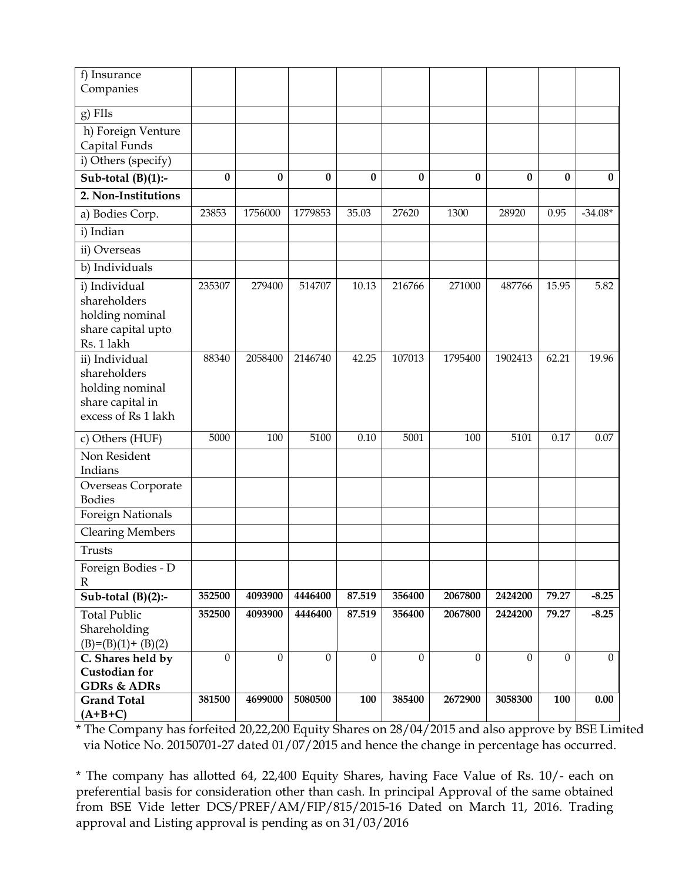| f) Insurance<br>Companies                                                                    |                |                  |                  |                  |          |              |              |              |                |
|----------------------------------------------------------------------------------------------|----------------|------------------|------------------|------------------|----------|--------------|--------------|--------------|----------------|
| g) FIIs                                                                                      |                |                  |                  |                  |          |              |              |              |                |
| h) Foreign Venture<br>Capital Funds                                                          |                |                  |                  |                  |          |              |              |              |                |
| i) Others (specify)                                                                          |                |                  |                  |                  |          |              |              |              |                |
| Sub-total $(B)(1)$ :-                                                                        | 0              | 0                | $\bf{0}$         | $\bf{0}$         | 0        | 0            | $\bf{0}$     | 0            | $\bf{0}$       |
| 2. Non-Institutions                                                                          |                |                  |                  |                  |          |              |              |              |                |
| a) Bodies Corp.                                                                              | 23853          | 1756000          | 1779853          | 35.03            | 27620    | 1300         | 28920        | 0.95         | $-34.08*$      |
| i) Indian                                                                                    |                |                  |                  |                  |          |              |              |              |                |
| ii) Overseas                                                                                 |                |                  |                  |                  |          |              |              |              |                |
| b) Individuals                                                                               |                |                  |                  |                  |          |              |              |              |                |
| i) Individual<br>shareholders<br>holding nominal<br>share capital upto<br>Rs. 1 lakh         | 235307         | 279400           | 514707           | 10.13            | 216766   | 271000       | 487766       | 15.95        | 5.82           |
| ii) Individual<br>shareholders<br>holding nominal<br>share capital in<br>excess of Rs 1 lakh | 88340          | 2058400          | 2146740          | 42.25            | 107013   | 1795400      | 1902413      | 62.21        | 19.96          |
| c) Others (HUF)                                                                              | 5000           | 100              | 5100             | 0.10             | 5001     | 100          | 5101         | 0.17         | 0.07           |
| Non Resident<br>Indians                                                                      |                |                  |                  |                  |          |              |              |              |                |
| Overseas Corporate<br><b>Bodies</b>                                                          |                |                  |                  |                  |          |              |              |              |                |
| Foreign Nationals                                                                            |                |                  |                  |                  |          |              |              |              |                |
| <b>Clearing Members</b>                                                                      |                |                  |                  |                  |          |              |              |              |                |
| Trusts                                                                                       |                |                  |                  |                  |          |              |              |              |                |
| Foreign Bodies - D<br>R                                                                      |                |                  |                  |                  |          |              |              |              |                |
| Sub-total $(B)(2)$ :-                                                                        | 352500         | 4093900          | 4446400          | 87.519           | 356400   | 2067800      | 2424200      | 79.27        | $-8.25$        |
| <b>Total Public</b><br>Shareholding<br>$(B)=(B)(1)+(B)(2)$                                   | 352500         | 4093900          | 4446400          | 87.519           | 356400   | 2067800      | 2424200      | 79.27        | $-8.25$        |
| C. Shares held by<br><b>Custodian for</b><br><b>GDRs &amp; ADRs</b>                          | $\overline{0}$ | $\boldsymbol{0}$ | $\boldsymbol{0}$ | $\boldsymbol{0}$ | $\Omega$ | $\mathbf{0}$ | $\mathbf{0}$ | $\mathbf{0}$ | $\overline{0}$ |
| <b>Grand Total</b><br>$(A+B+C)$                                                              | 381500         | 4699000          | 5080500          | 100              | 385400   | 2672900      | 3058300      | 100          | 0.00           |

\* The Company has forfeited 20,22,200 Equity Shares on 28/04/2015 and also approve by BSE Limited via Notice No. 20150701-27 dated 01/07/2015 and hence the change in percentage has occurred.

\* The company has allotted 64, 22,400 Equity Shares, having Face Value of Rs. 10/- each on preferential basis for consideration other than cash. In principal Approval of the same obtained from BSE Vide letter DCS/PREF/AM/FIP/815/2015-16 Dated on March 11, 2016. Trading approval and Listing approval is pending as on 31/03/2016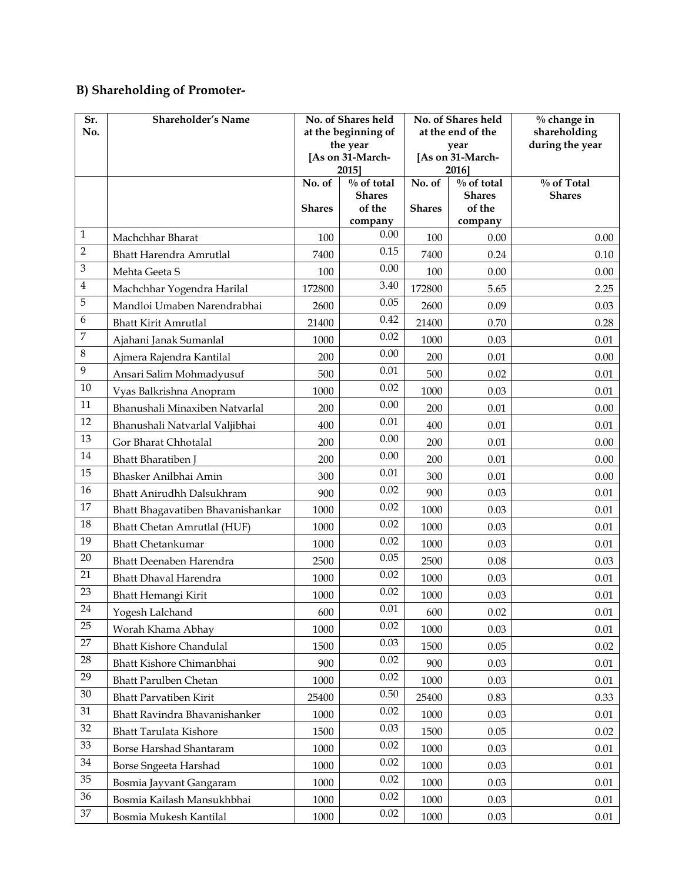## **B) Shareholding of Promoter-**

| Sr.<br>No.   | Shareholder's Name                |               | No. of Shares held<br>at the beginning of<br>the year |               | No. of Shares held<br>at the end of the<br>year | $%$ change in<br>shareholding<br>during the year |
|--------------|-----------------------------------|---------------|-------------------------------------------------------|---------------|-------------------------------------------------|--------------------------------------------------|
|              |                                   |               | [As on 31-March-<br>2015]                             |               | [As on 31-March-<br>2016]                       |                                                  |
|              |                                   | No. $of$      | $\%$ of total                                         | No. of        | $\frac{0}{0}$ of total                          | $\%$ of Total                                    |
|              |                                   | <b>Shares</b> | <b>Shares</b><br>of the                               | <b>Shares</b> | <b>Shares</b><br>of the                         | <b>Shares</b>                                    |
|              |                                   |               | company                                               |               | company                                         |                                                  |
| $\mathbf{1}$ | Machchhar Bharat                  | 100           | 0.00                                                  | 100           | 0.00                                            | 0.00                                             |
| $\sqrt{2}$   | <b>Bhatt Harendra Amrutlal</b>    | 7400          | 0.15                                                  | 7400          | 0.24                                            | 0.10                                             |
| 3            | Mehta Geeta S                     | 100           | 0.00                                                  | 100           | 0.00                                            | 0.00                                             |
| $\bf 4$      | Machchhar Yogendra Harilal        | 172800        | 3.40                                                  | 172800        | 5.65                                            | 2.25                                             |
| 5            | Mandloi Umaben Narendrabhai       | 2600          | 0.05                                                  | 2600          | 0.09                                            | 0.03                                             |
| 6            | <b>Bhatt Kirit Amrutlal</b>       | 21400         | 0.42                                                  | 21400         | 0.70                                            | 0.28                                             |
| 7            | Ajahani Janak Sumanlal            | 1000          | 0.02                                                  | 1000          | 0.03                                            | 0.01                                             |
| $\,8\,$      | Ajmera Rajendra Kantilal          | 200           | 0.00                                                  | 200           | 0.01                                            | 0.00                                             |
| 9            | Ansari Salim Mohmadyusuf          | 500           | 0.01                                                  | 500           | 0.02                                            | 0.01                                             |
| 10           | Vyas Balkrishna Anopram           | 1000          | 0.02                                                  | 1000          | 0.03                                            | 0.01                                             |
| 11           | Bhanushali Minaxiben Natvarlal    | 200           | 0.00                                                  | 200           | 0.01                                            | 0.00                                             |
| 12           | Bhanushali Natvarlal Valjibhai    | 400           | 0.01                                                  | 400           | 0.01                                            | 0.01                                             |
| 13           | Gor Bharat Chhotalal              | 200           | 0.00                                                  | 200           | 0.01                                            | 0.00                                             |
| 14           | <b>Bhatt Bharatiben</b> J         | 200           | 0.00                                                  | 200           | 0.01                                            | 0.00                                             |
| 15           | Bhasker Anilbhai Amin             | 300           | 0.01                                                  | 300           | 0.01                                            | 0.00                                             |
| 16           | Bhatt Anirudhh Dalsukhram         | 900           | 0.02                                                  | 900           | 0.03                                            | 0.01                                             |
| 17           | Bhatt Bhagavatiben Bhavanishankar | 1000          | 0.02                                                  | 1000          | 0.03                                            | 0.01                                             |
| 18           | Bhatt Chetan Amrutlal (HUF)       | 1000          | 0.02                                                  | 1000          | 0.03                                            | 0.01                                             |
| 19           | <b>Bhatt Chetankumar</b>          | 1000          | 0.02                                                  | 1000          | 0.03                                            | 0.01                                             |
| 20           | Bhatt Deenaben Harendra           | 2500          | 0.05                                                  | 2500          | 0.08                                            | 0.03                                             |
| 21           | <b>Bhatt Dhaval Harendra</b>      | 1000          | 0.02                                                  | 1000          | 0.03                                            | 0.01                                             |
| 23           | Bhatt Hemangi Kirit               | 1000          | 0.02                                                  | 1000          | 0.03                                            | 0.01                                             |
| 24           | Yogesh Lalchand                   | 600           | $0.01\,$                                              | 600           | 0.02                                            | $0.01\,$                                         |
| 25           | Worah Khama Abhay                 | 1000          | 0.02                                                  | 1000          | 0.03                                            | 0.01                                             |
| 27           | <b>Bhatt Kishore Chandulal</b>    | 1500          | 0.03                                                  | 1500          | 0.05                                            | 0.02                                             |
| $28\,$       | Bhatt Kishore Chimanbhai          | 900           | 0.02                                                  | 900           | 0.03                                            | $0.01\,$                                         |
| 29           | <b>Bhatt Parulben Chetan</b>      | 1000          | 0.02                                                  | 1000          | 0.03                                            | 0.01                                             |
| 30           | <b>Bhatt Parvatiben Kirit</b>     | 25400         | $0.50\,$                                              | 25400         | 0.83                                            | 0.33                                             |
| 31           | Bhatt Ravindra Bhavanishanker     | 1000          | 0.02                                                  | 1000          | 0.03                                            | 0.01                                             |
| 32           | <b>Bhatt Tarulata Kishore</b>     | 1500          | 0.03                                                  | 1500          | 0.05                                            | 0.02                                             |
| 33           | Borse Harshad Shantaram           | 1000          | 0.02                                                  | 1000          | 0.03                                            | 0.01                                             |
| 34           | Borse Sngeeta Harshad             | 1000          | 0.02                                                  | 1000          | 0.03                                            | 0.01                                             |
| 35           | Bosmia Jayvant Gangaram           | 1000          | 0.02                                                  | 1000          | 0.03                                            | $0.01\,$                                         |
| 36           | Bosmia Kailash Mansukhbhai        | 1000          | 0.02                                                  | 1000          | 0.03                                            | 0.01                                             |
| $37\,$       | Bosmia Mukesh Kantilal            | 1000          | 0.02                                                  | 1000          | 0.03                                            | 0.01                                             |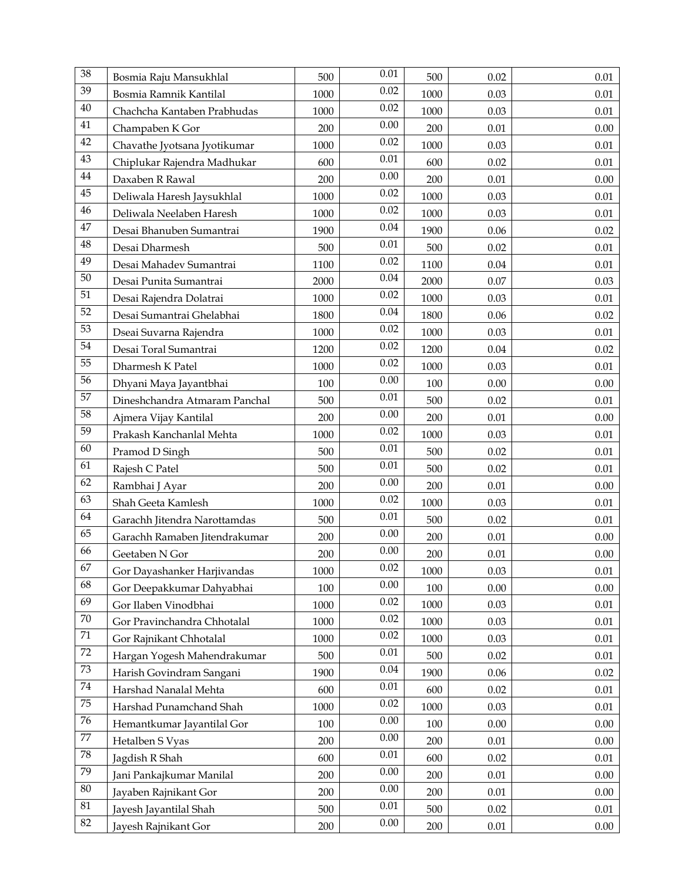| 38              | Bosmia Raju Mansukhlal        | 500  | $0.01\,$ | 500  | 0.02     | 0.01     |
|-----------------|-------------------------------|------|----------|------|----------|----------|
| 39              | Bosmia Ramnik Kantilal        | 1000 | 0.02     | 1000 | 0.03     | $0.01\,$ |
| 40              | Chachcha Kantaben Prabhudas   | 1000 | 0.02     | 1000 | 0.03     | 0.01     |
| 41              | Champaben K Gor               | 200  | 0.00     | 200  | 0.01     | 0.00     |
| 42              | Chavathe Jyotsana Jyotikumar  | 1000 | 0.02     | 1000 | 0.03     | 0.01     |
| 43              | Chiplukar Rajendra Madhukar   | 600  | $0.01\,$ | 600  | 0.02     | 0.01     |
| $44\,$          | Daxaben R Rawal               | 200  | 0.00     | 200  | 0.01     | 0.00     |
| 45              | Deliwala Haresh Jaysukhlal    | 1000 | 0.02     | 1000 | 0.03     | 0.01     |
| 46              | Deliwala Neelaben Haresh      | 1000 | 0.02     | 1000 | 0.03     | $0.01\,$ |
| 47              | Desai Bhanuben Sumantrai      | 1900 | $0.04\,$ | 1900 | 0.06     | 0.02     |
| $\rm 48$        | Desai Dharmesh                | 500  | 0.01     | 500  | 0.02     | 0.01     |
| 49              | Desai Mahadev Sumantrai       | 1100 | 0.02     | 1100 | 0.04     | 0.01     |
| 50              | Desai Punita Sumantrai        | 2000 | $0.04\,$ | 2000 | 0.07     | 0.03     |
| 51              | Desai Rajendra Dolatrai       | 1000 | 0.02     | 1000 | 0.03     | 0.01     |
| 52              | Desai Sumantrai Ghelabhai     | 1800 | 0.04     | 1800 | 0.06     | 0.02     |
| 53              | Dseai Suvarna Rajendra        | 1000 | 0.02     | 1000 | 0.03     | 0.01     |
| $\overline{54}$ | Desai Toral Sumantrai         | 1200 | 0.02     | 1200 | 0.04     | 0.02     |
| 55              | Dharmesh K Patel              | 1000 | 0.02     | 1000 | 0.03     | $0.01\,$ |
| 56              | Dhyani Maya Jayantbhai        | 100  | 0.00     | 100  | 0.00     | 0.00     |
| 57              | Dineshchandra Atmaram Panchal | 500  | $0.01\,$ | 500  | 0.02     | $0.01\,$ |
| 58              | Ajmera Vijay Kantilal         | 200  | 0.00     | 200  | 0.01     | 0.00     |
| $\overline{59}$ | Prakash Kanchanlal Mehta      | 1000 | 0.02     | 1000 | 0.03     | 0.01     |
| 60              | Pramod D Singh                | 500  | $0.01\,$ | 500  | 0.02     | 0.01     |
| 61              | Rajesh C Patel                | 500  | $0.01\,$ | 500  | 0.02     | 0.01     |
| 62              | Rambhai J Ayar                | 200  | 0.00     | 200  | 0.01     | 0.00     |
| 63              | Shah Geeta Kamlesh            | 1000 | 0.02     | 1000 | 0.03     | 0.01     |
| 64              | Garachh Jitendra Narottamdas  | 500  | 0.01     | 500  | 0.02     | $0.01\,$ |
| 65              | Garachh Ramaben Jitendrakumar | 200  | 0.00     | 200  | 0.01     | 0.00     |
| 66              | Geetaben N Gor                | 200  | 0.00     | 200  | $0.01\,$ | $0.00\,$ |
| 67              | Gor Dayashanker Harjivandas   | 1000 | 0.02     | 1000 | 0.03     | 0.01     |
| 68              | Gor Deepakkumar Dahyabhai     | 100  | 0.00     | 100  | 0.00     | 0.00     |
| 69              | Gor Ilaben Vinodbhai          | 1000 | 0.02     | 1000 | 0.03     | 0.01     |
| $70\,$          | Gor Pravinchandra Chhotalal   | 1000 | 0.02     | 1000 | 0.03     | 0.01     |
| $71\,$          | Gor Rajnikant Chhotalal       | 1000 | 0.02     | 1000 | 0.03     | 0.01     |
| 72              | Hargan Yogesh Mahendrakumar   | 500  | $0.01\,$ | 500  | 0.02     | 0.01     |
| $73\,$          | Harish Govindram Sangani      | 1900 | 0.04     | 1900 | 0.06     | 0.02     |
| $74\,$          | Harshad Nanalal Mehta         | 600  | $0.01\,$ | 600  | 0.02     | 0.01     |
| 75              | Harshad Punamchand Shah       | 1000 | 0.02     | 1000 | 0.03     | $0.01\,$ |
| 76              | Hemantkumar Jayantilal Gor    | 100  | 0.00     | 100  | 0.00     | 0.00     |
| $77\,$          | Hetalben S Vyas               | 200  | 0.00     | 200  | 0.01     | 0.00     |
| $78\,$          | Jagdish R Shah                | 600  | $0.01\,$ | 600  | 0.02     | 0.01     |
| 79              | Jani Pankajkumar Manilal      | 200  | 0.00     | 200  | 0.01     | 0.00     |
| $80\,$          | Jayaben Rajnikant Gor         | 200  | 0.00     | 200  | 0.01     | 0.00     |
| $81\,$          | Jayesh Jayantilal Shah        | 500  | 0.01     | 500  | 0.02     | 0.01     |
| 82              | Jayesh Rajnikant Gor          | 200  | 0.00     | 200  | $0.01\,$ | 0.00     |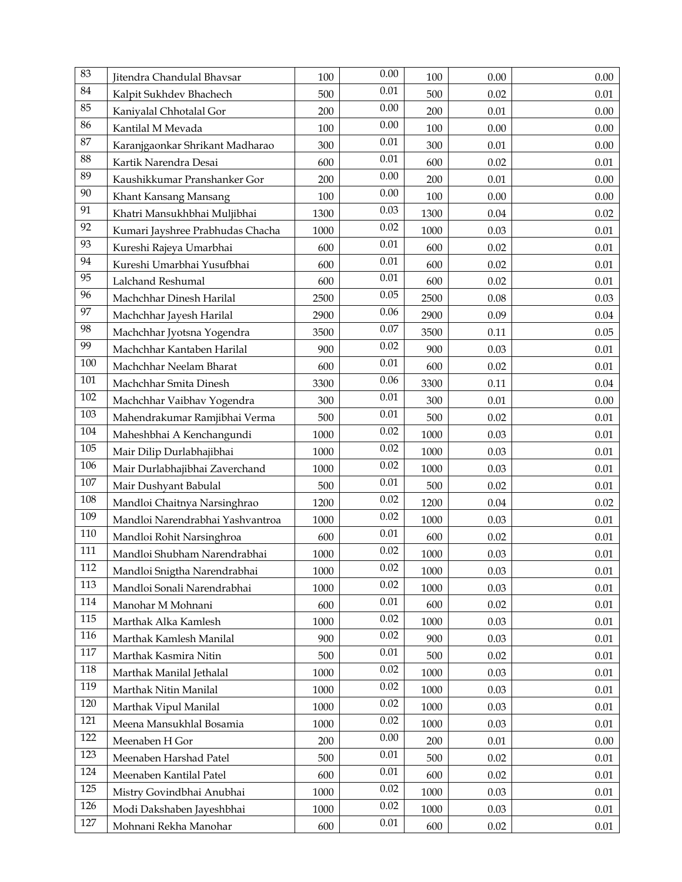| 83              | Jitendra Chandulal Bhavsar       | 100  | 0.00     | 100  | 0.00     | 0.00     |
|-----------------|----------------------------------|------|----------|------|----------|----------|
| 84              | Kalpit Sukhdev Bhachech          | 500  | $0.01\,$ | 500  | 0.02     | $0.01\,$ |
| 85              | Kaniyalal Chhotalal Gor          | 200  | 0.00     | 200  | 0.01     | 0.00     |
| 86              | Kantilal M Mevada                | 100  | 0.00     | 100  | $0.00\,$ | 0.00     |
| 87              | Karanjgaonkar Shrikant Madharao  | 300  | 0.01     | 300  | 0.01     | 0.00     |
| 88              | Kartik Narendra Desai            | 600  | $0.01\,$ | 600  | 0.02     | 0.01     |
| 89              | Kaushikkumar Pranshanker Gor     | 200  | 0.00     | 200  | 0.01     | 0.00     |
| 90              | Khant Kansang Mansang            | 100  | 0.00     | 100  | 0.00     | 0.00     |
| 91              | Khatri Mansukhbhai Muljibhai     | 1300 | 0.03     | 1300 | 0.04     | 0.02     |
| 92              | Kumari Jayshree Prabhudas Chacha | 1000 | 0.02     | 1000 | 0.03     | 0.01     |
| 93              | Kureshi Rajeya Umarbhai          | 600  | $0.01\,$ | 600  | 0.02     | 0.01     |
| 94              | Kureshi Umarbhai Yusufbhai       | 600  | $0.01\,$ | 600  | 0.02     | 0.01     |
| $\overline{95}$ | Lalchand Reshumal                | 600  | $0.01\,$ | 600  | 0.02     | 0.01     |
| 96              | Machchhar Dinesh Harilal         | 2500 | 0.05     | 2500 | 0.08     | 0.03     |
| 97              | Machchhar Jayesh Harilal         | 2900 | 0.06     | 2900 | 0.09     | 0.04     |
| 98              | Machchhar Jyotsna Yogendra       | 3500 | $0.07\,$ | 3500 | 0.11     | 0.05     |
| 99              | Machchhar Kantaben Harilal       | 900  | 0.02     | 900  | 0.03     | 0.01     |
| 100             | Machchhar Neelam Bharat          | 600  | $0.01\,$ | 600  | 0.02     | $0.01\,$ |
| 101             | Machchhar Smita Dinesh           | 3300 | 0.06     | 3300 | 0.11     | 0.04     |
| $102\,$         | Machchhar Vaibhav Yogendra       | 300  | $0.01\,$ | 300  | 0.01     | $0.00\,$ |
| 103             | Mahendrakumar Ramjibhai Verma    | 500  | $0.01\,$ | 500  | 0.02     | 0.01     |
| 104             | Maheshbhai A Kenchangundi        | 1000 | 0.02     | 1000 | 0.03     | 0.01     |
| 105             | Mair Dilip Durlabhajibhai        | 1000 | 0.02     | 1000 | 0.03     | 0.01     |
| 106             | Mair Durlabhajibhai Zaverchand   | 1000 | 0.02     | 1000 | 0.03     | 0.01     |
| $107\,$         | Mair Dushyant Babulal            | 500  | $0.01\,$ | 500  | 0.02     | 0.01     |
| 108             | Mandloi Chaitnya Narsinghrao     | 1200 | 0.02     | 1200 | 0.04     | 0.02     |
| 109             | Mandloi Narendrabhai Yashvantroa | 1000 | 0.02     | 1000 | 0.03     | $0.01\,$ |
| 110             | Mandloi Rohit Narsinghroa        | 600  | $0.01\,$ | 600  | 0.02     | $0.01\,$ |
| 111             | Mandloi Shubham Narendrabhai     | 1000 | 0.02     | 1000 | 0.03     | $0.01\,$ |
| 112             | Mandloi Snigtha Narendrabhai     | 1000 | 0.02     | 1000 | 0.03     | 0.01     |
| 113             | Mandloi Sonali Narendrabhai      | 1000 | 0.02     | 1000 | 0.03     | 0.01     |
| 114             | Manohar M Mohnani                | 600  | $0.01\,$ | 600  | 0.02     | 0.01     |
| 115             | Marthak Alka Kamlesh             | 1000 | 0.02     | 1000 | 0.03     | 0.01     |
| 116             | Marthak Kamlesh Manilal          | 900  | 0.02     | 900  | 0.03     | 0.01     |
| 117             | Marthak Kasmira Nitin            | 500  | 0.01     | 500  | 0.02     | 0.01     |
| 118             | Marthak Manilal Jethalal         | 1000 | 0.02     | 1000 | 0.03     | 0.01     |
| 119             | Marthak Nitin Manilal            | 1000 | 0.02     | 1000 | 0.03     | 0.01     |
| 120             | Marthak Vipul Manilal            | 1000 | 0.02     | 1000 | 0.03     | 0.01     |
| 121             | Meena Mansukhlal Bosamia         | 1000 | 0.02     | 1000 | 0.03     | 0.01     |
| 122             | Meenaben H Gor                   | 200  | 0.00     | 200  | 0.01     | 0.00     |
| 123             | Meenaben Harshad Patel           | 500  | 0.01     | 500  | 0.02     | 0.01     |
| 124             | Meenaben Kantilal Patel          | 600  | 0.01     | 600  | 0.02     | 0.01     |
| 125             | Mistry Govindbhai Anubhai        | 1000 | 0.02     | 1000 | 0.03     | 0.01     |
| 126             | Modi Dakshaben Jayeshbhai        | 1000 | 0.02     | 1000 | 0.03     | 0.01     |
| 127             | Mohnani Rekha Manohar            | 600  | 0.01     | 600  | 0.02     | 0.01     |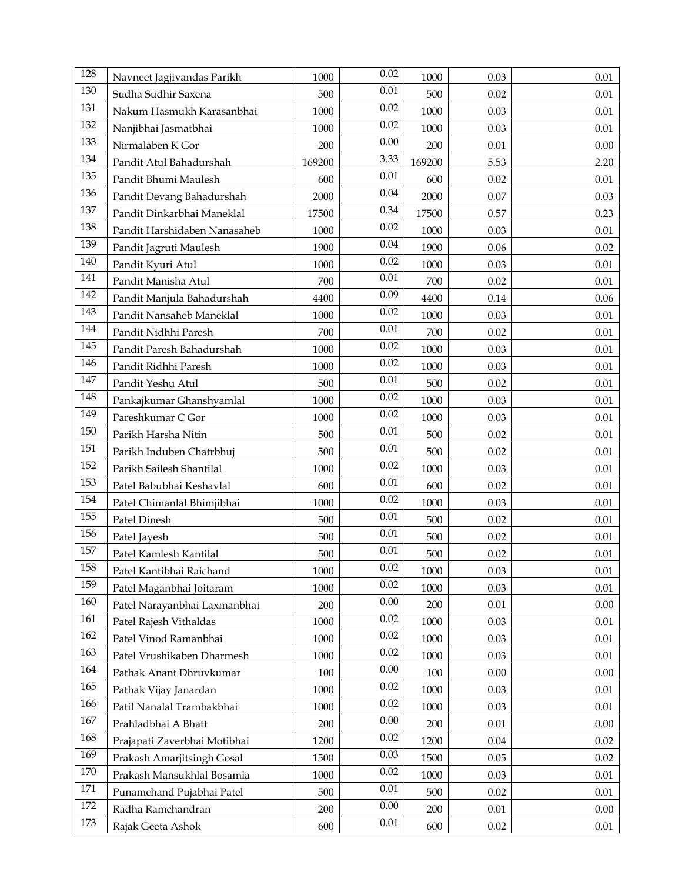| 128 | Navneet Jagjivandas Parikh   | 1000   | 0.02     | 1000   | 0.03 | 0.01     |
|-----|------------------------------|--------|----------|--------|------|----------|
| 130 | Sudha Sudhir Saxena          | 500    | $0.01\,$ | 500    | 0.02 | 0.01     |
| 131 | Nakum Hasmukh Karasanbhai    | 1000   | 0.02     | 1000   | 0.03 | 0.01     |
| 132 | Nanjibhai Jasmatbhai         | 1000   | 0.02     | 1000   | 0.03 | 0.01     |
| 133 | Nirmalaben K Gor             | 200    | 0.00     | 200    | 0.01 | 0.00     |
| 134 | Pandit Atul Bahadurshah      | 169200 | 3.33     | 169200 | 5.53 | 2.20     |
| 135 | Pandit Bhumi Maulesh         | 600    | 0.01     | 600    | 0.02 | $0.01\,$ |
| 136 | Pandit Devang Bahadurshah    | 2000   | $0.04\,$ | 2000   | 0.07 | 0.03     |
| 137 | Pandit Dinkarbhai Maneklal   | 17500  | 0.34     | 17500  | 0.57 | 0.23     |
| 138 | Pandit Harshidaben Nanasaheb | 1000   | 0.02     | 1000   | 0.03 | 0.01     |
| 139 | Pandit Jagruti Maulesh       | 1900   | $0.04\,$ | 1900   | 0.06 | 0.02     |
| 140 | Pandit Kyuri Atul            | 1000   | 0.02     | 1000   | 0.03 | 0.01     |
| 141 | Pandit Manisha Atul          | 700    | $0.01\,$ | 700    | 0.02 | 0.01     |
| 142 | Pandit Manjula Bahadurshah   | 4400   | 0.09     | 4400   | 0.14 | 0.06     |
| 143 | Pandit Nansaheb Maneklal     | 1000   | 0.02     | 1000   | 0.03 | 0.01     |
| 144 | Pandit Nidhhi Paresh         | 700    | $0.01\,$ | 700    | 0.02 | $0.01\,$ |
| 145 | Pandit Paresh Bahadurshah    | 1000   | 0.02     | 1000   | 0.03 | 0.01     |
| 146 | Pandit Ridhhi Paresh         | 1000   | 0.02     | 1000   | 0.03 | $0.01\,$ |
| 147 | Pandit Yeshu Atul            | 500    | $0.01\,$ | 500    | 0.02 | 0.01     |
| 148 | Pankajkumar Ghanshyamlal     | 1000   | 0.02     | 1000   | 0.03 | 0.01     |
| 149 | Pareshkumar C Gor            | 1000   | 0.02     | 1000   | 0.03 | 0.01     |
| 150 | Parikh Harsha Nitin          | 500    | $0.01\,$ | 500    | 0.02 | 0.01     |
| 151 | Parikh Induben Chatrbhuj     | 500    | $0.01\,$ | 500    | 0.02 | 0.01     |
| 152 | Parikh Sailesh Shantilal     | 1000   | 0.02     | 1000   | 0.03 | 0.01     |
| 153 | Patel Babubhai Keshavlal     | 600    | 0.01     | 600    | 0.02 | 0.01     |
| 154 | Patel Chimanlal Bhimjibhai   | 1000   | 0.02     | 1000   | 0.03 | 0.01     |
| 155 | Patel Dinesh                 | 500    | 0.01     | 500    | 0.02 | $0.01\,$ |
| 156 | Patel Jayesh                 | 500    | $0.01\,$ | 500    | 0.02 | 0.01     |
| 157 | Patel Kamlesh Kantilal       | 500    | $0.01\,$ | 500    | 0.02 | $0.01\,$ |
| 158 | Patel Kantibhai Raichand     | 1000   | 0.02     | 1000   | 0.03 | 0.01     |
| 159 | Patel Maganbhai Joitaram     | 1000   | 0.02     | 1000   | 0.03 | 0.01     |
| 160 | Patel Narayanbhai Laxmanbhai | 200    | 0.00     | 200    | 0.01 | 0.00     |
| 161 | Patel Rajesh Vithaldas       | 1000   | 0.02     | 1000   | 0.03 | 0.01     |
| 162 | Patel Vinod Ramanbhai        | 1000   | 0.02     | 1000   | 0.03 | 0.01     |
| 163 | Patel Vrushikaben Dharmesh   | 1000   | 0.02     | 1000   | 0.03 | 0.01     |
| 164 | Pathak Anant Dhruvkumar      | 100    | 0.00     | 100    | 0.00 | 0.00     |
| 165 | Pathak Vijay Janardan        | 1000   | 0.02     | 1000   | 0.03 | 0.01     |
| 166 | Patil Nanalal Trambakbhai    | 1000   | 0.02     | 1000   | 0.03 | $0.01\,$ |
| 167 | Prahladbhai A Bhatt          | 200    | 0.00     | 200    | 0.01 | 0.00     |
| 168 | Prajapati Zaverbhai Motibhai | 1200   | $0.02\,$ | 1200   | 0.04 | 0.02     |
| 169 | Prakash Amarjitsingh Gosal   | 1500   | 0.03     | 1500   | 0.05 | 0.02     |
| 170 | Prakash Mansukhlal Bosamia   | 1000   | 0.02     | 1000   | 0.03 | 0.01     |
| 171 | Punamchand Pujabhai Patel    | 500    | 0.01     | 500    | 0.02 | 0.01     |
| 172 | Radha Ramchandran            | 200    | 0.00     | 200    | 0.01 | $0.00\,$ |
| 173 | Rajak Geeta Ashok            | 600    | $0.01\,$ | 600    | 0.02 | 0.01     |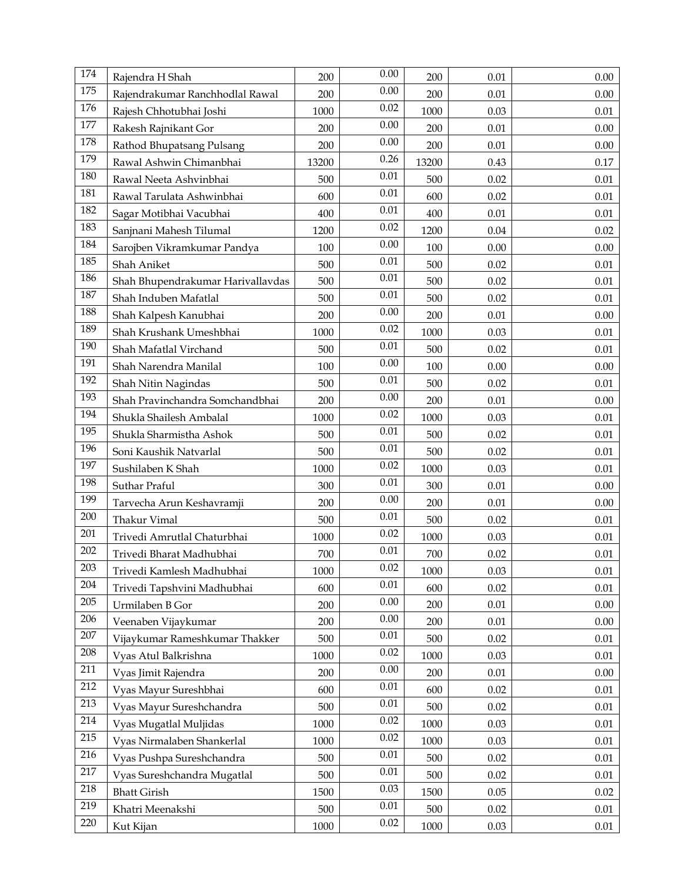| 174 | Rajendra H Shah                   | 200   | 0.00     | 200   | 0.01     | 0.00     |
|-----|-----------------------------------|-------|----------|-------|----------|----------|
| 175 | Rajendrakumar Ranchhodlal Rawal   | 200   | 0.00     | 200   | 0.01     | 0.00     |
| 176 | Rajesh Chhotubhai Joshi           | 1000  | 0.02     | 1000  | 0.03     | 0.01     |
| 177 | Rakesh Rajnikant Gor              | 200   | 0.00     | 200   | 0.01     | 0.00     |
| 178 | Rathod Bhupatsang Pulsang         | 200   | 0.00     | 200   | 0.01     | 0.00     |
| 179 | Rawal Ashwin Chimanbhai           | 13200 | 0.26     | 13200 | 0.43     | 0.17     |
| 180 | Rawal Neeta Ashvinbhai            | 500   | $0.01\,$ | 500   | 0.02     | 0.01     |
| 181 | Rawal Tarulata Ashwinbhai         | 600   | $0.01\,$ | 600   | 0.02     | 0.01     |
| 182 | Sagar Motibhai Vacubhai           | 400   | $0.01\,$ | 400   | 0.01     | 0.01     |
| 183 | Sanjnani Mahesh Tilumal           | 1200  | 0.02     | 1200  | 0.04     | 0.02     |
| 184 | Sarojben Vikramkumar Pandya       | 100   | 0.00     | 100   | 0.00     | 0.00     |
| 185 | Shah Aniket                       | 500   | $0.01\,$ | 500   | 0.02     | 0.01     |
| 186 | Shah Bhupendrakumar Harivallavdas | 500   | 0.01     | 500   | 0.02     | 0.01     |
| 187 | Shah Induben Mafatlal             | 500   | 0.01     | 500   | 0.02     | 0.01     |
| 188 | Shah Kalpesh Kanubhai             | 200   | 0.00     | 200   | 0.01     | 0.00     |
| 189 | Shah Krushank Umeshbhai           | 1000  | 0.02     | 1000  | 0.03     | 0.01     |
| 190 | Shah Mafatlal Virchand            | 500   | $0.01\,$ | 500   | 0.02     | 0.01     |
| 191 | Shah Narendra Manilal             | 100   | 0.00     | 100   | 0.00     | 0.00     |
| 192 | Shah Nitin Nagindas               | 500   | $0.01\,$ | 500   | 0.02     | 0.01     |
| 193 | Shah Pravinchandra Somchandbhai   | 200   | 0.00     | 200   | 0.01     | 0.00     |
| 194 | Shukla Shailesh Ambalal           | 1000  | 0.02     | 1000  | 0.03     | 0.01     |
| 195 | Shukla Sharmistha Ashok           | 500   | $0.01\,$ | 500   | 0.02     | 0.01     |
| 196 | Soni Kaushik Natvarlal            | 500   | $0.01\,$ | 500   | 0.02     | 0.01     |
| 197 | Sushilaben K Shah                 | 1000  | 0.02     | 1000  | 0.03     | 0.01     |
| 198 | Suthar Praful                     | 300   | 0.01     | 300   | 0.01     | 0.00     |
| 199 | Tarvecha Arun Keshavramji         | 200   | 0.00     | 200   | 0.01     | 0.00     |
| 200 | Thakur Vimal                      | 500   | 0.01     | 500   | 0.02     | $0.01\,$ |
| 201 | Trivedi Amrutlal Chaturbhai       | 1000  | 0.02     | 1000  | 0.03     | 0.01     |
| 202 | Trivedi Bharat Madhubhai          | 700   | $0.01\,$ | 700   | 0.02     | $0.01\,$ |
| 203 | Trivedi Kamlesh Madhubhai         | 1000  | 0.02     | 1000  | 0.03     | 0.01     |
| 204 | Trivedi Tapshvini Madhubhai       | 600   | 0.01     | 600   | 0.02     | 0.01     |
| 205 | Urmilaben B Gor                   | 200   | 0.00     | 200   | 0.01     | 0.00     |
| 206 | Veenaben Vijaykumar               | 200   | 0.00     | 200   | 0.01     | $0.00\,$ |
| 207 | Vijaykumar Rameshkumar Thakker    | 500   | 0.01     | 500   | 0.02     | 0.01     |
| 208 | Vyas Atul Balkrishna              | 1000  | 0.02     | 1000  | 0.03     | 0.01     |
| 211 | Vyas Jimit Rajendra               | 200   | 0.00     | 200   | $0.01\,$ | 0.00     |
| 212 | Vyas Mayur Sureshbhai             | 600   | $0.01\,$ | 600   | 0.02     | 0.01     |
| 213 | Vyas Mayur Sureshchandra          | 500   | 0.01     | 500   | 0.02     | $0.01\,$ |
| 214 | Vyas Mugatlal Muljidas            | 1000  | 0.02     | 1000  | 0.03     | 0.01     |
| 215 | Vyas Nirmalaben Shankerlal        | 1000  | 0.02     | 1000  | 0.03     | 0.01     |
| 216 | Vyas Pushpa Sureshchandra         | 500   | 0.01     | 500   | 0.02     | 0.01     |
| 217 | Vyas Sureshchandra Mugatlal       | 500   | $0.01\,$ | 500   | 0.02     | 0.01     |
| 218 | <b>Bhatt Girish</b>               | 1500  | 0.03     | 1500  | 0.05     | 0.02     |
| 219 | Khatri Meenakshi                  | 500   | $0.01\,$ | 500   | 0.02     | $0.01\,$ |
| 220 | Kut Kijan                         | 1000  | 0.02     | 1000  | 0.03     | 0.01     |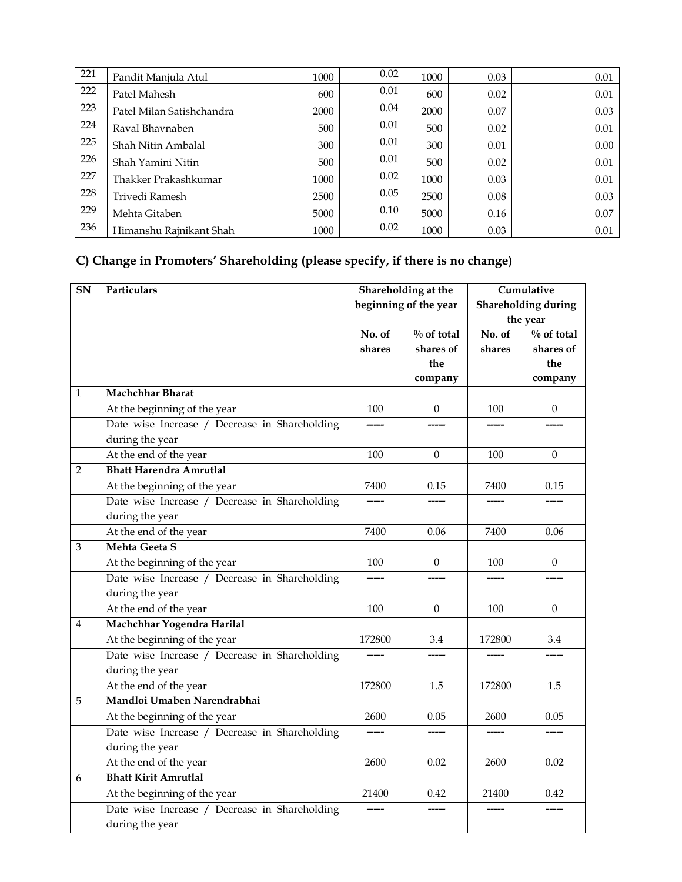| 221 | Pandit Manjula Atul       | 1000 | 0.02 | 1000 | 0.03 | 0.01 |
|-----|---------------------------|------|------|------|------|------|
| 222 | Patel Mahesh              | 600  | 0.01 | 600  | 0.02 | 0.01 |
| 223 | Patel Milan Satishchandra | 2000 | 0.04 | 2000 | 0.07 | 0.03 |
| 224 | Raval Bhaynaben           | 500  | 0.01 | 500  | 0.02 | 0.01 |
| 225 | Shah Nitin Ambalal        | 300  | 0.01 | 300  | 0.01 | 0.00 |
| 226 | Shah Yamini Nitin         | 500  | 0.01 | 500  | 0.02 | 0.01 |
| 227 | Thakker Prakashkumar      | 1000 | 0.02 | 1000 | 0.03 | 0.01 |
| 228 | Trivedi Ramesh            | 2500 | 0.05 | 2500 | 0.08 | 0.03 |
| 229 | Mehta Gitaben             | 5000 | 0.10 | 5000 | 0.16 | 0.07 |
| 236 | Himanshu Rajnikant Shah   | 1000 | 0.02 | 1000 | 0.03 | 0.01 |

## **C) Change in Promoters' Shareholding (please specify, if there is no change)**

| SN               | Particulars                                   | Shareholding at the<br>beginning of the year |                        | Cumulative<br><b>Shareholding during</b><br>the year |                        |
|------------------|-----------------------------------------------|----------------------------------------------|------------------------|------------------------------------------------------|------------------------|
|                  |                                               |                                              |                        |                                                      |                        |
|                  |                                               |                                              |                        |                                                      |                        |
|                  |                                               | No. of                                       | $\frac{0}{0}$ of total | No. of                                               | $\frac{0}{0}$ of total |
|                  |                                               | shares                                       | shares of              | shares                                               | shares of              |
|                  |                                               |                                              | the                    |                                                      | the                    |
|                  |                                               |                                              | company                |                                                      | company                |
| $\mathbf 1$      | <b>Machchhar Bharat</b>                       |                                              |                        |                                                      |                        |
|                  | At the beginning of the year                  | 100                                          | $\theta$               | 100                                                  | $\theta$               |
|                  | Date wise Increase / Decrease in Shareholding |                                              |                        |                                                      |                        |
|                  | during the year                               |                                              |                        |                                                      |                        |
|                  | At the end of the year                        | 100                                          | $\theta$               | 100                                                  | $\mathbf{0}$           |
| $\overline{2}$   | <b>Bhatt Harendra Amrutlal</b>                |                                              |                        |                                                      |                        |
|                  | At the beginning of the year                  | 7400                                         | 0.15                   | 7400                                                 | 0.15                   |
|                  | Date wise Increase / Decrease in Shareholding |                                              |                        |                                                      |                        |
|                  | during the year                               |                                              |                        |                                                      |                        |
|                  | At the end of the year                        | 7400                                         | 0.06                   | 7400                                                 | 0.06                   |
| $\mathfrak{Z}$   | Mehta Geeta S                                 |                                              |                        |                                                      |                        |
|                  | At the beginning of the year                  | 100                                          | $\overline{0}$         | 100                                                  | $\mathbf{0}$           |
|                  | Date wise Increase / Decrease in Shareholding |                                              |                        |                                                      |                        |
|                  | during the year                               |                                              |                        |                                                      |                        |
|                  | At the end of the year                        | 100                                          | $\Omega$               | 100                                                  | $\Omega$               |
| $\boldsymbol{4}$ | Machchhar Yogendra Harilal                    |                                              |                        |                                                      |                        |
|                  | At the beginning of the year                  | 172800                                       | 3.4                    | 172800                                               | 3.4                    |
|                  | Date wise Increase / Decrease in Shareholding |                                              |                        |                                                      |                        |
|                  | during the year                               |                                              |                        |                                                      |                        |
|                  | At the end of the year                        | 172800                                       | 1.5                    | 172800                                               | 1.5                    |
| 5                | Mandloi Umaben Narendrabhai                   |                                              |                        |                                                      |                        |
|                  | At the beginning of the year                  | 2600                                         | 0.05                   | 2600                                                 | 0.05                   |
|                  | Date wise Increase / Decrease in Shareholding |                                              |                        |                                                      |                        |
|                  | during the year                               |                                              |                        |                                                      |                        |
|                  | At the end of the year                        | 2600                                         | 0.02                   | 2600                                                 | 0.02                   |
| 6                | <b>Bhatt Kirit Amrutlal</b>                   |                                              |                        |                                                      |                        |
|                  | At the beginning of the year                  | 21400                                        | 0.42                   | 21400                                                | 0.42                   |
|                  | Date wise Increase / Decrease in Shareholding | -----                                        |                        |                                                      | -----                  |
|                  | during the year                               |                                              |                        |                                                      |                        |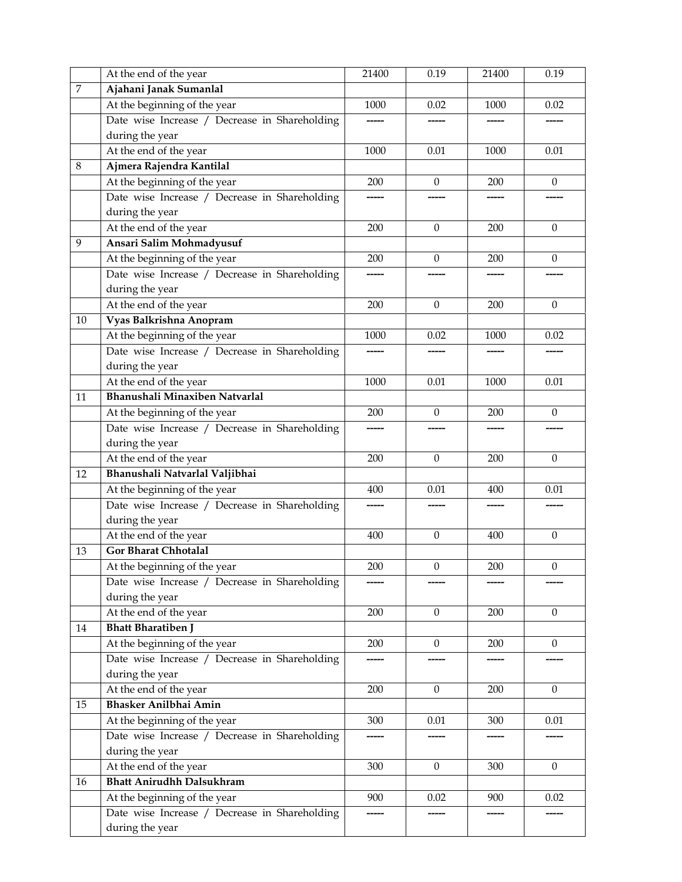|                  | At the end of the year                        | 21400 | 0.19             | 21400 | 0.19             |
|------------------|-----------------------------------------------|-------|------------------|-------|------------------|
| $\boldsymbol{7}$ | Ajahani Janak Sumanlal                        |       |                  |       |                  |
|                  | At the beginning of the year                  | 1000  | 0.02             | 1000  | 0.02             |
|                  | Date wise Increase / Decrease in Shareholding |       |                  |       |                  |
|                  | during the year                               |       |                  |       |                  |
|                  | At the end of the year                        | 1000  | 0.01             | 1000  | 0.01             |
| $8\,$            | Ajmera Rajendra Kantilal                      |       |                  |       |                  |
|                  | At the beginning of the year                  | 200   | $\mathbf{0}$     | 200   | $\mathbf{0}$     |
|                  | Date wise Increase / Decrease in Shareholding | ----- |                  |       |                  |
|                  | during the year                               |       |                  |       |                  |
|                  | At the end of the year                        | 200   | $\mathbf{0}$     | 200   | $\theta$         |
| 9                | Ansari Salim Mohmadyusuf                      |       |                  |       |                  |
|                  | At the beginning of the year                  | 200   | $\theta$         | 200   | $\theta$         |
|                  | Date wise Increase / Decrease in Shareholding |       |                  |       |                  |
|                  | during the year                               |       |                  |       |                  |
|                  | At the end of the year                        | 200   | $\mathbf{0}$     | 200   | $\mathbf{0}$     |
| 10               | Vyas Balkrishna Anopram                       |       |                  |       |                  |
|                  | At the beginning of the year                  | 1000  | 0.02             | 1000  | 0.02             |
|                  | Date wise Increase / Decrease in Shareholding |       |                  |       |                  |
|                  | during the year                               |       |                  |       |                  |
|                  | At the end of the year                        | 1000  | 0.01             | 1000  | 0.01             |
| 11               | Bhanushali Minaxiben Natvarlal                |       |                  |       |                  |
|                  | At the beginning of the year                  | 200   | $\theta$         | 200   | $\boldsymbol{0}$ |
|                  | Date wise Increase / Decrease in Shareholding |       |                  |       |                  |
|                  | during the year                               |       |                  |       |                  |
|                  | At the end of the year                        | 200   | $\Omega$         | 200   | $\mathbf{0}$     |
| 12               | Bhanushali Natvarlal Valjibhai                |       |                  |       |                  |
|                  | At the beginning of the year                  | 400   | 0.01             | 400   | 0.01             |
|                  | Date wise Increase / Decrease in Shareholding |       |                  |       |                  |
|                  | during the year                               |       |                  |       |                  |
|                  | At the end of the year                        | 400   | $\boldsymbol{0}$ | 400   | $\boldsymbol{0}$ |
| 13               | Gor Bharat Chhotalal                          |       |                  |       |                  |
|                  | At the beginning of the year                  | 200   | $\boldsymbol{0}$ | 200   | $\boldsymbol{0}$ |
|                  | Date wise Increase / Decrease in Shareholding |       |                  |       |                  |
|                  | during the year                               |       |                  |       |                  |
|                  | At the end of the year                        | 200   | $\boldsymbol{0}$ | 200   | $\mathbf{0}$     |
| 14               | <b>Bhatt Bharatiben J</b>                     |       |                  |       |                  |
|                  | At the beginning of the year                  | 200   | $\mathbf{0}$     | 200   | $\overline{0}$   |
|                  | Date wise Increase / Decrease in Shareholding | ----- |                  |       |                  |
|                  | during the year                               |       |                  |       |                  |
|                  | At the end of the year                        | 200   | $\boldsymbol{0}$ | 200   | $\mathbf{0}$     |
|                  | Bhasker Anilbhai Amin                         |       |                  |       |                  |
| 15               |                                               |       |                  |       |                  |
|                  | At the beginning of the year                  | 300   | 0.01             | 300   | 0.01             |
|                  | Date wise Increase / Decrease in Shareholding |       |                  |       |                  |
|                  | during the year                               |       |                  |       |                  |
|                  | At the end of the year                        | 300   | $\mathbf{0}$     | 300   | $\boldsymbol{0}$ |
| 16               | <b>Bhatt Anirudhh Dalsukhram</b>              |       |                  |       |                  |
|                  | At the beginning of the year                  | 900   | 0.02             | 900   | 0.02             |
|                  | Date wise Increase / Decrease in Shareholding |       |                  |       |                  |
|                  | during the year                               |       |                  |       |                  |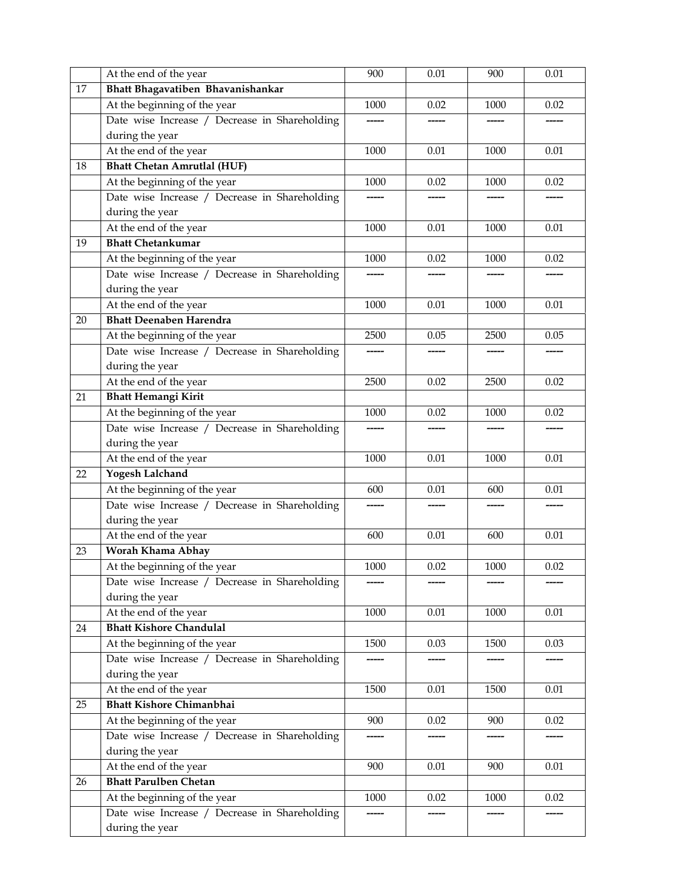|    | At the end of the year                        | 900   | 0.01 | 900  | 0.01  |
|----|-----------------------------------------------|-------|------|------|-------|
| 17 | Bhatt Bhagavatiben Bhavanishankar             |       |      |      |       |
|    | At the beginning of the year                  | 1000  | 0.02 | 1000 | 0.02  |
|    | Date wise Increase / Decrease in Shareholding |       |      |      |       |
|    | during the year                               |       |      |      |       |
|    | At the end of the year                        | 1000  | 0.01 | 1000 | 0.01  |
| 18 | <b>Bhatt Chetan Amrutlal (HUF)</b>            |       |      |      |       |
|    | At the beginning of the year                  | 1000  | 0.02 | 1000 | 0.02  |
|    | Date wise Increase / Decrease in Shareholding |       |      |      |       |
|    | during the year                               |       |      |      |       |
|    | At the end of the year                        | 1000  | 0.01 | 1000 | 0.01  |
| 19 | <b>Bhatt Chetankumar</b>                      |       |      |      |       |
|    | At the beginning of the year                  | 1000  | 0.02 | 1000 | 0.02  |
|    | Date wise Increase / Decrease in Shareholding |       |      |      |       |
|    | during the year                               |       |      |      |       |
|    | At the end of the year                        | 1000  | 0.01 | 1000 | 0.01  |
| 20 | <b>Bhatt Deenaben Harendra</b>                |       |      |      |       |
|    | At the beginning of the year                  | 2500  | 0.05 | 2500 | 0.05  |
|    | Date wise Increase / Decrease in Shareholding |       |      |      |       |
|    | during the year                               |       |      |      |       |
|    | At the end of the year                        | 2500  | 0.02 | 2500 | 0.02  |
| 21 | <b>Bhatt Hemangi Kirit</b>                    |       |      |      |       |
|    | At the beginning of the year                  | 1000  | 0.02 | 1000 | 0.02  |
|    | Date wise Increase / Decrease in Shareholding |       |      |      | ----- |
|    | during the year                               |       |      |      |       |
|    | At the end of the year                        | 1000  | 0.01 | 1000 | 0.01  |
| 22 | Yogesh Lalchand                               |       |      |      |       |
|    | At the beginning of the year                  | 600   | 0.01 | 600  | 0.01  |
|    | Date wise Increase / Decrease in Shareholding | ----- |      |      |       |
|    | during the year                               |       |      |      |       |
|    | At the end of the year                        | 600   | 0.01 | 600  | 0.01  |
| 23 | Worah Khama Abhay                             |       |      |      |       |
|    | At the beginning of the year                  | 1000  | 0.02 | 1000 | 0.02  |
|    | Date wise Increase / Decrease in Shareholding |       |      |      |       |
|    | during the year                               |       |      |      |       |
|    | At the end of the year                        | 1000  | 0.01 | 1000 | 0.01  |
| 24 | <b>Bhatt Kishore Chandulal</b>                |       |      |      |       |
|    | At the beginning of the year                  | 1500  | 0.03 | 1500 | 0.03  |
|    | Date wise Increase / Decrease in Shareholding |       |      |      |       |
|    | during the year                               |       |      |      |       |
|    | At the end of the year                        | 1500  | 0.01 | 1500 | 0.01  |
| 25 | <b>Bhatt Kishore Chimanbhai</b>               |       |      |      |       |
|    | At the beginning of the year                  | 900   | 0.02 | 900  | 0.02  |
|    | Date wise Increase / Decrease in Shareholding |       |      |      |       |
|    | during the year                               |       |      |      |       |
|    | At the end of the year                        | 900   | 0.01 | 900  | 0.01  |
| 26 | <b>Bhatt Parulben Chetan</b>                  |       |      |      |       |
|    | At the beginning of the year                  | 1000  | 0.02 | 1000 | 0.02  |
|    | Date wise Increase / Decrease in Shareholding |       |      |      |       |
|    | during the year                               |       |      |      |       |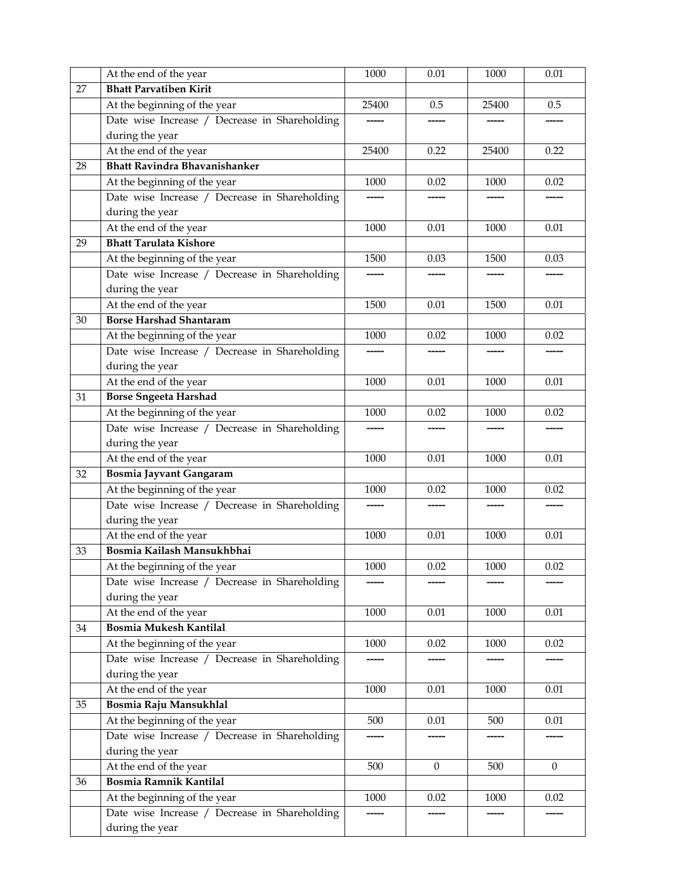|    | At the end of the year                        | 1000     | 0.01             | 1000     | 0.01             |
|----|-----------------------------------------------|----------|------------------|----------|------------------|
| 27 | <b>Bhatt Parvatiben Kirit</b>                 |          |                  |          |                  |
|    | At the beginning of the year                  | 25400    | 0.5              | 25400    | 0.5              |
|    | Date wise Increase / Decrease in Shareholding | -----    |                  |          |                  |
|    | during the year                               |          |                  |          |                  |
|    | At the end of the year                        | 25400    | 0.22             | 25400    | 0.22             |
| 28 | <b>Bhatt Ravindra Bhavanishanker</b>          |          |                  |          |                  |
|    | At the beginning of the year                  | 1000     | 0.02             | 1000     | 0.02             |
|    | Date wise Increase / Decrease in Shareholding | -----    | ------           | ------   | -----            |
|    | during the year                               |          |                  |          |                  |
|    | At the end of the year                        | 1000     | 0.01             | 1000     | 0.01             |
| 29 | <b>Bhatt Tarulata Kishore</b>                 |          |                  |          |                  |
|    | At the beginning of the year                  | 1500     | 0.03             | 1500     | 0.03             |
|    | Date wise Increase / Decrease in Shareholding |          |                  |          |                  |
|    | during the year                               |          |                  |          |                  |
|    | At the end of the year                        | 1500     | 0.01             | 1500     | 0.01             |
| 30 | <b>Borse Harshad Shantaram</b>                |          |                  |          |                  |
|    | At the beginning of the year                  | 1000     | 0.02             | 1000     | 0.02             |
|    | Date wise Increase / Decrease in Shareholding |          |                  |          |                  |
|    | during the year                               |          |                  |          |                  |
|    | At the end of the year                        | 1000     | 0.01             | 1000     | 0.01             |
| 31 | <b>Borse Sngeeta Harshad</b>                  |          |                  |          |                  |
|    | At the beginning of the year                  | 1000     | 0.02             | 1000     | 0.02             |
|    | Date wise Increase / Decrease in Shareholding |          |                  |          |                  |
|    | during the year                               |          |                  |          |                  |
|    | At the end of the year                        | 1000     | 0.01             | 1000     | 0.01             |
| 32 | <b>Bosmia Jayvant Gangaram</b>                |          |                  |          |                  |
|    | At the beginning of the year                  | 1000     | 0.02             | 1000     | 0.02             |
|    | Date wise Increase / Decrease in Shareholding |          |                  |          |                  |
|    | during the year                               |          |                  |          |                  |
|    | At the end of the year                        | 1000     | 0.01             | 1000     | 0.01             |
| 33 | Bosmia Kailash Mansukhbhai                    |          |                  |          |                  |
|    | At the beginning of the year                  | $1000\,$ | 0.02             | $1000\,$ | 0.02             |
|    | Date wise Increase / Decrease in Shareholding |          |                  |          |                  |
|    | during the year                               |          |                  |          |                  |
|    | At the end of the year                        | 1000     | $0.01\,$         | 1000     | $0.01\,$         |
| 34 | <b>Bosmia Mukesh Kantilal</b>                 |          |                  |          |                  |
|    | At the beginning of the year                  | 1000     | 0.02             | 1000     | 0.02             |
|    | Date wise Increase / Decrease in Shareholding |          | -----            |          | -----            |
|    | during the year                               |          |                  |          |                  |
|    | At the end of the year                        | 1000     | 0.01             | 1000     | 0.01             |
| 35 | Bosmia Raju Mansukhlal                        |          |                  |          |                  |
|    | At the beginning of the year                  | 500      | 0.01             | 500      | 0.01             |
|    | Date wise Increase / Decrease in Shareholding |          |                  |          |                  |
|    | during the year                               |          |                  |          |                  |
|    | At the end of the year                        | 500      | $\boldsymbol{0}$ | 500      | $\boldsymbol{0}$ |
| 36 | <b>Bosmia Ramnik Kantilal</b>                 |          |                  |          |                  |
|    | At the beginning of the year                  | 1000     | 0.02             | 1000     | 0.02             |
|    | Date wise Increase / Decrease in Shareholding |          |                  |          |                  |
|    | during the year                               |          |                  |          |                  |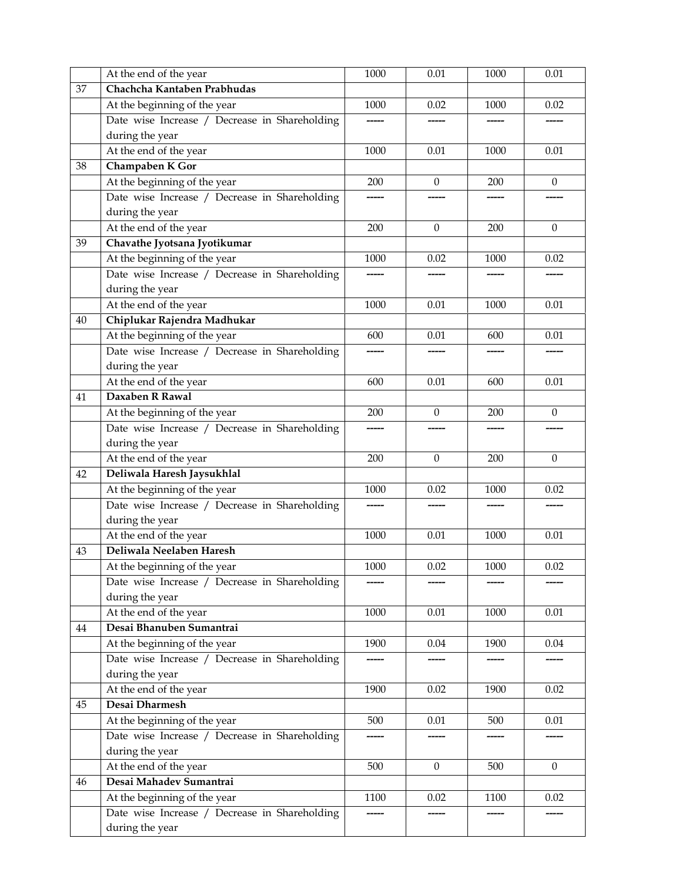|    | At the end of the year                        | 1000     | 0.01             | 1000 | 0.01             |
|----|-----------------------------------------------|----------|------------------|------|------------------|
| 37 | Chachcha Kantaben Prabhudas                   |          |                  |      |                  |
|    | At the beginning of the year                  | 1000     | 0.02             | 1000 | 0.02             |
|    | Date wise Increase / Decrease in Shareholding |          |                  |      |                  |
|    | during the year                               |          |                  |      |                  |
|    | At the end of the year                        | 1000     | 0.01             | 1000 | 0.01             |
| 38 | Champaben K Gor                               |          |                  |      |                  |
|    | At the beginning of the year                  | 200      | $\theta$         | 200  | $\theta$         |
|    | Date wise Increase / Decrease in Shareholding | -----    |                  |      |                  |
|    | during the year                               |          |                  |      |                  |
|    | At the end of the year                        | 200      | $\boldsymbol{0}$ | 200  | $\boldsymbol{0}$ |
| 39 | Chavathe Jyotsana Jyotikumar                  |          |                  |      |                  |
|    | At the beginning of the year                  | 1000     | 0.02             | 1000 | 0.02             |
|    | Date wise Increase / Decrease in Shareholding |          |                  |      |                  |
|    | during the year                               |          |                  |      |                  |
|    | At the end of the year                        | 1000     | 0.01             | 1000 | 0.01             |
| 40 | Chiplukar Rajendra Madhukar                   |          |                  |      |                  |
|    | At the beginning of the year                  | 600      | 0.01             | 600  | 0.01             |
|    | Date wise Increase / Decrease in Shareholding |          |                  |      |                  |
|    | during the year                               |          |                  |      |                  |
|    | At the end of the year                        | 600      | 0.01             | 600  | 0.01             |
| 41 | Daxaben R Rawal                               |          |                  |      |                  |
|    | At the beginning of the year                  | 200      | $\mathbf{0}$     | 200  | $\theta$         |
|    | Date wise Increase / Decrease in Shareholding |          |                  |      |                  |
|    | during the year                               |          |                  |      |                  |
|    | At the end of the year                        | 200      | $\theta$         | 200  | $\theta$         |
| 42 | Deliwala Haresh Jaysukhlal                    |          |                  |      |                  |
|    | At the beginning of the year                  | 1000     | 0.02             | 1000 | 0.02             |
|    | Date wise Increase / Decrease in Shareholding |          |                  |      |                  |
|    | during the year                               |          |                  |      |                  |
|    | At the end of the year                        | 1000     | 0.01             | 1000 | 0.01             |
| 43 | Deliwala Neelaben Haresh                      |          |                  |      |                  |
|    | At the beginning of the year                  | $1000\,$ | $0.02\,$         | 1000 | 0.02             |
|    | Date wise Increase / Decrease in Shareholding |          |                  |      |                  |
|    | during the year                               |          |                  |      |                  |
|    | At the end of the year                        | 1000     | 0.01             | 1000 | 0.01             |
| 44 | Desai Bhanuben Sumantrai                      |          |                  |      |                  |
|    | At the beginning of the year                  | 1900     | 0.04             | 1900 | 0.04             |
|    | Date wise Increase / Decrease in Shareholding |          |                  |      |                  |
|    | during the year                               |          |                  |      |                  |
|    | At the end of the year                        | 1900     | 0.02             | 1900 | 0.02             |
| 45 | Desai Dharmesh                                |          |                  |      |                  |
|    | At the beginning of the year                  | 500      | 0.01             | 500  | 0.01             |
|    | Date wise Increase / Decrease in Shareholding |          |                  |      |                  |
|    | during the year                               |          |                  |      |                  |
|    | At the end of the year                        | 500      | $\mathbf{0}$     | 500  | $\mathbf{0}$     |
| 46 | Desai Mahadev Sumantrai                       |          |                  |      |                  |
|    | At the beginning of the year                  | 1100     | 0.02             | 1100 | 0.02             |
|    | Date wise Increase / Decrease in Shareholding |          |                  |      |                  |
|    | during the year                               |          |                  |      |                  |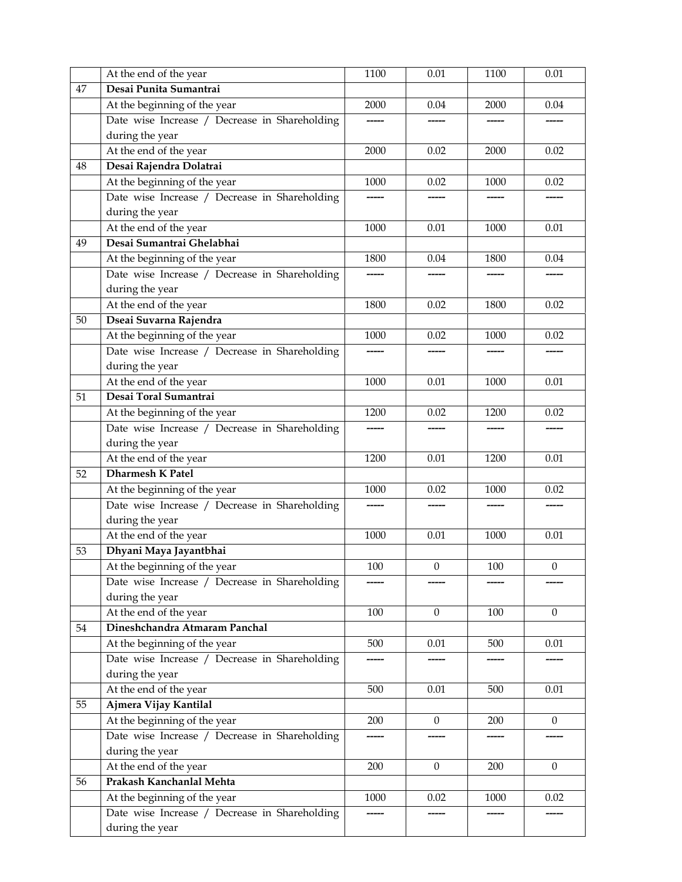|    | At the end of the year                        | 1100    | 0.01             | 1100    | 0.01             |
|----|-----------------------------------------------|---------|------------------|---------|------------------|
| 47 | Desai Punita Sumantrai                        |         |                  |         |                  |
|    | At the beginning of the year                  | 2000    | 0.04             | 2000    | 0.04             |
|    | Date wise Increase / Decrease in Shareholding |         |                  |         |                  |
|    | during the year                               |         |                  |         |                  |
|    | At the end of the year                        | 2000    | 0.02             | 2000    | 0.02             |
| 48 | Desai Rajendra Dolatrai                       |         |                  |         |                  |
|    | At the beginning of the year                  | 1000    | 0.02             | 1000    | 0.02             |
|    | Date wise Increase / Decrease in Shareholding | -----   |                  |         |                  |
|    | during the year                               |         |                  |         |                  |
|    | At the end of the year                        | 1000    | 0.01             | 1000    | 0.01             |
| 49 | Desai Sumantrai Ghelabhai                     |         |                  |         |                  |
|    | At the beginning of the year                  | 1800    | 0.04             | 1800    | 0.04             |
|    | Date wise Increase / Decrease in Shareholding |         |                  |         |                  |
|    | during the year                               |         |                  |         |                  |
|    | At the end of the year                        | 1800    | 0.02             | 1800    | 0.02             |
| 50 | Dseai Suvarna Rajendra                        |         |                  |         |                  |
|    | At the beginning of the year                  | 1000    | 0.02             | 1000    | 0.02             |
|    | Date wise Increase / Decrease in Shareholding |         |                  |         |                  |
|    | during the year                               |         |                  |         |                  |
|    | At the end of the year                        | 1000    | 0.01             | 1000    | 0.01             |
| 51 | Desai Toral Sumantrai                         |         |                  |         |                  |
|    | At the beginning of the year                  | 1200    | 0.02             | 1200    | 0.02             |
|    | Date wise Increase / Decrease in Shareholding |         |                  |         |                  |
|    | during the year                               |         |                  |         |                  |
|    | At the end of the year                        | 1200    | 0.01             | 1200    | 0.01             |
| 52 | <b>Dharmesh K Patel</b>                       |         |                  |         |                  |
|    | At the beginning of the year                  | 1000    | 0.02             | 1000    | 0.02             |
|    | Date wise Increase / Decrease in Shareholding |         |                  |         | -----            |
|    | during the year                               |         |                  |         |                  |
|    | At the end of the year                        | 1000    | 0.01             | 1000    | 0.01             |
| 53 | Dhyani Maya Jayantbhai                        |         |                  |         |                  |
|    | At the beginning of the year                  | $100\,$ | $\boldsymbol{0}$ | $100\,$ | $\boldsymbol{0}$ |
|    | Date wise Increase / Decrease in Shareholding |         |                  |         |                  |
|    | during the year                               |         |                  |         |                  |
|    | At the end of the year                        | 100     | $\mathbf{0}$     | 100     | $\mathbf{0}$     |
| 54 | Dineshchandra Atmaram Panchal                 |         |                  |         |                  |
|    | At the beginning of the year                  | 500     | 0.01             | 500     | 0.01             |
|    | Date wise Increase / Decrease in Shareholding |         |                  |         |                  |
|    | during the year                               |         |                  |         |                  |
|    | At the end of the year                        | 500     | 0.01             | 500     | 0.01             |
| 55 | Ajmera Vijay Kantilal                         |         |                  |         |                  |
|    | At the beginning of the year                  | 200     | $\overline{0}$   | 200     | $\overline{0}$   |
|    | Date wise Increase / Decrease in Shareholding |         |                  |         |                  |
|    | during the year                               |         |                  |         |                  |
|    | At the end of the year                        | 200     | $\mathbf{0}$     | 200     | $\mathbf{0}$     |
| 56 | Prakash Kanchanlal Mehta                      |         |                  |         |                  |
|    | At the beginning of the year                  | 1000    | 0.02             | 1000    | 0.02             |
|    | Date wise Increase / Decrease in Shareholding |         |                  |         |                  |
|    | during the year                               |         |                  |         |                  |
|    |                                               |         |                  |         |                  |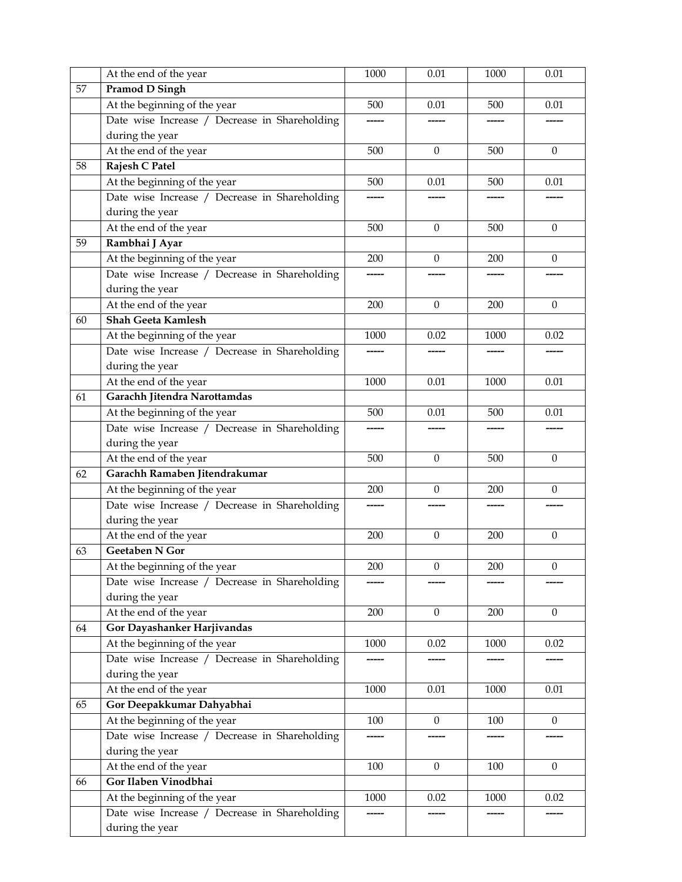|    | At the end of the year                         | 1000 | 0.01             | 1000 | 0.01             |
|----|------------------------------------------------|------|------------------|------|------------------|
| 57 | <b>Pramod D Singh</b>                          |      |                  |      |                  |
|    | At the beginning of the year                   | 500  | 0.01             | 500  | 0.01             |
|    | Date wise Increase / Decrease in Shareholding  |      |                  |      |                  |
|    | during the year                                |      |                  |      |                  |
|    | At the end of the year                         | 500  | $\boldsymbol{0}$ | 500  | $\mathbf{0}$     |
| 58 | Rajesh C Patel                                 |      |                  |      |                  |
|    | At the beginning of the year                   | 500  | 0.01             | 500  | 0.01             |
|    | Date wise Increase / Decrease in Shareholding  |      |                  |      |                  |
|    | during the year                                |      |                  |      |                  |
|    | At the end of the year                         | 500  | $\boldsymbol{0}$ | 500  | $\mathbf{0}$     |
| 59 | Rambhai J Ayar                                 |      |                  |      |                  |
|    | At the beginning of the year                   | 200  | $\theta$         | 200  | $\theta$         |
|    | Date wise Increase / Decrease in Shareholding  |      |                  |      |                  |
|    | during the year                                |      |                  |      |                  |
|    | At the end of the year                         | 200  | $\mathbf{0}$     | 200  | $\mathbf{0}$     |
| 60 | <b>Shah Geeta Kamlesh</b>                      |      |                  |      |                  |
|    | At the beginning of the year                   | 1000 | 0.02             | 1000 | 0.02             |
|    | Date wise Increase / Decrease in Shareholding  |      |                  |      |                  |
|    | during the year                                |      |                  |      |                  |
|    | At the end of the year                         | 1000 | 0.01             | 1000 | 0.01             |
| 61 | Garachh Jitendra Narottamdas                   |      |                  |      |                  |
|    | At the beginning of the year                   | 500  | 0.01             | 500  | 0.01             |
|    | Date wise Increase / Decrease in Shareholding  |      |                  |      |                  |
|    | during the year                                |      |                  |      |                  |
|    | At the end of the year                         | 500  | $\mathbf{0}$     | 500  | $\mathbf{0}$     |
| 62 | Garachh Ramaben Jitendrakumar                  |      |                  |      |                  |
|    | At the beginning of the year                   | 200  | $\mathbf{0}$     | 200  | $\mathbf{0}$     |
|    | Date wise Increase / Decrease in Shareholding  |      |                  |      |                  |
|    | during the year                                |      |                  |      |                  |
|    | At the end of the year                         | 200  | $\boldsymbol{0}$ | 200  | $\mathbf{0}$     |
| 63 | <b>Geetaben N Gor</b>                          |      |                  |      |                  |
|    | At the beginning of the year                   | 200  | $\boldsymbol{0}$ | 200  | $\boldsymbol{0}$ |
|    | Date wise Increase / Decrease in Shareholding  |      |                  |      |                  |
|    | during the year                                |      |                  |      |                  |
|    | At the end of the year                         | 200  | $\boldsymbol{0}$ | 200  | $\mathbf{0}$     |
| 64 | Gor Dayashanker Harjivandas                    |      |                  |      |                  |
|    | At the beginning of the year                   | 1000 | 0.02             | 1000 | 0.02             |
|    | Date wise Increase / Decrease in Shareholding  |      |                  |      |                  |
|    | during the year                                |      |                  |      |                  |
|    | At the end of the year                         | 1000 | 0.01             | 1000 | 0.01             |
| 65 | Gor Deepakkumar Dahyabhai                      |      |                  |      |                  |
|    | At the beginning of the year                   |      | $\mathbf{0}$     |      | $\overline{0}$   |
|    | Date wise Increase / Decrease in Shareholding  | 100  |                  | 100  |                  |
|    |                                                |      |                  |      |                  |
|    | during the year                                | 100  | $\boldsymbol{0}$ | 100  | $\mathbf{0}$     |
|    | At the end of the year<br>Gor Ilaben Vinodbhai |      |                  |      |                  |
| 66 |                                                |      |                  |      |                  |
|    | At the beginning of the year                   | 1000 | 0.02             | 1000 | 0.02             |
|    | Date wise Increase / Decrease in Shareholding  |      |                  |      |                  |
|    | during the year                                |      |                  |      |                  |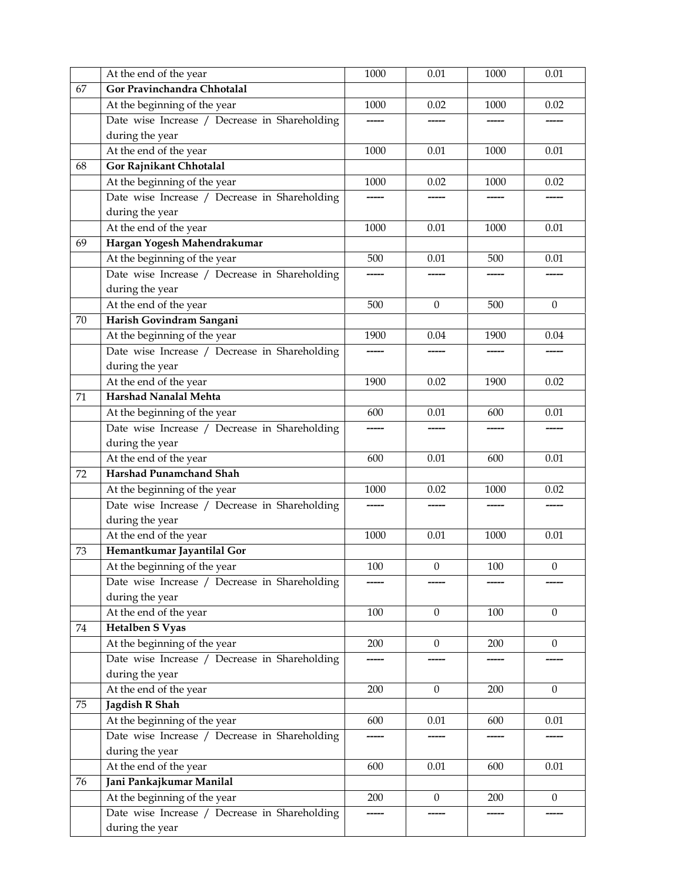|    | At the end of the year                        | 1000    | 0.01             | 1000    | 0.01             |
|----|-----------------------------------------------|---------|------------------|---------|------------------|
| 67 | Gor Pravinchandra Chhotalal                   |         |                  |         |                  |
|    | At the beginning of the year                  | 1000    | 0.02             | 1000    | 0.02             |
|    | Date wise Increase / Decrease in Shareholding |         |                  |         |                  |
|    | during the year                               |         |                  |         |                  |
|    | At the end of the year                        | 1000    | 0.01             | 1000    | 0.01             |
| 68 | Gor Rajnikant Chhotalal                       |         |                  |         |                  |
|    | At the beginning of the year                  | 1000    | 0.02             | 1000    | 0.02             |
|    | Date wise Increase / Decrease in Shareholding | -----   |                  |         |                  |
|    | during the year                               |         |                  |         |                  |
|    | At the end of the year                        | 1000    | 0.01             | 1000    | 0.01             |
| 69 | Hargan Yogesh Mahendrakumar                   |         |                  |         |                  |
|    | At the beginning of the year                  | 500     | 0.01             | 500     | 0.01             |
|    | Date wise Increase / Decrease in Shareholding |         |                  |         |                  |
|    | during the year                               |         |                  |         |                  |
|    | At the end of the year                        | 500     | $\mathbf{0}$     | 500     | $\mathbf{0}$     |
| 70 | Harish Govindram Sangani                      |         |                  |         |                  |
|    | At the beginning of the year                  | 1900    | 0.04             | 1900    | 0.04             |
|    | Date wise Increase / Decrease in Shareholding |         |                  |         |                  |
|    | during the year                               |         |                  |         |                  |
|    | At the end of the year                        | 1900    | 0.02             | 1900    | 0.02             |
| 71 | Harshad Nanalal Mehta                         |         |                  |         |                  |
|    | At the beginning of the year                  | 600     | 0.01             | 600     | 0.01             |
|    | Date wise Increase / Decrease in Shareholding |         |                  |         |                  |
|    | during the year                               |         |                  |         |                  |
|    | At the end of the year                        | 600     | 0.01             | 600     | 0.01             |
| 72 | <b>Harshad Punamchand Shah</b>                |         |                  |         |                  |
|    | At the beginning of the year                  | 1000    | 0.02             | 1000    | 0.02             |
|    | Date wise Increase / Decrease in Shareholding |         |                  |         |                  |
|    | during the year                               |         |                  |         |                  |
|    | At the end of the year                        | 1000    | 0.01             | 1000    | 0.01             |
| 73 | Hemantkumar Jayantilal Gor                    |         |                  |         |                  |
|    | At the beginning of the year                  | $100\,$ | $\boldsymbol{0}$ | $100\,$ | $\boldsymbol{0}$ |
|    | Date wise Increase / Decrease in Shareholding |         |                  |         |                  |
|    | during the year                               |         |                  |         |                  |
|    | At the end of the year                        | 100     | $\Omega$         | 100     | $\Omega$         |
| 74 | <b>Hetalben S Vyas</b>                        |         |                  |         |                  |
|    | At the beginning of the year                  | 200     | $\boldsymbol{0}$ | 200     | $\mathbf{0}$     |
|    | Date wise Increase / Decrease in Shareholding | -----   |                  |         |                  |
|    | during the year                               |         |                  |         |                  |
|    | At the end of the year                        | 200     | $\mathbf{0}$     | 200     | $\theta$         |
| 75 | Jagdish R Shah                                |         |                  |         |                  |
|    | At the beginning of the year                  | 600     | 0.01             | 600     | 0.01             |
|    | Date wise Increase / Decrease in Shareholding |         |                  |         |                  |
|    | during the year                               |         |                  |         |                  |
|    | At the end of the year                        | 600     | 0.01             | 600     | $0.01\,$         |
| 76 | Jani Pankajkumar Manilal                      |         |                  |         |                  |
|    | At the beginning of the year                  | 200     | $\mathbf{0}$     | 200     | $\mathbf{0}$     |
|    | Date wise Increase / Decrease in Shareholding |         |                  |         |                  |
|    | during the year                               |         |                  |         |                  |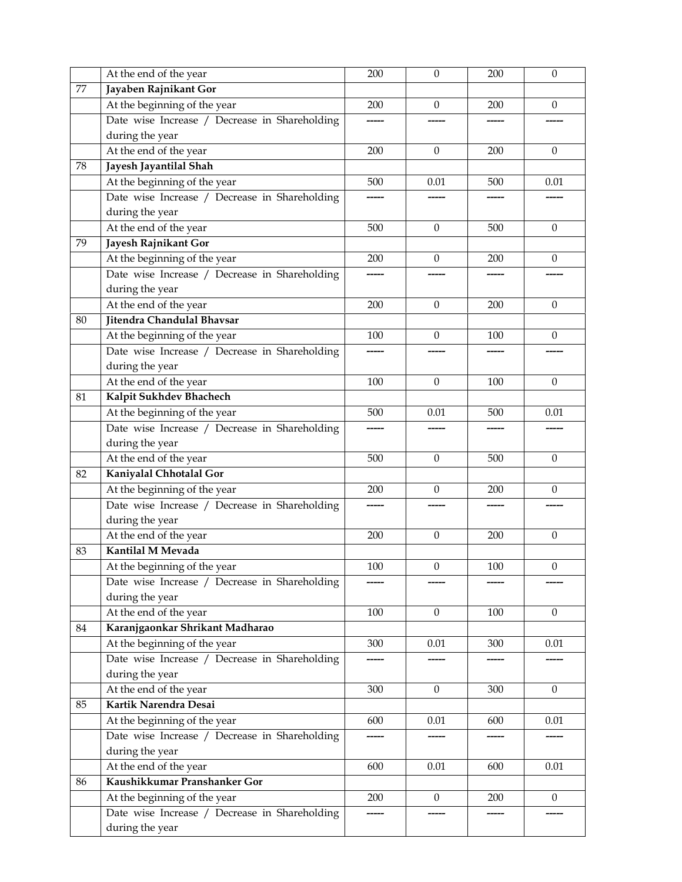|    | At the end of the year                        | 200 | $\boldsymbol{0}$ | 200     | $\mathbf{0}$     |
|----|-----------------------------------------------|-----|------------------|---------|------------------|
| 77 | Jayaben Rajnikant Gor                         |     |                  |         |                  |
|    | At the beginning of the year                  | 200 | $\mathbf{0}$     | 200     | $\mathbf{0}$     |
|    | Date wise Increase / Decrease in Shareholding |     |                  |         |                  |
|    | during the year                               |     |                  |         |                  |
|    | At the end of the year                        | 200 | $\Omega$         | 200     | $\Omega$         |
| 78 | Jayesh Jayantilal Shah                        |     |                  |         |                  |
|    | At the beginning of the year                  | 500 | 0.01             | 500     | 0.01             |
|    | Date wise Increase / Decrease in Shareholding |     |                  |         |                  |
|    | during the year                               |     |                  |         |                  |
|    | At the end of the year                        | 500 | $\mathbf{0}$     | 500     | $\boldsymbol{0}$ |
| 79 | Jayesh Rajnikant Gor                          |     |                  |         |                  |
|    | At the beginning of the year                  | 200 | $\theta$         | 200     | $\theta$         |
|    | Date wise Increase / Decrease in Shareholding |     |                  |         |                  |
|    | during the year                               |     |                  |         |                  |
|    | At the end of the year                        | 200 | $\Omega$         | 200     | $\mathbf{0}$     |
| 80 | Jitendra Chandulal Bhavsar                    |     |                  |         |                  |
|    | At the beginning of the year                  | 100 | $\mathbf{0}$     | 100     | $\theta$         |
|    | Date wise Increase / Decrease in Shareholding |     |                  |         |                  |
|    | during the year                               |     |                  |         |                  |
|    | At the end of the year                        | 100 | $\theta$         | 100     | $\mathbf{0}$     |
| 81 | Kalpit Sukhdev Bhachech                       |     |                  |         |                  |
|    | At the beginning of the year                  | 500 | 0.01             | 500     | 0.01             |
|    | Date wise Increase / Decrease in Shareholding |     |                  |         |                  |
|    | during the year                               |     |                  |         |                  |
|    | At the end of the year                        | 500 | $\theta$         | 500     | $\theta$         |
| 82 | Kaniyalal Chhotalal Gor                       |     |                  |         |                  |
|    | At the beginning of the year                  | 200 | $\mathbf{0}$     | 200     | $\mathbf{0}$     |
|    | Date wise Increase / Decrease in Shareholding |     |                  |         |                  |
|    | during the year                               |     |                  |         |                  |
|    | At the end of the year                        | 200 | $\boldsymbol{0}$ | 200     | $\mathbf{0}$     |
| 83 | Kantilal M Mevada                             |     |                  |         |                  |
|    | At the beginning of the year                  | 100 | $\boldsymbol{0}$ | $100\,$ | $\boldsymbol{0}$ |
|    | Date wise Increase / Decrease in Shareholding |     |                  |         |                  |
|    | during the year                               |     |                  |         |                  |
|    | At the end of the year                        | 100 | $\mathbf{0}$     | 100     | $\theta$         |
| 84 | Karanjgaonkar Shrikant Madharao               |     |                  |         |                  |
|    | At the beginning of the year                  | 300 | $0.01\,$         | 300     | 0.01             |
|    | Date wise Increase / Decrease in Shareholding |     |                  |         |                  |
|    | during the year                               |     |                  |         |                  |
|    | At the end of the year                        | 300 | $\boldsymbol{0}$ | 300     | $\theta$         |
| 85 | Kartik Narendra Desai                         |     |                  |         |                  |
|    | At the beginning of the year                  | 600 | $0.01\,$         | 600     | 0.01             |
|    | Date wise Increase / Decrease in Shareholding |     |                  |         |                  |
|    | during the year                               |     |                  |         |                  |
|    | At the end of the year                        | 600 | 0.01             | 600     | 0.01             |
| 86 | Kaushikkumar Pranshanker Gor                  |     |                  |         |                  |
|    | At the beginning of the year                  | 200 | $\boldsymbol{0}$ | 200     | $\mathbf{0}$     |
|    | Date wise Increase / Decrease in Shareholding |     |                  |         |                  |
|    | during the year                               |     |                  |         |                  |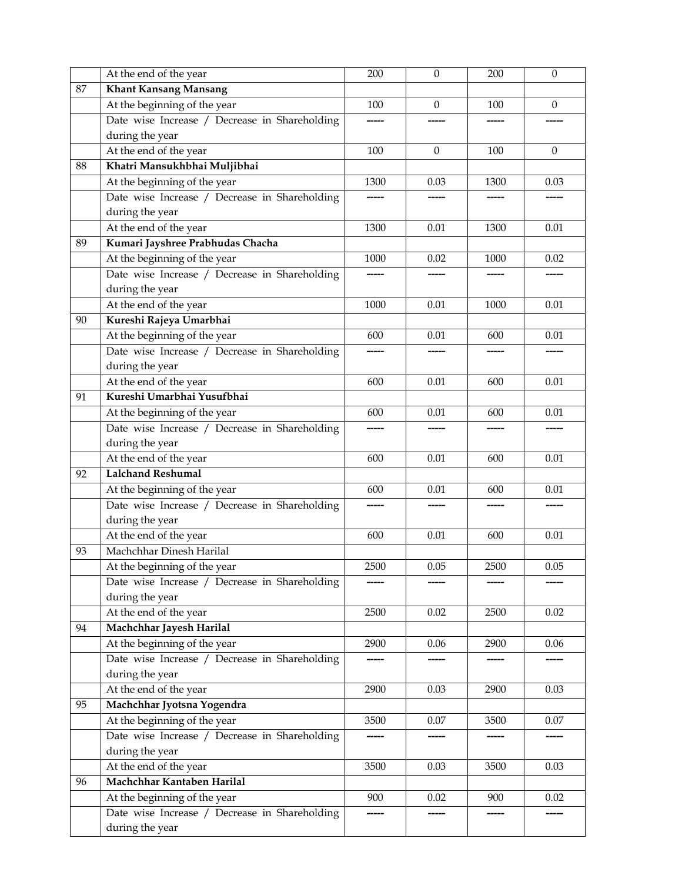|    | At the end of the year                        | 200  | $\boldsymbol{0}$ | 200  | $\boldsymbol{0}$ |
|----|-----------------------------------------------|------|------------------|------|------------------|
| 87 | <b>Khant Kansang Mansang</b>                  |      |                  |      |                  |
|    | At the beginning of the year                  | 100  | 0                | 100  | $\mathbf{0}$     |
|    | Date wise Increase / Decrease in Shareholding |      |                  |      |                  |
|    | during the year                               |      |                  |      |                  |
|    | At the end of the year                        | 100  | $\Omega$         | 100  | $\mathbf{0}$     |
| 88 | Khatri Mansukhbhai Muljibhai                  |      |                  |      |                  |
|    | At the beginning of the year                  | 1300 | 0.03             | 1300 | 0.03             |
|    | Date wise Increase / Decrease in Shareholding |      |                  |      |                  |
|    | during the year                               |      |                  |      |                  |
|    | At the end of the year                        | 1300 | 0.01             | 1300 | 0.01             |
| 89 | Kumari Jayshree Prabhudas Chacha              |      |                  |      |                  |
|    | At the beginning of the year                  | 1000 | 0.02             | 1000 | 0.02             |
|    | Date wise Increase / Decrease in Shareholding |      |                  |      |                  |
|    | during the year                               |      |                  |      |                  |
|    | At the end of the year                        | 1000 | 0.01             | 1000 | 0.01             |
| 90 | Kureshi Rajeya Umarbhai                       |      |                  |      |                  |
|    | At the beginning of the year                  | 600  | 0.01             | 600  | 0.01             |
|    | Date wise Increase / Decrease in Shareholding |      |                  |      |                  |
|    | during the year                               |      |                  |      |                  |
|    | At the end of the year                        | 600  | 0.01             | 600  | 0.01             |
| 91 | Kureshi Umarbhai Yusufbhai                    |      |                  |      |                  |
|    | At the beginning of the year                  | 600  | 0.01             | 600  | 0.01             |
|    | Date wise Increase / Decrease in Shareholding |      |                  |      |                  |
|    | during the year                               |      |                  |      |                  |
|    | At the end of the year                        | 600  | 0.01             | 600  | 0.01             |
| 92 | <b>Lalchand Reshumal</b>                      |      |                  |      |                  |
|    | At the beginning of the year                  | 600  | 0.01             | 600  | 0.01             |
|    | Date wise Increase / Decrease in Shareholding |      |                  |      |                  |
|    | during the year                               |      |                  |      |                  |
|    | At the end of the year                        | 600  | 0.01             | 600  | 0.01             |
| 93 | Machchhar Dinesh Harilal                      |      |                  |      |                  |
|    | At the beginning of the year                  | 2500 | $0.05\,$         | 2500 | 0.05             |
|    | Date wise Increase / Decrease in Shareholding |      |                  |      |                  |
|    | during the year                               |      |                  |      |                  |
|    | At the end of the year                        | 2500 | 0.02             | 2500 | 0.02             |
| 94 | Machchhar Jayesh Harilal                      |      |                  |      |                  |
|    | At the beginning of the year                  | 2900 | 0.06             | 2900 | 0.06             |
|    | Date wise Increase / Decrease in Shareholding |      |                  |      |                  |
|    | during the year                               |      |                  |      |                  |
|    | At the end of the year                        | 2900 | 0.03             | 2900 | 0.03             |
| 95 | Machchhar Jyotsna Yogendra                    |      |                  |      |                  |
|    | At the beginning of the year                  | 3500 | 0.07             | 3500 | 0.07             |
|    | Date wise Increase / Decrease in Shareholding |      |                  |      |                  |
|    | during the year                               |      |                  |      |                  |
|    | At the end of the year                        | 3500 | 0.03             | 3500 | 0.03             |
| 96 | Machchhar Kantaben Harilal                    |      |                  |      |                  |
|    | At the beginning of the year                  | 900  | 0.02             | 900  | 0.02             |
|    | Date wise Increase / Decrease in Shareholding |      |                  |      |                  |
|    | during the year                               |      |                  |      |                  |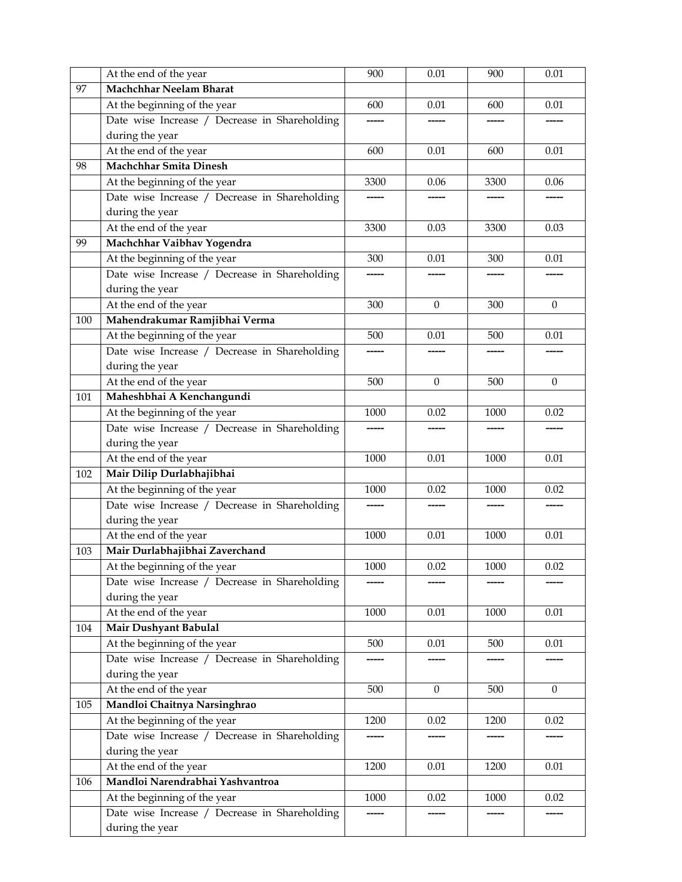|     | At the end of the year                        | 900      | 0.01         | 900  | 0.01         |
|-----|-----------------------------------------------|----------|--------------|------|--------------|
| 97  | <b>Machchhar Neelam Bharat</b>                |          |              |      |              |
|     | At the beginning of the year                  | 600      | 0.01         | 600  | 0.01         |
|     | Date wise Increase / Decrease in Shareholding |          |              |      |              |
|     | during the year                               |          |              |      |              |
|     | At the end of the year                        | 600      | 0.01         | 600  | 0.01         |
| 98  | <b>Machchhar Smita Dinesh</b>                 |          |              |      |              |
|     | At the beginning of the year                  | 3300     | 0.06         | 3300 | 0.06         |
|     | Date wise Increase / Decrease in Shareholding |          |              |      |              |
|     | during the year                               |          |              |      |              |
|     | At the end of the year                        | 3300     | 0.03         | 3300 | 0.03         |
| 99  | Machchhar Vaibhav Yogendra                    |          |              |      |              |
|     | At the beginning of the year                  | 300      | 0.01         | 300  | 0.01         |
|     | Date wise Increase / Decrease in Shareholding |          |              |      |              |
|     | during the year                               |          |              |      |              |
|     | At the end of the year                        | 300      | $\Omega$     | 300  | $\Omega$     |
| 100 | Mahendrakumar Ramjibhai Verma                 |          |              |      |              |
|     | At the beginning of the year                  | 500      | 0.01         | 500  | 0.01         |
|     | Date wise Increase / Decrease in Shareholding |          |              |      |              |
|     | during the year                               |          |              |      |              |
|     | At the end of the year                        | 500      | $\mathbf{0}$ | 500  | $\mathbf{0}$ |
| 101 | Maheshbhai A Kenchangundi                     |          |              |      |              |
|     | At the beginning of the year                  | 1000     | 0.02         | 1000 | 0.02         |
|     | Date wise Increase / Decrease in Shareholding |          |              |      |              |
|     | during the year                               |          |              |      |              |
|     | At the end of the year                        | 1000     | 0.01         | 1000 | 0.01         |
| 102 | Mair Dilip Durlabhajibhai                     |          |              |      |              |
|     | At the beginning of the year                  | 1000     | 0.02         | 1000 | 0.02         |
|     | Date wise Increase / Decrease in Shareholding |          |              |      |              |
|     | during the year                               |          |              |      |              |
|     | At the end of the year                        | 1000     | 0.01         | 1000 | 0.01         |
| 103 | Mair Durlabhajibhai Zaverchand                |          |              |      |              |
|     | At the beginning of the year                  | $1000\,$ | 0.02         | 1000 | 0.02         |
|     | Date wise Increase / Decrease in Shareholding |          |              |      |              |
|     | during the year                               |          |              |      |              |
|     | At the end of the year                        | 1000     | 0.01         | 1000 | 0.01         |
| 104 | Mair Dushyant Babulal                         |          |              |      |              |
|     | At the beginning of the year                  | 500      | 0.01         | 500  | 0.01         |
|     | Date wise Increase / Decrease in Shareholding |          |              |      |              |
|     | during the year                               |          |              |      |              |
|     | At the end of the year                        | 500      | $\mathbf{0}$ | 500  | $\mathbf{0}$ |
| 105 | Mandloi Chaitnya Narsinghrao                  |          |              |      |              |
|     | At the beginning of the year                  | 1200     | 0.02         | 1200 | 0.02         |
|     | Date wise Increase / Decrease in Shareholding |          |              |      |              |
|     | during the year                               |          |              |      |              |
|     | At the end of the year                        | 1200     | $0.01\,$     | 1200 | 0.01         |
| 106 | Mandloi Narendrabhai Yashvantroa              |          |              |      |              |
|     | At the beginning of the year                  | 1000     | 0.02         | 1000 | 0.02         |
|     | Date wise Increase / Decrease in Shareholding |          |              |      |              |
|     |                                               |          |              |      |              |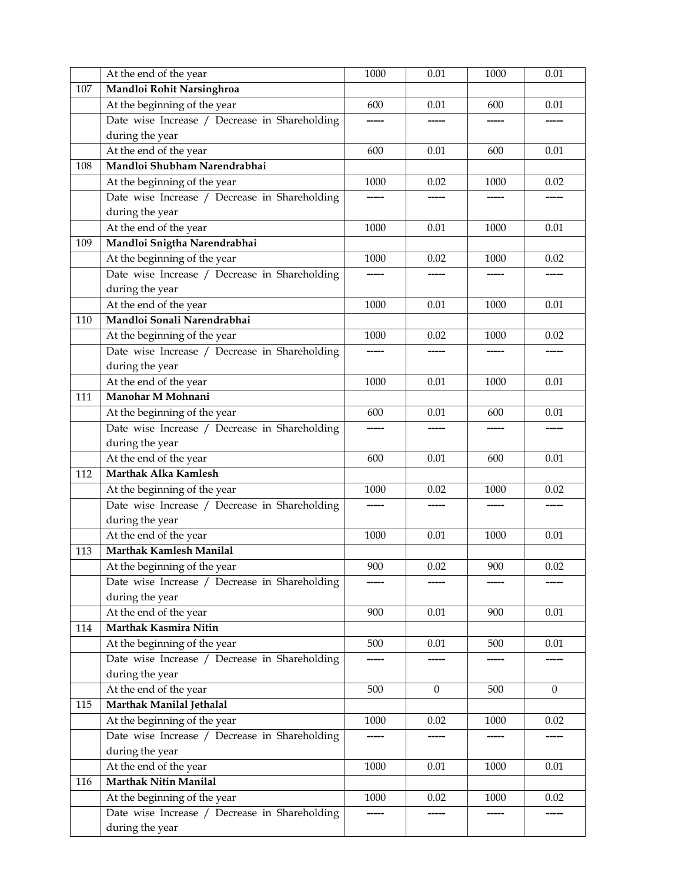|     | At the end of the year                        | 1000  | 0.01         | 1000 | 0.01         |
|-----|-----------------------------------------------|-------|--------------|------|--------------|
| 107 | Mandloi Rohit Narsinghroa                     |       |              |      |              |
|     | At the beginning of the year                  | 600   | 0.01         | 600  | 0.01         |
|     | Date wise Increase / Decrease in Shareholding |       |              |      |              |
|     | during the year                               |       |              |      |              |
|     | At the end of the year                        | 600   | 0.01         | 600  | 0.01         |
| 108 | Mandloi Shubham Narendrabhai                  |       |              |      |              |
|     | At the beginning of the year                  | 1000  | 0.02         | 1000 | 0.02         |
|     | Date wise Increase / Decrease in Shareholding | ----- |              |      |              |
|     | during the year                               |       |              |      |              |
|     | At the end of the year                        | 1000  | 0.01         | 1000 | 0.01         |
| 109 | Mandloi Snigtha Narendrabhai                  |       |              |      |              |
|     | At the beginning of the year                  | 1000  | 0.02         | 1000 | 0.02         |
|     | Date wise Increase / Decrease in Shareholding |       |              |      |              |
|     | during the year                               |       |              |      |              |
|     | At the end of the year                        | 1000  | 0.01         | 1000 | 0.01         |
| 110 | Mandloi Sonali Narendrabhai                   |       |              |      |              |
|     | At the beginning of the year                  | 1000  | 0.02         | 1000 | 0.02         |
|     | Date wise Increase / Decrease in Shareholding |       |              |      |              |
|     | during the year                               |       |              |      |              |
|     | At the end of the year                        | 1000  | 0.01         | 1000 | 0.01         |
| 111 | Manohar M Mohnani                             |       |              |      |              |
|     | At the beginning of the year                  | 600   | 0.01         | 600  | 0.01         |
|     | Date wise Increase / Decrease in Shareholding |       |              |      |              |
|     | during the year                               |       |              |      |              |
|     | At the end of the year                        | 600   | 0.01         | 600  | 0.01         |
| 112 | Marthak Alka Kamlesh                          |       |              |      |              |
|     | At the beginning of the year                  | 1000  | 0.02         | 1000 | 0.02         |
|     | Date wise Increase / Decrease in Shareholding |       |              |      |              |
|     | during the year                               |       |              |      |              |
|     | At the end of the year                        | 1000  | 0.01         | 1000 | 0.01         |
| 113 | Marthak Kamlesh Manilal                       |       |              |      |              |
|     | At the beginning of the year                  | 900   | $0.02\,$     | 900  | 0.02         |
|     | Date wise Increase / Decrease in Shareholding |       |              |      |              |
|     | during the year                               |       |              |      |              |
|     | At the end of the year                        | 900   | 0.01         | 900  | 0.01         |
| 114 | <b>Marthak Kasmira Nitin</b>                  |       |              |      |              |
|     | At the beginning of the year                  | 500   | 0.01         | 500  | $0.01\,$     |
|     | Date wise Increase / Decrease in Shareholding |       |              |      |              |
|     | during the year                               |       |              |      |              |
|     | At the end of the year                        | 500   | $\mathbf{0}$ | 500  | $\mathbf{0}$ |
| 115 | Marthak Manilal Jethalal                      |       |              |      |              |
|     | At the beginning of the year                  | 1000  | 0.02         | 1000 | 0.02         |
|     | Date wise Increase / Decrease in Shareholding |       |              |      |              |
|     | during the year                               |       |              |      |              |
|     | At the end of the year                        | 1000  | $0.01\,$     | 1000 | $0.01\,$     |
| 116 | <b>Marthak Nitin Manilal</b>                  |       |              |      |              |
|     | At the beginning of the year                  | 1000  | 0.02         | 1000 | 0.02         |
|     | Date wise Increase / Decrease in Shareholding |       |              |      |              |
|     | during the year                               |       |              |      |              |
|     |                                               |       |              |      |              |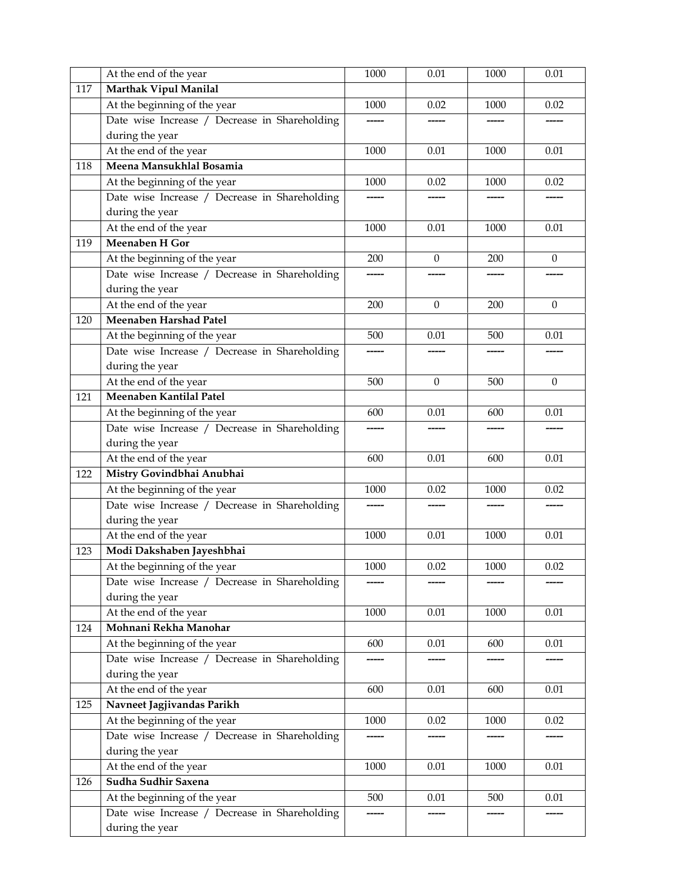|     | At the end of the year                        | 1000     | 0.01         | 1000 | 0.01         |
|-----|-----------------------------------------------|----------|--------------|------|--------------|
| 117 | Marthak Vipul Manilal                         |          |              |      |              |
|     | At the beginning of the year                  | 1000     | 0.02         | 1000 | 0.02         |
|     | Date wise Increase / Decrease in Shareholding |          |              |      |              |
|     | during the year                               |          |              |      |              |
|     | At the end of the year                        | 1000     | 0.01         | 1000 | 0.01         |
| 118 | Meena Mansukhlal Bosamia                      |          |              |      |              |
|     | At the beginning of the year                  | 1000     | 0.02         | 1000 | 0.02         |
|     | Date wise Increase / Decrease in Shareholding |          |              |      |              |
|     | during the year                               |          |              |      |              |
|     | At the end of the year                        | 1000     | 0.01         | 1000 | 0.01         |
| 119 | Meenaben H Gor                                |          |              |      |              |
|     | At the beginning of the year                  | 200      | $\mathbf{0}$ | 200  | $\theta$     |
|     | Date wise Increase / Decrease in Shareholding |          |              |      |              |
|     | during the year                               |          |              |      |              |
|     | At the end of the year                        | 200      | $\Omega$     | 200  | $\mathbf{0}$ |
| 120 | Meenaben Harshad Patel                        |          |              |      |              |
|     | At the beginning of the year                  | 500      | 0.01         | 500  | 0.01         |
|     | Date wise Increase / Decrease in Shareholding |          |              |      |              |
|     | during the year                               |          |              |      |              |
|     | At the end of the year                        | 500      | $\mathbf{0}$ | 500  | $\mathbf{0}$ |
| 121 | Meenaben Kantilal Patel                       |          |              |      |              |
|     | At the beginning of the year                  | 600      | 0.01         | 600  | 0.01         |
|     | Date wise Increase / Decrease in Shareholding |          |              |      |              |
|     | during the year                               |          |              |      |              |
|     | At the end of the year                        | 600      | 0.01         | 600  | 0.01         |
| 122 | Mistry Govindbhai Anubhai                     |          |              |      |              |
|     | At the beginning of the year                  | 1000     | 0.02         | 1000 | 0.02         |
|     | Date wise Increase / Decrease in Shareholding |          |              |      |              |
|     | during the year                               |          |              |      |              |
|     | At the end of the year                        | 1000     | 0.01         | 1000 | 0.01         |
| 123 | Modi Dakshaben Jayeshbhai                     |          |              |      |              |
|     | At the beginning of the year                  | $1000\,$ | $0.02\,$     | 1000 | 0.02         |
|     | Date wise Increase / Decrease in Shareholding |          |              |      |              |
|     | during the year                               |          |              |      |              |
|     | At the end of the year                        | 1000     | 0.01         | 1000 | 0.01         |
| 124 | Mohnani Rekha Manohar                         |          |              |      |              |
|     | At the beginning of the year                  | 600      | 0.01         | 600  | $0.01\,$     |
|     | Date wise Increase / Decrease in Shareholding |          |              |      |              |
|     | during the year                               |          |              |      |              |
|     | At the end of the year                        | 600      | 0.01         | 600  | 0.01         |
| 125 | Navneet Jagjivandas Parikh                    |          |              |      |              |
|     | At the beginning of the year                  | 1000     | 0.02         | 1000 | 0.02         |
|     | Date wise Increase / Decrease in Shareholding |          |              |      |              |
|     | during the year                               |          |              |      |              |
|     | At the end of the year                        | 1000     | $0.01\,$     | 1000 | $0.01\,$     |
|     | Sudha Sudhir Saxena                           |          |              |      |              |
| 126 |                                               |          |              |      |              |
|     | At the beginning of the year                  | 500      | 0.01         | 500  | 0.01         |
|     | Date wise Increase / Decrease in Shareholding |          |              |      |              |
|     | during the year                               |          |              |      |              |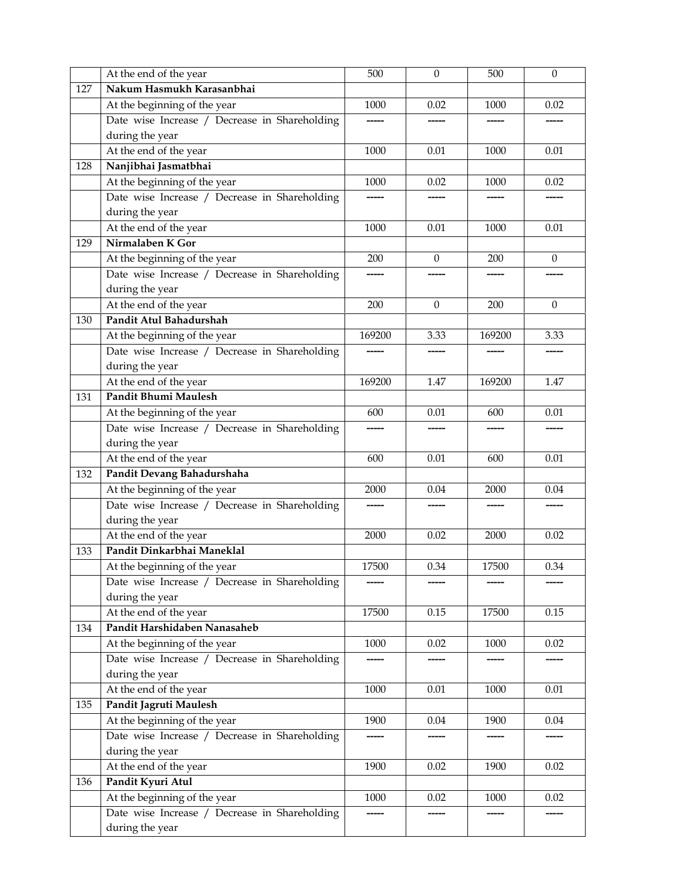|     | At the end of the year                        | 500    | $\boldsymbol{0}$ | 500    | $\theta$     |
|-----|-----------------------------------------------|--------|------------------|--------|--------------|
| 127 | Nakum Hasmukh Karasanbhai                     |        |                  |        |              |
|     | At the beginning of the year                  | 1000   | 0.02             | 1000   | 0.02         |
|     | Date wise Increase / Decrease in Shareholding |        |                  |        |              |
|     | during the year                               |        |                  |        |              |
|     | At the end of the year                        | 1000   | 0.01             | 1000   | 0.01         |
| 128 | Nanjibhai Jasmatbhai                          |        |                  |        |              |
|     | At the beginning of the year                  | 1000   | 0.02             | 1000   | 0.02         |
|     | Date wise Increase / Decrease in Shareholding |        |                  |        |              |
|     | during the year                               |        |                  |        |              |
|     | At the end of the year                        | 1000   | 0.01             | 1000   | 0.01         |
| 129 | Nirmalaben K Gor                              |        |                  |        |              |
|     | At the beginning of the year                  | 200    | $\Omega$         | 200    | $\mathbf{0}$ |
|     | Date wise Increase / Decrease in Shareholding |        |                  |        |              |
|     | during the year                               |        |                  |        |              |
|     | At the end of the year                        | 200    | $\Omega$         | 200    | $\Omega$     |
| 130 | Pandit Atul Bahadurshah                       |        |                  |        |              |
|     | At the beginning of the year                  | 169200 | 3.33             | 169200 | 3.33         |
|     | Date wise Increase / Decrease in Shareholding |        |                  |        |              |
|     | during the year                               |        |                  |        |              |
|     | At the end of the year                        | 169200 | 1.47             | 169200 | 1.47         |
| 131 | <b>Pandit Bhumi Maulesh</b>                   |        |                  |        |              |
|     | At the beginning of the year                  | 600    | 0.01             | 600    | 0.01         |
|     | Date wise Increase / Decrease in Shareholding |        |                  |        |              |
|     | during the year                               |        |                  |        |              |
|     | At the end of the year                        | 600    | 0.01             | 600    | 0.01         |
| 132 | Pandit Devang Bahadurshaha                    |        |                  |        |              |
|     | At the beginning of the year                  | 2000   | 0.04             | 2000   | 0.04         |
|     | Date wise Increase / Decrease in Shareholding |        |                  |        |              |
|     | during the year                               |        |                  |        |              |
|     | At the end of the year                        | 2000   | 0.02             | 2000   | 0.02         |
| 133 | Pandit Dinkarbhai Maneklal                    |        |                  |        |              |
|     | At the beginning of the year                  | 17500  | 0.34             | 17500  | 0.34         |
|     | Date wise Increase / Decrease in Shareholding |        |                  |        |              |
|     | during the year                               |        |                  |        |              |
|     | At the end of the year                        | 17500  | 0.15             | 17500  | 0.15         |
| 134 | Pandit Harshidaben Nanasaheb                  |        |                  |        |              |
|     | At the beginning of the year                  | 1000   | 0.02             | 1000   | 0.02         |
|     | Date wise Increase / Decrease in Shareholding |        |                  |        |              |
|     | during the year                               |        |                  |        |              |
|     | At the end of the year                        | 1000   | 0.01             | 1000   | 0.01         |
| 135 | Pandit Jagruti Maulesh                        |        |                  |        |              |
|     | At the beginning of the year                  | 1900   | 0.04             | 1900   | 0.04         |
|     | Date wise Increase / Decrease in Shareholding |        |                  |        |              |
|     | during the year                               |        |                  |        |              |
|     | At the end of the year                        | 1900   | 0.02             | 1900   | 0.02         |
| 136 | Pandit Kyuri Atul                             |        |                  |        |              |
|     | At the beginning of the year                  | 1000   | 0.02             | 1000   | 0.02         |
|     | Date wise Increase / Decrease in Shareholding |        |                  |        |              |
|     | during the year                               |        |                  |        |              |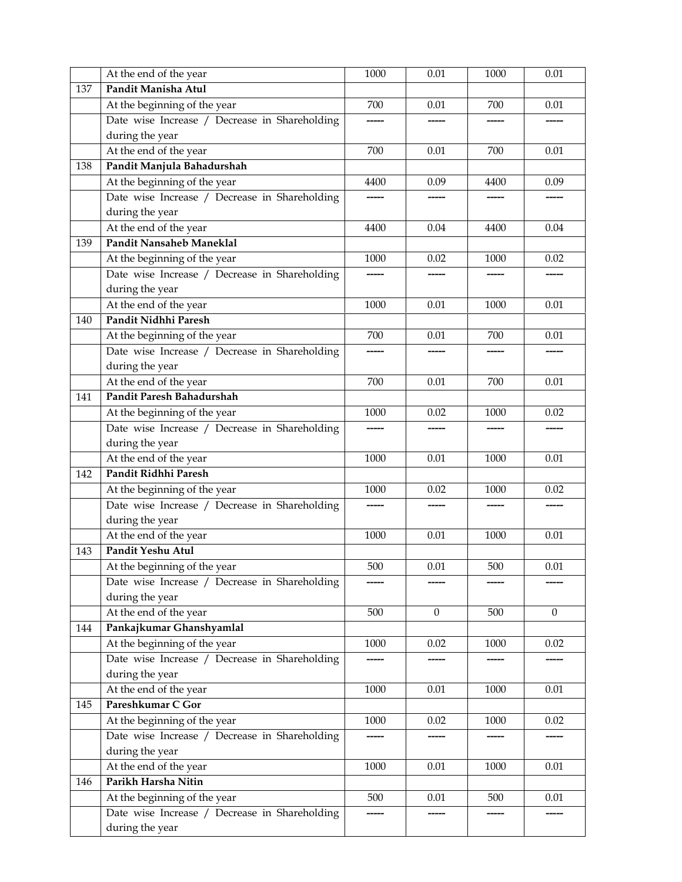|     | At the end of the year                        | 1000 | 0.01         | 1000 | 0.01         |
|-----|-----------------------------------------------|------|--------------|------|--------------|
| 137 | Pandit Manisha Atul                           |      |              |      |              |
|     | At the beginning of the year                  | 700  | 0.01         | 700  | 0.01         |
|     | Date wise Increase / Decrease in Shareholding |      |              |      |              |
|     | during the year                               |      |              |      |              |
|     | At the end of the year                        | 700  | 0.01         | 700  | 0.01         |
| 138 | Pandit Manjula Bahadurshah                    |      |              |      |              |
|     | At the beginning of the year                  | 4400 | 0.09         | 4400 | 0.09         |
|     | Date wise Increase / Decrease in Shareholding |      |              |      |              |
|     | during the year                               |      |              |      |              |
|     | At the end of the year                        | 4400 | 0.04         | 4400 | 0.04         |
| 139 | Pandit Nansaheb Maneklal                      |      |              |      |              |
|     | At the beginning of the year                  | 1000 | 0.02         | 1000 | 0.02         |
|     | Date wise Increase / Decrease in Shareholding |      |              |      |              |
|     | during the year                               |      |              |      |              |
|     | At the end of the year                        | 1000 | 0.01         | 1000 | 0.01         |
| 140 | Pandit Nidhhi Paresh                          |      |              |      |              |
|     | At the beginning of the year                  | 700  | 0.01         | 700  | 0.01         |
|     | Date wise Increase / Decrease in Shareholding |      |              |      |              |
|     | during the year                               |      |              |      |              |
|     | At the end of the year                        | 700  | 0.01         | 700  | 0.01         |
| 141 | Pandit Paresh Bahadurshah                     |      |              |      |              |
|     | At the beginning of the year                  | 1000 | 0.02         | 1000 | 0.02         |
|     | Date wise Increase / Decrease in Shareholding |      |              |      |              |
|     | during the year                               |      |              |      |              |
|     | At the end of the year                        | 1000 | 0.01         | 1000 | 0.01         |
| 142 | Pandit Ridhhi Paresh                          |      |              |      |              |
|     | At the beginning of the year                  | 1000 | 0.02         | 1000 | 0.02         |
|     | Date wise Increase / Decrease in Shareholding |      |              |      |              |
|     | during the year                               |      |              |      |              |
|     | At the end of the year                        | 1000 | 0.01         | 1000 | 0.01         |
| 143 | Pandit Yeshu Atul                             |      |              |      |              |
|     | At the beginning of the year                  | 500  | $0.01\,$     | 500  | $0.01\,$     |
|     | Date wise Increase / Decrease in Shareholding |      |              |      |              |
|     | during the year                               |      |              |      |              |
|     | At the end of the year                        | 500  | $\mathbf{0}$ | 500  | $\mathbf{0}$ |
| 144 | Pankajkumar Ghanshyamlal                      |      |              |      |              |
|     | At the beginning of the year                  | 1000 | 0.02         | 1000 | 0.02         |
|     | Date wise Increase / Decrease in Shareholding |      |              |      |              |
|     | during the year                               |      |              |      |              |
|     | At the end of the year                        | 1000 | 0.01         | 1000 | 0.01         |
| 145 | Pareshkumar C Gor                             |      |              |      |              |
|     | At the beginning of the year                  | 1000 | 0.02         | 1000 | 0.02         |
|     | Date wise Increase / Decrease in Shareholding |      |              |      |              |
|     | during the year                               |      |              |      |              |
|     | At the end of the year                        | 1000 | 0.01         | 1000 | $0.01\,$     |
| 146 | Parikh Harsha Nitin                           |      |              |      |              |
|     | At the beginning of the year                  | 500  | 0.01         | 500  | 0.01         |
|     | Date wise Increase / Decrease in Shareholding |      |              |      |              |
|     | during the year                               |      |              |      |              |
|     |                                               |      |              |      |              |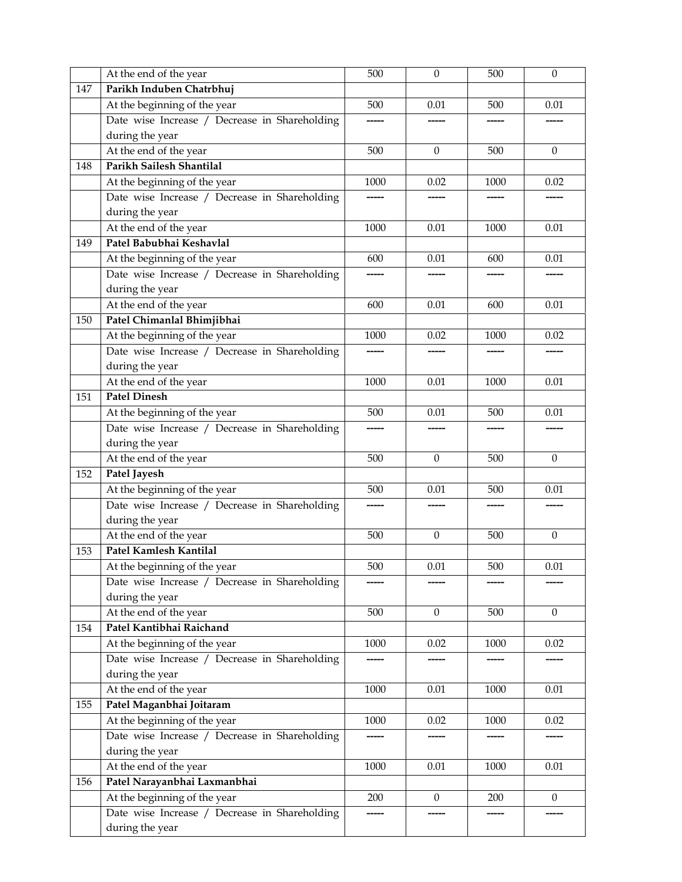|     | At the end of the year                        | 500   | $\boldsymbol{0}$ | 500  | $\theta$     |
|-----|-----------------------------------------------|-------|------------------|------|--------------|
| 147 | Parikh Induben Chatrbhuj                      |       |                  |      |              |
|     | At the beginning of the year                  | 500   | 0.01             | 500  | 0.01         |
|     | Date wise Increase / Decrease in Shareholding |       |                  |      |              |
|     | during the year                               |       |                  |      |              |
|     | At the end of the year                        | 500   | $\Omega$         | 500  | $\Omega$     |
| 148 | Parikh Sailesh Shantilal                      |       |                  |      |              |
|     | At the beginning of the year                  | 1000  | 0.02             | 1000 | 0.02         |
|     | Date wise Increase / Decrease in Shareholding |       |                  |      |              |
|     | during the year                               |       |                  |      |              |
|     | At the end of the year                        | 1000  | 0.01             | 1000 | 0.01         |
| 149 | Patel Babubhai Keshavlal                      |       |                  |      |              |
|     | At the beginning of the year                  | 600   | 0.01             | 600  | 0.01         |
|     | Date wise Increase / Decrease in Shareholding |       |                  |      |              |
|     | during the year                               |       |                  |      |              |
|     | At the end of the year                        | 600   | 0.01             | 600  | 0.01         |
| 150 | Patel Chimanlal Bhimjibhai                    |       |                  |      |              |
|     | At the beginning of the year                  | 1000  | 0.02             | 1000 | 0.02         |
|     | Date wise Increase / Decrease in Shareholding |       |                  |      |              |
|     | during the year                               |       |                  |      |              |
|     | At the end of the year                        | 1000  | 0.01             | 1000 | 0.01         |
| 151 | <b>Patel Dinesh</b>                           |       |                  |      |              |
|     | At the beginning of the year                  | 500   | 0.01             | 500  | 0.01         |
|     | Date wise Increase / Decrease in Shareholding | ----- |                  |      |              |
|     | during the year                               |       |                  |      |              |
|     | At the end of the year                        | 500   | $\Omega$         | 500  | $\theta$     |
| 152 | Patel Jayesh                                  |       |                  |      |              |
|     | At the beginning of the year                  | 500   | 0.01             | 500  | 0.01         |
|     | Date wise Increase / Decrease in Shareholding | ----- |                  |      |              |
|     | during the year                               |       |                  |      |              |
|     | At the end of the year                        | 500   | $\theta$         | 500  | $\theta$     |
| 153 | Patel Kamlesh Kantilal                        |       |                  |      |              |
|     | At the beginning of the year                  | 500   | $0.01\,$         | 500  | 0.01         |
|     | Date wise Increase / Decrease in Shareholding |       |                  |      |              |
|     | during the year                               |       |                  |      |              |
|     | At the end of the year                        | 500   | $\mathbf{0}$     | 500  | $\mathbf{0}$ |
| 154 | Patel Kantibhai Raichand                      |       |                  |      |              |
|     | At the beginning of the year                  | 1000  | 0.02             | 1000 | 0.02         |
|     | Date wise Increase / Decrease in Shareholding |       |                  |      |              |
|     | during the year                               |       |                  |      |              |
|     | At the end of the year                        | 1000  | 0.01             | 1000 | 0.01         |
| 155 | Patel Maganbhai Joitaram                      |       |                  |      |              |
|     | At the beginning of the year                  | 1000  | 0.02             | 1000 | 0.02         |
|     | Date wise Increase / Decrease in Shareholding |       |                  |      |              |
|     | during the year                               |       |                  |      |              |
|     | At the end of the year                        | 1000  | $0.01\,$         | 1000 | 0.01         |
| 156 | Patel Narayanbhai Laxmanbhai                  |       |                  |      |              |
|     | At the beginning of the year                  | 200   | $\theta$         | 200  | $\mathbf{0}$ |
|     | Date wise Increase / Decrease in Shareholding |       |                  |      |              |
|     | during the year                               |       |                  |      |              |
|     |                                               |       |                  |      |              |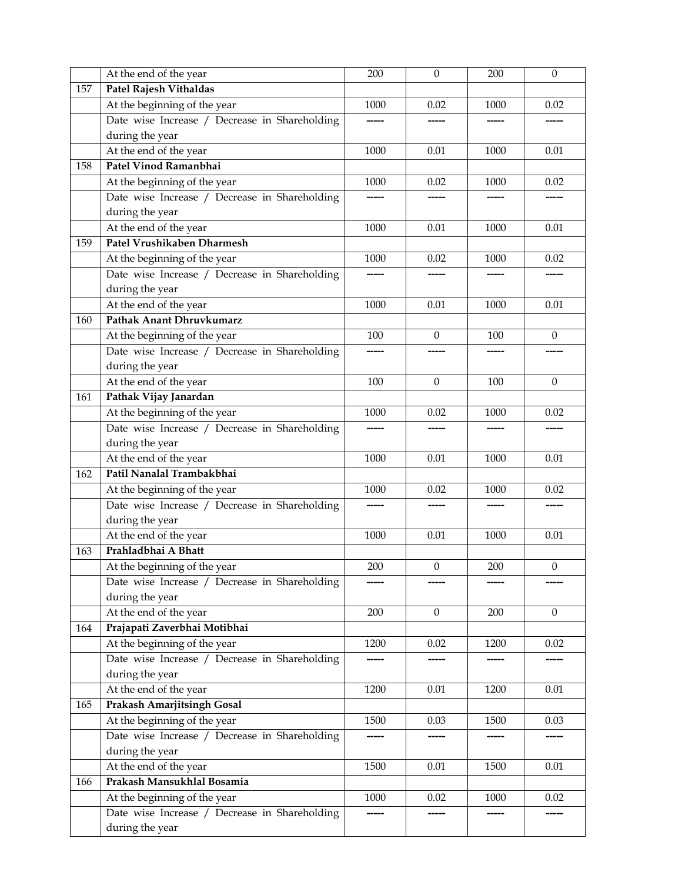|     | At the end of the year                        | 200  | $\boldsymbol{0}$ | 200  | $\boldsymbol{0}$ |
|-----|-----------------------------------------------|------|------------------|------|------------------|
| 157 | Patel Rajesh Vithaldas                        |      |                  |      |                  |
|     | At the beginning of the year                  | 1000 | 0.02             | 1000 | 0.02             |
|     | Date wise Increase / Decrease in Shareholding |      |                  |      |                  |
|     | during the year                               |      |                  |      |                  |
|     | At the end of the year                        | 1000 | 0.01             | 1000 | 0.01             |
| 158 | Patel Vinod Ramanbhai                         |      |                  |      |                  |
|     | At the beginning of the year                  | 1000 | 0.02             | 1000 | 0.02             |
|     | Date wise Increase / Decrease in Shareholding |      |                  |      |                  |
|     | during the year                               |      |                  |      |                  |
|     | At the end of the year                        | 1000 | 0.01             | 1000 | 0.01             |
| 159 | Patel Vrushikaben Dharmesh                    |      |                  |      |                  |
|     | At the beginning of the year                  | 1000 | 0.02             | 1000 | 0.02             |
|     | Date wise Increase / Decrease in Shareholding |      |                  |      |                  |
|     | during the year                               |      |                  |      |                  |
|     | At the end of the year                        | 1000 | 0.01             | 1000 | 0.01             |
| 160 | Pathak Anant Dhruvkumarz                      |      |                  |      |                  |
|     | At the beginning of the year                  | 100  | $\mathbf{0}$     | 100  | $\theta$         |
|     | Date wise Increase / Decrease in Shareholding |      |                  |      |                  |
|     | during the year                               |      |                  |      |                  |
|     | At the end of the year                        | 100  | $\boldsymbol{0}$ | 100  | $\mathbf{0}$     |
| 161 | Pathak Vijay Janardan                         |      |                  |      |                  |
|     | At the beginning of the year                  | 1000 | 0.02             | 1000 | 0.02             |
|     | Date wise Increase / Decrease in Shareholding |      |                  |      |                  |
|     | during the year                               |      |                  |      |                  |
|     | At the end of the year                        | 1000 | 0.01             | 1000 | 0.01             |
| 162 | Patil Nanalal Trambakbhai                     |      |                  |      |                  |
|     | At the beginning of the year                  | 1000 | 0.02             | 1000 | 0.02             |
|     | Date wise Increase / Decrease in Shareholding |      |                  |      |                  |
|     | during the year                               |      |                  |      |                  |
|     | At the end of the year                        | 1000 | 0.01             | 1000 | 0.01             |
| 163 | Prahladbhai A Bhatt                           |      |                  |      |                  |
|     | At the beginning of the year                  | 200  | $\boldsymbol{0}$ | 200  | $\boldsymbol{0}$ |
|     | Date wise Increase / Decrease in Shareholding |      |                  |      |                  |
|     | during the year                               |      |                  |      |                  |
|     | At the end of the year                        | 200  | $\mathbf{0}$     | 200  | $\mathbf{0}$     |
| 164 | Prajapati Zaverbhai Motibhai                  |      |                  |      |                  |
|     | At the beginning of the year                  | 1200 | 0.02             | 1200 | 0.02             |
|     | Date wise Increase / Decrease in Shareholding |      |                  |      |                  |
|     | during the year                               |      |                  |      |                  |
|     | At the end of the year                        | 1200 | 0.01             | 1200 | 0.01             |
| 165 | <b>Prakash Amarjitsingh Gosal</b>             |      |                  |      |                  |
|     | At the beginning of the year                  | 1500 | 0.03             | 1500 | 0.03             |
|     | Date wise Increase / Decrease in Shareholding |      |                  |      |                  |
|     | during the year                               |      |                  |      |                  |
|     | At the end of the year                        | 1500 | $0.01\,$         | 1500 | $0.01\,$         |
| 166 | Prakash Mansukhlal Bosamia                    |      |                  |      |                  |
|     | At the beginning of the year                  | 1000 | 0.02             | 1000 | 0.02             |
|     | Date wise Increase / Decrease in Shareholding |      |                  |      |                  |
|     | during the year                               |      |                  |      |                  |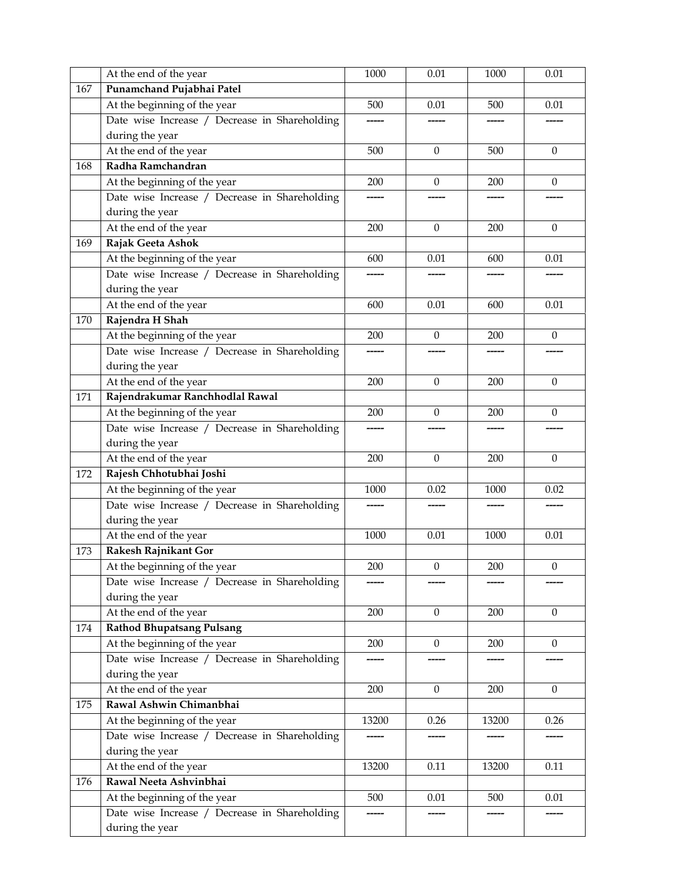|     | At the end of the year                        | 1000  | 0.01             | 1000  | 0.01             |
|-----|-----------------------------------------------|-------|------------------|-------|------------------|
| 167 | Punamchand Pujabhai Patel                     |       |                  |       |                  |
|     | At the beginning of the year                  | 500   | 0.01             | 500   | 0.01             |
|     | Date wise Increase / Decrease in Shareholding |       |                  |       |                  |
|     | during the year                               |       |                  |       |                  |
|     | At the end of the year                        | 500   | $\Omega$         | 500   | $\mathbf{0}$     |
| 168 | Radha Ramchandran                             |       |                  |       |                  |
|     | At the beginning of the year                  | 200   | $\theta$         | 200   | $\theta$         |
|     | Date wise Increase / Decrease in Shareholding |       |                  |       |                  |
|     | during the year                               |       |                  |       |                  |
|     | At the end of the year                        | 200   | $\mathbf{0}$     | 200   | $\boldsymbol{0}$ |
| 169 | Rajak Geeta Ashok                             |       |                  |       |                  |
|     | At the beginning of the year                  | 600   | 0.01             | 600   | 0.01             |
|     | Date wise Increase / Decrease in Shareholding |       |                  |       |                  |
|     | during the year                               |       |                  |       |                  |
|     | At the end of the year                        | 600   | 0.01             | 600   | 0.01             |
| 170 | Rajendra H Shah                               |       |                  |       |                  |
|     | At the beginning of the year                  | 200   | $\theta$         | 200   | $\theta$         |
|     | Date wise Increase / Decrease in Shareholding |       |                  |       |                  |
|     | during the year                               |       |                  |       |                  |
|     | At the end of the year                        | 200   | $\boldsymbol{0}$ | 200   | $\mathbf{0}$     |
| 171 | Rajendrakumar Ranchhodlal Rawal               |       |                  |       |                  |
|     | At the beginning of the year                  | 200   | $\mathbf{0}$     | 200   | $\theta$         |
|     | Date wise Increase / Decrease in Shareholding |       |                  |       |                  |
|     | during the year                               |       |                  |       |                  |
|     | At the end of the year                        | 200   | $\theta$         | 200   | $\theta$         |
| 172 | Rajesh Chhotubhai Joshi                       |       |                  |       |                  |
|     | At the beginning of the year                  | 1000  | 0.02             | 1000  | 0.02             |
|     | Date wise Increase / Decrease in Shareholding |       |                  |       |                  |
|     | during the year                               |       |                  |       |                  |
|     | At the end of the year                        | 1000  | 0.01             | 1000  | 0.01             |
| 173 | Rakesh Rajnikant Gor                          |       |                  |       |                  |
|     | At the beginning of the year                  | 200   | $\boldsymbol{0}$ | 200   | $\boldsymbol{0}$ |
|     | Date wise Increase / Decrease in Shareholding |       |                  |       |                  |
|     | during the year                               |       |                  |       |                  |
|     | At the end of the year                        | 200   | $\mathbf{0}$     | 200   | $\mathbf{0}$     |
| 174 | <b>Rathod Bhupatsang Pulsang</b>              |       |                  |       |                  |
|     | At the beginning of the year                  | 200   | $\mathbf{0}$     | 200   | $\mathbf{0}$     |
|     | Date wise Increase / Decrease in Shareholding |       |                  |       |                  |
|     | during the year                               |       |                  |       |                  |
|     | At the end of the year                        | 200   | $\boldsymbol{0}$ | 200   | $\theta$         |
| 175 | Rawal Ashwin Chimanbhai                       |       |                  |       |                  |
|     | At the beginning of the year                  | 13200 | 0.26             | 13200 | 0.26             |
|     | Date wise Increase / Decrease in Shareholding |       |                  |       |                  |
|     | during the year                               |       |                  |       |                  |
|     | At the end of the year                        | 13200 | 0.11             | 13200 | 0.11             |
| 176 | Rawal Neeta Ashvinbhai                        |       |                  |       |                  |
|     |                                               | 500   | $0.01\,$         | 500   | 0.01             |
|     | At the beginning of the year                  |       |                  |       |                  |
|     | Date wise Increase / Decrease in Shareholding |       |                  |       |                  |
|     | during the year                               |       |                  |       |                  |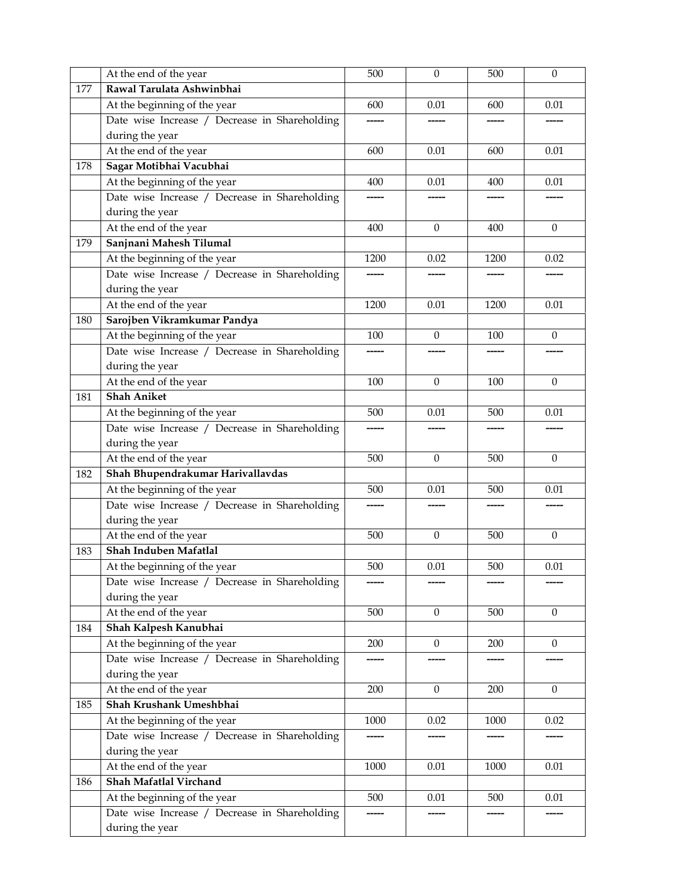|     | At the end of the year                        | 500  | $\boldsymbol{0}$ | 500  | $\theta$     |
|-----|-----------------------------------------------|------|------------------|------|--------------|
| 177 | Rawal Tarulata Ashwinbhai                     |      |                  |      |              |
|     | At the beginning of the year                  | 600  | 0.01             | 600  | 0.01         |
|     | Date wise Increase / Decrease in Shareholding |      |                  |      |              |
|     | during the year                               |      |                  |      |              |
|     | At the end of the year                        | 600  | 0.01             | 600  | 0.01         |
| 178 | Sagar Motibhai Vacubhai                       |      |                  |      |              |
|     | At the beginning of the year                  | 400  | 0.01             | 400  | 0.01         |
|     | Date wise Increase / Decrease in Shareholding |      |                  |      |              |
|     | during the year                               |      |                  |      |              |
|     | At the end of the year                        | 400  | $\mathbf{0}$     | 400  | $\mathbf{0}$ |
| 179 | Sanjnani Mahesh Tilumal                       |      |                  |      |              |
|     | At the beginning of the year                  | 1200 | 0.02             | 1200 | 0.02         |
|     | Date wise Increase / Decrease in Shareholding |      |                  |      |              |
|     | during the year                               |      |                  |      |              |
|     | At the end of the year                        | 1200 | 0.01             | 1200 | 0.01         |
| 180 | Sarojben Vikramkumar Pandya                   |      |                  |      |              |
|     | At the beginning of the year                  | 100  | $\theta$         | 100  | $\theta$     |
|     | Date wise Increase / Decrease in Shareholding |      |                  |      |              |
|     | during the year                               |      |                  |      |              |
|     | At the end of the year                        | 100  | $\theta$         | 100  | $\mathbf{0}$ |
| 181 | <b>Shah Aniket</b>                            |      |                  |      |              |
|     | At the beginning of the year                  | 500  | 0.01             | 500  | 0.01         |
|     | Date wise Increase / Decrease in Shareholding |      |                  |      |              |
|     | during the year                               |      |                  |      |              |
|     | At the end of the year                        | 500  | $\theta$         | 500  | $\theta$     |
| 182 | Shah Bhupendrakumar Harivallavdas             |      |                  |      |              |
|     | At the beginning of the year                  | 500  | 0.01             | 500  | 0.01         |
|     | Date wise Increase / Decrease in Shareholding |      |                  |      |              |
|     | during the year                               |      |                  |      |              |
|     | At the end of the year                        | 500  | $\theta$         | 500  | $\mathbf{0}$ |
| 183 | Shah Induben Mafatlal                         |      |                  |      |              |
|     | At the beginning of the year                  | 500  | 0.01             | 500  | 0.01         |
|     | Date wise Increase / Decrease in Shareholding |      |                  |      |              |
|     | during the year                               |      |                  |      |              |
|     | At the end of the year                        | 500  | $\mathbf{0}$     | 500  | $\mathbf{0}$ |
| 184 | Shah Kalpesh Kanubhai                         |      |                  |      |              |
|     | At the beginning of the year                  | 200  | $\boldsymbol{0}$ | 200  | $\mathbf{0}$ |
|     | Date wise Increase / Decrease in Shareholding |      |                  |      |              |
|     | during the year                               |      |                  |      |              |
|     | At the end of the year                        | 200  | $\boldsymbol{0}$ | 200  | $\theta$     |
| 185 | Shah Krushank Umeshbhai                       |      |                  |      |              |
|     | At the beginning of the year                  | 1000 | 0.02             | 1000 | 0.02         |
|     | Date wise Increase / Decrease in Shareholding |      |                  |      |              |
|     | during the year                               |      |                  |      |              |
|     | At the end of the year                        | 1000 | $0.01\,$         | 1000 | 0.01         |
| 186 | Shah Mafatlal Virchand                        |      |                  |      |              |
|     | At the beginning of the year                  | 500  | 0.01             | 500  | 0.01         |
|     | Date wise Increase / Decrease in Shareholding |      |                  |      |              |
|     | during the year                               |      |                  |      |              |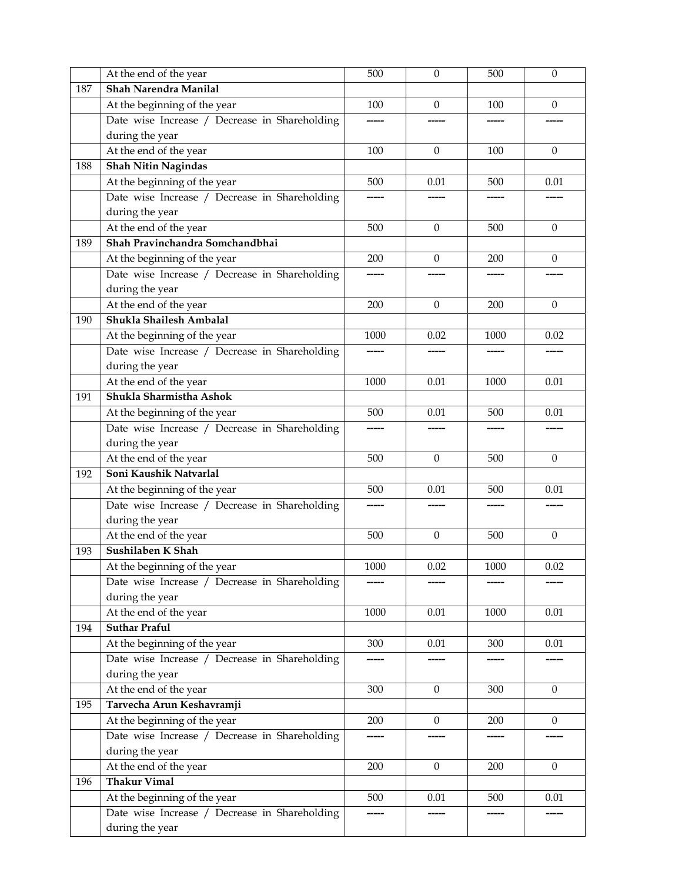|     | At the end of the year                        | 500  | $\boldsymbol{0}$ | 500      | $\mathbf{0}$ |
|-----|-----------------------------------------------|------|------------------|----------|--------------|
| 187 | Shah Narendra Manilal                         |      |                  |          |              |
|     | At the beginning of the year                  | 100  | $\mathbf{0}$     | 100      | $\theta$     |
|     | Date wise Increase / Decrease in Shareholding |      |                  |          |              |
|     | during the year                               |      |                  |          |              |
|     | At the end of the year                        | 100  | $\theta$         | 100      | $\theta$     |
| 188 | <b>Shah Nitin Nagindas</b>                    |      |                  |          |              |
|     | At the beginning of the year                  | 500  | 0.01             | 500      | 0.01         |
|     | Date wise Increase / Decrease in Shareholding |      |                  |          |              |
|     | during the year                               |      |                  |          |              |
|     | At the end of the year                        | 500  | $\boldsymbol{0}$ | 500      | $\theta$     |
| 189 | Shah Pravinchandra Somchandbhai               |      |                  |          |              |
|     | At the beginning of the year                  | 200  | $\theta$         | 200      | $\theta$     |
|     | Date wise Increase / Decrease in Shareholding |      |                  |          |              |
|     | during the year                               |      |                  |          |              |
|     | At the end of the year                        | 200  | $\mathbf{0}$     | 200      | $\mathbf{0}$ |
| 190 | Shukla Shailesh Ambalal                       |      |                  |          |              |
|     | At the beginning of the year                  | 1000 | 0.02             | 1000     | 0.02         |
|     | Date wise Increase / Decrease in Shareholding |      |                  |          |              |
|     | during the year                               |      |                  |          |              |
|     | At the end of the year                        | 1000 | 0.01             | 1000     | 0.01         |
| 191 | Shukla Sharmistha Ashok                       |      |                  |          |              |
|     | At the beginning of the year                  | 500  | 0.01             | 500      | 0.01         |
|     | Date wise Increase / Decrease in Shareholding |      |                  |          |              |
|     | during the year                               |      |                  |          |              |
|     | At the end of the year                        | 500  | $\Omega$         | 500      | $\mathbf{0}$ |
| 192 | Soni Kaushik Natvarlal                        |      |                  |          |              |
|     | At the beginning of the year                  | 500  | 0.01             | 500      | 0.01         |
|     | Date wise Increase / Decrease in Shareholding |      |                  |          |              |
|     | during the year                               |      |                  |          |              |
|     | At the end of the year                        | 500  | $\theta$         | 500      | $\theta$     |
| 193 | Sushilaben K Shah                             |      |                  |          |              |
|     | At the beginning of the year                  | 1000 | 0.02             | $1000\,$ | 0.02         |
|     | Date wise Increase / Decrease in Shareholding |      |                  |          |              |
|     | during the year                               |      |                  |          |              |
|     | At the end of the year                        | 1000 | 0.01             | 1000     | 0.01         |
| 194 | <b>Suthar Praful</b>                          |      |                  |          |              |
|     | At the beginning of the year                  | 300  | 0.01             | 300      | 0.01         |
|     | Date wise Increase / Decrease in Shareholding |      |                  |          |              |
|     | during the year                               |      |                  |          |              |
|     | At the end of the year                        | 300  | $\theta$         | 300      | $\theta$     |
| 195 | Tarvecha Arun Keshavramji                     |      |                  |          |              |
|     | At the beginning of the year                  | 200  | $\theta$         | 200      | $\theta$     |
|     | Date wise Increase / Decrease in Shareholding |      |                  |          |              |
|     | during the year                               |      |                  |          |              |
|     | At the end of the year                        | 200  | $\mathbf{0}$     | 200      | $\theta$     |
| 196 | <b>Thakur Vimal</b>                           |      |                  |          |              |
|     | At the beginning of the year                  | 500  | 0.01             | 500      | 0.01         |
|     | Date wise Increase / Decrease in Shareholding |      |                  |          |              |
|     | during the year                               |      |                  |          |              |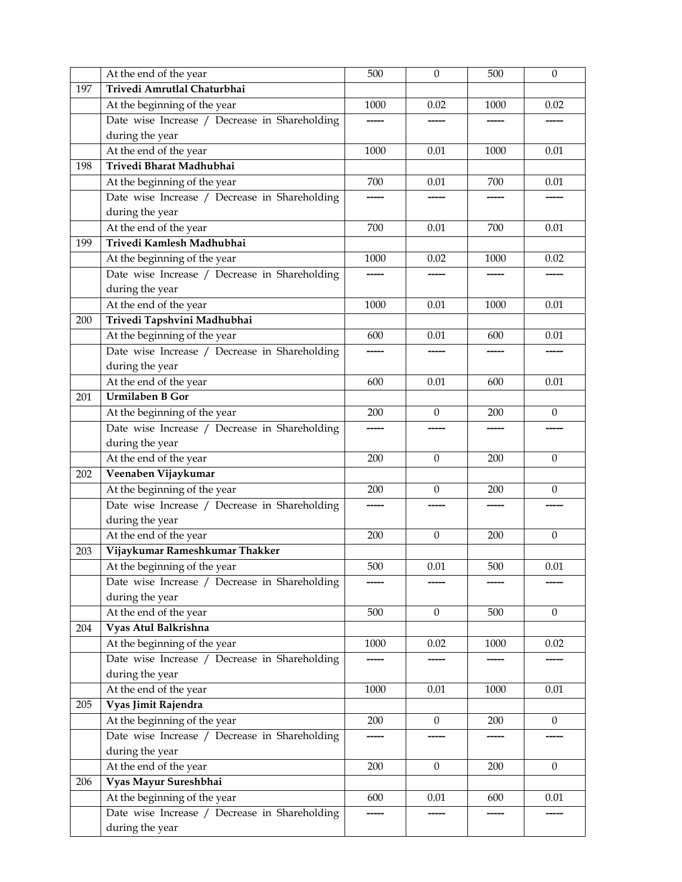|     | At the end of the year                        | 500   | $\boldsymbol{0}$ | 500  | $\boldsymbol{0}$ |
|-----|-----------------------------------------------|-------|------------------|------|------------------|
| 197 | Trivedi Amrutlal Chaturbhai                   |       |                  |      |                  |
|     | At the beginning of the year                  | 1000  | 0.02             | 1000 | 0.02             |
|     | Date wise Increase / Decrease in Shareholding |       |                  |      |                  |
|     | during the year                               |       |                  |      |                  |
|     | At the end of the year                        | 1000  | 0.01             | 1000 | 0.01             |
| 198 | Trivedi Bharat Madhubhai                      |       |                  |      |                  |
|     | At the beginning of the year                  | 700   | 0.01             | 700  | 0.01             |
|     | Date wise Increase / Decrease in Shareholding |       |                  |      |                  |
|     | during the year                               |       |                  |      |                  |
|     | At the end of the year                        | 700   | 0.01             | 700  | 0.01             |
| 199 | Trivedi Kamlesh Madhubhai                     |       |                  |      |                  |
|     | At the beginning of the year                  | 1000  | 0.02             | 1000 | 0.02             |
|     | Date wise Increase / Decrease in Shareholding |       |                  |      |                  |
|     | during the year                               |       |                  |      |                  |
|     | At the end of the year                        | 1000  | 0.01             | 1000 | 0.01             |
| 200 | Trivedi Tapshvini Madhubhai                   |       |                  |      |                  |
|     | At the beginning of the year                  | 600   | 0.01             | 600  | 0.01             |
|     | Date wise Increase / Decrease in Shareholding |       |                  |      |                  |
|     | during the year                               |       |                  |      |                  |
|     | At the end of the year                        | 600   | 0.01             | 600  | 0.01             |
| 201 | <b>Urmilaben B Gor</b>                        |       |                  |      |                  |
|     | At the beginning of the year                  | 200   | $\mathbf{0}$     | 200  | $\theta$         |
|     | Date wise Increase / Decrease in Shareholding |       |                  |      |                  |
|     | during the year                               |       |                  |      |                  |
|     | At the end of the year                        | 200   | $\theta$         | 200  | $\theta$         |
| 202 | Veenaben Vijaykumar                           |       |                  |      |                  |
|     | At the beginning of the year                  | 200   | $\mathbf{0}$     | 200  | $\mathbf{0}$     |
|     | Date wise Increase / Decrease in Shareholding | ----- |                  |      |                  |
|     | during the year                               |       |                  |      |                  |
|     | At the end of the year                        | 200   | $\theta$         | 200  | $\mathbf{0}$     |
| 203 | Vijaykumar Rameshkumar Thakker                |       |                  |      |                  |
|     | At the beginning of the year                  | 500   | $0.01\,$         | 500  | 0.01             |
|     | Date wise Increase / Decrease in Shareholding |       |                  |      |                  |
|     | during the year                               |       |                  |      |                  |
|     | At the end of the year                        | 500   | $\mathbf{0}$     | 500  | $\mathbf{0}$     |
| 204 | Vyas Atul Balkrishna                          |       |                  |      |                  |
|     | At the beginning of the year                  | 1000  | 0.02             | 1000 | 0.02             |
|     | Date wise Increase / Decrease in Shareholding |       |                  |      |                  |
|     | during the year                               |       |                  |      |                  |
|     | At the end of the year                        | 1000  | 0.01             | 1000 | 0.01             |
| 205 | Vyas Jimit Rajendra                           |       |                  |      |                  |
|     | At the beginning of the year                  | 200   | $\overline{0}$   | 200  | $\overline{0}$   |
|     | Date wise Increase / Decrease in Shareholding |       |                  |      |                  |
|     | during the year                               |       |                  |      |                  |
|     | At the end of the year                        | 200   | $\boldsymbol{0}$ | 200  | $\mathbf{0}$     |
| 206 | Vyas Mayur Sureshbhai                         |       |                  |      |                  |
|     | At the beginning of the year                  | 600   | 0.01             | 600  | 0.01             |
|     | Date wise Increase / Decrease in Shareholding |       |                  |      |                  |
|     | during the year                               |       |                  |      |                  |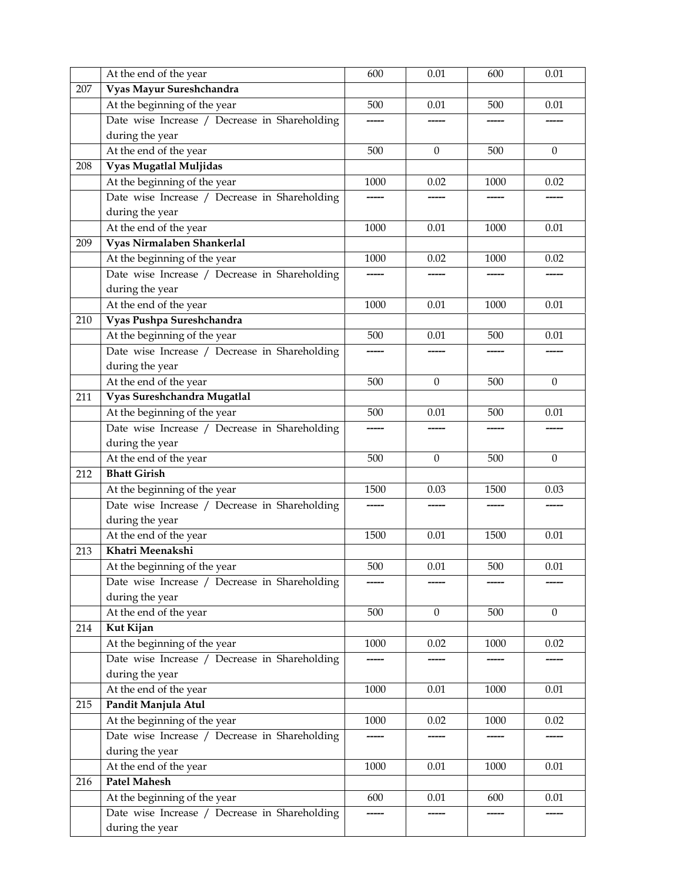|     | At the end of the year                        | 600   | 0.01             | 600  | 0.01             |
|-----|-----------------------------------------------|-------|------------------|------|------------------|
| 207 | Vyas Mayur Sureshchandra                      |       |                  |      |                  |
|     | At the beginning of the year                  | 500   | 0.01             | 500  | 0.01             |
|     | Date wise Increase / Decrease in Shareholding | ----- |                  |      |                  |
|     | during the year                               |       |                  |      |                  |
|     | At the end of the year                        | 500   | $\Omega$         | 500  | $\theta$         |
| 208 | Vyas Mugatlal Muljidas                        |       |                  |      |                  |
|     | At the beginning of the year                  | 1000  | 0.02             | 1000 | 0.02             |
|     | Date wise Increase / Decrease in Shareholding |       |                  |      |                  |
|     | during the year                               |       |                  |      |                  |
|     | At the end of the year                        | 1000  | 0.01             | 1000 | 0.01             |
| 209 | Vyas Nirmalaben Shankerlal                    |       |                  |      |                  |
|     | At the beginning of the year                  | 1000  | 0.02             | 1000 | 0.02             |
|     | Date wise Increase / Decrease in Shareholding |       |                  |      |                  |
|     | during the year                               |       |                  |      |                  |
|     | At the end of the year                        | 1000  | 0.01             | 1000 | 0.01             |
| 210 | Vyas Pushpa Sureshchandra                     |       |                  |      |                  |
|     | At the beginning of the year                  | 500   | 0.01             | 500  | 0.01             |
|     | Date wise Increase / Decrease in Shareholding |       |                  |      |                  |
|     | during the year                               |       |                  |      |                  |
|     | At the end of the year                        | 500   | $\boldsymbol{0}$ | 500  | $\boldsymbol{0}$ |
| 211 | Vyas Sureshchandra Mugatlal                   |       |                  |      |                  |
|     | At the beginning of the year                  | 500   | 0.01             | 500  | 0.01             |
|     | Date wise Increase / Decrease in Shareholding |       |                  |      |                  |
|     | during the year                               |       |                  |      |                  |
|     | At the end of the year                        | 500   | $\Omega$         | 500  | $\mathbf{0}$     |
| 212 | <b>Bhatt Girish</b>                           |       |                  |      |                  |
|     | At the beginning of the year                  | 1500  | 0.03             | 1500 | 0.03             |
|     | Date wise Increase / Decrease in Shareholding |       |                  |      |                  |
|     | during the year                               |       |                  |      |                  |
|     | At the end of the year                        | 1500  | 0.01             | 1500 | 0.01             |
| 213 | Khatri Meenakshi                              |       |                  |      |                  |
|     | At the beginning of the year                  | 500   | $0.01\,$         | 500  | $0.01\,$         |
|     | Date wise Increase / Decrease in Shareholding |       |                  |      |                  |
|     | during the year                               |       |                  |      |                  |
|     | At the end of the year                        | 500   | $\Omega$         | 500  | $\mathbf{0}$     |
| 214 | Kut Kijan                                     |       |                  |      |                  |
|     | At the beginning of the year                  | 1000  | 0.02             | 1000 | 0.02             |
|     | Date wise Increase / Decrease in Shareholding | ----- |                  |      | -----            |
|     | during the year                               |       |                  |      |                  |
|     | At the end of the year                        | 1000  | 0.01             | 1000 | 0.01             |
| 215 | Pandit Manjula Atul                           |       |                  |      |                  |
|     | At the beginning of the year                  | 1000  | 0.02             | 1000 | 0.02             |
|     | Date wise Increase / Decrease in Shareholding | ----- |                  |      | -----            |
|     | during the year                               |       |                  |      |                  |
|     | At the end of the year                        | 1000  | 0.01             | 1000 | 0.01             |
| 216 | <b>Patel Mahesh</b>                           |       |                  |      |                  |
|     | At the beginning of the year                  | 600   | 0.01             | 600  | 0.01             |
|     | Date wise Increase / Decrease in Shareholding |       |                  |      |                  |
|     | during the year                               |       |                  |      |                  |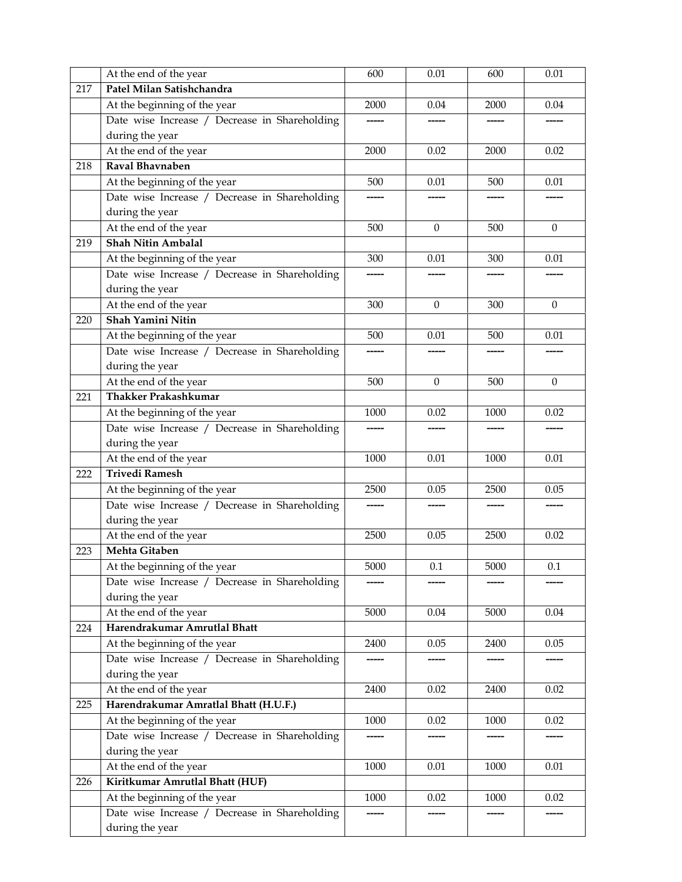|     | At the end of the year                        | 600  | 0.01     | 600  | 0.01         |
|-----|-----------------------------------------------|------|----------|------|--------------|
| 217 | Patel Milan Satishchandra                     |      |          |      |              |
|     | At the beginning of the year                  | 2000 | 0.04     | 2000 | 0.04         |
|     | Date wise Increase / Decrease in Shareholding |      |          |      |              |
|     | during the year                               |      |          |      |              |
|     | At the end of the year                        | 2000 | 0.02     | 2000 | 0.02         |
| 218 | Raval Bhavnaben                               |      |          |      |              |
|     | At the beginning of the year                  | 500  | 0.01     | 500  | 0.01         |
|     | Date wise Increase / Decrease in Shareholding |      |          |      |              |
|     | during the year                               |      |          |      |              |
|     | At the end of the year                        | 500  | $\Omega$ | 500  | $\mathbf{0}$ |
| 219 | <b>Shah Nitin Ambalal</b>                     |      |          |      |              |
|     | At the beginning of the year                  | 300  | 0.01     | 300  | 0.01         |
|     | Date wise Increase / Decrease in Shareholding |      |          |      |              |
|     | during the year                               |      |          |      |              |
|     | At the end of the year                        | 300  | $\Omega$ | 300  | $\Omega$     |
| 220 | Shah Yamini Nitin                             |      |          |      |              |
|     | At the beginning of the year                  | 500  | 0.01     | 500  | 0.01         |
|     | Date wise Increase / Decrease in Shareholding |      |          |      |              |
|     | during the year                               |      |          |      |              |
|     | At the end of the year                        | 500  | $\Omega$ | 500  | $\mathbf{0}$ |
| 221 | <b>Thakker Prakashkumar</b>                   |      |          |      |              |
|     | At the beginning of the year                  | 1000 | 0.02     | 1000 | 0.02         |
|     | Date wise Increase / Decrease in Shareholding |      |          |      |              |
|     | during the year                               |      |          |      |              |
|     | At the end of the year                        | 1000 | 0.01     | 1000 | 0.01         |
| 222 | <b>Trivedi Ramesh</b>                         |      |          |      |              |
|     | At the beginning of the year                  | 2500 | 0.05     | 2500 | 0.05         |
|     | Date wise Increase / Decrease in Shareholding |      |          |      |              |
|     | during the year                               |      |          |      |              |
|     | At the end of the year                        | 2500 | 0.05     | 2500 | 0.02         |
| 223 | Mehta Gitaben                                 |      |          |      |              |
|     | At the beginning of the year                  | 5000 | 0.1      | 5000 | 0.1          |
|     | Date wise Increase / Decrease in Shareholding |      |          |      |              |
|     | during the year                               |      |          |      |              |
|     | At the end of the year                        | 5000 | 0.04     | 5000 | 0.04         |
| 224 | Harendrakumar Amrutlal Bhatt                  |      |          |      |              |
|     | At the beginning of the year                  | 2400 | 0.05     | 2400 | 0.05         |
|     | Date wise Increase / Decrease in Shareholding |      |          |      |              |
|     | during the year                               |      |          |      |              |
|     | At the end of the year                        | 2400 | 0.02     | 2400 | 0.02         |
| 225 | Harendrakumar Amratlal Bhatt (H.U.F.)         |      |          |      |              |
|     | At the beginning of the year                  | 1000 | 0.02     | 1000 | 0.02         |
|     | Date wise Increase / Decrease in Shareholding |      |          |      |              |
|     | during the year                               |      |          |      |              |
|     | At the end of the year                        | 1000 | $0.01\,$ | 1000 | 0.01         |
| 226 | Kiritkumar Amrutlal Bhatt (HUF)               |      |          |      |              |
|     | At the beginning of the year                  | 1000 | 0.02     | 1000 | 0.02         |
|     | Date wise Increase / Decrease in Shareholding |      |          |      |              |
|     | during the year                               |      |          |      |              |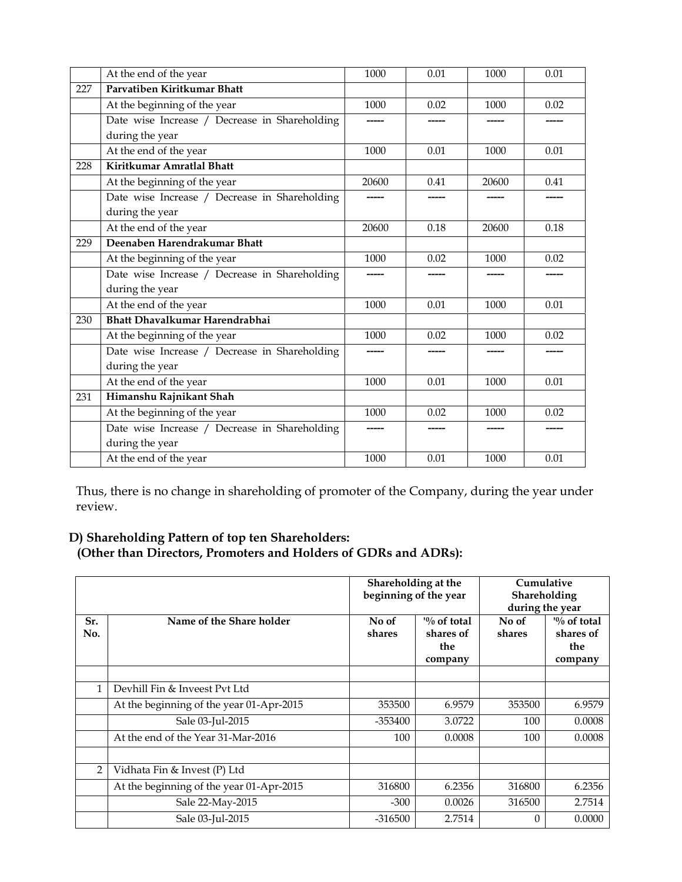|     | At the end of the year                        | 1000  | 0.01  | 1000   | 0.01   |
|-----|-----------------------------------------------|-------|-------|--------|--------|
| 227 | Parvatiben Kiritkumar Bhatt                   |       |       |        |        |
|     | At the beginning of the year                  | 1000  | 0.02  | 1000   | 0.02   |
|     | Date wise Increase / Decrease in Shareholding | ----- | ----- | ------ | ------ |
|     | during the year                               |       |       |        |        |
|     | At the end of the year                        | 1000  | 0.01  | 1000   | 0.01   |
| 228 | Kiritkumar Amratlal Bhatt                     |       |       |        |        |
|     | At the beginning of the year                  | 20600 | 0.41  | 20600  | 0.41   |
|     | Date wise Increase / Decrease in Shareholding |       |       |        |        |
|     | during the year                               |       |       |        |        |
|     | At the end of the year                        | 20600 | 0.18  | 20600  | 0.18   |
| 229 | Deenaben Harendrakumar Bhatt                  |       |       |        |        |
|     | At the beginning of the year                  | 1000  | 0.02  | 1000   | 0.02   |
|     | Date wise Increase / Decrease in Shareholding |       |       |        |        |
|     | during the year                               |       |       |        |        |
|     | At the end of the year                        | 1000  | 0.01  | 1000   | 0.01   |
| 230 | Bhatt Dhavalkumar Harendrabhai                |       |       |        |        |
|     | At the beginning of the year                  | 1000  | 0.02  | 1000   | 0.02   |
|     | Date wise Increase / Decrease in Shareholding | ----- |       |        |        |
|     | during the year                               |       |       |        |        |
|     | At the end of the year                        | 1000  | 0.01  | 1000   | 0.01   |
| 231 | Himanshu Rajnikant Shah                       |       |       |        |        |
|     | At the beginning of the year                  | 1000  | 0.02  | 1000   | 0.02   |
|     | Date wise Increase / Decrease in Shareholding | ----- |       | ------ | -----  |
|     | during the year                               |       |       |        |        |
|     | At the end of the year                        | 1000  | 0.01  | 1000   | 0.01   |

Thus, there is no change in shareholding of promoter of the Company, during the year under review.

## **D) Shareholding Pattern of top ten Shareholders: (Other than Directors, Promoters and Holders of GDRs and ADRs):**

|                |                                          | Shareholding at the<br>beginning of the year |                                                        | Cumulative<br>Shareholding<br>during the year |                                                        |
|----------------|------------------------------------------|----------------------------------------------|--------------------------------------------------------|-----------------------------------------------|--------------------------------------------------------|
| Sr.<br>No.     | Name of the Share holder                 | No of<br>shares                              | $\frac{10}{6}$ of total<br>shares of<br>the<br>company | No of<br>shares                               | $\frac{10}{6}$ of total<br>shares of<br>the<br>company |
|                |                                          |                                              |                                                        |                                               |                                                        |
| 1              | Devhill Fin & Inveest Pvt Ltd            |                                              |                                                        |                                               |                                                        |
|                | At the beginning of the year 01-Apr-2015 | 353500                                       | 6.9579                                                 | 353500                                        | 6.9579                                                 |
|                | Sale 03-Jul-2015                         | -353400                                      | 3.0722                                                 | 100                                           | 0.0008                                                 |
|                | At the end of the Year 31-Mar-2016       | 100                                          | 0.0008                                                 | 100                                           | 0.0008                                                 |
|                |                                          |                                              |                                                        |                                               |                                                        |
| $\overline{2}$ | Vidhata Fin & Invest (P) Ltd             |                                              |                                                        |                                               |                                                        |
|                | At the beginning of the year 01-Apr-2015 | 316800                                       | 6.2356                                                 | 316800                                        | 6.2356                                                 |
|                | Sale 22-May-2015                         | $-300$                                       | 0.0026                                                 | 316500                                        | 2.7514                                                 |
|                | Sale 03-Jul-2015                         | $-316500$                                    | 2.7514                                                 | 0                                             | 0.0000                                                 |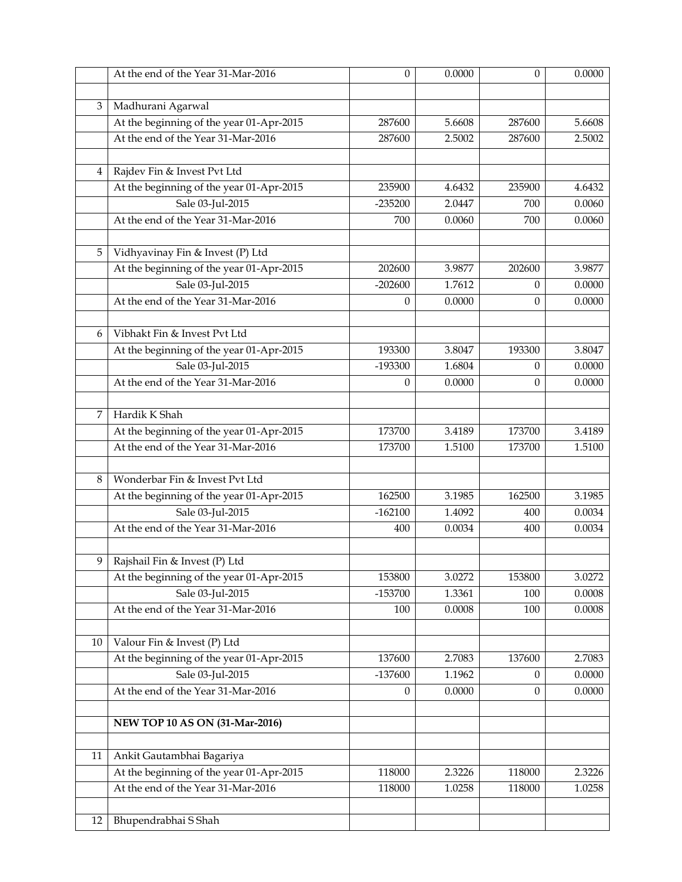|    | At the end of the Year 31-Mar-2016       | $\theta$         | 0.0000 | $\theta$         | 0.0000 |
|----|------------------------------------------|------------------|--------|------------------|--------|
|    |                                          |                  |        |                  |        |
| 3  | Madhurani Agarwal                        |                  |        |                  |        |
|    | At the beginning of the year 01-Apr-2015 | 287600           | 5.6608 | 287600           | 5.6608 |
|    | At the end of the Year 31-Mar-2016       | 287600           | 2.5002 | 287600           | 2.5002 |
|    |                                          |                  |        |                  |        |
| 4  | Rajdev Fin & Invest Pvt Ltd              |                  |        |                  |        |
|    | At the beginning of the year 01-Apr-2015 | 235900           | 4.6432 | 235900           | 4.6432 |
|    | Sale 03-Jul-2015                         | $-235200$        | 2.0447 | 700              | 0.0060 |
|    | At the end of the Year 31-Mar-2016       | 700              | 0.0060 | 700              | 0.0060 |
|    |                                          |                  |        |                  |        |
| 5  | Vidhyavinay Fin & Invest (P) Ltd         |                  |        |                  |        |
|    | At the beginning of the year 01-Apr-2015 | 202600           | 3.9877 | 202600           | 3.9877 |
|    | Sale 03-Jul-2015                         | $-202600$        | 1.7612 | $\theta$         | 0.0000 |
|    | At the end of the Year 31-Mar-2016       | $\theta$         | 0.0000 | $\theta$         | 0.0000 |
|    |                                          |                  |        |                  |        |
| 6  | Vibhakt Fin & Invest Pvt Ltd             |                  |        |                  |        |
|    | At the beginning of the year 01-Apr-2015 | 193300           | 3.8047 | 193300           | 3.8047 |
|    | Sale 03-Jul-2015                         | -193300          | 1.6804 | $\theta$         | 0.0000 |
|    | At the end of the Year 31-Mar-2016       | $\theta$         | 0.0000 | 0                | 0.0000 |
|    |                                          |                  |        |                  |        |
| 7  | Hardik K Shah                            |                  |        |                  |        |
|    | At the beginning of the year 01-Apr-2015 | 173700           | 3.4189 | 173700           | 3.4189 |
|    | At the end of the Year 31-Mar-2016       | 173700           | 1.5100 | 173700           | 1.5100 |
|    |                                          |                  |        |                  |        |
| 8  | Wonderbar Fin & Invest Pvt Ltd           |                  |        |                  |        |
|    | At the beginning of the year 01-Apr-2015 | 162500           | 3.1985 | 162500           | 3.1985 |
|    | Sale 03-Jul-2015                         | $-162100$        | 1.4092 | 400              | 0.0034 |
|    | At the end of the Year 31-Mar-2016       | 400              | 0.0034 | 400              | 0.0034 |
|    |                                          |                  |        |                  |        |
| 9  | Rajshail Fin & Invest (P) Ltd            |                  |        |                  |        |
|    | At the beginning of the year 01-Apr-2015 | 153800           | 3.0272 | 153800           | 3.0272 |
|    | Sale 03-Jul-2015                         | -153700          | 1.3361 | 100              | 0.0008 |
|    | At the end of the Year 31-Mar-2016       | 100              | 0.0008 | 100              | 0.0008 |
|    |                                          |                  |        |                  |        |
| 10 | Valour Fin & Invest (P) Ltd              |                  |        |                  |        |
|    | At the beginning of the year 01-Apr-2015 | 137600           | 2.7083 | 137600           | 2.7083 |
|    | Sale 03-Jul-2015                         | $-137600$        | 1.1962 | 0                | 0.0000 |
|    | At the end of the Year 31-Mar-2016       | $\boldsymbol{0}$ | 0.0000 | $\boldsymbol{0}$ | 0.0000 |
|    | NEW TOP 10 AS ON (31-Mar-2016)           |                  |        |                  |        |
|    |                                          |                  |        |                  |        |
| 11 | Ankit Gautambhai Bagariya                |                  |        |                  |        |
|    | At the beginning of the year 01-Apr-2015 | 118000           | 2.3226 | 118000           | 2.3226 |
|    | At the end of the Year 31-Mar-2016       | 118000           | 1.0258 | 118000           | 1.0258 |
|    |                                          |                  |        |                  |        |
| 12 | Bhupendrabhai S Shah                     |                  |        |                  |        |
|    |                                          |                  |        |                  |        |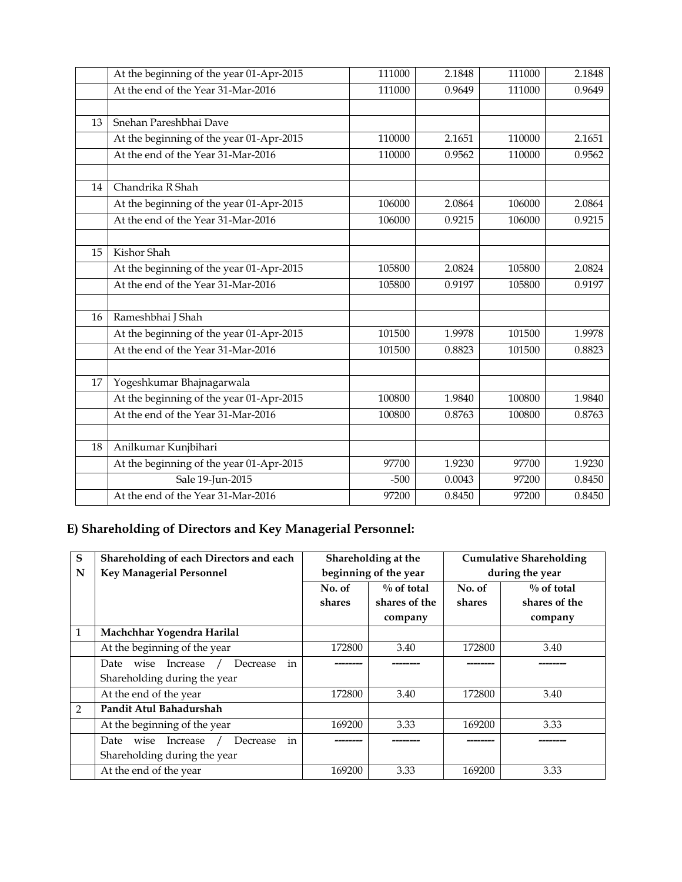|    | At the beginning of the year 01-Apr-2015 | 111000 | 2.1848 | 111000 | 2.1848 |
|----|------------------------------------------|--------|--------|--------|--------|
|    | At the end of the Year 31-Mar-2016       | 111000 | 0.9649 | 111000 | 0.9649 |
|    |                                          |        |        |        |        |
| 13 | Snehan Pareshbhai Dave                   |        |        |        |        |
|    | At the beginning of the year 01-Apr-2015 | 110000 | 2.1651 | 110000 | 2.1651 |
|    | At the end of the Year 31-Mar-2016       | 110000 | 0.9562 | 110000 | 0.9562 |
|    |                                          |        |        |        |        |
| 14 | Chandrika R Shah                         |        |        |        |        |
|    | At the beginning of the year 01-Apr-2015 | 106000 | 2.0864 | 106000 | 2.0864 |
|    | At the end of the Year 31-Mar-2016       | 106000 | 0.9215 | 106000 | 0.9215 |
|    |                                          |        |        |        |        |
| 15 | Kishor Shah                              |        |        |        |        |
|    | At the beginning of the year 01-Apr-2015 | 105800 | 2.0824 | 105800 | 2.0824 |
|    | At the end of the Year 31-Mar-2016       | 105800 | 0.9197 | 105800 | 0.9197 |
|    |                                          |        |        |        |        |
| 16 | Rameshbhai J Shah                        |        |        |        |        |
|    | At the beginning of the year 01-Apr-2015 | 101500 | 1.9978 | 101500 | 1.9978 |
|    | At the end of the Year 31-Mar-2016       | 101500 | 0.8823 | 101500 | 0.8823 |
|    |                                          |        |        |        |        |
| 17 | Yogeshkumar Bhajnagarwala                |        |        |        |        |
|    | At the beginning of the year 01-Apr-2015 | 100800 | 1.9840 | 100800 | 1.9840 |
|    | At the end of the Year 31-Mar-2016       | 100800 | 0.8763 | 100800 | 0.8763 |
|    |                                          |        |        |        |        |
| 18 | Anilkumar Kunjbihari                     |        |        |        |        |
|    | At the beginning of the year 01-Apr-2015 | 97700  | 1.9230 | 97700  | 1.9230 |
|    | Sale 19-Jun-2015                         | $-500$ | 0.0043 | 97200  | 0.8450 |
|    | At the end of the Year 31-Mar-2016       | 97200  | 0.8450 | 97200  | 0.8450 |

# **E) Shareholding of Directors and Key Managerial Personnel:**

| S             | Shareholding of each Directors and each    |        | Shareholding at the   |                 | <b>Cumulative Shareholding</b> |  |
|---------------|--------------------------------------------|--------|-----------------------|-----------------|--------------------------------|--|
| N             | <b>Key Managerial Personnel</b>            |        | beginning of the year | during the year |                                |  |
|               |                                            | No. of | $\%$ of total         | No. of          | $\%$ of total                  |  |
|               |                                            | shares | shares of the         | shares          | shares of the                  |  |
|               |                                            |        | company               |                 | company                        |  |
| 1             | Machchhar Yogendra Harilal                 |        |                       |                 |                                |  |
|               | At the beginning of the year               | 172800 | 3.40                  | 172800          | 3.40                           |  |
|               | in<br>Increase<br>Decrease<br>wise<br>Date |        |                       |                 |                                |  |
|               | Shareholding during the year               |        |                       |                 |                                |  |
|               | At the end of the year                     | 172800 | 3.40                  | 172800          | 3.40                           |  |
| $\mathcal{P}$ | Pandit Atul Bahadurshah                    |        |                       |                 |                                |  |
|               | At the beginning of the year               | 169200 | 3.33                  | 169200          | 3.33                           |  |
|               | in<br>Date<br>Increase<br>Decrease<br>wise |        |                       |                 |                                |  |
|               | Shareholding during the year               |        |                       |                 |                                |  |
|               | At the end of the year                     | 169200 | 3.33                  | 169200          | 3.33                           |  |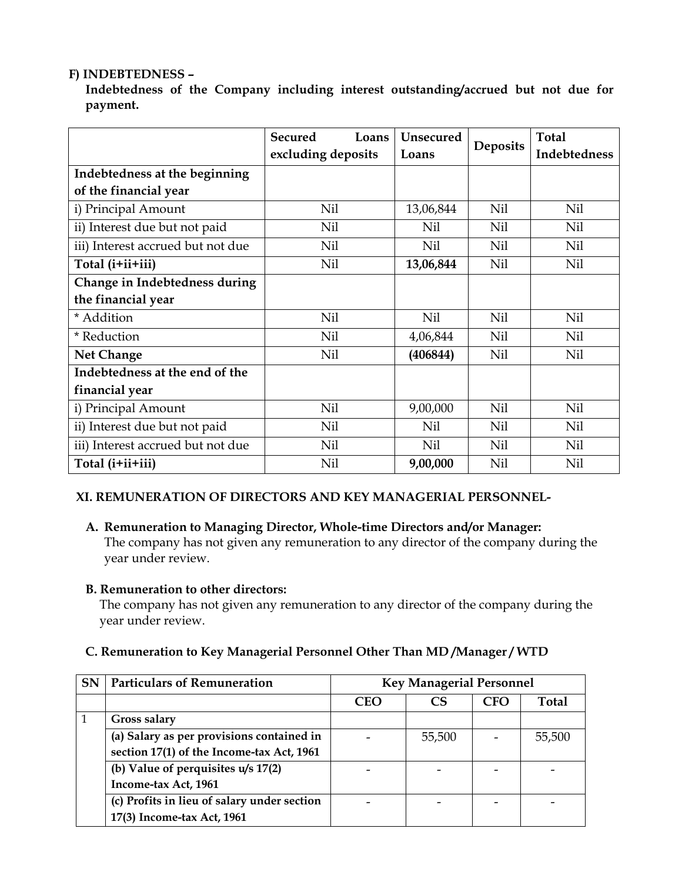## **F) INDEBTEDNESS –**

**Indebtedness of the Company including interest outstanding/accrued but not due for payment.** 

|                                   | <b>Secured</b><br>Loans | <b>Unsecured</b> |                 | <b>Total</b>        |
|-----------------------------------|-------------------------|------------------|-----------------|---------------------|
|                                   | excluding deposits      | Loans            | <b>Deposits</b> | <b>Indebtedness</b> |
| Indebtedness at the beginning     |                         |                  |                 |                     |
| of the financial year             |                         |                  |                 |                     |
| i) Principal Amount               | Nil                     | 13,06,844        | Nil             | Nil                 |
| ii) Interest due but not paid     | Nil                     | Nil              | Nil             | Nil                 |
| iii) Interest accrued but not due | Nil                     | Nil              | Nil             | Nil                 |
| Total (i+ii+iii)                  | Nil                     | 13,06,844        | Nil             | Nil                 |
| Change in Indebtedness during     |                         |                  |                 |                     |
| the financial year                |                         |                  |                 |                     |
| * Addition                        | Nil                     | Nil              | Nil             | Nil                 |
| * Reduction                       | Nil                     | 4,06,844         | Nil             | Nil                 |
| <b>Net Change</b>                 | Nil                     | (406844)         | Nil             | Nil                 |
| Indebtedness at the end of the    |                         |                  |                 |                     |
| financial year                    |                         |                  |                 |                     |
| i) Principal Amount               | Nil                     | 9,00,000         | Nil             | Nil                 |
| ii) Interest due but not paid     | Nil                     | Nil              | Nil             | Nil                 |
| iii) Interest accrued but not due | Nil                     | Nil              | Nil             | Nil                 |
| Total (i+ii+iii)                  | Nil                     | 9,00,000         | Nil             | Nil                 |

## **XI. REMUNERATION OF DIRECTORS AND KEY MANAGERIAL PERSONNEL-**

## **A. Remuneration to Managing Director, Whole-time Directors and/or Manager:**

The company has not given any remuneration to any director of the company during the year under review.

#### **B. Remuneration to other directors:**

The company has not given any remuneration to any director of the company during the year under review.

## **C. Remuneration to Key Managerial Personnel Other Than MD /Manager / WTD**

| <b>SN</b> | <b>Particulars of Remuneration</b>          | <b>Key Managerial Personnel</b> |        |     |              |  |
|-----------|---------------------------------------------|---------------------------------|--------|-----|--------------|--|
|           |                                             | <b>CEO</b>                      |        | CFO | <b>Total</b> |  |
|           | Gross salary                                |                                 |        |     |              |  |
|           | (a) Salary as per provisions contained in   |                                 | 55,500 |     | 55,500       |  |
|           | section 17(1) of the Income-tax Act, 1961   |                                 |        |     |              |  |
|           | (b) Value of perquisites u/s 17(2)          |                                 |        |     |              |  |
|           | Income-tax Act, 1961                        |                                 |        |     |              |  |
|           | (c) Profits in lieu of salary under section |                                 |        |     |              |  |
|           | 17(3) Income-tax Act, 1961                  |                                 |        |     |              |  |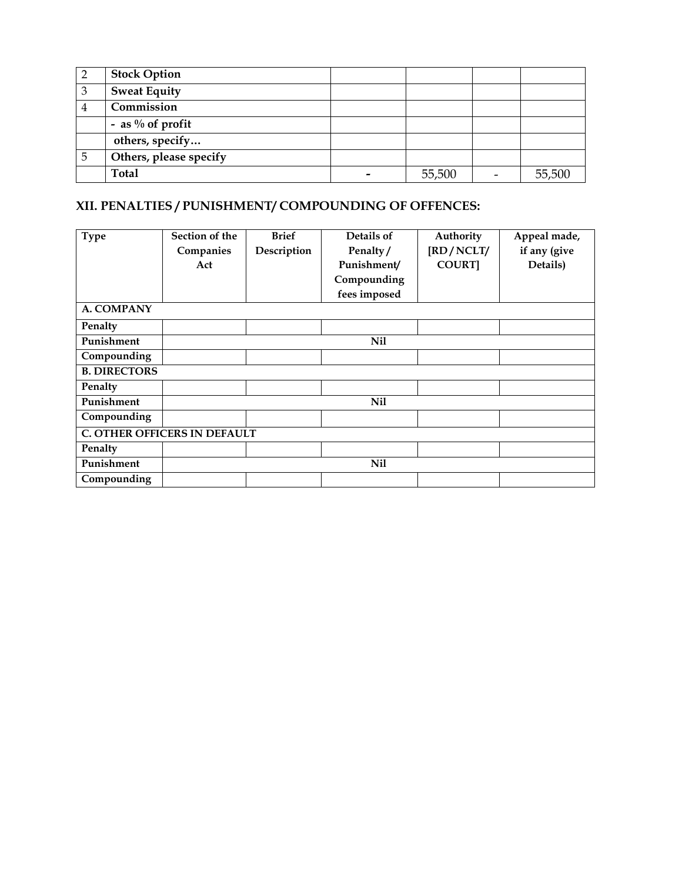|   | <b>Stock Option</b>    |        |        |
|---|------------------------|--------|--------|
| 3 | <b>Sweat Equity</b>    |        |        |
|   | Commission             |        |        |
|   | - as $\%$ of profit    |        |        |
|   | others, specify        |        |        |
|   | Others, please specify |        |        |
|   | Total                  | 55,500 | 55,500 |

## **XII. PENALTIES / PUNISHMENT/ COMPOUNDING OF OFFENCES:**

| <b>Type</b>         | Section of the                      | <b>Brief</b> | Details of   | Authority    | Appeal made, |
|---------------------|-------------------------------------|--------------|--------------|--------------|--------------|
|                     | Companies                           | Description  | Penalty/     | [RD/NCLT/    | if any (give |
|                     | Act                                 |              | Punishment/  | <b>COURT</b> | Details)     |
|                     |                                     |              | Compounding  |              |              |
|                     |                                     |              | fees imposed |              |              |
| A. COMPANY          |                                     |              |              |              |              |
| Penalty             |                                     |              |              |              |              |
| Punishment          |                                     |              | Nil          |              |              |
| Compounding         |                                     |              |              |              |              |
| <b>B. DIRECTORS</b> |                                     |              |              |              |              |
| Penalty             |                                     |              |              |              |              |
| Punishment          |                                     |              | <b>Nil</b>   |              |              |
| Compounding         |                                     |              |              |              |              |
|                     | <b>C. OTHER OFFICERS IN DEFAULT</b> |              |              |              |              |
| Penalty             |                                     |              |              |              |              |
| Punishment          |                                     |              | Nil          |              |              |
| Compounding         |                                     |              |              |              |              |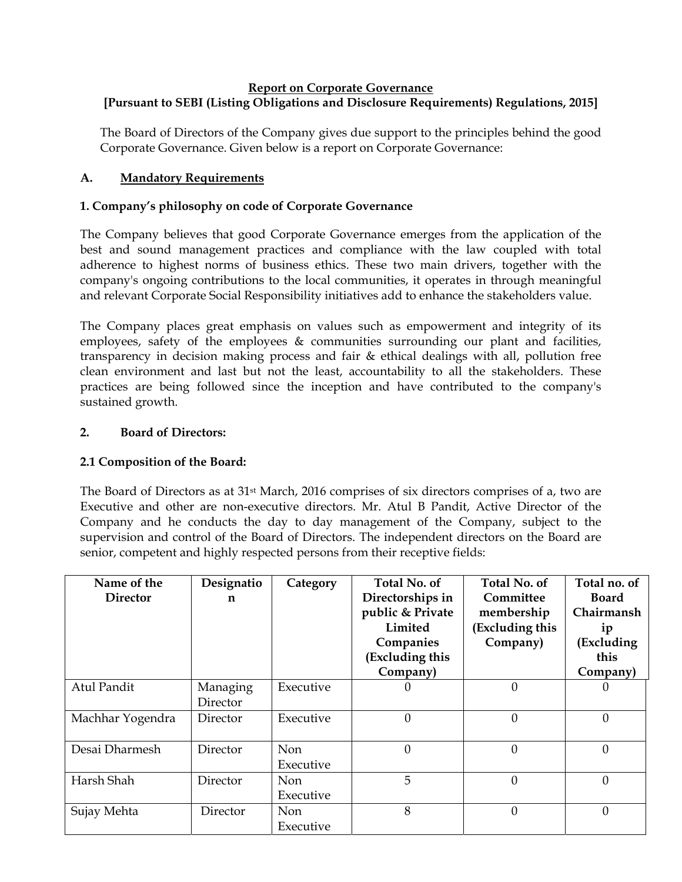#### **Report on Corporate Governance [Pursuant to SEBI (Listing Obligations and Disclosure Requirements) Regulations, 2015]**

The Board of Directors of the Company gives due support to the principles behind the good Corporate Governance. Given below is a report on Corporate Governance:

## **A. Mandatory Requirements**

## **1. Company's philosophy on code of Corporate Governance**

The Company believes that good Corporate Governance emerges from the application of the best and sound management practices and compliance with the law coupled with total adherence to highest norms of business ethics. These two main drivers, together with the company's ongoing contributions to the local communities, it operates in through meaningful and relevant Corporate Social Responsibility initiatives add to enhance the stakeholders value.

The Company places great emphasis on values such as empowerment and integrity of its employees, safety of the employees  $\&$  communities surrounding our plant and facilities, transparency in decision making process and fair & ethical dealings with all, pollution free clean environment and last but not the least, accountability to all the stakeholders. These practices are being followed since the inception and have contributed to the company's sustained growth.

## **2. Board of Directors:**

## **2.1 Composition of the Board:**

The Board of Directors as at 31st March, 2016 comprises of six directors comprises of a, two are Executive and other are non-executive directors. Mr. Atul B Pandit, Active Director of the Company and he conducts the day to day management of the Company, subject to the supervision and control of the Board of Directors. The independent directors on the Board are senior, competent and highly respected persons from their receptive fields:

| Name of the<br><b>Director</b> | Designatio<br>n | Category  | Total No. of<br>Directorships in<br>public & Private<br>Limited<br>Companies<br>(Excluding this<br>Company) | Total No. of<br>Committee<br>membership<br>(Excluding this<br>Company) | Total no. of<br><b>Board</b><br>Chairmansh<br>1p<br>(Excluding<br>this<br>Company) |
|--------------------------------|-----------------|-----------|-------------------------------------------------------------------------------------------------------------|------------------------------------------------------------------------|------------------------------------------------------------------------------------|
| Atul Pandit                    | Managing        | Executive | $\theta$                                                                                                    | $\Omega$                                                               |                                                                                    |
|                                | Director        |           |                                                                                                             |                                                                        |                                                                                    |
| Machhar Yogendra               | Director        | Executive | $\mathbf{0}$                                                                                                | $\theta$                                                               | $\Omega$                                                                           |
| Desai Dharmesh                 | Director        | Non       | $\theta$                                                                                                    | $\theta$                                                               | $\Omega$                                                                           |
|                                |                 | Executive |                                                                                                             |                                                                        |                                                                                    |
| Harsh Shah                     | Director        | Non       | 5                                                                                                           | $\Omega$                                                               | $\Omega$                                                                           |
|                                |                 | Executive |                                                                                                             |                                                                        |                                                                                    |
| Sujay Mehta                    | Director        | Non       | 8                                                                                                           | $\Omega$                                                               | 0                                                                                  |
|                                |                 | Executive |                                                                                                             |                                                                        |                                                                                    |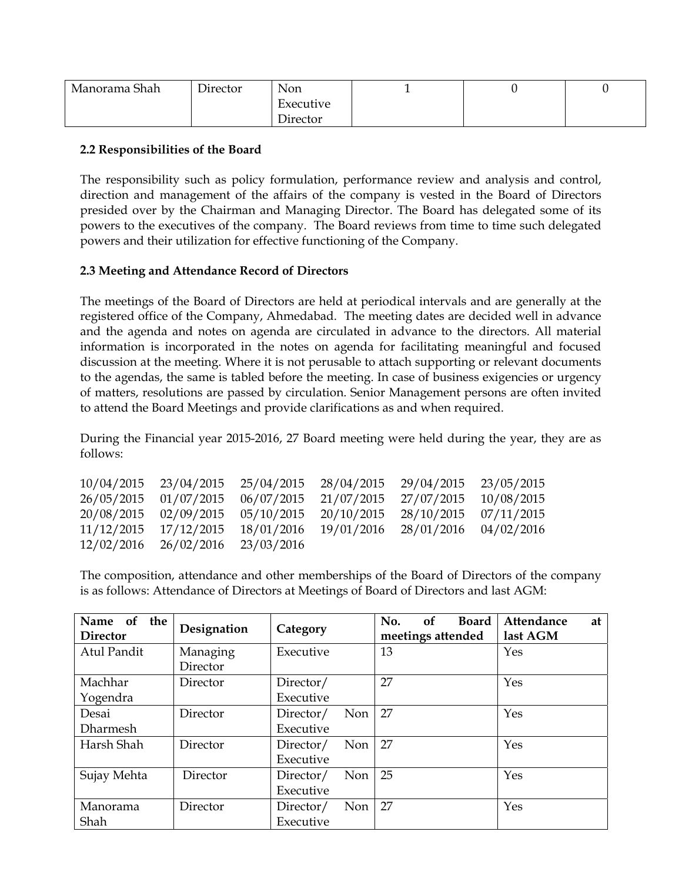| Manorama Shah | Director | Non       |  | ັ |
|---------------|----------|-----------|--|---|
|               |          | Executive |  |   |
|               |          | Director  |  |   |

## **2.2 Responsibilities of the Board**

The responsibility such as policy formulation, performance review and analysis and control, direction and management of the affairs of the company is vested in the Board of Directors presided over by the Chairman and Managing Director. The Board has delegated some of its powers to the executives of the company. The Board reviews from time to time such delegated powers and their utilization for effective functioning of the Company.

## **2.3 Meeting and Attendance Record of Directors**

The meetings of the Board of Directors are held at periodical intervals and are generally at the registered office of the Company, Ahmedabad. The meeting dates are decided well in advance and the agenda and notes on agenda are circulated in advance to the directors. All material information is incorporated in the notes on agenda for facilitating meaningful and focused discussion at the meeting. Where it is not perusable to attach supporting or relevant documents to the agendas, the same is tabled before the meeting. In case of business exigencies or urgency of matters, resolutions are passed by circulation. Senior Management persons are often invited to attend the Board Meetings and provide clarifications as and when required.

During the Financial year 2015-2016, 27 Board meeting were held during the year, they are as follows:

|            |                                             |            | 10/04/2015 23/04/2015 25/04/2015 28/04/2015 29/04/2015 23/05/2015 |                       |  |
|------------|---------------------------------------------|------------|-------------------------------------------------------------------|-----------------------|--|
|            | 26/05/2015 01/07/2015 06/07/2015 21/07/2015 |            |                                                                   | 27/07/2015 10/08/2015 |  |
|            |                                             |            | 20/08/2015 02/09/2015 05/10/2015 20/10/2015 28/10/2015 07/11/2015 |                       |  |
| 11/12/2015 | 17/12/2015                                  | 18/01/2016 | 19/01/2016 28/01/2016 04/02/2016                                  |                       |  |
|            | 12/02/2016 26/02/2016 23/03/2016            |            |                                                                   |                       |  |

The composition, attendance and other memberships of the Board of Directors of the company is as follows: Attendance of Directors at Meetings of Board of Directors and last AGM:

| Name<br>of<br>the<br><b>Director</b> | Designation | Category                | <sub>of</sub><br>No.<br><b>Board</b><br>meetings attended | Attendance<br>at<br>last AGM |
|--------------------------------------|-------------|-------------------------|-----------------------------------------------------------|------------------------------|
| Atul Pandit                          | Managing    | Executive               | 13                                                        | Yes                          |
|                                      | Director    |                         |                                                           |                              |
| Machhar                              | Director    | Director/               | 27                                                        | Yes                          |
| Yogendra                             |             | Executive               |                                                           |                              |
| Desai                                | Director    | Non<br>Director/        | 27                                                        | Yes                          |
| Dharmesh                             |             | Executive               |                                                           |                              |
| Harsh Shah                           | Director    | <b>Non</b><br>Director/ | 27                                                        | Yes                          |
|                                      |             | Executive               |                                                           |                              |
| Sujay Mehta                          | Director    | Director/<br>Non        | 25                                                        | Yes                          |
|                                      |             | Executive               |                                                           |                              |
| Manorama                             | Director    | Non<br>Director/        | 27                                                        | Yes                          |
| Shah                                 |             | Executive               |                                                           |                              |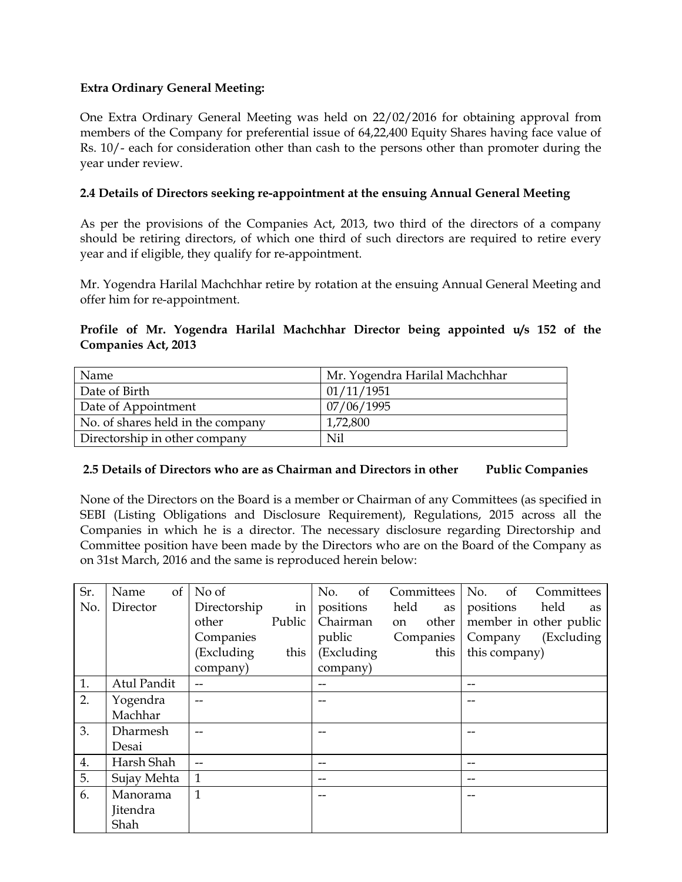#### **Extra Ordinary General Meeting:**

One Extra Ordinary General Meeting was held on 22/02/2016 for obtaining approval from members of the Company for preferential issue of 64,22,400 Equity Shares having face value of Rs. 10/- each for consideration other than cash to the persons other than promoter during the year under review.

## **2.4 Details of Directors seeking re-appointment at the ensuing Annual General Meeting**

As per the provisions of the Companies Act, 2013, two third of the directors of a company should be retiring directors, of which one third of such directors are required to retire every year and if eligible, they qualify for re-appointment.

Mr. Yogendra Harilal Machchhar retire by rotation at the ensuing Annual General Meeting and offer him for re-appointment.

## **Profile of Mr. Yogendra Harilal Machchhar Director being appointed u/s 152 of the Companies Act, 2013**

| Name                              | Mr. Yogendra Harilal Machchhar |
|-----------------------------------|--------------------------------|
| Date of Birth                     | 01/11/1951                     |
| Date of Appointment               | 07/06/1995                     |
| No. of shares held in the company | 1,72,800                       |
| Directorship in other company     | Nil                            |

#### **2.5 Details of Directors who are as Chairman and Directors in other Public Companies**

None of the Directors on the Board is a member or Chairman of any Committees (as specified in SEBI (Listing Obligations and Disclosure Requirement), Regulations, 2015 across all the Companies in which he is a director. The necessary disclosure regarding Directorship and Committee position have been made by the Directors who are on the Board of the Company as on 31st March, 2016 and the same is reproduced herein below:

| Sr. | of<br>Name  | No of        |        | No.        | <sub>of</sub> |      | Committees | No.       | of            | Committees             |    |
|-----|-------------|--------------|--------|------------|---------------|------|------------|-----------|---------------|------------------------|----|
| No. | Director    | Directorship | in     | positions  |               | held | as         | positions |               | held                   | as |
|     |             | other        | Public | Chairman   |               | on   | other      |           |               | member in other public |    |
|     |             | Companies    |        | public     |               |      | Companies  | Company   |               | (Excluding             |    |
|     |             | (Excluding   | this   | (Excluding |               |      | this       |           | this company) |                        |    |
|     |             | company)     |        | company)   |               |      |            |           |               |                        |    |
| 1.  | Atul Pandit |              |        | --         |               |      |            | --        |               |                        |    |
| 2.  | Yogendra    |              |        |            |               |      |            |           |               |                        |    |
|     | Machhar     |              |        |            |               |      |            |           |               |                        |    |
| 3.  | Dharmesh    |              |        |            |               |      |            |           |               |                        |    |
|     | Desai       |              |        |            |               |      |            |           |               |                        |    |
| 4.  | Harsh Shah  |              |        |            |               |      |            |           |               |                        |    |
| 5.  | Sujay Mehta | 1            |        | --         |               |      |            | --        |               |                        |    |
| 6.  | Manorama    | 1            |        |            |               |      |            |           |               |                        |    |
|     | Jitendra    |              |        |            |               |      |            |           |               |                        |    |
|     | Shah        |              |        |            |               |      |            |           |               |                        |    |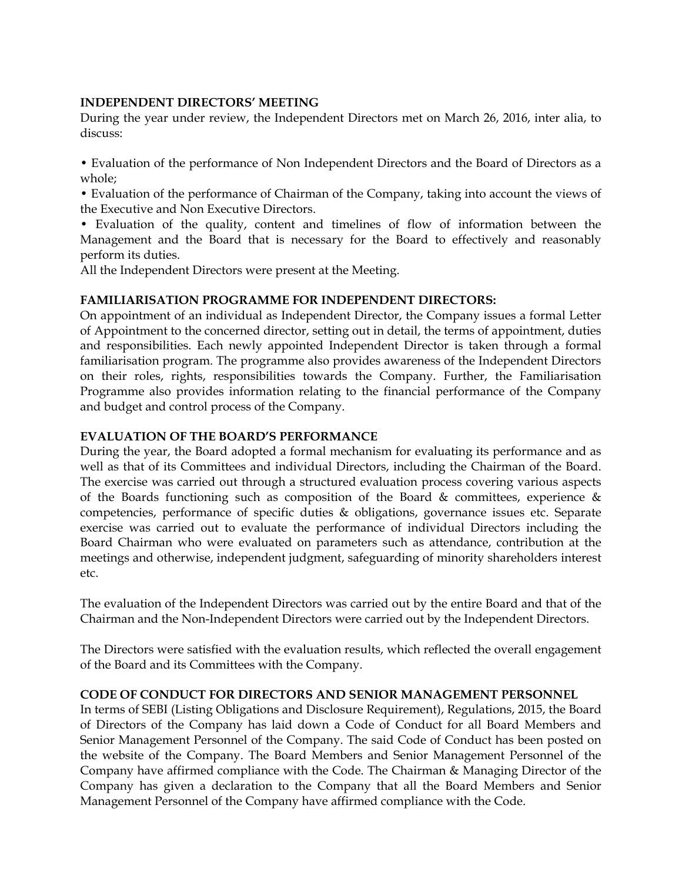#### **INDEPENDENT DIRECTORS' MEETING**

During the year under review, the Independent Directors met on March 26, 2016, inter alia, to discuss:

• Evaluation of the performance of Non Independent Directors and the Board of Directors as a whole;

• Evaluation of the performance of Chairman of the Company, taking into account the views of the Executive and Non Executive Directors.

• Evaluation of the quality, content and timelines of flow of information between the Management and the Board that is necessary for the Board to effectively and reasonably perform its duties.

All the Independent Directors were present at the Meeting.

#### **FAMILIARISATION PROGRAMME FOR INDEPENDENT DIRECTORS:**

On appointment of an individual as Independent Director, the Company issues a formal Letter of Appointment to the concerned director, setting out in detail, the terms of appointment, duties and responsibilities. Each newly appointed Independent Director is taken through a formal familiarisation program. The programme also provides awareness of the Independent Directors on their roles, rights, responsibilities towards the Company. Further, the Familiarisation Programme also provides information relating to the financial performance of the Company and budget and control process of the Company.

#### **EVALUATION OF THE BOARD'S PERFORMANCE**

During the year, the Board adopted a formal mechanism for evaluating its performance and as well as that of its Committees and individual Directors, including the Chairman of the Board. The exercise was carried out through a structured evaluation process covering various aspects of the Boards functioning such as composition of the Board  $\&$  committees, experience  $\&$ competencies, performance of specific duties & obligations, governance issues etc. Separate exercise was carried out to evaluate the performance of individual Directors including the Board Chairman who were evaluated on parameters such as attendance, contribution at the meetings and otherwise, independent judgment, safeguarding of minority shareholders interest etc.

The evaluation of the Independent Directors was carried out by the entire Board and that of the Chairman and the Non-Independent Directors were carried out by the Independent Directors.

The Directors were satisfied with the evaluation results, which reflected the overall engagement of the Board and its Committees with the Company.

#### **CODE OF CONDUCT FOR DIRECTORS AND SENIOR MANAGEMENT PERSONNEL**

In terms of SEBI (Listing Obligations and Disclosure Requirement), Regulations, 2015, the Board of Directors of the Company has laid down a Code of Conduct for all Board Members and Senior Management Personnel of the Company. The said Code of Conduct has been posted on the website of the Company. The Board Members and Senior Management Personnel of the Company have affirmed compliance with the Code. The Chairman & Managing Director of the Company has given a declaration to the Company that all the Board Members and Senior Management Personnel of the Company have affirmed compliance with the Code.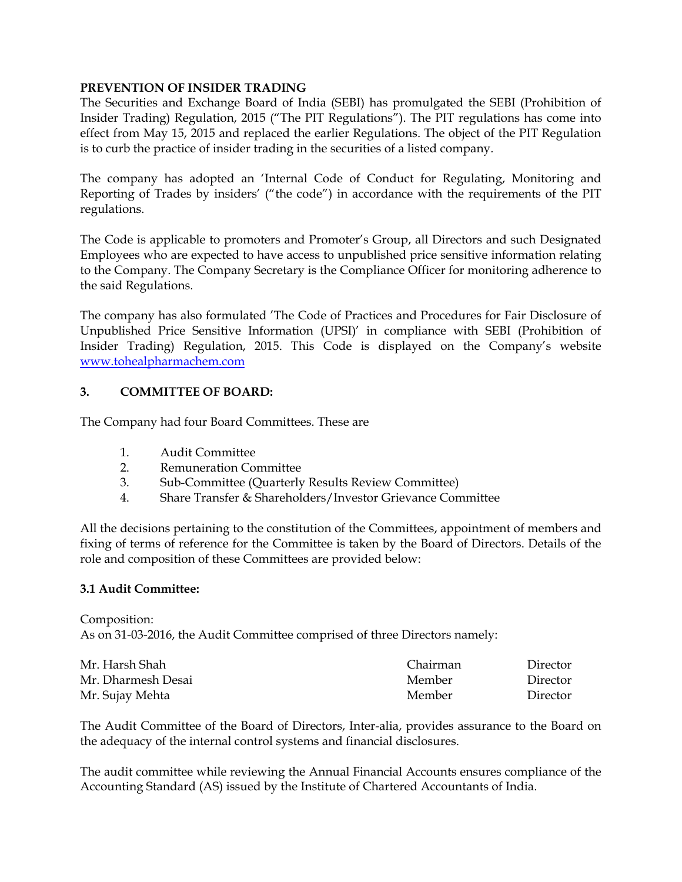#### **PREVENTION OF INSIDER TRADING**

The Securities and Exchange Board of India (SEBI) has promulgated the SEBI (Prohibition of Insider Trading) Regulation, 2015 ("The PIT Regulations"). The PIT regulations has come into effect from May 15, 2015 and replaced the earlier Regulations. The object of the PIT Regulation is to curb the practice of insider trading in the securities of a listed company.

The company has adopted an 'Internal Code of Conduct for Regulating, Monitoring and Reporting of Trades by insiders' ("the code") in accordance with the requirements of the PIT regulations.

The Code is applicable to promoters and Promoter's Group, all Directors and such Designated Employees who are expected to have access to unpublished price sensitive information relating to the Company. The Company Secretary is the Compliance Officer for monitoring adherence to the said Regulations.

The company has also formulated 'The Code of Practices and Procedures for Fair Disclosure of Unpublished Price Sensitive Information (UPSI)' in compliance with SEBI (Prohibition of Insider Trading) Regulation, 2015. This Code is displayed on the Company's website www.tohealpharmachem.com

#### **3. COMMITTEE OF BOARD:**

The Company had four Board Committees. These are

- 1. Audit Committee
- 2. Remuneration Committee
- 3. Sub-Committee (Quarterly Results Review Committee)
- 4. Share Transfer & Shareholders/Investor Grievance Committee

All the decisions pertaining to the constitution of the Committees, appointment of members and fixing of terms of reference for the Committee is taken by the Board of Directors. Details of the role and composition of these Committees are provided below:

#### **3.1 Audit Committee:**

Composition: As on 31-03-2016, the Audit Committee comprised of three Directors namely:

| Mr. Harsh Shah     | Chairman | Director |
|--------------------|----------|----------|
| Mr. Dharmesh Desai | Member   | Director |
| Mr. Sujay Mehta    | Member   | Director |

The Audit Committee of the Board of Directors, Inter-alia, provides assurance to the Board on the adequacy of the internal control systems and financial disclosures.

The audit committee while reviewing the Annual Financial Accounts ensures compliance of the Accounting Standard (AS) issued by the Institute of Chartered Accountants of India.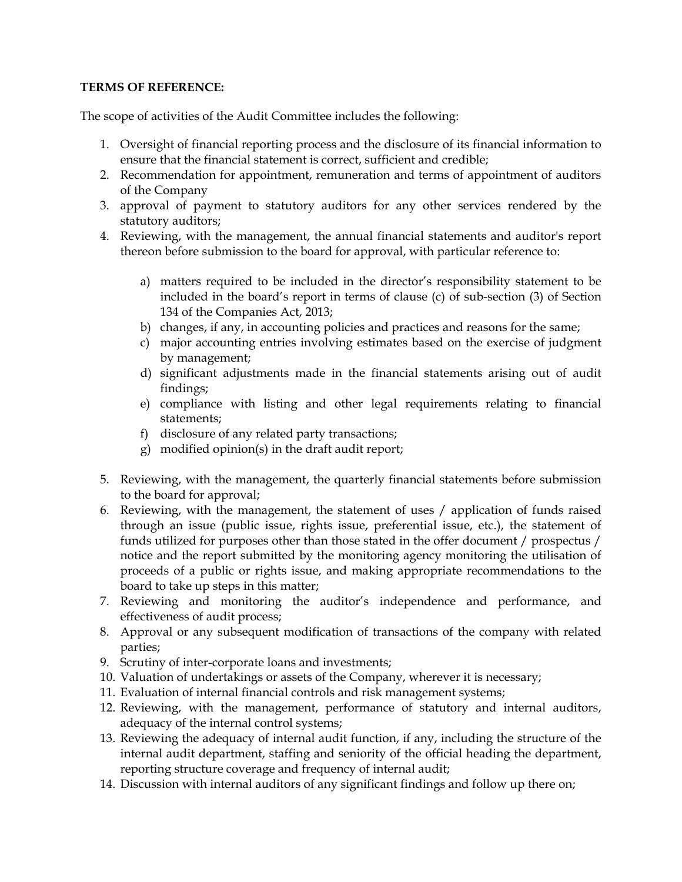#### **TERMS OF REFERENCE:**

The scope of activities of the Audit Committee includes the following:

- 1. Oversight of financial reporting process and the disclosure of its financial information to ensure that the financial statement is correct, sufficient and credible;
- 2. Recommendation for appointment, remuneration and terms of appointment of auditors of the Company
- 3. approval of payment to statutory auditors for any other services rendered by the statutory auditors;
- 4. Reviewing, with the management, the annual financial statements and auditor's report thereon before submission to the board for approval, with particular reference to:
	- a) matters required to be included in the director's responsibility statement to be included in the board's report in terms of clause (c) of sub-section (3) of Section 134 of the Companies Act, 2013;
	- b) changes, if any, in accounting policies and practices and reasons for the same;
	- c) major accounting entries involving estimates based on the exercise of judgment by management;
	- d) significant adjustments made in the financial statements arising out of audit findings;
	- e) compliance with listing and other legal requirements relating to financial statements;
	- f) disclosure of any related party transactions;
	- g) modified opinion(s) in the draft audit report;
- 5. Reviewing, with the management, the quarterly financial statements before submission to the board for approval;
- 6. Reviewing, with the management, the statement of uses / application of funds raised through an issue (public issue, rights issue, preferential issue, etc.), the statement of funds utilized for purposes other than those stated in the offer document / prospectus / notice and the report submitted by the monitoring agency monitoring the utilisation of proceeds of a public or rights issue, and making appropriate recommendations to the board to take up steps in this matter;
- 7. Reviewing and monitoring the auditor's independence and performance, and effectiveness of audit process;
- 8. Approval or any subsequent modification of transactions of the company with related parties;
- 9. Scrutiny of inter-corporate loans and investments;
- 10. Valuation of undertakings or assets of the Company, wherever it is necessary;
- 11. Evaluation of internal financial controls and risk management systems;
- 12. Reviewing, with the management, performance of statutory and internal auditors, adequacy of the internal control systems;
- 13. Reviewing the adequacy of internal audit function, if any, including the structure of the internal audit department, staffing and seniority of the official heading the department, reporting structure coverage and frequency of internal audit;
- 14. Discussion with internal auditors of any significant findings and follow up there on;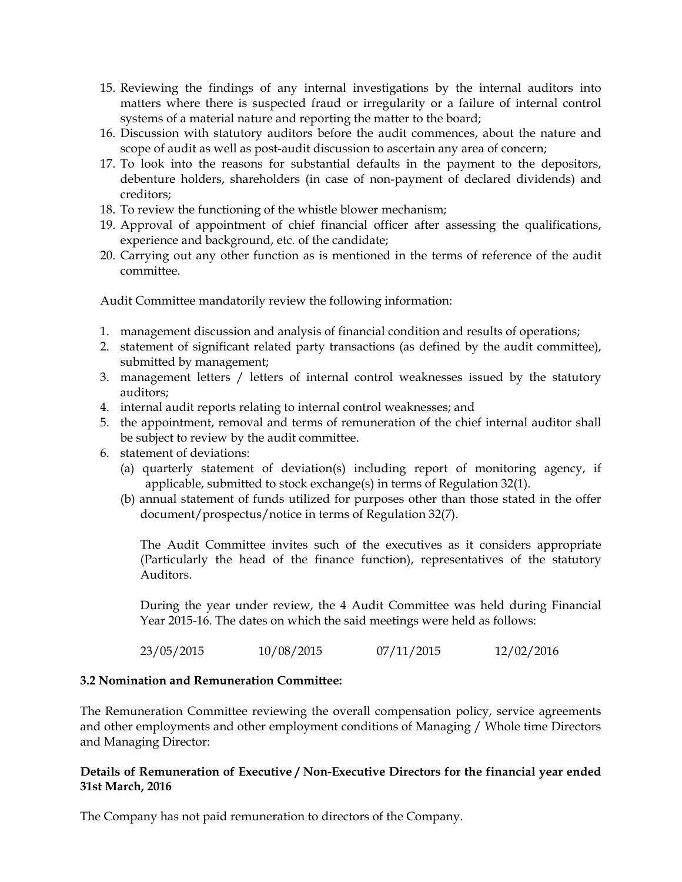- 15. Reviewing the findings of any internal investigations by the internal auditors into matters where there is suspected fraud or irregularity or a failure of internal control systems of a material nature and reporting the matter to the board;
- 16. Discussion with statutory auditors before the audit commences, about the nature and scope of audit as well as post-audit discussion to ascertain any area of concern;
- 17. To look into the reasons for substantial defaults in the payment to the depositors, debenture holders, shareholders (in case of non-payment of declared dividends) and creditors;
- 18. To review the functioning of the whistle blower mechanism;
- 19. Approval of appointment of chief financial officer after assessing the qualifications, experience and background, etc. of the candidate;
- 20. Carrying out any other function as is mentioned in the terms of reference of the audit committee.

Audit Committee mandatorily review the following information:

- 1. management discussion and analysis of financial condition and results of operations;
- 2. statement of significant related party transactions (as defined by the audit committee), submitted by management;
- 3. management letters / letters of internal control weaknesses issued by the statutory auditors;
- 4. internal audit reports relating to internal control weaknesses; and
- 5. the appointment, removal and terms of remuneration of the chief internal auditor shall be subject to review by the audit committee.
- 6. statement of deviations:
	- (a) quarterly statement of deviation(s) including report of monitoring agency, if applicable, submitted to stock exchange(s) in terms of Regulation 32(1).
	- (b) annual statement of funds utilized for purposes other than those stated in the offer document/prospectus/notice in terms of Regulation 32(7).

The Audit Committee invites such of the executives as it considers appropriate (Particularly the head of the finance function), representatives of the statutory Auditors.

During the year under review, the 4 Audit Committee was held during Financial Year 2015-16. The dates on which the said meetings were held as follows:

23/05/2015 10/08/2015 07/11/2015 12/02/2016

#### **3.2 Nomination and Remuneration Committee:**

The Remuneration Committee reviewing the overall compensation policy, service agreements and other employments and other employment conditions of Managing / Whole time Directors and Managing Director:

#### **Details of Remuneration of Executive / Non-Executive Directors for the financial year ended 31st March, 2016**

The Company has not paid remuneration to directors of the Company.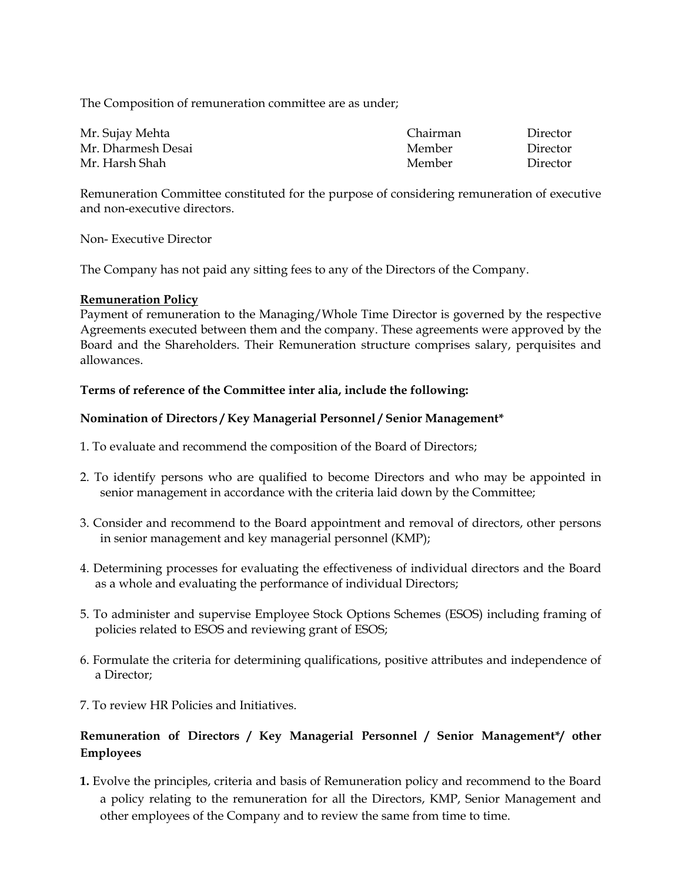The Composition of remuneration committee are as under;

| Mr. Sujay Mehta    | Chairman | Director |
|--------------------|----------|----------|
| Mr. Dharmesh Desai | Member   | Director |
| Mr. Harsh Shah     | Member   | Director |

Remuneration Committee constituted for the purpose of considering remuneration of executive and non-executive directors.

Non- Executive Director

The Company has not paid any sitting fees to any of the Directors of the Company.

#### **Remuneration Policy**

Payment of remuneration to the Managing/Whole Time Director is governed by the respective Agreements executed between them and the company. These agreements were approved by the Board and the Shareholders. Their Remuneration structure comprises salary, perquisites and allowances.

#### **Terms of reference of the Committee inter alia, include the following:**

#### **Nomination of Directors / Key Managerial Personnel / Senior Management\***

- 1. To evaluate and recommend the composition of the Board of Directors;
- 2. To identify persons who are qualified to become Directors and who may be appointed in senior management in accordance with the criteria laid down by the Committee;
- 3. Consider and recommend to the Board appointment and removal of directors, other persons in senior management and key managerial personnel (KMP);
- 4. Determining processes for evaluating the effectiveness of individual directors and the Board as a whole and evaluating the performance of individual Directors;
- 5. To administer and supervise Employee Stock Options Schemes (ESOS) including framing of policies related to ESOS and reviewing grant of ESOS;
- 6. Formulate the criteria for determining qualifications, positive attributes and independence of a Director;
- 7. To review HR Policies and Initiatives.

## **Remuneration of Directors / Key Managerial Personnel / Senior Management\*/ other Employees**

**1.** Evolve the principles, criteria and basis of Remuneration policy and recommend to the Board a policy relating to the remuneration for all the Directors, KMP, Senior Management and other employees of the Company and to review the same from time to time.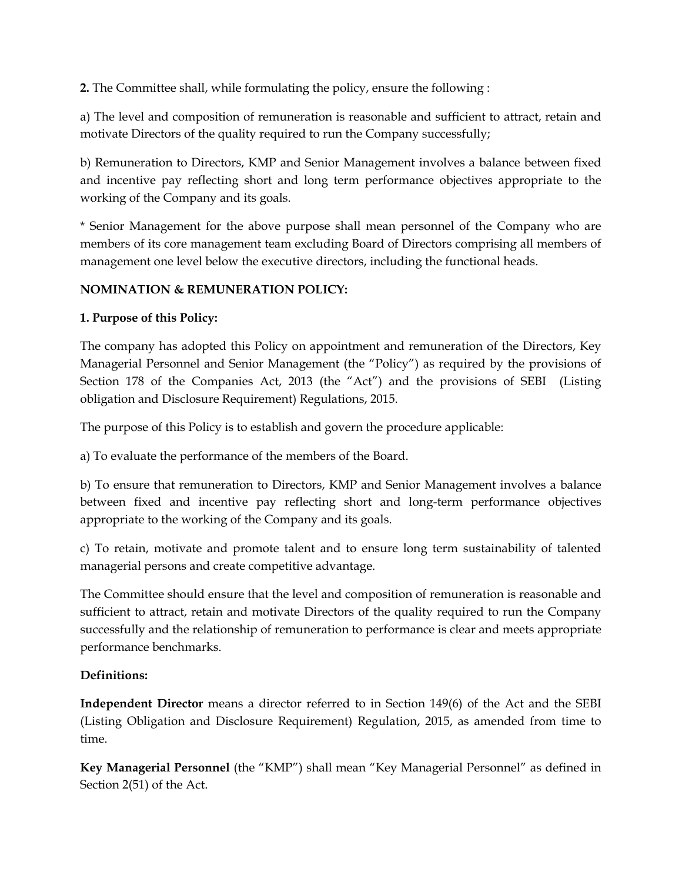**2.** The Committee shall, while formulating the policy, ensure the following :

a) The level and composition of remuneration is reasonable and sufficient to attract, retain and motivate Directors of the quality required to run the Company successfully;

b) Remuneration to Directors, KMP and Senior Management involves a balance between fixed and incentive pay reflecting short and long term performance objectives appropriate to the working of the Company and its goals.

\* Senior Management for the above purpose shall mean personnel of the Company who are members of its core management team excluding Board of Directors comprising all members of management one level below the executive directors, including the functional heads.

## **NOMINATION & REMUNERATION POLICY:**

## **1. Purpose of this Policy:**

The company has adopted this Policy on appointment and remuneration of the Directors, Key Managerial Personnel and Senior Management (the "Policy") as required by the provisions of Section 178 of the Companies Act, 2013 (the "Act") and the provisions of SEBI (Listing obligation and Disclosure Requirement) Regulations, 2015.

The purpose of this Policy is to establish and govern the procedure applicable:

a) To evaluate the performance of the members of the Board.

b) To ensure that remuneration to Directors, KMP and Senior Management involves a balance between fixed and incentive pay reflecting short and long-term performance objectives appropriate to the working of the Company and its goals.

c) To retain, motivate and promote talent and to ensure long term sustainability of talented managerial persons and create competitive advantage.

The Committee should ensure that the level and composition of remuneration is reasonable and sufficient to attract, retain and motivate Directors of the quality required to run the Company successfully and the relationship of remuneration to performance is clear and meets appropriate performance benchmarks.

## **Definitions:**

**Independent Director** means a director referred to in Section 149(6) of the Act and the SEBI (Listing Obligation and Disclosure Requirement) Regulation, 2015, as amended from time to time.

**Key Managerial Personnel** (the "KMP") shall mean "Key Managerial Personnel" as defined in Section 2(51) of the Act.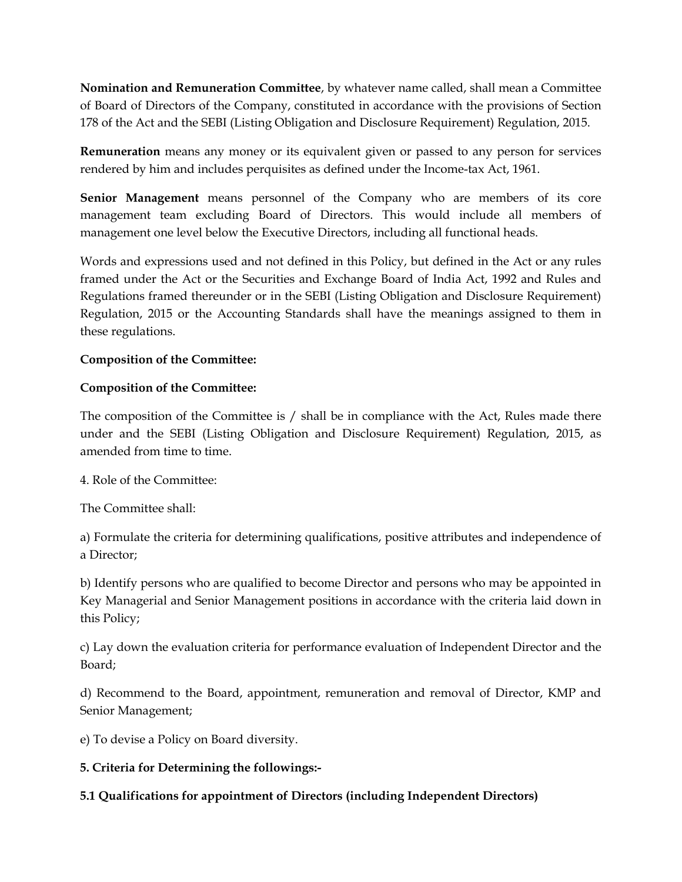**Nomination and Remuneration Committee**, by whatever name called, shall mean a Committee of Board of Directors of the Company, constituted in accordance with the provisions of Section 178 of the Act and the SEBI (Listing Obligation and Disclosure Requirement) Regulation, 2015.

**Remuneration** means any money or its equivalent given or passed to any person for services rendered by him and includes perquisites as defined under the Income-tax Act, 1961.

**Senior Management** means personnel of the Company who are members of its core management team excluding Board of Directors. This would include all members of management one level below the Executive Directors, including all functional heads.

Words and expressions used and not defined in this Policy, but defined in the Act or any rules framed under the Act or the Securities and Exchange Board of India Act, 1992 and Rules and Regulations framed thereunder or in the SEBI (Listing Obligation and Disclosure Requirement) Regulation, 2015 or the Accounting Standards shall have the meanings assigned to them in these regulations.

## **Composition of the Committee:**

## **Composition of the Committee:**

The composition of the Committee is / shall be in compliance with the Act, Rules made there under and the SEBI (Listing Obligation and Disclosure Requirement) Regulation, 2015, as amended from time to time.

4. Role of the Committee:

The Committee shall:

a) Formulate the criteria for determining qualifications, positive attributes and independence of a Director;

b) Identify persons who are qualified to become Director and persons who may be appointed in Key Managerial and Senior Management positions in accordance with the criteria laid down in this Policy;

c) Lay down the evaluation criteria for performance evaluation of Independent Director and the Board;

d) Recommend to the Board, appointment, remuneration and removal of Director, KMP and Senior Management;

e) To devise a Policy on Board diversity.

## **5. Criteria for Determining the followings:-**

## **5.1 Qualifications for appointment of Directors (including Independent Directors)**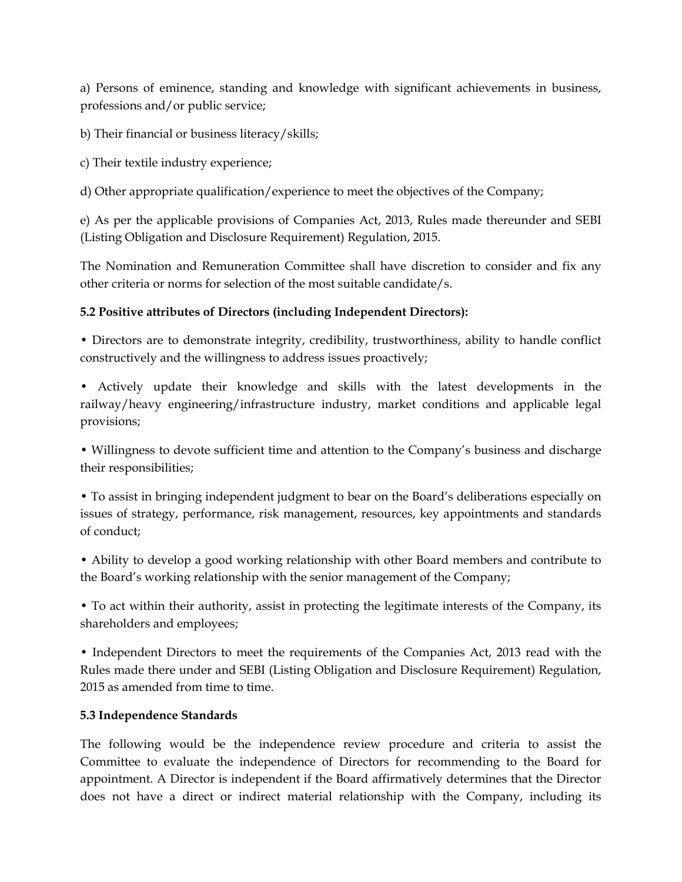a) Persons of eminence, standing and knowledge with significant achievements in business, professions and/or public service;

b) Their financial or business literacy/skills;

c) Their textile industry experience;

d) Other appropriate qualification/experience to meet the objectives of the Company;

e) As per the applicable provisions of Companies Act, 2013, Rules made thereunder and SEBI (Listing Obligation and Disclosure Requirement) Regulation, 2015.

The Nomination and Remuneration Committee shall have discretion to consider and fix any other criteria or norms for selection of the most suitable candidate/s.

### **5.2 Positive attributes of Directors (including Independent Directors):**

• Directors are to demonstrate integrity, credibility, trustworthiness, ability to handle conflict constructively and the willingness to address issues proactively;

• Actively update their knowledge and skills with the latest developments in the railway/heavy engineering/infrastructure industry, market conditions and applicable legal provisions;

• Willingness to devote sufficient time and attention to the Company's business and discharge their responsibilities;

• To assist in bringing independent judgment to bear on the Board's deliberations especially on issues of strategy, performance, risk management, resources, key appointments and standards of conduct;

• Ability to develop a good working relationship with other Board members and contribute to the Board's working relationship with the senior management of the Company;

• To act within their authority, assist in protecting the legitimate interests of the Company, its shareholders and employees;

• Independent Directors to meet the requirements of the Companies Act, 2013 read with the Rules made there under and SEBI (Listing Obligation and Disclosure Requirement) Regulation, 2015 as amended from time to time.

#### **5.3 Independence Standards**

The following would be the independence review procedure and criteria to assist the Committee to evaluate the independence of Directors for recommending to the Board for appointment. A Director is independent if the Board affirmatively determines that the Director does not have a direct or indirect material relationship with the Company, including its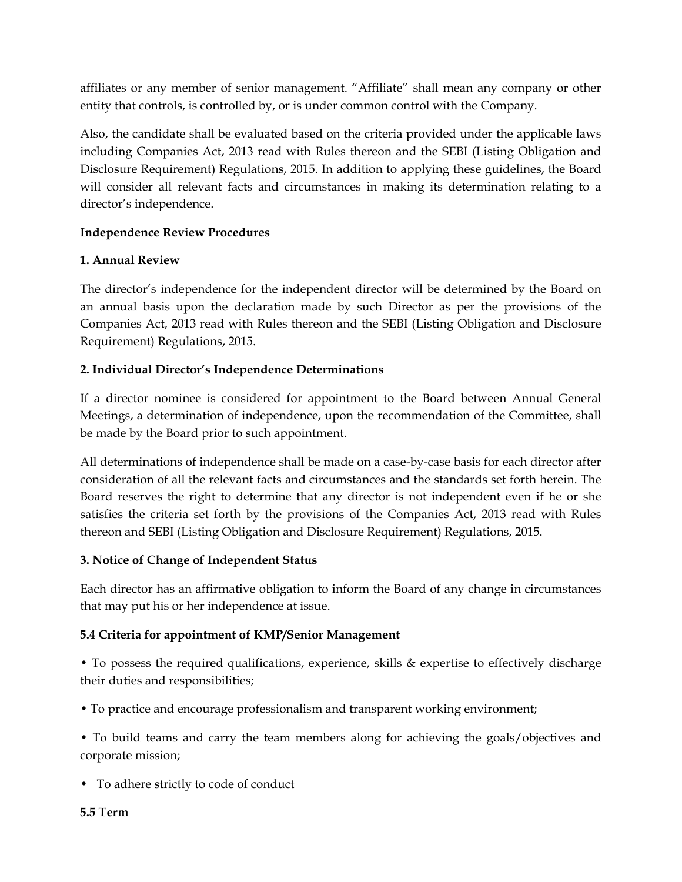affiliates or any member of senior management. "Affiliate" shall mean any company or other entity that controls, is controlled by, or is under common control with the Company.

Also, the candidate shall be evaluated based on the criteria provided under the applicable laws including Companies Act, 2013 read with Rules thereon and the SEBI (Listing Obligation and Disclosure Requirement) Regulations, 2015. In addition to applying these guidelines, the Board will consider all relevant facts and circumstances in making its determination relating to a director's independence.

## **Independence Review Procedures**

## **1. Annual Review**

The director's independence for the independent director will be determined by the Board on an annual basis upon the declaration made by such Director as per the provisions of the Companies Act, 2013 read with Rules thereon and the SEBI (Listing Obligation and Disclosure Requirement) Regulations, 2015.

## **2. Individual Director's Independence Determinations**

If a director nominee is considered for appointment to the Board between Annual General Meetings, a determination of independence, upon the recommendation of the Committee, shall be made by the Board prior to such appointment.

All determinations of independence shall be made on a case-by-case basis for each director after consideration of all the relevant facts and circumstances and the standards set forth herein. The Board reserves the right to determine that any director is not independent even if he or she satisfies the criteria set forth by the provisions of the Companies Act, 2013 read with Rules thereon and SEBI (Listing Obligation and Disclosure Requirement) Regulations, 2015.

## **3. Notice of Change of Independent Status**

Each director has an affirmative obligation to inform the Board of any change in circumstances that may put his or her independence at issue.

## **5.4 Criteria for appointment of KMP/Senior Management**

• To possess the required qualifications, experience, skills & expertise to effectively discharge their duties and responsibilities;

• To practice and encourage professionalism and transparent working environment;

• To build teams and carry the team members along for achieving the goals/objectives and corporate mission;

• To adhere strictly to code of conduct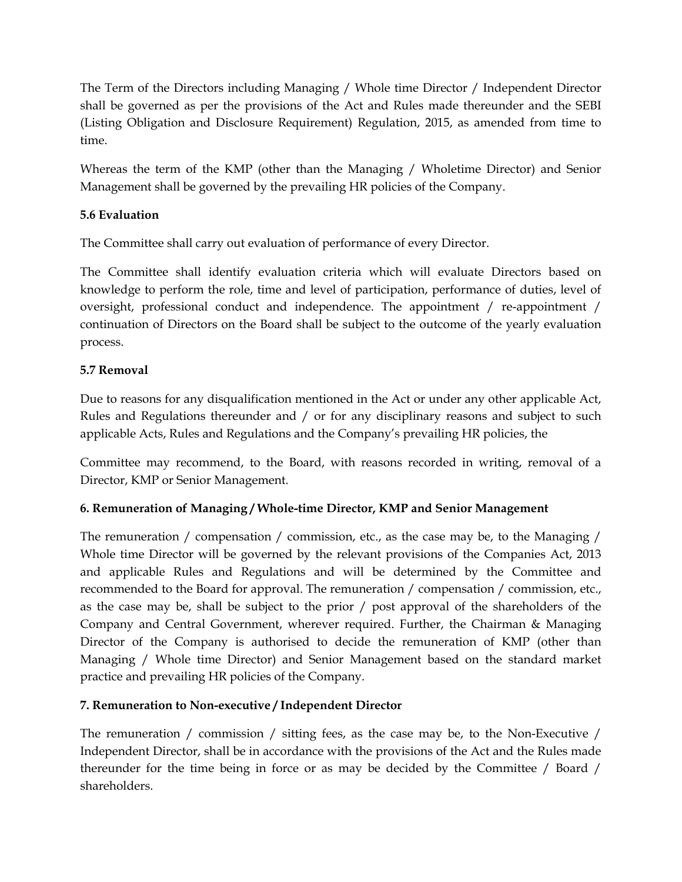The Term of the Directors including Managing / Whole time Director / Independent Director shall be governed as per the provisions of the Act and Rules made thereunder and the SEBI (Listing Obligation and Disclosure Requirement) Regulation, 2015, as amended from time to time.

Whereas the term of the KMP (other than the Managing / Wholetime Director) and Senior Management shall be governed by the prevailing HR policies of the Company.

## **5.6 Evaluation**

The Committee shall carry out evaluation of performance of every Director.

The Committee shall identify evaluation criteria which will evaluate Directors based on knowledge to perform the role, time and level of participation, performance of duties, level of oversight, professional conduct and independence. The appointment / re-appointment / continuation of Directors on the Board shall be subject to the outcome of the yearly evaluation process.

## **5.7 Removal**

Due to reasons for any disqualification mentioned in the Act or under any other applicable Act, Rules and Regulations thereunder and / or for any disciplinary reasons and subject to such applicable Acts, Rules and Regulations and the Company's prevailing HR policies, the

Committee may recommend, to the Board, with reasons recorded in writing, removal of a Director, KMP or Senior Management.

## **6. Remuneration of Managing / Whole-time Director, KMP and Senior Management**

The remuneration / compensation / commission, etc., as the case may be, to the Managing / Whole time Director will be governed by the relevant provisions of the Companies Act, 2013 and applicable Rules and Regulations and will be determined by the Committee and recommended to the Board for approval. The remuneration / compensation / commission, etc., as the case may be, shall be subject to the prior / post approval of the shareholders of the Company and Central Government, wherever required. Further, the Chairman & Managing Director of the Company is authorised to decide the remuneration of KMP (other than Managing / Whole time Director) and Senior Management based on the standard market practice and prevailing HR policies of the Company.

## **7. Remuneration to Non-executive / Independent Director**

The remuneration / commission / sitting fees, as the case may be, to the Non-Executive / Independent Director, shall be in accordance with the provisions of the Act and the Rules made thereunder for the time being in force or as may be decided by the Committee / Board / shareholders.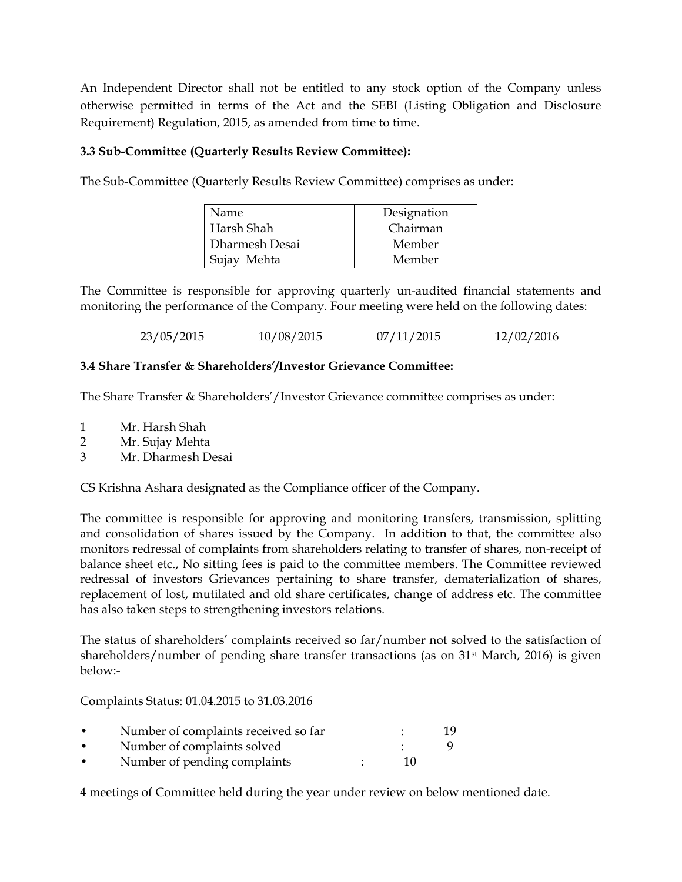An Independent Director shall not be entitled to any stock option of the Company unless otherwise permitted in terms of the Act and the SEBI (Listing Obligation and Disclosure Requirement) Regulation, 2015, as amended from time to time.

### **3.3 Sub-Committee (Quarterly Results Review Committee):**

The Sub-Committee (Quarterly Results Review Committee) comprises as under:

| Name.          | Designation |
|----------------|-------------|
| Harsh Shah     | Chairman    |
| Dharmesh Desai | Member      |
| Sujay Mehta    | Member      |

The Committee is responsible for approving quarterly un-audited financial statements and monitoring the performance of the Company. Four meeting were held on the following dates:

23/05/2015 10/08/2015 07/11/2015 12/02/2016

#### **3.4 Share Transfer & Shareholders'/Investor Grievance Committee:**

The Share Transfer & Shareholders'/Investor Grievance committee comprises as under:

- 1 Mr. Harsh Shah
- 2 Mr. Sujay Mehta
- 3 Mr. Dharmesh Desai

CS Krishna Ashara designated as the Compliance officer of the Company.

The committee is responsible for approving and monitoring transfers, transmission, splitting and consolidation of shares issued by the Company. In addition to that, the committee also monitors redressal of complaints from shareholders relating to transfer of shares, non-receipt of balance sheet etc., No sitting fees is paid to the committee members. The Committee reviewed redressal of investors Grievances pertaining to share transfer, dematerialization of shares, replacement of lost, mutilated and old share certificates, change of address etc. The committee has also taken steps to strengthening investors relations.

The status of shareholders' complaints received so far/number not solved to the satisfaction of shareholders/number of pending share transfer transactions (as on 31<sup>st</sup> March, 2016) is given below:-

Complaints Status: 01.04.2015 to 31.03.2016

| $\bullet$ | Number of complaints received so far |    |  |
|-----------|--------------------------------------|----|--|
| $\bullet$ | Number of complaints solved          |    |  |
| $\bullet$ | Number of pending complaints         | 10 |  |

4 meetings of Committee held during the year under review on below mentioned date.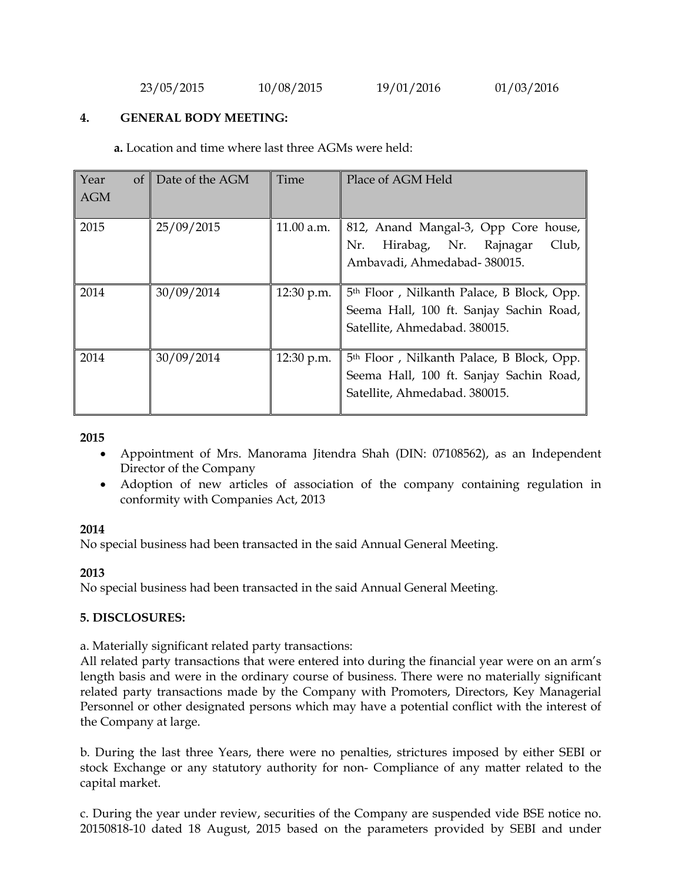23/05/2015 10/08/2015 19/01/2016 01/03/2016

#### **4. GENERAL BODY MEETING:**

 **a.** Location and time where last three AGMs were held:

| Year<br>of<br><b>AGM</b> | Date of the AGM | Time         | Place of AGM Held                                                                                                                 |
|--------------------------|-----------------|--------------|-----------------------------------------------------------------------------------------------------------------------------------|
| 2015                     | 25/09/2015      | 11.00 a.m.   | 812, Anand Mangal-3, Opp Core house,<br>Hirabag, Nr. Rajnagar<br>Club,<br>Nr.<br>Ambavadi, Ahmedabad-380015.                      |
| 2014                     | 30/09/2014      | 12:30 p.m.   | 5 <sup>th</sup> Floor, Nilkanth Palace, B Block, Opp.<br>Seema Hall, 100 ft. Sanjay Sachin Road,<br>Satellite, Ahmedabad. 380015. |
| 2014                     | 30/09/2014      | $12:30$ p.m. | 5 <sup>th</sup> Floor, Nilkanth Palace, B Block, Opp.<br>Seema Hall, 100 ft. Sanjay Sachin Road,<br>Satellite, Ahmedabad. 380015. |

**2015** 

- Appointment of Mrs. Manorama Jitendra Shah (DIN: 07108562), as an Independent Director of the Company
- Adoption of new articles of association of the company containing regulation in conformity with Companies Act, 2013

#### **2014**

No special business had been transacted in the said Annual General Meeting.

#### **2013**

No special business had been transacted in the said Annual General Meeting.

#### **5. DISCLOSURES:**

a. Materially significant related party transactions:

All related party transactions that were entered into during the financial year were on an arm's length basis and were in the ordinary course of business. There were no materially significant related party transactions made by the Company with Promoters, Directors, Key Managerial Personnel or other designated persons which may have a potential conflict with the interest of the Company at large.

b. During the last three Years, there were no penalties, strictures imposed by either SEBI or stock Exchange or any statutory authority for non- Compliance of any matter related to the capital market.

c. During the year under review, securities of the Company are suspended vide BSE notice no. 20150818-10 dated 18 August, 2015 based on the parameters provided by SEBI and under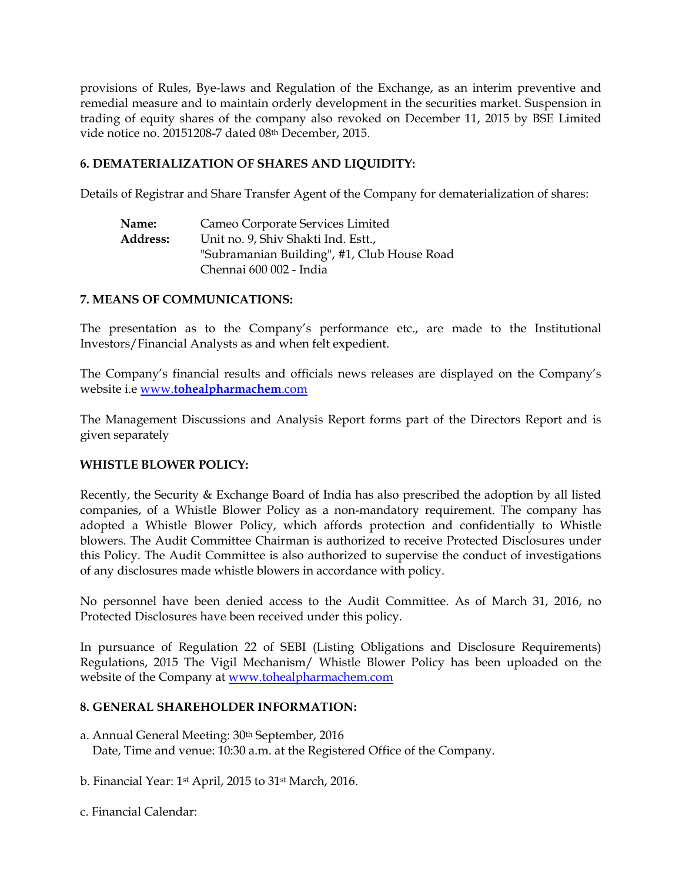provisions of Rules, Bye-laws and Regulation of the Exchange, as an interim preventive and remedial measure and to maintain orderly development in the securities market. Suspension in trading of equity shares of the company also revoked on December 11, 2015 by BSE Limited vide notice no. 20151208-7 dated 08th December, 2015.

#### **6. DEMATERIALIZATION OF SHARES AND LIQUIDITY:**

Details of Registrar and Share Transfer Agent of the Company for dematerialization of shares:

| Name:           | Cameo Corporate Services Limited            |
|-----------------|---------------------------------------------|
| <b>Address:</b> | Unit no. 9, Shiv Shakti Ind. Estt.,         |
|                 | "Subramanian Building", #1, Club House Road |
|                 | Chennai 600 002 - India                     |
|                 |                                             |

#### **7. MEANS OF COMMUNICATIONS:**

The presentation as to the Company's performance etc., are made to the Institutional Investors/Financial Analysts as and when felt expedient.

The Company's financial results and officials news releases are displayed on the Company's website i.e www.**tohealpharmachem**.com

The Management Discussions and Analysis Report forms part of the Directors Report and is given separately

## **WHISTLE BLOWER POLICY:**

Recently, the Security & Exchange Board of India has also prescribed the adoption by all listed companies, of a Whistle Blower Policy as a non-mandatory requirement. The company has adopted a Whistle Blower Policy, which affords protection and confidentially to Whistle blowers. The Audit Committee Chairman is authorized to receive Protected Disclosures under this Policy. The Audit Committee is also authorized to supervise the conduct of investigations of any disclosures made whistle blowers in accordance with policy.

No personnel have been denied access to the Audit Committee. As of March 31, 2016, no Protected Disclosures have been received under this policy.

In pursuance of Regulation 22 of SEBI (Listing Obligations and Disclosure Requirements) Regulations, 2015 The Vigil Mechanism/ Whistle Blower Policy has been uploaded on the website of the Company at www.tohealpharmachem.com

#### **8. GENERAL SHAREHOLDER INFORMATION:**

- a. Annual General Meeting: 30th September, 2016 Date, Time and venue: 10:30 a.m. at the Registered Office of the Company.
- b. Financial Year: 1st April, 2015 to 31st March, 2016.
- c. Financial Calendar: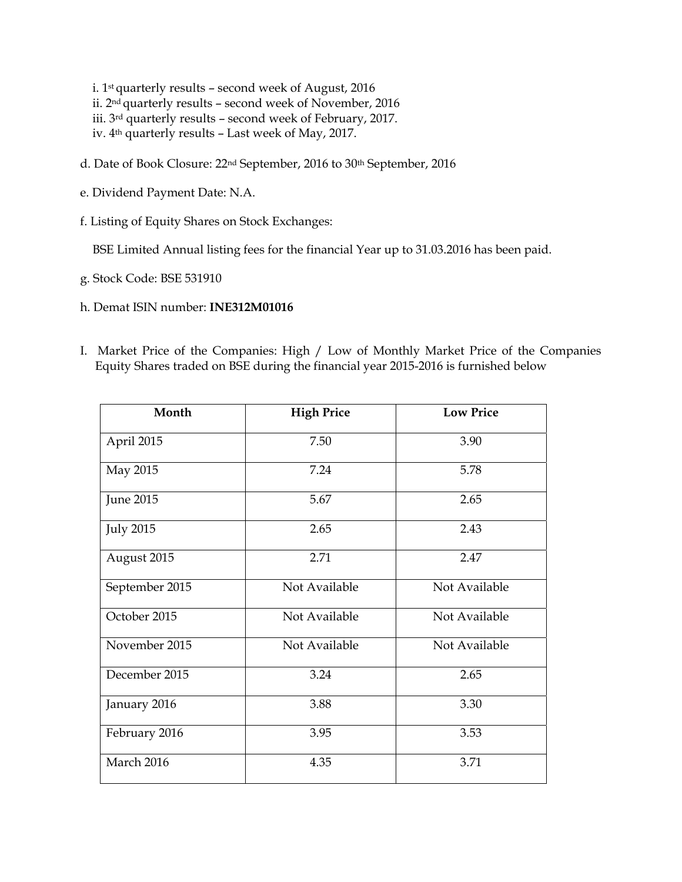i. 1st quarterly results – second week of August, 2016 ii. 2nd quarterly results – second week of November, 2016 iii. 3rd quarterly results – second week of February, 2017. iv. 4th quarterly results – Last week of May, 2017.

- d. Date of Book Closure: 22<sup>nd</sup> September, 2016 to 30<sup>th</sup> September, 2016
- e. Dividend Payment Date: N.A.
- f. Listing of Equity Shares on Stock Exchanges:

BSE Limited Annual listing fees for the financial Year up to 31.03.2016 has been paid.

- g. Stock Code: BSE 531910
- h. Demat ISIN number: **INE312M01016**
- I. Market Price of the Companies: High / Low of Monthly Market Price of the Companies Equity Shares traded on BSE during the financial year 2015-2016 is furnished below

| Month            | <b>High Price</b> | <b>Low Price</b> |
|------------------|-------------------|------------------|
| April 2015       | 7.50              | 3.90             |
| May 2015         | 7.24              | 5.78             |
| <b>June 2015</b> | 5.67              | 2.65             |
| <b>July 2015</b> | 2.65              | 2.43             |
| August 2015      | 2.71              | 2.47             |
| September 2015   | Not Available     | Not Available    |
| October 2015     | Not Available     | Not Available    |
| November 2015    | Not Available     | Not Available    |
| December 2015    | 3.24              | 2.65             |
| January 2016     | 3.88              | 3.30             |
| February 2016    | 3.95              | 3.53             |
| March 2016       | 4.35              | 3.71             |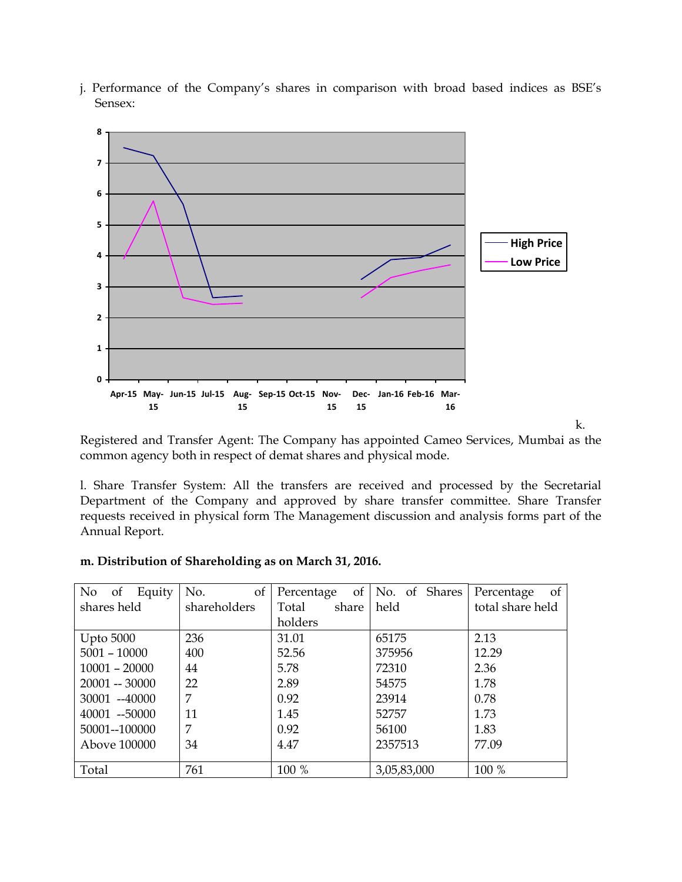

j. Performance of the Company's shares in comparison with broad based indices as BSE's Sensex:

Registered and Transfer Agent: The Company has appointed Cameo Services, Mumbai as the common agency both in respect of demat shares and physical mode.

l. Share Transfer System: All the transfers are received and processed by the Secretarial Department of the Company and approved by share transfer committee. Share Transfer requests received in physical form The Management discussion and analysis forms part of the Annual Report.

| m. Distribution of Shareholding as on March 31, 2016. |  |  |
|-------------------------------------------------------|--|--|
|                                                       |  |  |

| No of            | Equity | οf<br>No.    | Percentage     | of   No. of Shares | Percentage<br><sub>of</sub> |
|------------------|--------|--------------|----------------|--------------------|-----------------------------|
| shares held      |        | shareholders | share<br>Total | held               | total share held            |
|                  |        |              | holders        |                    |                             |
| <b>Upto 5000</b> |        | 236          | 31.01          | 65175              | 2.13                        |
| $5001 - 10000$   |        | 400          | 52.56          | 375956             | 12.29                       |
| $10001 - 20000$  |        | 44           | 5.78           | 72310              | 2.36                        |
| $20001 - 30000$  |        | 22           | 2.89           | 54575              | 1.78                        |
| 30001 --40000    |        | 7            | 0.92           | 23914              | 0.78                        |
| 40001 -- 50000   |        | 11           | 1.45           | 52757              | 1.73                        |
| 50001--100000    |        | 7            | 0.92           | 56100              | 1.83                        |
| Above 100000     |        | 34           | 4.47           | 2357513            | 77.09                       |
|                  |        |              |                |                    |                             |
| Total            |        | 761          | 100 %          | 3,05,83,000        | 100 %                       |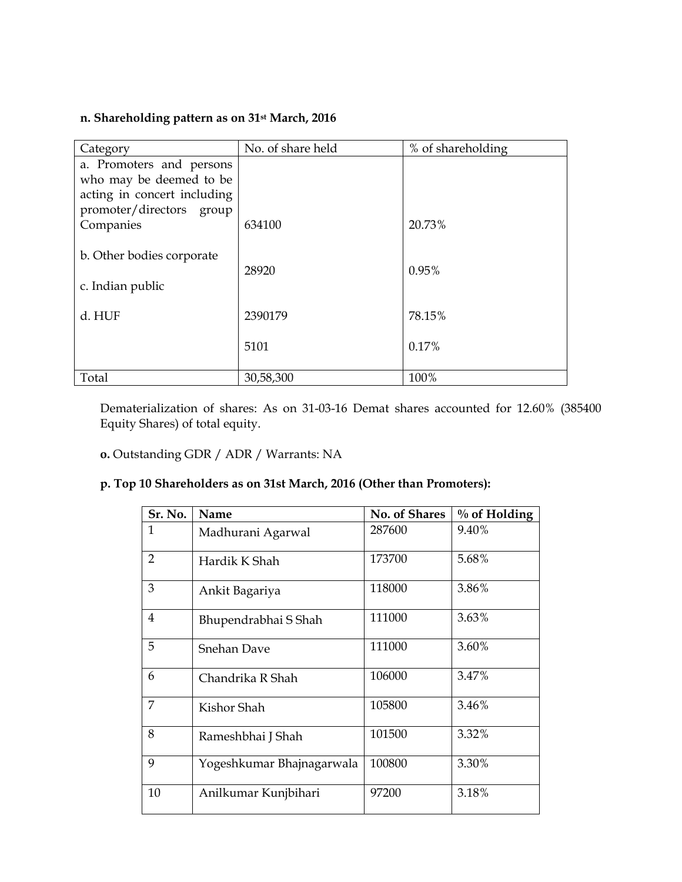## **n. Shareholding pattern as on 31st March, 2016**

| Category                    | No. of share held | % of shareholding |
|-----------------------------|-------------------|-------------------|
| a. Promoters and persons    |                   |                   |
| who may be deemed to be     |                   |                   |
| acting in concert including |                   |                   |
| promoter/directors group    |                   |                   |
| Companies                   | 634100            | 20.73%            |
|                             |                   |                   |
| b. Other bodies corporate   |                   |                   |
|                             | 28920             | 0.95%             |
| c. Indian public            |                   |                   |
| d. HUF                      | 2390179           | 78.15%            |
|                             |                   |                   |
|                             | 5101              | 0.17%             |
|                             |                   |                   |
| Total                       | 30,58,300         | 100%              |

Dematerialization of shares: As on 31-03-16 Demat shares accounted for 12.60% (385400 Equity Shares) of total equity.

**o.** Outstanding GDR / ADR / Warrants: NA

## **p. Top 10 Shareholders as on 31st March, 2016 (Other than Promoters):**

| Sr. No.        | Name                      | No. of Shares | $%$ of Holding |
|----------------|---------------------------|---------------|----------------|
| $\mathbf{1}$   | Madhurani Agarwal         | 287600        | 9.40%          |
| $\overline{2}$ | Hardik K Shah             | 173700        | 5.68%          |
| 3              | Ankit Bagariya            | 118000        | 3.86%          |
| $\overline{4}$ | Bhupendrabhai S Shah      | 111000        | 3.63%          |
| 5              | <b>Snehan Dave</b>        | 111000        | 3.60%          |
| 6              | Chandrika R Shah          | 106000        | 3.47%          |
| 7              | Kishor Shah               | 105800        | 3.46%          |
| 8              | Rameshbhai J Shah         | 101500        | 3.32%          |
| 9              | Yogeshkumar Bhajnagarwala | 100800        | 3.30%          |
| 10             | Anilkumar Kunjbihari      | 97200         | 3.18%          |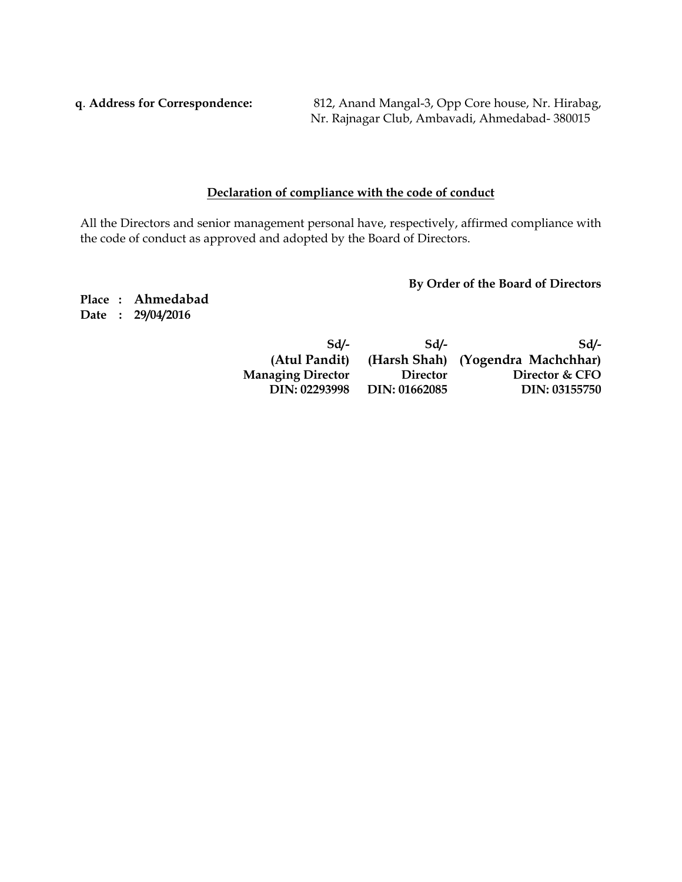**q**. **Address for Correspondence:** 812, Anand Mangal-3, Opp Core house, Nr. Hirabag, Nr. Rajnagar Club, Ambavadi, Ahmedabad- 380015

### **Declaration of compliance with the code of conduct**

All the Directors and senior management personal have, respectively, affirmed compliance with the code of conduct as approved and adopted by the Board of Directors.

**By Order of the Board of Directors** 

**Place : Ahmedabad Date : 29/04/2016** 

| Sd                       | Sd              | Sd/-                              |
|--------------------------|-----------------|-----------------------------------|
| (Atul Pandit)            |                 | (Harsh Shah) (Yogendra Machchhar) |
| <b>Managing Director</b> | <b>Director</b> | Director & CFO                    |
| DIN: 02293998            | DIN: 01662085   | DIN: 03155750                     |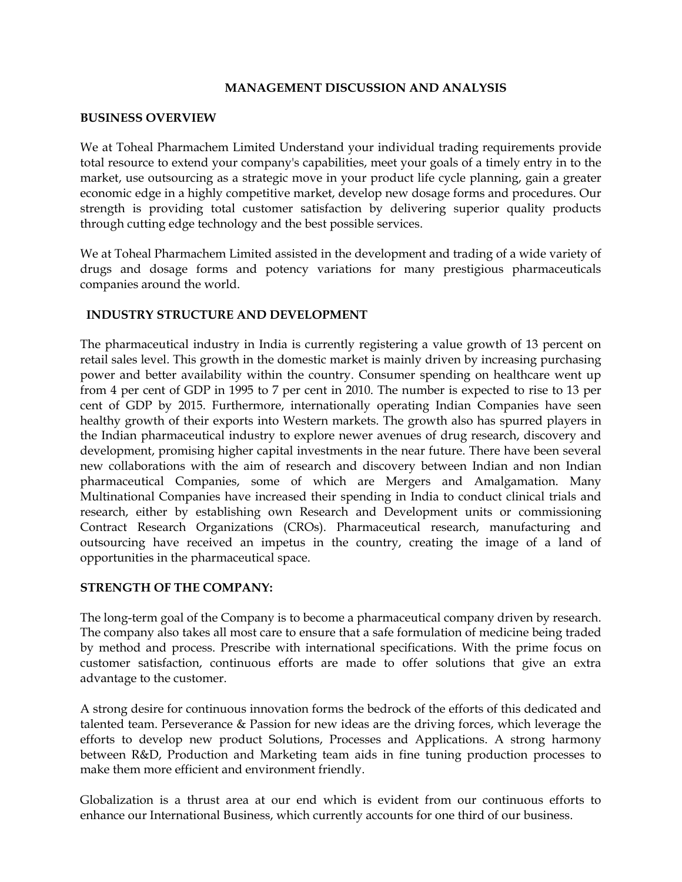#### **MANAGEMENT DISCUSSION AND ANALYSIS**

#### **BUSINESS OVERVIEW**

We at Toheal Pharmachem Limited Understand your individual trading requirements provide total resource to extend your company's capabilities, meet your goals of a timely entry in to the market, use outsourcing as a strategic move in your product life cycle planning, gain a greater economic edge in a highly competitive market, develop new dosage forms and procedures. Our strength is providing total customer satisfaction by delivering superior quality products through cutting edge technology and the best possible services.

We at Toheal Pharmachem Limited assisted in the development and trading of a wide variety of drugs and dosage forms and potency variations for many prestigious pharmaceuticals companies around the world.

#### **INDUSTRY STRUCTURE AND DEVELOPMENT**

The pharmaceutical industry in India is currently registering a value growth of 13 percent on retail sales level. This growth in the domestic market is mainly driven by increasing purchasing power and better availability within the country. Consumer spending on healthcare went up from 4 per cent of GDP in 1995 to 7 per cent in 2010. The number is expected to rise to 13 per cent of GDP by 2015. Furthermore, internationally operating Indian Companies have seen healthy growth of their exports into Western markets. The growth also has spurred players in the Indian pharmaceutical industry to explore newer avenues of drug research, discovery and development, promising higher capital investments in the near future. There have been several new collaborations with the aim of research and discovery between Indian and non Indian pharmaceutical Companies, some of which are Mergers and Amalgamation. Many Multinational Companies have increased their spending in India to conduct clinical trials and research, either by establishing own Research and Development units or commissioning Contract Research Organizations (CROs). Pharmaceutical research, manufacturing and outsourcing have received an impetus in the country, creating the image of a land of opportunities in the pharmaceutical space.

#### **STRENGTH OF THE COMPANY:**

The long-term goal of the Company is to become a pharmaceutical company driven by research. The company also takes all most care to ensure that a safe formulation of medicine being traded by method and process. Prescribe with international specifications. With the prime focus on customer satisfaction, continuous efforts are made to offer solutions that give an extra advantage to the customer.

A strong desire for continuous innovation forms the bedrock of the efforts of this dedicated and talented team. Perseverance & Passion for new ideas are the driving forces, which leverage the efforts to develop new product Solutions, Processes and Applications. A strong harmony between R&D, Production and Marketing team aids in fine tuning production processes to make them more efficient and environment friendly.

Globalization is a thrust area at our end which is evident from our continuous efforts to enhance our International Business, which currently accounts for one third of our business.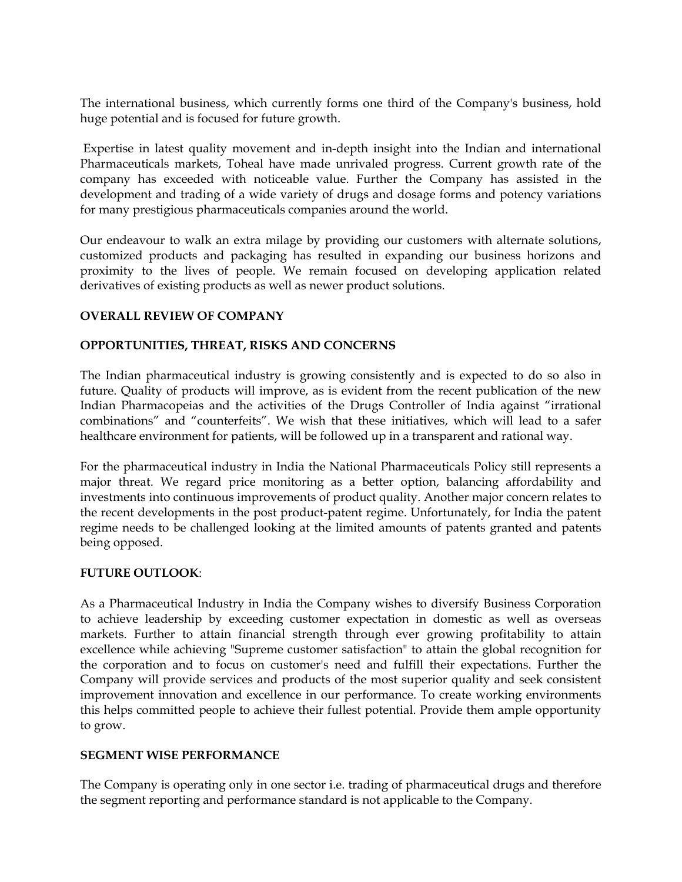The international business, which currently forms one third of the Company's business, hold huge potential and is focused for future growth.

 Expertise in latest quality movement and in-depth insight into the Indian and international Pharmaceuticals markets, Toheal have made unrivaled progress. Current growth rate of the company has exceeded with noticeable value. Further the Company has assisted in the development and trading of a wide variety of drugs and dosage forms and potency variations for many prestigious pharmaceuticals companies around the world.

Our endeavour to walk an extra milage by providing our customers with alternate solutions, customized products and packaging has resulted in expanding our business horizons and proximity to the lives of people. We remain focused on developing application related derivatives of existing products as well as newer product solutions.

### **OVERALL REVIEW OF COMPANY**

### **OPPORTUNITIES, THREAT, RISKS AND CONCERNS**

The Indian pharmaceutical industry is growing consistently and is expected to do so also in future. Quality of products will improve, as is evident from the recent publication of the new Indian Pharmacopeias and the activities of the Drugs Controller of India against "irrational combinations" and "counterfeits". We wish that these initiatives, which will lead to a safer healthcare environment for patients, will be followed up in a transparent and rational way.

For the pharmaceutical industry in India the National Pharmaceuticals Policy still represents a major threat. We regard price monitoring as a better option, balancing affordability and investments into continuous improvements of product quality. Another major concern relates to the recent developments in the post product-patent regime. Unfortunately, for India the patent regime needs to be challenged looking at the limited amounts of patents granted and patents being opposed.

#### **FUTURE OUTLOOK**:

As a Pharmaceutical Industry in India the Company wishes to diversify Business Corporation to achieve leadership by exceeding customer expectation in domestic as well as overseas markets. Further to attain financial strength through ever growing profitability to attain excellence while achieving "Supreme customer satisfaction" to attain the global recognition for the corporation and to focus on customer's need and fulfill their expectations. Further the Company will provide services and products of the most superior quality and seek consistent improvement innovation and excellence in our performance. To create working environments this helps committed people to achieve their fullest potential. Provide them ample opportunity to grow.

#### **SEGMENT WISE PERFORMANCE**

The Company is operating only in one sector i.e. trading of pharmaceutical drugs and therefore the segment reporting and performance standard is not applicable to the Company.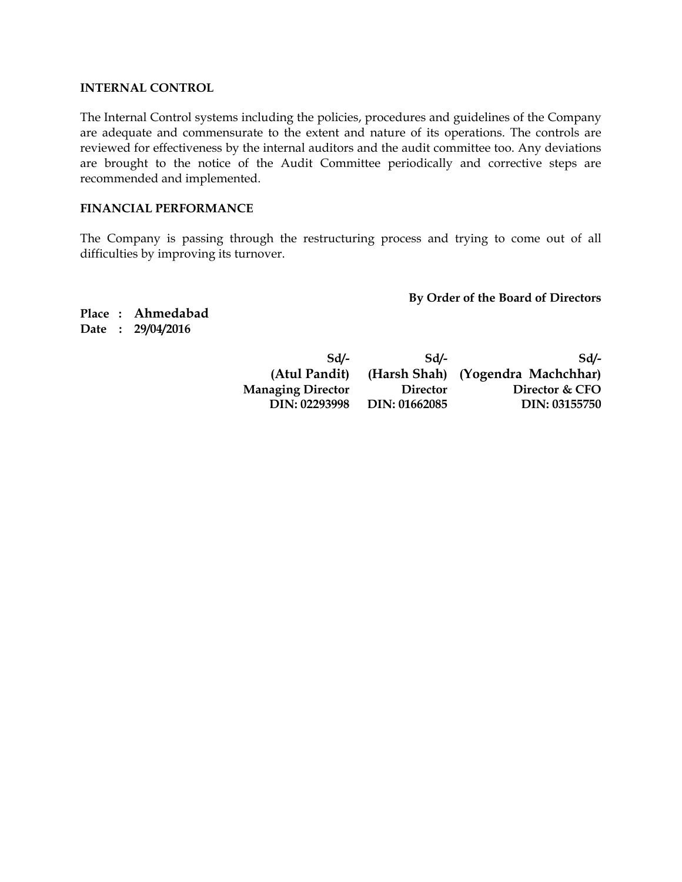#### **INTERNAL CONTROL**

The Internal Control systems including the policies, procedures and guidelines of the Company are adequate and commensurate to the extent and nature of its operations. The controls are reviewed for effectiveness by the internal auditors and the audit committee too. Any deviations are brought to the notice of the Audit Committee periodically and corrective steps are recommended and implemented.

#### **FINANCIAL PERFORMANCE**

The Company is passing through the restructuring process and trying to come out of all difficulties by improving its turnover.

**By Order of the Board of Directors** 

**Place : Ahmedabad Date : 29/04/2016** 

| Sd                       | Sd              | $Sd/-$                            |
|--------------------------|-----------------|-----------------------------------|
| (Atul Pandit)            |                 | (Harsh Shah) (Yogendra Machchhar) |
| <b>Managing Director</b> | <b>Director</b> | Director & CFO                    |
| DIN: 02293998            | DIN: 01662085   | DIN: 03155750                     |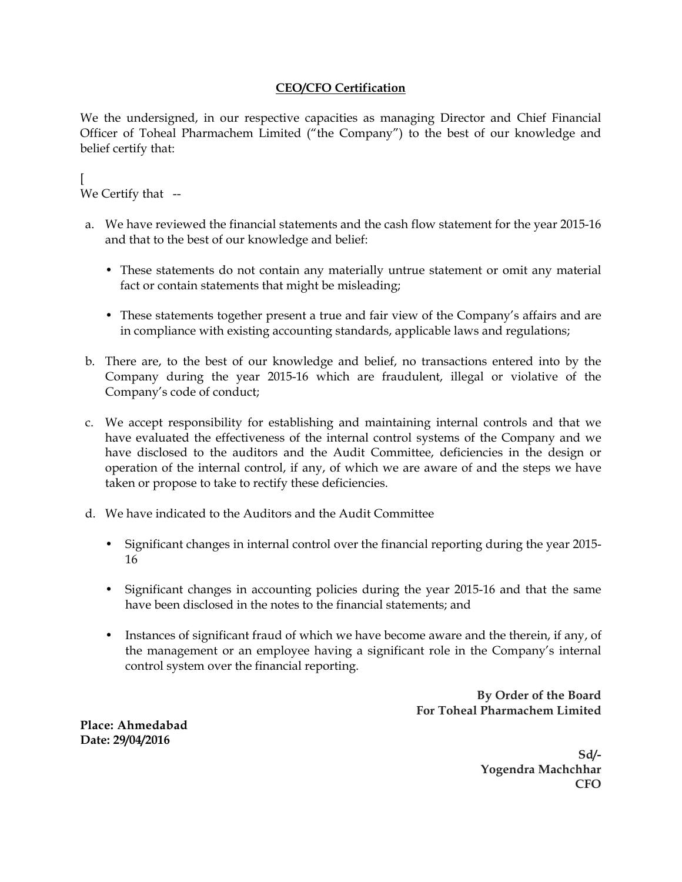#### **CEO/CFO Certification**

We the undersigned, in our respective capacities as managing Director and Chief Financial Officer of Toheal Pharmachem Limited ("the Company") to the best of our knowledge and belief certify that:

[ We Certify that --

- a. We have reviewed the financial statements and the cash flow statement for the year 2015-16 and that to the best of our knowledge and belief:
	- These statements do not contain any materially untrue statement or omit any material fact or contain statements that might be misleading;
	- These statements together present a true and fair view of the Company's affairs and are in compliance with existing accounting standards, applicable laws and regulations;
- b. There are, to the best of our knowledge and belief, no transactions entered into by the Company during the year 2015-16 which are fraudulent, illegal or violative of the Company's code of conduct;
- c. We accept responsibility for establishing and maintaining internal controls and that we have evaluated the effectiveness of the internal control systems of the Company and we have disclosed to the auditors and the Audit Committee, deficiencies in the design or operation of the internal control, if any, of which we are aware of and the steps we have taken or propose to take to rectify these deficiencies.
- d. We have indicated to the Auditors and the Audit Committee
	- Significant changes in internal control over the financial reporting during the year 2015- 16
	- Significant changes in accounting policies during the year 2015-16 and that the same have been disclosed in the notes to the financial statements; and
	- Instances of significant fraud of which we have become aware and the therein, if any, of the management or an employee having a significant role in the Company's internal control system over the financial reporting.

**By Order of the Board For Toheal Pharmachem Limited** 

**Place: Ahmedabad Date: 29/04/2016** 

> **Sd/- Yogendra Machchhar CFO**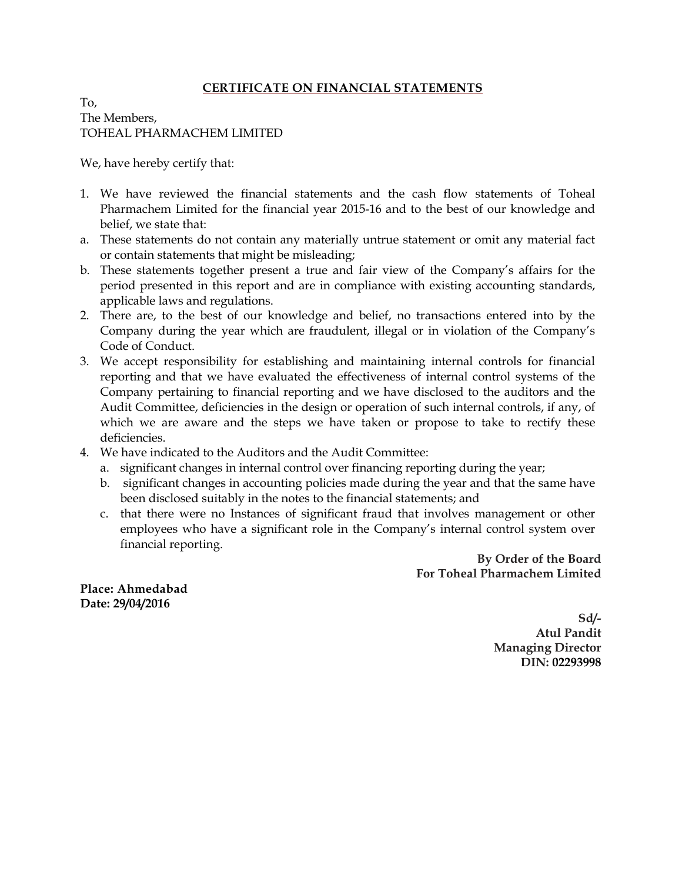#### **CERTIFICATE ON FINANCIAL STATEMENTS**

To, The Members, TOHEAL PHARMACHEM LIMITED

We, have hereby certify that:

- 1. We have reviewed the financial statements and the cash flow statements of Toheal Pharmachem Limited for the financial year 2015-16 and to the best of our knowledge and belief, we state that:
- a. These statements do not contain any materially untrue statement or omit any material fact or contain statements that might be misleading;
- b. These statements together present a true and fair view of the Company's affairs for the period presented in this report and are in compliance with existing accounting standards, applicable laws and regulations.
- 2. There are, to the best of our knowledge and belief, no transactions entered into by the Company during the year which are fraudulent, illegal or in violation of the Company's Code of Conduct.
- 3. We accept responsibility for establishing and maintaining internal controls for financial reporting and that we have evaluated the effectiveness of internal control systems of the Company pertaining to financial reporting and we have disclosed to the auditors and the Audit Committee, deficiencies in the design or operation of such internal controls, if any, of which we are aware and the steps we have taken or propose to take to rectify these deficiencies.
- 4. We have indicated to the Auditors and the Audit Committee:
	- a. significant changes in internal control over financing reporting during the year;
	- b. significant changes in accounting policies made during the year and that the same have been disclosed suitably in the notes to the financial statements; and
	- c. that there were no Instances of significant fraud that involves management or other employees who have a significant role in the Company's internal control system over financial reporting.

 **By Order of the Board For Toheal Pharmachem Limited** 

**Place: Ahmedabad Date: 29/04/2016** 

> **Sd/- Atul Pandit Managing Director DIN: 02293998**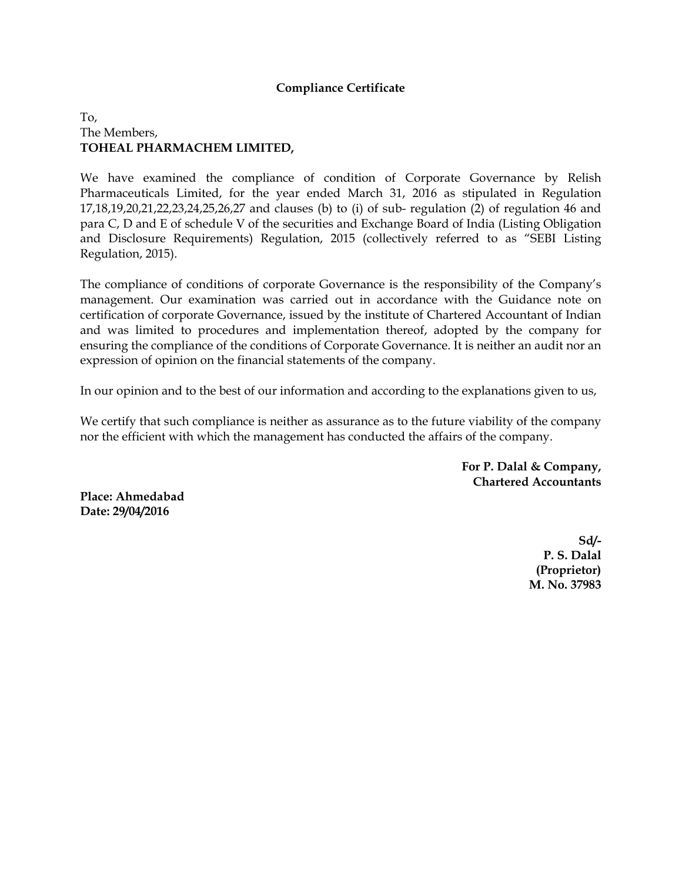#### **Compliance Certificate**

#### To, The Members, **TOHEAL PHARMACHEM LIMITED,**

We have examined the compliance of condition of Corporate Governance by Relish Pharmaceuticals Limited, for the year ended March 31, 2016 as stipulated in Regulation 17,18,19,20,21,22,23,24,25,26,27 and clauses (b) to (i) of sub- regulation (2) of regulation 46 and para C, D and E of schedule V of the securities and Exchange Board of India (Listing Obligation and Disclosure Requirements) Regulation, 2015 (collectively referred to as "SEBI Listing Regulation, 2015).

The compliance of conditions of corporate Governance is the responsibility of the Company's management. Our examination was carried out in accordance with the Guidance note on certification of corporate Governance, issued by the institute of Chartered Accountant of Indian and was limited to procedures and implementation thereof, adopted by the company for ensuring the compliance of the conditions of Corporate Governance. It is neither an audit nor an expression of opinion on the financial statements of the company.

In our opinion and to the best of our information and according to the explanations given to us,

We certify that such compliance is neither as assurance as to the future viability of the company nor the efficient with which the management has conducted the affairs of the company.

> **For P. Dalal & Company, Chartered Accountants**

**Place: Ahmedabad Date: 29/04/2016** 

> **Sd/- P. S. Dalal (Proprietor) M. No. 37983**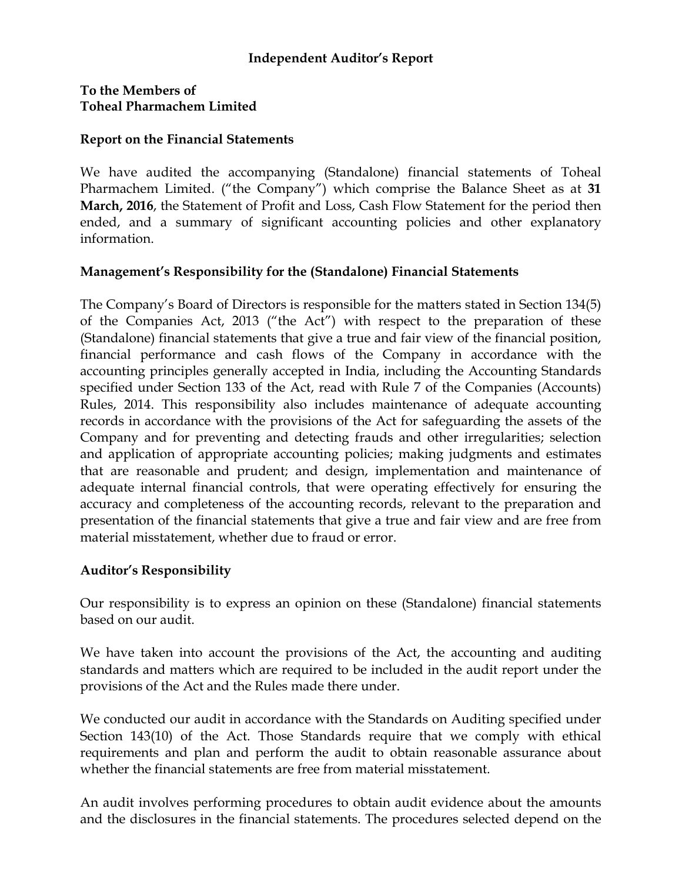## **Independent Auditor's Report**

## **To the Members of Toheal Pharmachem Limited**

### **Report on the Financial Statements**

We have audited the accompanying (Standalone) financial statements of Toheal Pharmachem Limited. ("the Company") which comprise the Balance Sheet as at **31 March, 2016**, the Statement of Profit and Loss, Cash Flow Statement for the period then ended, and a summary of significant accounting policies and other explanatory information.

## **Management's Responsibility for the (Standalone) Financial Statements**

The Company's Board of Directors is responsible for the matters stated in Section 134(5) of the Companies Act, 2013 ("the Act") with respect to the preparation of these (Standalone) financial statements that give a true and fair view of the financial position, financial performance and cash flows of the Company in accordance with the accounting principles generally accepted in India, including the Accounting Standards specified under Section 133 of the Act, read with Rule 7 of the Companies (Accounts) Rules, 2014. This responsibility also includes maintenance of adequate accounting records in accordance with the provisions of the Act for safeguarding the assets of the Company and for preventing and detecting frauds and other irregularities; selection and application of appropriate accounting policies; making judgments and estimates that are reasonable and prudent; and design, implementation and maintenance of adequate internal financial controls, that were operating effectively for ensuring the accuracy and completeness of the accounting records, relevant to the preparation and presentation of the financial statements that give a true and fair view and are free from material misstatement, whether due to fraud or error.

## **Auditor's Responsibility**

Our responsibility is to express an opinion on these (Standalone) financial statements based on our audit.

We have taken into account the provisions of the Act, the accounting and auditing standards and matters which are required to be included in the audit report under the provisions of the Act and the Rules made there under.

We conducted our audit in accordance with the Standards on Auditing specified under Section 143(10) of the Act. Those Standards require that we comply with ethical requirements and plan and perform the audit to obtain reasonable assurance about whether the financial statements are free from material misstatement.

An audit involves performing procedures to obtain audit evidence about the amounts and the disclosures in the financial statements. The procedures selected depend on the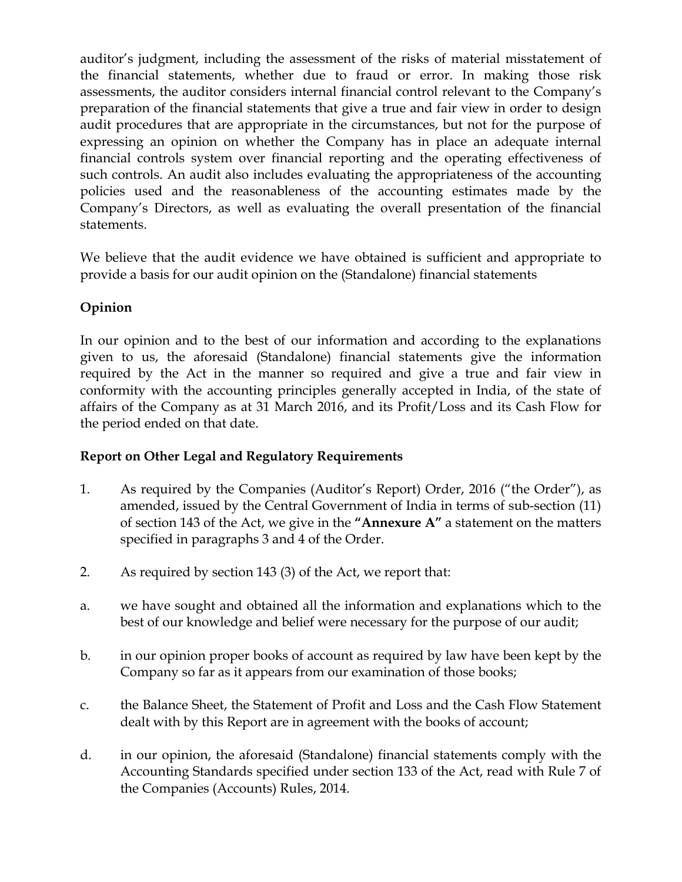auditor's judgment, including the assessment of the risks of material misstatement of the financial statements, whether due to fraud or error. In making those risk assessments, the auditor considers internal financial control relevant to the Company's preparation of the financial statements that give a true and fair view in order to design audit procedures that are appropriate in the circumstances, but not for the purpose of expressing an opinion on whether the Company has in place an adequate internal financial controls system over financial reporting and the operating effectiveness of such controls. An audit also includes evaluating the appropriateness of the accounting policies used and the reasonableness of the accounting estimates made by the Company's Directors, as well as evaluating the overall presentation of the financial statements.

We believe that the audit evidence we have obtained is sufficient and appropriate to provide a basis for our audit opinion on the (Standalone) financial statements

## **Opinion**

In our opinion and to the best of our information and according to the explanations given to us, the aforesaid (Standalone) financial statements give the information required by the Act in the manner so required and give a true and fair view in conformity with the accounting principles generally accepted in India, of the state of affairs of the Company as at 31 March 2016, and its Profit/Loss and its Cash Flow for the period ended on that date.

## **Report on Other Legal and Regulatory Requirements**

- 1. As required by the Companies (Auditor's Report) Order, 2016 ("the Order"), as amended, issued by the Central Government of India in terms of sub-section (11) of section 143 of the Act, we give in the **"Annexure A"** a statement on the matters specified in paragraphs 3 and 4 of the Order.
- 2. As required by section 143 (3) of the Act, we report that:
- a. we have sought and obtained all the information and explanations which to the best of our knowledge and belief were necessary for the purpose of our audit;
- b. in our opinion proper books of account as required by law have been kept by the Company so far as it appears from our examination of those books;
- c. the Balance Sheet, the Statement of Profit and Loss and the Cash Flow Statement dealt with by this Report are in agreement with the books of account;
- d. in our opinion, the aforesaid (Standalone) financial statements comply with the Accounting Standards specified under section 133 of the Act, read with Rule 7 of the Companies (Accounts) Rules, 2014.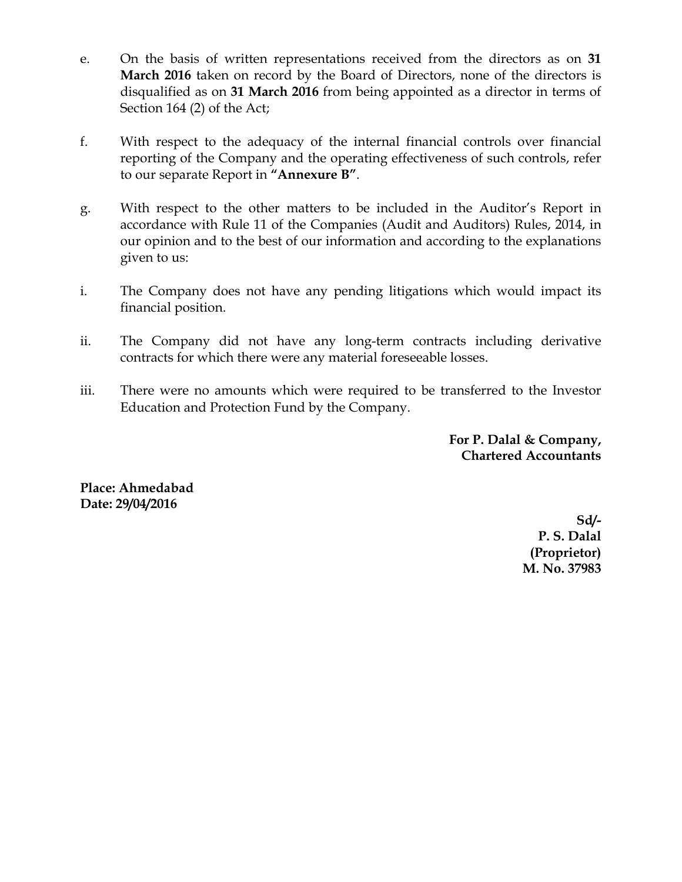- e. On the basis of written representations received from the directors as on **31 March 2016** taken on record by the Board of Directors, none of the directors is disqualified as on **31 March 2016** from being appointed as a director in terms of Section 164 (2) of the Act;
- f. With respect to the adequacy of the internal financial controls over financial reporting of the Company and the operating effectiveness of such controls, refer to our separate Report in **"Annexure B"**.
- g. With respect to the other matters to be included in the Auditor's Report in accordance with Rule 11 of the Companies (Audit and Auditors) Rules, 2014, in our opinion and to the best of our information and according to the explanations given to us:
- i. The Company does not have any pending litigations which would impact its financial position.
- ii. The Company did not have any long-term contracts including derivative contracts for which there were any material foreseeable losses.
- iii. There were no amounts which were required to be transferred to the Investor Education and Protection Fund by the Company.

**For P. Dalal & Company, Chartered Accountants** 

**Place: Ahmedabad Date: 29/04/2016** 

> **Sd/- P. S. Dalal (Proprietor) M. No. 37983**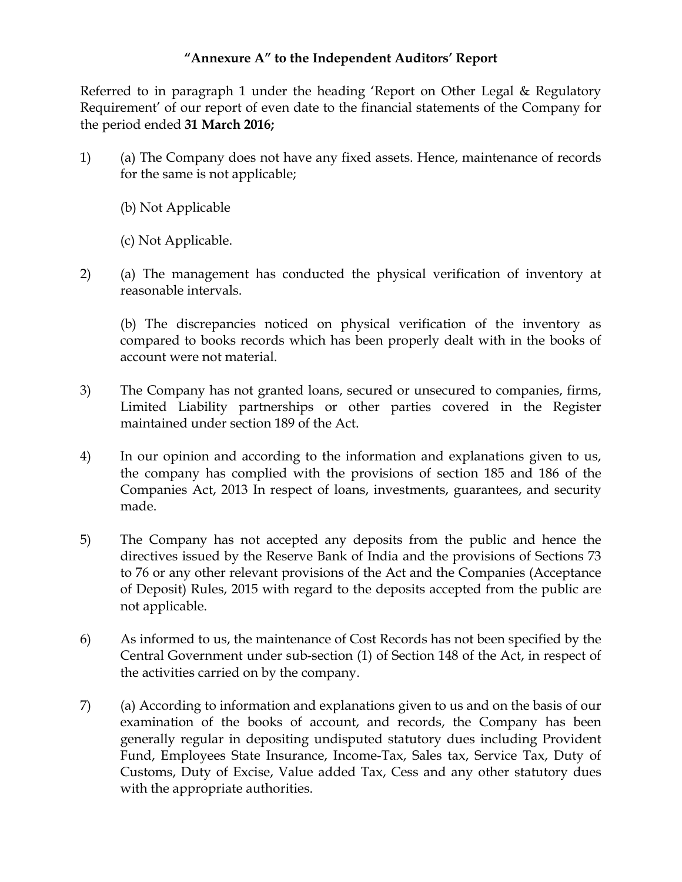## **"Annexure A" to the Independent Auditors' Report**

Referred to in paragraph 1 under the heading 'Report on Other Legal & Regulatory Requirement' of our report of even date to the financial statements of the Company for the period ended **31 March 2016;**

- 1) (a) The Company does not have any fixed assets. Hence, maintenance of records for the same is not applicable;
	- (b) Not Applicable
	- (c) Not Applicable.
- 2) (a) The management has conducted the physical verification of inventory at reasonable intervals.

 (b) The discrepancies noticed on physical verification of the inventory as compared to books records which has been properly dealt with in the books of account were not material.

- 3) The Company has not granted loans, secured or unsecured to companies, firms, Limited Liability partnerships or other parties covered in the Register maintained under section 189 of the Act.
- 4) In our opinion and according to the information and explanations given to us, the company has complied with the provisions of section 185 and 186 of the Companies Act, 2013 In respect of loans, investments, guarantees, and security made.
- 5) The Company has not accepted any deposits from the public and hence the directives issued by the Reserve Bank of India and the provisions of Sections 73 to 76 or any other relevant provisions of the Act and the Companies (Acceptance of Deposit) Rules, 2015 with regard to the deposits accepted from the public are not applicable.
- 6) As informed to us, the maintenance of Cost Records has not been specified by the Central Government under sub-section (1) of Section 148 of the Act, in respect of the activities carried on by the company.
- 7) (a) According to information and explanations given to us and on the basis of our examination of the books of account, and records, the Company has been generally regular in depositing undisputed statutory dues including Provident Fund, Employees State Insurance, Income-Tax, Sales tax, Service Tax, Duty of Customs, Duty of Excise, Value added Tax, Cess and any other statutory dues with the appropriate authorities.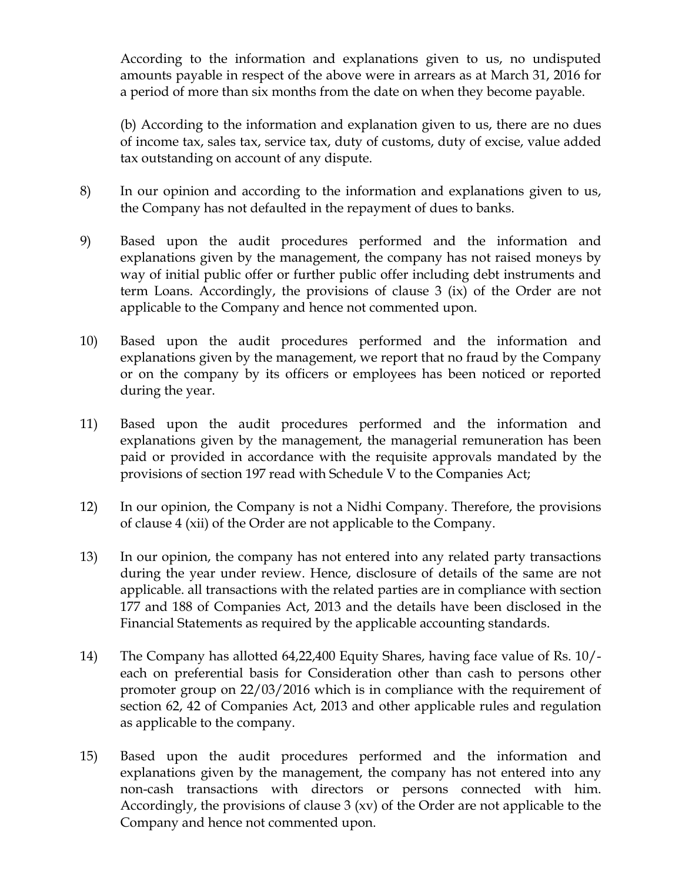According to the information and explanations given to us, no undisputed amounts payable in respect of the above were in arrears as at March 31, 2016 for a period of more than six months from the date on when they become payable.

 (b) According to the information and explanation given to us, there are no dues of income tax, sales tax, service tax, duty of customs, duty of excise, value added tax outstanding on account of any dispute.

- 8) In our opinion and according to the information and explanations given to us, the Company has not defaulted in the repayment of dues to banks.
- 9) Based upon the audit procedures performed and the information and explanations given by the management, the company has not raised moneys by way of initial public offer or further public offer including debt instruments and term Loans. Accordingly, the provisions of clause 3 (ix) of the Order are not applicable to the Company and hence not commented upon.
- 10) Based upon the audit procedures performed and the information and explanations given by the management, we report that no fraud by the Company or on the company by its officers or employees has been noticed or reported during the year.
- 11) Based upon the audit procedures performed and the information and explanations given by the management, the managerial remuneration has been paid or provided in accordance with the requisite approvals mandated by the provisions of section 197 read with Schedule V to the Companies Act;
- 12) In our opinion, the Company is not a Nidhi Company. Therefore, the provisions of clause 4 (xii) of the Order are not applicable to the Company.
- 13) In our opinion, the company has not entered into any related party transactions during the year under review. Hence, disclosure of details of the same are not applicable. all transactions with the related parties are in compliance with section 177 and 188 of Companies Act, 2013 and the details have been disclosed in the Financial Statements as required by the applicable accounting standards.
- 14) The Company has allotted 64,22,400 Equity Shares, having face value of Rs. 10/ each on preferential basis for Consideration other than cash to persons other promoter group on 22/03/2016 which is in compliance with the requirement of section 62, 42 of Companies Act, 2013 and other applicable rules and regulation as applicable to the company.
- 15) Based upon the audit procedures performed and the information and explanations given by the management, the company has not entered into any non-cash transactions with directors or persons connected with him. Accordingly, the provisions of clause 3 (xv) of the Order are not applicable to the Company and hence not commented upon.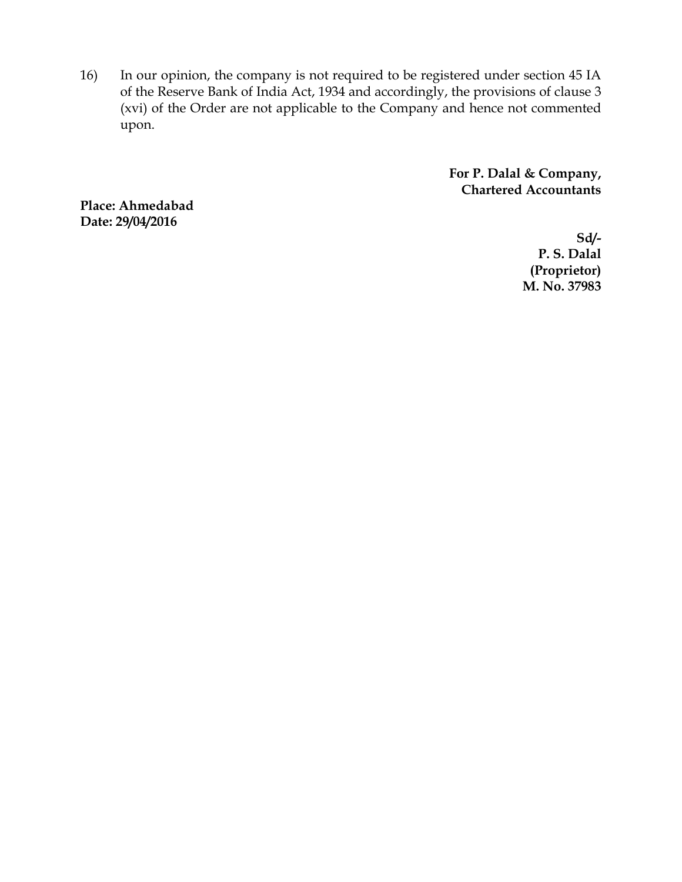16) In our opinion, the company is not required to be registered under section 45 IA of the Reserve Bank of India Act, 1934 and accordingly, the provisions of clause 3 (xvi) of the Order are not applicable to the Company and hence not commented upon.

> **For P. Dalal & Company, Chartered Accountants**

**Place: Ahmedabad Date: 29/04/2016** 

**Sd/- P. S. Dalal (Proprietor) M. No. 37983**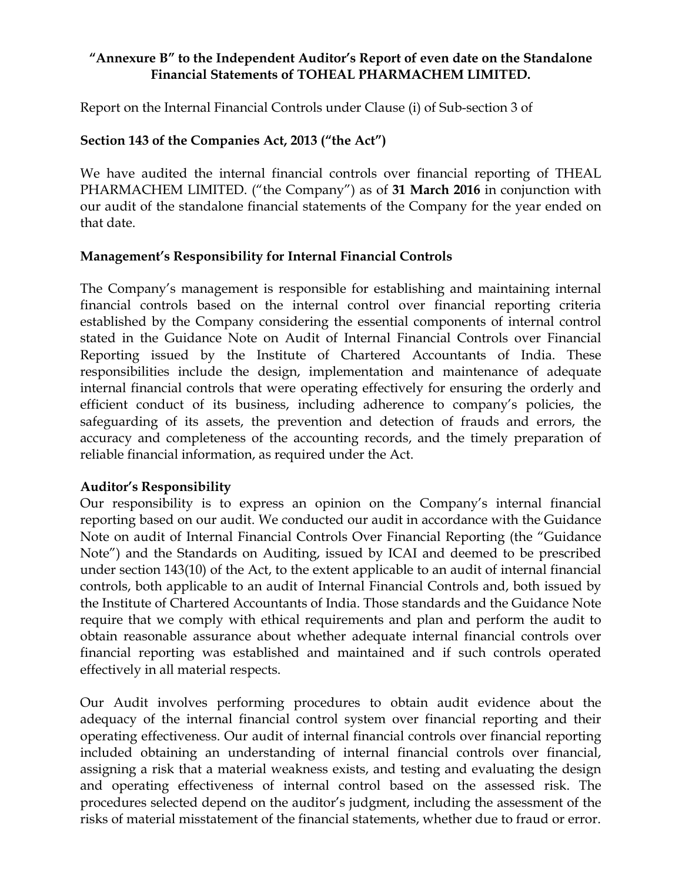## **"Annexure B" to the Independent Auditor's Report of even date on the Standalone Financial Statements of TOHEAL PHARMACHEM LIMITED.**

Report on the Internal Financial Controls under Clause (i) of Sub-section 3 of

## **Section 143 of the Companies Act, 2013 ("the Act")**

We have audited the internal financial controls over financial reporting of THEAL PHARMACHEM LIMITED. ("the Company") as of **31 March 2016** in conjunction with our audit of the standalone financial statements of the Company for the year ended on that date.

## **Management's Responsibility for Internal Financial Controls**

The Company's management is responsible for establishing and maintaining internal financial controls based on the internal control over financial reporting criteria established by the Company considering the essential components of internal control stated in the Guidance Note on Audit of Internal Financial Controls over Financial Reporting issued by the Institute of Chartered Accountants of India. These responsibilities include the design, implementation and maintenance of adequate internal financial controls that were operating effectively for ensuring the orderly and efficient conduct of its business, including adherence to company's policies, the safeguarding of its assets, the prevention and detection of frauds and errors, the accuracy and completeness of the accounting records, and the timely preparation of reliable financial information, as required under the Act.

## **Auditor's Responsibility**

Our responsibility is to express an opinion on the Company's internal financial reporting based on our audit. We conducted our audit in accordance with the Guidance Note on audit of Internal Financial Controls Over Financial Reporting (the "Guidance Note") and the Standards on Auditing, issued by ICAI and deemed to be prescribed under section 143(10) of the Act, to the extent applicable to an audit of internal financial controls, both applicable to an audit of Internal Financial Controls and, both issued by the Institute of Chartered Accountants of India. Those standards and the Guidance Note require that we comply with ethical requirements and plan and perform the audit to obtain reasonable assurance about whether adequate internal financial controls over financial reporting was established and maintained and if such controls operated effectively in all material respects.

Our Audit involves performing procedures to obtain audit evidence about the adequacy of the internal financial control system over financial reporting and their operating effectiveness. Our audit of internal financial controls over financial reporting included obtaining an understanding of internal financial controls over financial, assigning a risk that a material weakness exists, and testing and evaluating the design and operating effectiveness of internal control based on the assessed risk. The procedures selected depend on the auditor's judgment, including the assessment of the risks of material misstatement of the financial statements, whether due to fraud or error.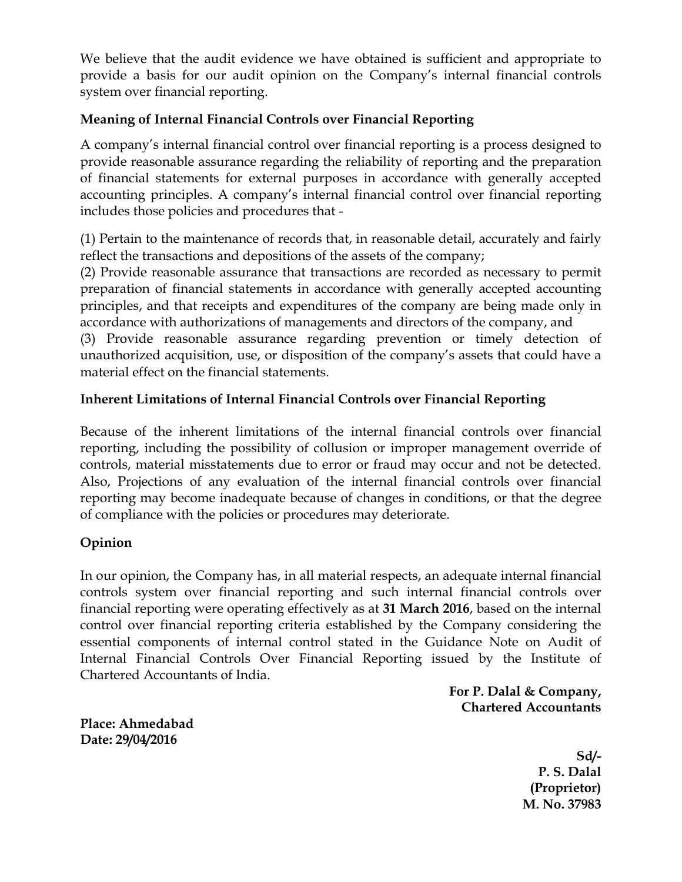We believe that the audit evidence we have obtained is sufficient and appropriate to provide a basis for our audit opinion on the Company's internal financial controls system over financial reporting.

## **Meaning of Internal Financial Controls over Financial Reporting**

A company's internal financial control over financial reporting is a process designed to provide reasonable assurance regarding the reliability of reporting and the preparation of financial statements for external purposes in accordance with generally accepted accounting principles. A company's internal financial control over financial reporting includes those policies and procedures that -

(1) Pertain to the maintenance of records that, in reasonable detail, accurately and fairly reflect the transactions and depositions of the assets of the company;

(2) Provide reasonable assurance that transactions are recorded as necessary to permit preparation of financial statements in accordance with generally accepted accounting principles, and that receipts and expenditures of the company are being made only in accordance with authorizations of managements and directors of the company, and

(3) Provide reasonable assurance regarding prevention or timely detection of unauthorized acquisition, use, or disposition of the company's assets that could have a material effect on the financial statements.

## **Inherent Limitations of Internal Financial Controls over Financial Reporting**

Because of the inherent limitations of the internal financial controls over financial reporting, including the possibility of collusion or improper management override of controls, material misstatements due to error or fraud may occur and not be detected. Also, Projections of any evaluation of the internal financial controls over financial reporting may become inadequate because of changes in conditions, or that the degree of compliance with the policies or procedures may deteriorate.

## **Opinion**

In our opinion, the Company has, in all material respects, an adequate internal financial controls system over financial reporting and such internal financial controls over financial reporting were operating effectively as at **31 March 2016**, based on the internal control over financial reporting criteria established by the Company considering the essential components of internal control stated in the Guidance Note on Audit of Internal Financial Controls Over Financial Reporting issued by the Institute of Chartered Accountants of India.

**For P. Dalal & Company, Chartered Accountants** 

**Place: Ahmedabad Date: 29/04/2016** 

> **Sd/- P. S. Dalal (Proprietor) M. No. 37983**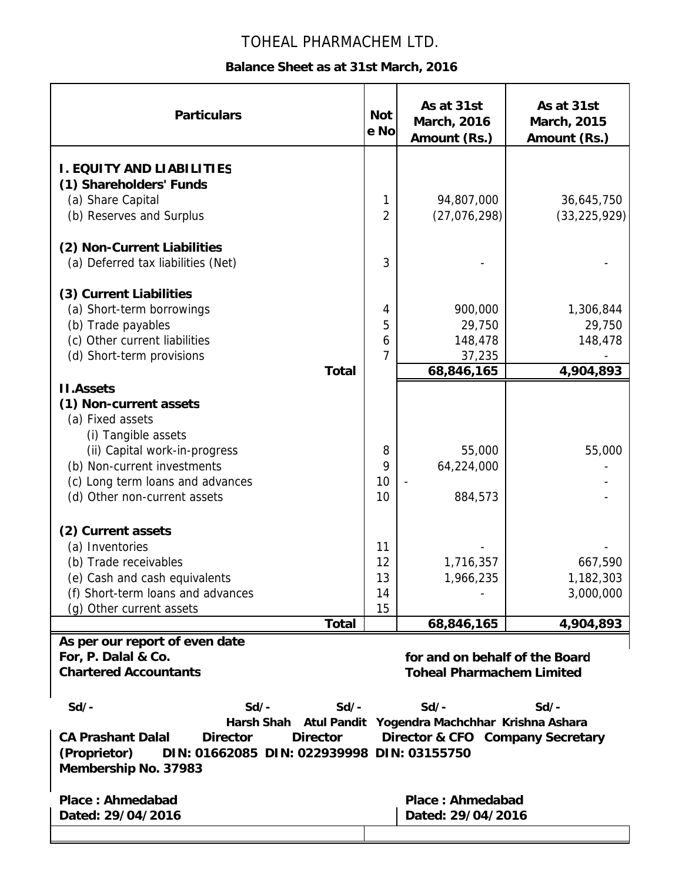# TOHEAL PHARMACHEM LTD.

## **Balance Sheet as at 31st March, 2016**

| <b>Particulars</b>                                                                                 | <b>Not</b><br>e No | As at 31st<br><b>March, 2016</b><br>Amount (Rs.) | As at 31st<br>March, 2015<br>Amount (Rs.) |
|----------------------------------------------------------------------------------------------------|--------------------|--------------------------------------------------|-------------------------------------------|
| <b>I. EQUITY AND LIABILITIES</b>                                                                   |                    |                                                  |                                           |
| (1) Shareholders' Funds                                                                            |                    |                                                  |                                           |
| (a) Share Capital                                                                                  | 1                  | 94,807,000                                       | 36,645,750                                |
| (b) Reserves and Surplus                                                                           | $\overline{2}$     | (27,076,298)                                     | (33, 225, 929)                            |
| (2) Non-Current Liabilities                                                                        |                    |                                                  |                                           |
| (a) Deferred tax liabilities (Net)                                                                 | 3                  |                                                  |                                           |
| (3) Current Liabilities                                                                            |                    |                                                  |                                           |
| (a) Short-term borrowings                                                                          | 4                  | 900,000                                          | 1,306,844                                 |
| (b) Trade payables                                                                                 | 5                  | 29,750                                           | 29,750                                    |
| (c) Other current liabilities                                                                      | 6                  | 148,478                                          | 148,478                                   |
| (d) Short-term provisions                                                                          | 7                  | 37,235                                           |                                           |
| <b>Total</b>                                                                                       |                    | 68,846,165                                       | 4,904,893                                 |
| <b>II.Assets</b>                                                                                   |                    |                                                  |                                           |
| (1) Non-current assets                                                                             |                    |                                                  |                                           |
| (a) Fixed assets                                                                                   |                    |                                                  |                                           |
| (i) Tangible assets                                                                                |                    |                                                  |                                           |
| (ii) Capital work-in-progress                                                                      | 8                  | 55,000                                           | 55,000                                    |
| (b) Non-current investments                                                                        | 9                  | 64,224,000                                       |                                           |
| (c) Long term loans and advances                                                                   | 10                 |                                                  |                                           |
| (d) Other non-current assets                                                                       | 10                 | 884,573                                          |                                           |
| (2) Current assets                                                                                 |                    |                                                  |                                           |
| (a) Inventories                                                                                    | 11                 |                                                  |                                           |
| (b) Trade receivables                                                                              | 12                 | 1,716,357                                        | 667,590                                   |
| (e) Cash and cash equivalents                                                                      | 13                 | 1,966,235                                        | 1,182,303                                 |
| (f) Short-term loans and advances                                                                  | 14                 |                                                  | 3,000,000                                 |
| (g) Other current assets                                                                           | 15                 |                                                  |                                           |
| <b>Total</b>                                                                                       |                    | 68,846,165                                       | 4,904,893                                 |
| As per our report of even date                                                                     |                    |                                                  |                                           |
| For, P. Dalal & Co.                                                                                |                    | for and on behalf of the Board                   |                                           |
| <b>Chartered Accountants</b>                                                                       |                    | <b>Toheal Pharmachem Limited</b>                 |                                           |
| $Sd/-$<br>$Sd/-$<br>$Sd/-$                                                                         |                    | $Sd/-$                                           | $Sd/-$                                    |
| Harsh Shah Atul Pandit Yogendra Machchhar Krishna Ashara                                           |                    |                                                  |                                           |
| <b>CA Prashant Dalal</b><br><b>Director</b><br>Director & CFO Company Secretary<br><b>Director</b> |                    |                                                  |                                           |
| (Proprietor)<br>DIN: 01662085 DIN: 022939998 DIN: 03155750                                         |                    |                                                  |                                           |
| Membership No. 37983                                                                               |                    |                                                  |                                           |
| <b>Place: Ahmedabad</b>                                                                            |                    | Place: Ahmedabad                                 |                                           |
| Dated: 29/04/2016<br>Dated: 29/04/2016                                                             |                    |                                                  |                                           |
|                                                                                                    |                    |                                                  |                                           |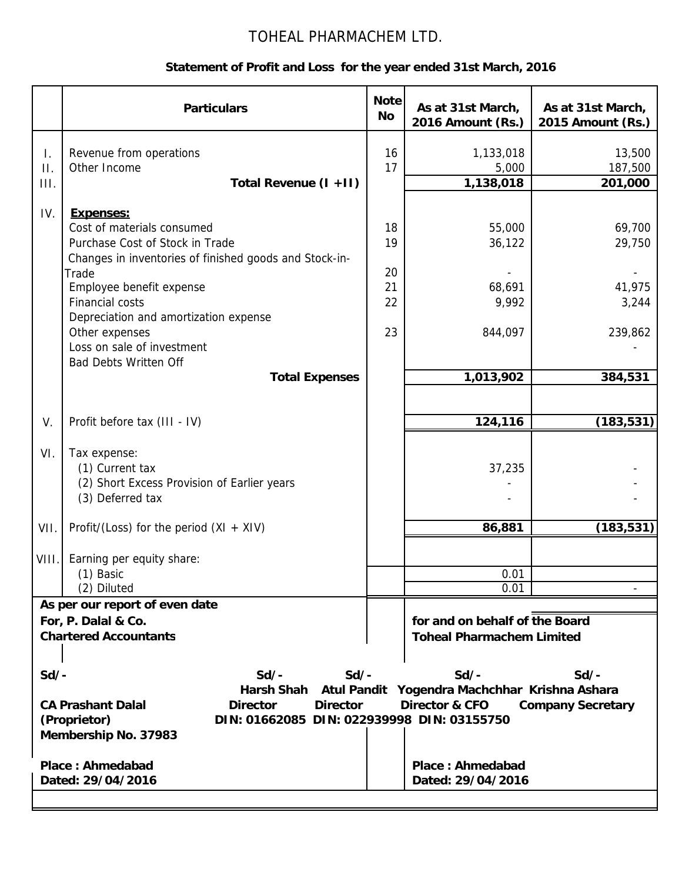# TOHEAL PHARMACHEM LTD.

## **Statement of Profit and Loss for the year ended 31st March, 2016**

|                         | <b>Particulars</b>                                                                                                                                                                                      | <b>Note</b><br>No. | As at 31st March,<br>2016 Amount (Rs.) | As at 31st March,<br>2015 Amount (Rs.) |  |  |
|-------------------------|---------------------------------------------------------------------------------------------------------------------------------------------------------------------------------------------------------|--------------------|----------------------------------------|----------------------------------------|--|--|
| T.<br>Π.<br>III.        | Revenue from operations<br>Other Income<br>Total Revenue (I +II)                                                                                                                                        | 16<br>17           | 1,133,018<br>5,000<br>1,138,018        | 13,500<br>187,500<br>201,000           |  |  |
|                         |                                                                                                                                                                                                         |                    |                                        |                                        |  |  |
| IV.                     | <b>Expenses:</b>                                                                                                                                                                                        |                    |                                        |                                        |  |  |
|                         | Cost of materials consumed                                                                                                                                                                              | 18                 | 55,000                                 | 69,700                                 |  |  |
|                         | Purchase Cost of Stock in Trade                                                                                                                                                                         | 19                 | 36,122                                 | 29,750                                 |  |  |
|                         | Changes in inventories of finished goods and Stock-in-                                                                                                                                                  |                    |                                        |                                        |  |  |
|                         | Trade                                                                                                                                                                                                   | 20                 |                                        |                                        |  |  |
|                         | Employee benefit expense<br><b>Financial costs</b>                                                                                                                                                      | 21<br>22           | 68,691                                 | 41,975                                 |  |  |
|                         | Depreciation and amortization expense                                                                                                                                                                   |                    | 9,992                                  | 3,244                                  |  |  |
|                         | Other expenses                                                                                                                                                                                          | 23                 | 844,097                                | 239,862                                |  |  |
|                         | Loss on sale of investment                                                                                                                                                                              |                    |                                        |                                        |  |  |
|                         | <b>Bad Debts Written Off</b>                                                                                                                                                                            |                    |                                        |                                        |  |  |
|                         | <b>Total Expenses</b>                                                                                                                                                                                   |                    | 1,013,902                              | 384,531                                |  |  |
|                         |                                                                                                                                                                                                         |                    |                                        |                                        |  |  |
|                         |                                                                                                                                                                                                         |                    |                                        |                                        |  |  |
| V.                      | Profit before tax (III - IV)                                                                                                                                                                            |                    | 124,116                                | (183, 531)                             |  |  |
| VI.                     | Tax expense:                                                                                                                                                                                            |                    |                                        |                                        |  |  |
|                         | (1) Current tax                                                                                                                                                                                         |                    | 37,235                                 |                                        |  |  |
|                         | (2) Short Excess Provision of Earlier years                                                                                                                                                             |                    |                                        |                                        |  |  |
|                         | (3) Deferred tax                                                                                                                                                                                        |                    |                                        |                                        |  |  |
|                         |                                                                                                                                                                                                         |                    |                                        |                                        |  |  |
| VII.                    | Profit/(Loss) for the period $(XI + XIV)$                                                                                                                                                               |                    | 86,881                                 | (183, 531)                             |  |  |
|                         |                                                                                                                                                                                                         |                    |                                        |                                        |  |  |
| VIII                    | Earning per equity share:                                                                                                                                                                               |                    |                                        |                                        |  |  |
|                         | (1) Basic                                                                                                                                                                                               |                    | 0.01<br>0.01                           |                                        |  |  |
|                         | (2) Diluted                                                                                                                                                                                             |                    |                                        |                                        |  |  |
|                         | As per our report of even date<br>For, P. Dalal & Co.                                                                                                                                                   |                    | for and on behalf of the Board         |                                        |  |  |
|                         | <b>Chartered Accountants</b>                                                                                                                                                                            |                    | <b>Toheal Pharmachem Limited</b>       |                                        |  |  |
|                         |                                                                                                                                                                                                         |                    |                                        |                                        |  |  |
|                         |                                                                                                                                                                                                         |                    |                                        |                                        |  |  |
|                         | $Sd$ -<br>$Sd/-$<br>$Sd/-$<br>$Sd$ /-<br>$Sd/-$                                                                                                                                                         |                    |                                        |                                        |  |  |
|                         | <b>Harsh Shah</b><br>Yogendra Machchhar Krishna Ashara<br><b>Atul Pandit</b><br><b>CA Prashant Dalal</b><br><b>Director</b><br><b>Director</b><br><b>Director &amp; CFO</b><br><b>Company Secretary</b> |                    |                                        |                                        |  |  |
|                         | DIN: 01662085 DIN: 022939998 DIN: 03155750<br>(Proprietor)                                                                                                                                              |                    |                                        |                                        |  |  |
|                         | Membership No. 37983                                                                                                                                                                                    |                    |                                        |                                        |  |  |
|                         |                                                                                                                                                                                                         |                    |                                        |                                        |  |  |
| <b>Place: Ahmedabad</b> |                                                                                                                                                                                                         |                    | <b>Place: Ahmedabad</b>                |                                        |  |  |
|                         | Dated: 29/04/2016                                                                                                                                                                                       |                    | Dated: 29/04/2016                      |                                        |  |  |
|                         |                                                                                                                                                                                                         |                    |                                        |                                        |  |  |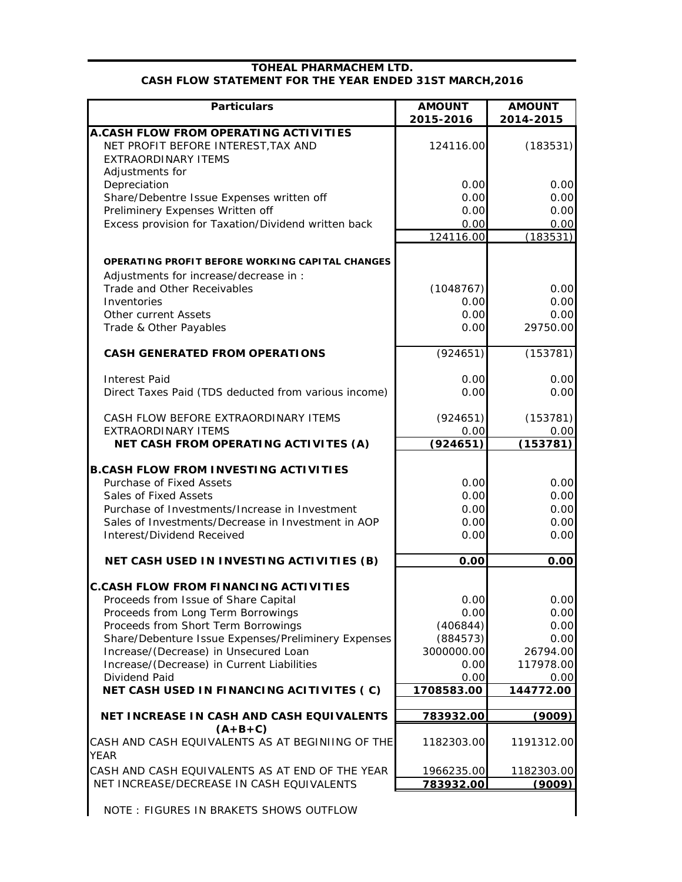#### **TOHEAL PHARMACHEM LTD. CASH FLOW STATEMENT FOR THE YEAR ENDED 31ST MARCH,2016**

| <b>Particulars</b>                                          | <b>AMOUNT</b>     | <b>AMOUNT</b>     |
|-------------------------------------------------------------|-------------------|-------------------|
|                                                             | 2015-2016         | 2014-2015         |
| A.CASH FLOW FROM OPERATING ACTIVITIES                       |                   |                   |
| NET PROFIT BEFORE INTEREST, TAX AND                         | 124116.00         | (183531)          |
| <b>EXTRAORDINARY ITEMS</b>                                  |                   |                   |
| Adjustments for                                             |                   |                   |
| Depreciation                                                | 0.00              | 0.00              |
| Share/Debentre Issue Expenses written off                   | 0.00              | 0.00              |
| Preliminery Expenses Written off                            | 0.00              | 0.00              |
| Excess provision for Taxation/Dividend written back         | 0.00<br>124116.00 | 0.00<br>(183531)  |
|                                                             |                   |                   |
| <b>OPERATING PROFIT BEFORE WORKING CAPITAL CHANGES</b>      |                   |                   |
| Adjustments for increase/decrease in :                      |                   |                   |
| Trade and Other Receivables                                 | (1048767)         | 0.00              |
| Inventories                                                 | 0.00              | 0.00              |
| <b>Other current Assets</b>                                 | 0.00              | 0.00              |
| Trade & Other Payables                                      | 0.00              | 29750.00          |
|                                                             |                   |                   |
| <b>CASH GENERATED FROM OPERATIONS</b>                       | (924651)          | (153781)          |
| <b>Interest Paid</b>                                        | 0.00              | 0.00              |
| Direct Taxes Paid (TDS deducted from various income)        | 0.00              | 0.00              |
|                                                             |                   |                   |
| CASH FLOW BEFORE EXTRAORDINARY ITEMS                        | (924651)          | (153781)          |
| <b>EXTRAORDINARY ITEMS</b>                                  | 0.00              | 0.00              |
| NET CASH FROM OPERATING ACTIVITES (A)                       | (924651)          | (153781)          |
|                                                             |                   |                   |
| <b>B.CASH FLOW FROM INVESTING ACTIVITIES</b>                |                   |                   |
| Purchase of Fixed Assets                                    | 0.00              | 0.00              |
| Sales of Fixed Assets                                       | 0.00              | 0.00              |
| Purchase of Investments/Increase in Investment              | 0.00              | 0.00              |
| Sales of Investments/Decrease in Investment in AOP          | 0.00              | 0.00              |
| Interest/Dividend Received                                  | 0.00              | 0.00              |
| NET CASH USED IN INVESTING ACTIVITIES (B)                   | 0.00              | 0.00              |
|                                                             |                   |                   |
| <b>C.CASH FLOW FROM FINANCING ACTIVITIES</b>                |                   |                   |
| Proceeds from Issue of Share Capital                        | 0.00              | 0.00              |
| Proceeds from Long Term Borrowings                          | 0.00              | 0.00              |
| Proceeds from Short Term Borrowings                         | (406844)          | 0.00              |
| Share/Debenture Issue Expenses/Preliminery Expenses         | (884573)          | 0.00              |
| Increase/(Decrease) in Unsecured Loan                       | 3000000.00        | 26794.00          |
| Increase/(Decrease) in Current Liabilities<br>Dividend Paid | 0.00<br>0.00      | 117978.00         |
| NET CASH USED IN FINANCING ACITIVITES (C)                   | 1708583.00        | 0.00<br>144772.00 |
|                                                             |                   |                   |
| NET INCREASE IN CASH AND CASH EQUIVALENTS                   | 783932.00         | (9009)            |
| $(A+B+C)$                                                   |                   |                   |
| CASH AND CASH EQUIVALENTS AS AT BEGINIING OF THE            | 1182303.00        | 1191312.00        |
| <b>YEAR</b>                                                 |                   |                   |
| CASH AND CASH EQUIVALENTS AS AT END OF THE YEAR             | 1966235.00        | 1182303.00        |
| NET INCREASE/DECREASE IN CASH EQUIVALENTS                   | 783932.00         | (9009)            |
| NOTE: FIGURES IN BRAKETS SHOWS OUTFLOW                      |                   |                   |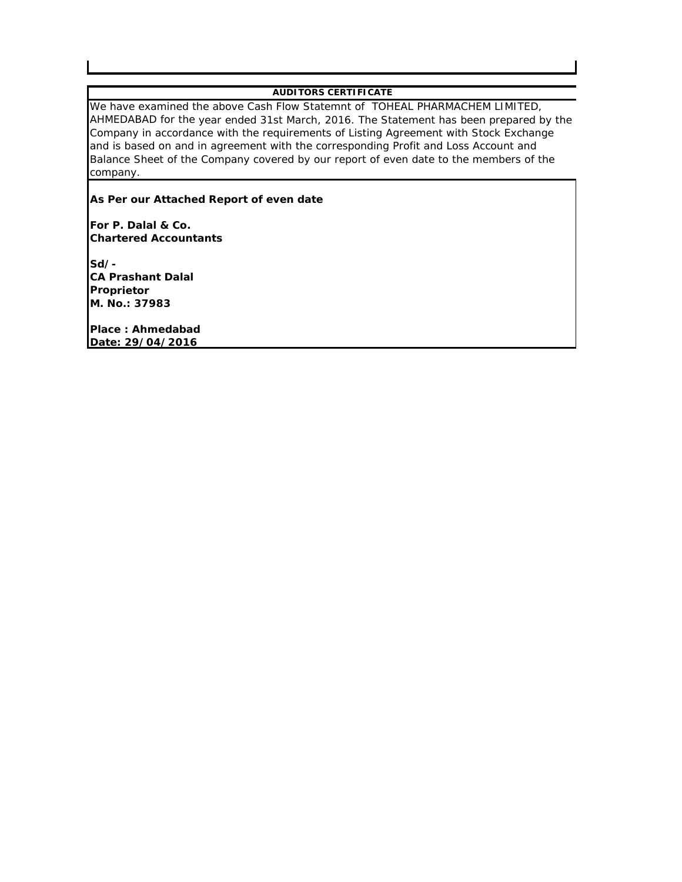#### **AUDITORS CERTIFICATE**

We have examined the above Cash Flow Statemnt of TOHEAL PHARMACHEM LIMITED, AHMEDABAD for the year ended 31st March, 2016. The Statement has been prepared by the Company in accordance with the requirements of Listing Agreement with Stock Exchange and is based on and in agreement with the corresponding Profit and Loss Account and Balance Sheet of the Company covered by our report of even date to the members of the company.

#### **As Per our Attached Report of even date**

**For P. Dalal & Co. Chartered Accountants**

**Sd/- CA Prashant Dalal Proprietor M. No.: 37983**

**Place : Ahmedabad Date: 29/04/2016**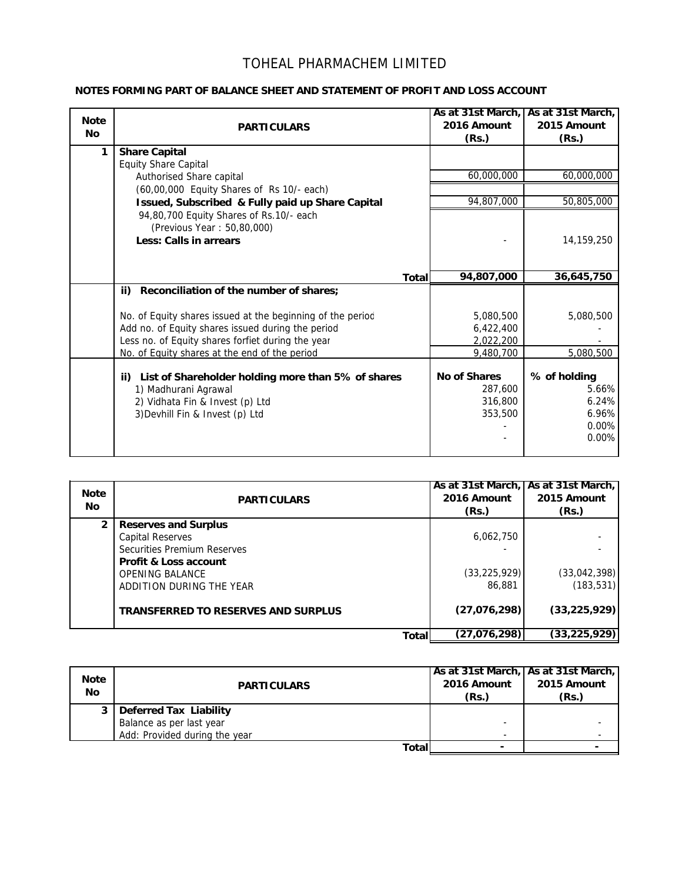## TOHEAL PHARMACHEM LIMITED

#### **NOTES FORMING PART OF BALANCE SHEET AND STATEMENT OF PROFIT AND LOSS ACCOUNT**

| <b>Note</b><br><b>No</b> | <b>PARTICULARS</b>                                                                                                                                                   | 2016 Amount<br>(Rs.)                                 | As at 31st March, As at 31st March,<br>2015 Amount<br>(Rs.) |
|--------------------------|----------------------------------------------------------------------------------------------------------------------------------------------------------------------|------------------------------------------------------|-------------------------------------------------------------|
| 1                        | <b>Share Capital</b><br><b>Equity Share Capital</b>                                                                                                                  |                                                      |                                                             |
|                          | Authorised Share capital                                                                                                                                             | 60,000,000                                           | 60,000,000                                                  |
|                          | (60,00,000 Equity Shares of Rs 10/- each)                                                                                                                            |                                                      |                                                             |
|                          | Issued, Subscribed & Fully paid up Share Capital                                                                                                                     | 94,807,000                                           | 50,805,000                                                  |
|                          | 94,80,700 Equity Shares of Rs.10/- each<br>(Previous Year: 50,80,000)<br><b>Less: Calls in arrears</b>                                                               |                                                      | 14,159,250                                                  |
|                          | <b>Total</b>                                                                                                                                                         | 94,807,000                                           | 36,645,750                                                  |
|                          | ii) Reconciliation of the number of shares;                                                                                                                          |                                                      |                                                             |
|                          | No. of Equity shares issued at the beginning of the period<br>Add no. of Equity shares issued during the period<br>Less no. of Equity shares forfiet during the year | 5,080,500<br>6,422,400<br>2,022,200                  | 5,080,500                                                   |
|                          | No. of Equity shares at the end of the period                                                                                                                        | 9,480,700                                            | 5,080,500                                                   |
|                          | ii) List of Shareholder holding more than 5% of shares<br>1) Madhurani Agrawal<br>2) Vidhata Fin & Invest (p) Ltd<br>3) Devhill Fin & Invest (p) Ltd                 | <b>No of Shares</b><br>287.600<br>316,800<br>353,500 | % of holding<br>5.66%<br>6.24%<br>6.96%<br>0.00%<br>0.00%   |

| <b>Note</b><br><b>No</b> | <b>PARTICULARS</b>                                                                                                                                  | 2016 Amount<br>(Rs.)        | As at 31st March, As at 31st March,<br>2015 Amount<br>(Rs.) |
|--------------------------|-----------------------------------------------------------------------------------------------------------------------------------------------------|-----------------------------|-------------------------------------------------------------|
| $\overline{2}$           | <b>Reserves and Surplus</b><br><b>Capital Reserves</b><br>Securities Premium Reserves<br><b>Profit &amp; Loss account</b><br><b>OPENING BALANCE</b> | 6,062,750<br>(33, 225, 929) | (33,042,398)                                                |
|                          | ADDITION DURING THE YEAR<br><b>TRANSFERRED TO RESERVES AND SURPLUS</b>                                                                              | 86,881<br>(27,076,298)      | (183, 531)<br>(33, 225, 929)                                |
|                          | Total                                                                                                                                               | (27,076,298)                | (33,225,929)                                                |

| <b>Note</b><br>No | <b>PARTICULARS</b>            | 2016 Amount<br>(Rs.) | As at 31st March,   As at 31st March,  <br>2015 Amount<br>(Rs.) |
|-------------------|-------------------------------|----------------------|-----------------------------------------------------------------|
|                   | <b>Deferred Tax Liability</b> |                      |                                                                 |
|                   | Balance as per last year      |                      |                                                                 |
|                   | Add: Provided during the year |                      |                                                                 |
|                   | Total                         |                      |                                                                 |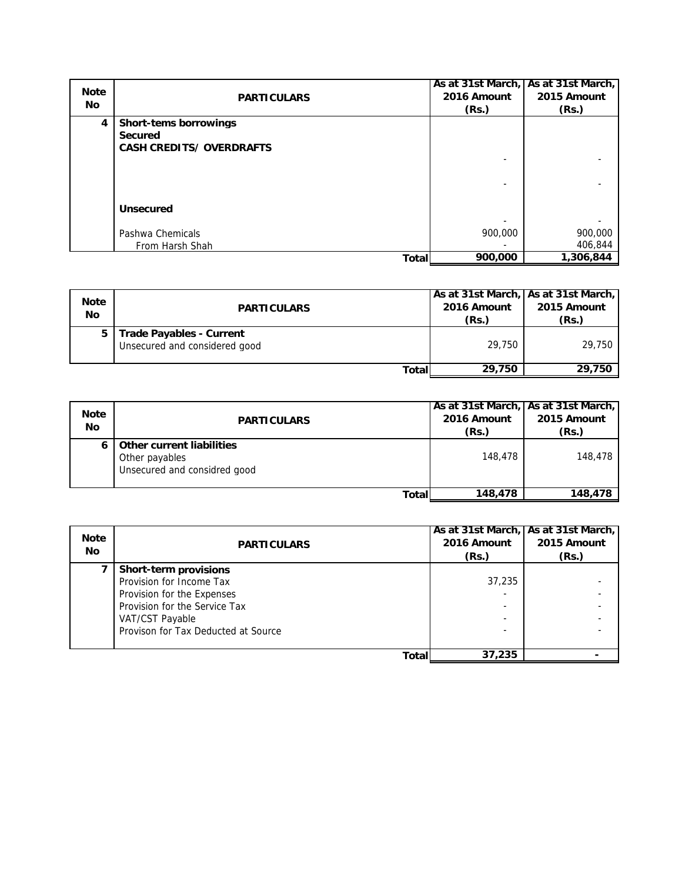| <b>Note</b>    |                                 |             | As at 31st March, As at 31st March, |
|----------------|---------------------------------|-------------|-------------------------------------|
|                | <b>PARTICULARS</b>              | 2016 Amount | 2015 Amount                         |
| No.            |                                 | (Rs.)       | (Rs.)                               |
| $\overline{4}$ | <b>Short-tems borrowings</b>    |             |                                     |
|                | <b>Secured</b>                  |             |                                     |
|                | <b>CASH CREDITS/ OVERDRAFTS</b> |             |                                     |
|                |                                 |             |                                     |
|                |                                 |             |                                     |
|                |                                 |             |                                     |
|                | <b>Unsecured</b>                |             |                                     |
|                |                                 |             |                                     |
|                | Pashwa Chemicals                | 900,000     | 900,000                             |
|                |                                 |             |                                     |
|                | From Harsh Shah                 |             | 406,844                             |
|                | Total                           | 900,000     | 1,306,844                           |

| <b>Note</b><br>No | <b>PARTICULARS</b>                                               | 2016 Amount<br>(Rs.) | As at 31st March, As at 31st March,<br>2015 Amount<br>(Rs.) |
|-------------------|------------------------------------------------------------------|----------------------|-------------------------------------------------------------|
|                   | <b>Trade Payables - Current</b><br>Unsecured and considered good | 29.750               | 29,750                                                      |
|                   | Total                                                            | 29,750               | 29,750                                                      |

| <b>Note</b><br>No | <b>PARTICULARS</b>                                                                 | 2016 Amount<br>(Rs.) | As at 31st March, As at 31st March,<br>2015 Amount<br>(Rs.) |
|-------------------|------------------------------------------------------------------------------------|----------------------|-------------------------------------------------------------|
|                   | <b>Other current liabilities</b><br>Other payables<br>Unsecured and considred good | 148,478              | 148,478                                                     |
|                   | Total                                                                              | 148,478              | 148,478                                                     |

| <b>Note</b><br><b>No</b> | <b>PARTICULARS</b>                  | As at 31st March, As at 31st March,<br>2016 Amount | 2015 Amount |
|--------------------------|-------------------------------------|----------------------------------------------------|-------------|
|                          |                                     | (Rs.)                                              | (Rs.)       |
|                          | <b>Short-term provisions</b>        |                                                    |             |
|                          | Provision for Income Tax            | 37,235                                             |             |
|                          | Provision for the Expenses          |                                                    |             |
|                          | Provision for the Service Tax       |                                                    |             |
|                          | VAT/CST Payable                     |                                                    |             |
|                          | Provison for Tax Deducted at Source |                                                    |             |
|                          | Total                               | 37,235                                             |             |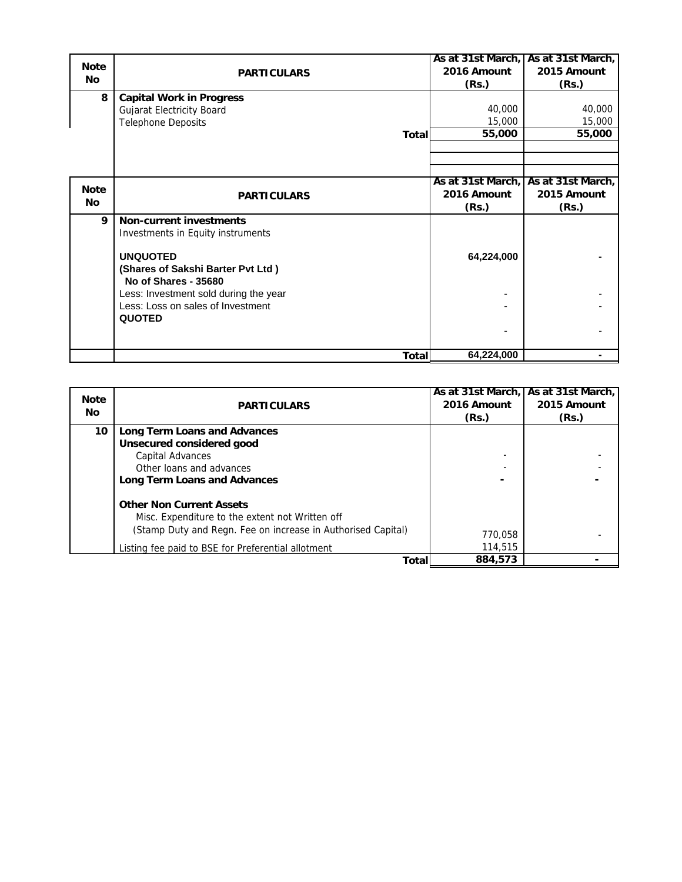|             |                                                                            |             | As at 31st March, As at 31st March, |
|-------------|----------------------------------------------------------------------------|-------------|-------------------------------------|
| <b>Note</b> | <b>PARTICULARS</b>                                                         | 2016 Amount | 2015 Amount                         |
| <b>No</b>   |                                                                            | (Rs.)       | (Rs.)                               |
| 8           | <b>Capital Work in Progress</b>                                            |             |                                     |
|             | <b>Gujarat Electricity Board</b>                                           | 40,000      | 40,000                              |
|             | <b>Telephone Deposits</b>                                                  | 15,000      | 15,000                              |
|             | <b>Total</b>                                                               | 55,000      | 55,000                              |
|             |                                                                            |             |                                     |
|             |                                                                            |             |                                     |
|             |                                                                            |             |                                     |
| <b>Note</b> |                                                                            |             | As at 31st March, As at 31st March, |
| <b>No</b>   | <b>PARTICULARS</b>                                                         | 2016 Amount | 2015 Amount                         |
|             |                                                                            | (Rs.)       | (Rs.)                               |
| 9           | <b>Non-current investments</b>                                             |             |                                     |
|             | Investments in Equity instruments                                          |             |                                     |
|             | <b>UNQUOTED</b>                                                            |             |                                     |
|             |                                                                            | 64,224,000  |                                     |
|             | (Shares of Sakshi Barter Pvt Ltd)<br>No of Shares - 35680                  |             |                                     |
|             |                                                                            |             |                                     |
|             | Less: Investment sold during the year<br>Less: Loss on sales of Investment |             |                                     |
|             | <b>QUOTED</b>                                                              |             |                                     |
|             |                                                                            |             |                                     |
|             |                                                                            |             |                                     |
|             | <b>Total</b>                                                               | 64,224,000  |                                     |

| <b>Note</b><br>No | <b>PARTICULARS</b>                                           | 2016 Amount<br>(Rs.) | As at 31st March, As at 31st March,<br>2015 Amount<br>(Rs.) |
|-------------------|--------------------------------------------------------------|----------------------|-------------------------------------------------------------|
| 10                | Long Term Loans and Advances                                 |                      |                                                             |
|                   | Unsecured considered good                                    |                      |                                                             |
|                   | Capital Advances                                             |                      |                                                             |
|                   | Other loans and advances                                     |                      |                                                             |
|                   | <b>Long Term Loans and Advances</b>                          |                      |                                                             |
|                   | <b>Other Non Current Assets</b>                              |                      |                                                             |
|                   | Misc. Expenditure to the extent not Written off              |                      |                                                             |
|                   | (Stamp Duty and Regn. Fee on increase in Authorised Capital) | 770.058              |                                                             |
|                   | Listing fee paid to BSE for Preferential allotment           | 114,515              |                                                             |
|                   | Total                                                        | 884,573              |                                                             |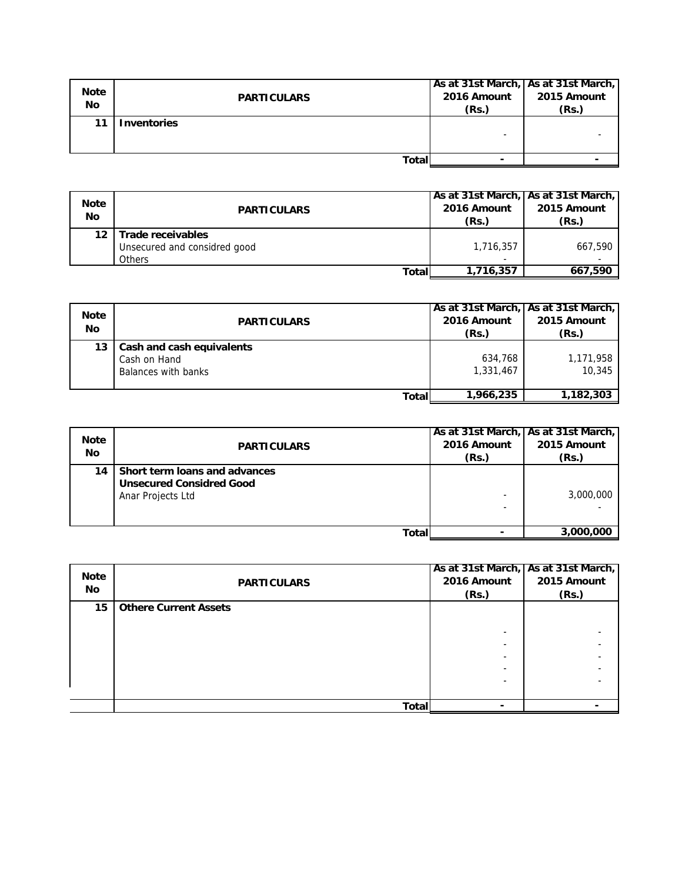| <b>Note</b><br><b>No</b> | <b>PARTICULARS</b> | 2016 Amount<br>(Rs.) | As at 31st March, As at 31st March,<br>2015 Amount<br>(Rs.) |
|--------------------------|--------------------|----------------------|-------------------------------------------------------------|
| 11                       | <b>Inventories</b> |                      |                                                             |
|                          | Total              |                      |                                                             |

| <b>Note</b><br>No | <b>PARTICULARS</b>                                          | 2016 Amount<br>(Rs.) | As at 31st March,   As at 31st March,  <br>2015 Amount<br>(Rs.) |
|-------------------|-------------------------------------------------------------|----------------------|-----------------------------------------------------------------|
| 12                | Trade receivables<br>Unsecured and considred good<br>Others | 1,716,357<br>۰       | 667.590                                                         |
|                   | Totall                                                      | 1,716,357            | 667.590                                                         |

| <b>Note</b><br>No | <b>PARTICULARS</b>                                               | As at 31st March,   As at 31st March,<br>2016 Amount<br>(Rs.) | 2015 Amount<br>(Rs.) |
|-------------------|------------------------------------------------------------------|---------------------------------------------------------------|----------------------|
| 13                | Cash and cash equivalents<br>Cash on Hand<br>Balances with banks | 634,768<br>1,331,467                                          | 1,171,958<br>10,345  |
|                   | Totall                                                           | 1,966,235                                                     | 1,182,303            |

| <b>Note</b><br>No | <b>PARTICULARS</b>                                                                    | 2016 Amount<br>(Rs.) | As at 31st March, As at 31st March,<br>2015 Amount<br>(Rs.) |
|-------------------|---------------------------------------------------------------------------------------|----------------------|-------------------------------------------------------------|
| 14                | Short term loans and advances<br><b>Unsecured Considred Good</b><br>Anar Projects Ltd |                      | 3,000,000                                                   |
|                   | Totall                                                                                |                      | 3,000,000                                                   |

| <b>Note</b><br><b>No</b> | <b>PARTICULARS</b>           | 2016 Amount<br>(Rs.) | As at 31st March, As at 31st March,<br>2015 Amount<br>(Rs.) |
|--------------------------|------------------------------|----------------------|-------------------------------------------------------------|
| 15                       | <b>Othere Current Assets</b> |                      |                                                             |
|                          |                              |                      |                                                             |
|                          |                              |                      |                                                             |
|                          |                              |                      |                                                             |
|                          |                              |                      |                                                             |
|                          |                              |                      |                                                             |
|                          |                              |                      |                                                             |
|                          |                              |                      |                                                             |
|                          | <b>Total</b>                 |                      |                                                             |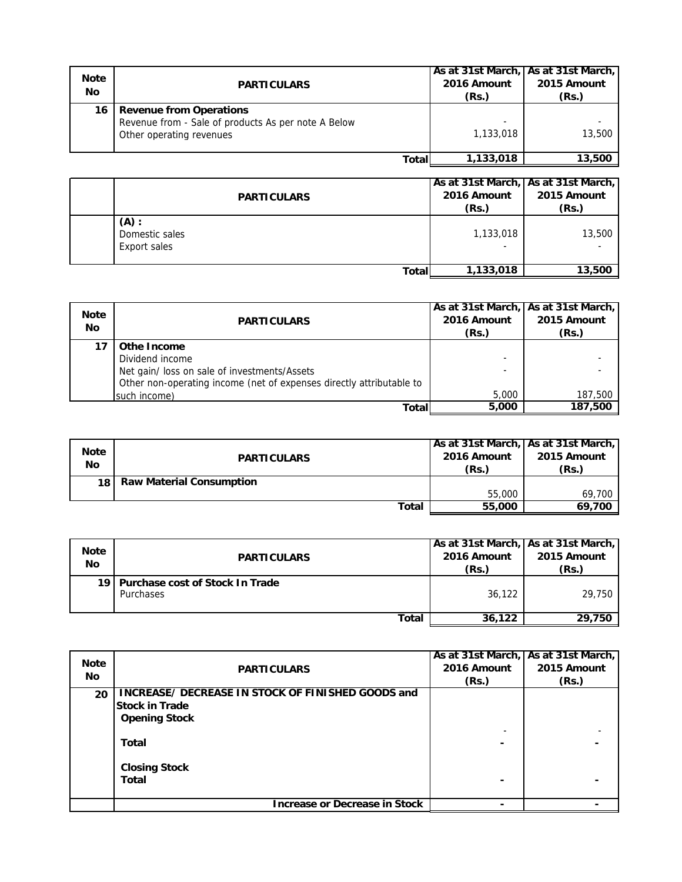| <b>Note</b><br>No | <b>PARTICULARS</b>                                                                                                | 2016 Amount<br>(Rs.) | As at 31st March, As at 31st March,<br>2015 Amount<br>(Rs.) |
|-------------------|-------------------------------------------------------------------------------------------------------------------|----------------------|-------------------------------------------------------------|
| 16                | <b>Revenue from Operations</b><br>Revenue from - Sale of products As per note A Below<br>Other operating revenues | 1.133.018            | 13,500                                                      |
|                   | <b>Total</b>                                                                                                      | 1,133,018            | 13,500                                                      |

| <b>PARTICULARS</b>                        | 2016 Amount<br>(Rs.) | As at 31st March,   As at 31st March,  <br>2015 Amount<br>(Rs.) |
|-------------------------------------------|----------------------|-----------------------------------------------------------------|
| $(A)$ :<br>Domestic sales<br>Export sales | 1,133,018            | 13,500                                                          |
| Totall                                    | 1,133,018            | 13,500                                                          |

| <b>Note</b><br>No | <b>PARTICULARS</b>                                                   | 2016 Amount<br>(Rs.) | As at 31st March, As at 31st March,<br>2015 Amount<br>(Rs.) |
|-------------------|----------------------------------------------------------------------|----------------------|-------------------------------------------------------------|
| 17                | <b>Othe Income</b>                                                   |                      |                                                             |
|                   | Dividend income                                                      |                      |                                                             |
|                   | Net gain/ loss on sale of investments/Assets                         |                      |                                                             |
|                   | Other non-operating income (net of expenses directly attributable to |                      |                                                             |
|                   | such income)                                                         | 5,000                | 187,500                                                     |
|                   | Total                                                                | 5,000                | 187,500                                                     |

| <b>Note</b><br>No | <b>PARTICULARS</b>              | 2016 Amount<br>(Rs.) | As at 31st March, As at 31st March,<br>2015 Amount<br>(Rs.) |
|-------------------|---------------------------------|----------------------|-------------------------------------------------------------|
| 18 <sub>1</sub>   | <b>Raw Material Consumption</b> |                      |                                                             |
|                   |                                 | 55,000               | 69,700                                                      |
|                   | Total                           | 55,000               | 69,700                                                      |

| <b>Note</b><br>No | <b>PARTICULARS</b>                                | 2016 Amount<br>(Rs.) | As at 31st March,   As at 31st March,  <br>2015 Amount<br>(Rs.) |
|-------------------|---------------------------------------------------|----------------------|-----------------------------------------------------------------|
|                   | 19   Purchase cost of Stock In Trade<br>Purchases | 36,122               | 29,750                                                          |
|                   | Total                                             | 36,122               | 29.750                                                          |

| <b>Note</b><br><b>No</b> | <b>PARTICULARS</b>                                | 2016 Amount<br>(Rs.) | As at 31st March, As at 31st March,<br>2015 Amount<br>(Rs.) |
|--------------------------|---------------------------------------------------|----------------------|-------------------------------------------------------------|
| 20                       | INCREASE/ DECREASE IN STOCK OF FINISHED GOODS and |                      |                                                             |
|                          | <b>Stock in Trade</b>                             |                      |                                                             |
|                          | <b>Opening Stock</b>                              |                      |                                                             |
|                          |                                                   |                      |                                                             |
|                          | Total                                             |                      |                                                             |
|                          |                                                   |                      |                                                             |
|                          | <b>Closing Stock</b>                              |                      |                                                             |
|                          | Total                                             |                      |                                                             |
|                          |                                                   |                      |                                                             |
|                          | <b>Increase or Decrease in Stock</b>              |                      |                                                             |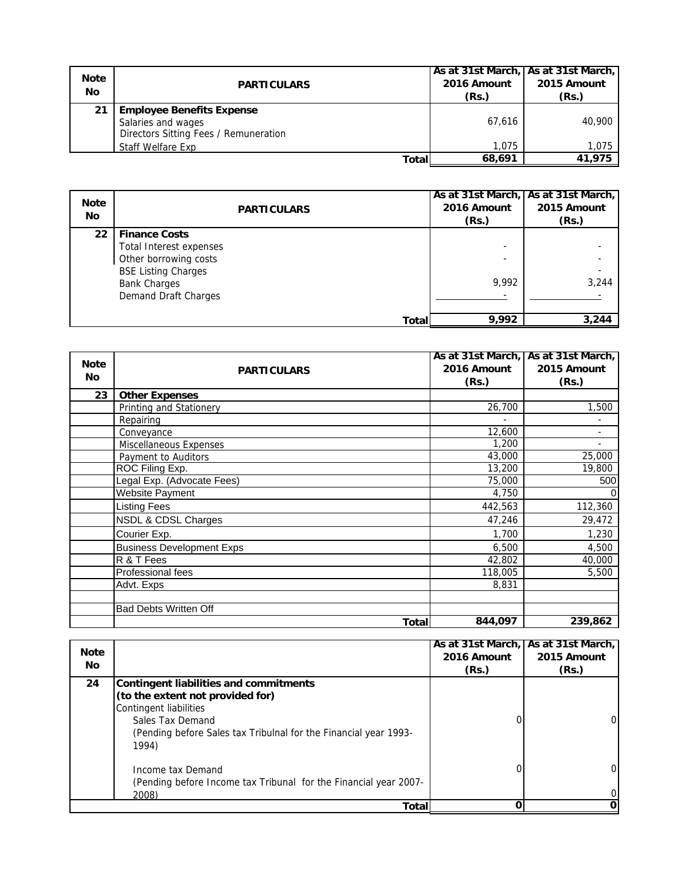| <b>Note</b><br>No | <b>PARTICULARS</b>                                                                              | 2016 Amount<br>(Rs.) | As at 31st March, As at 31st March,<br>2015 Amount<br>(Rs.) |
|-------------------|-------------------------------------------------------------------------------------------------|----------------------|-------------------------------------------------------------|
| 21                | <b>Employee Benefits Expense</b><br>Salaries and wages<br>Directors Sitting Fees / Remuneration | 67.616               | 40,900                                                      |
|                   | Staff Welfare Exp                                                                               | 1.075                | 1,075                                                       |
|                   | Total                                                                                           | 68.691               | 41.975                                                      |

| <b>Note</b><br>No | <b>PARTICULARS</b>                                                                                                                                           |       | 2016 Amount<br>(Rs.) | As at 31st March, As at 31st March,<br>2015 Amount<br>(Rs.) |
|-------------------|--------------------------------------------------------------------------------------------------------------------------------------------------------------|-------|----------------------|-------------------------------------------------------------|
| 22                | <b>Finance Costs</b><br><b>Total Interest expenses</b><br>Other borrowing costs<br><b>BSE Listing Charges</b><br><b>Bank Charges</b><br>Demand Draft Charges |       | 9.992                | 3,244                                                       |
|                   |                                                                                                                                                              | Total | 9,992                | 3,244                                                       |

|             |                                  | As at 31st March, As at 31st March, |                |
|-------------|----------------------------------|-------------------------------------|----------------|
| <b>Note</b> | <b>PARTICULARS</b>               | 2016 Amount                         | 2015 Amount    |
| <b>No</b>   |                                  | (Rs.)                               | (Rs.)          |
| 23          | <b>Other Expenses</b>            |                                     |                |
|             | Printing and Stationery          | 26,700                              | 1,500          |
|             | Repairing                        |                                     |                |
|             | Conveyance                       | 12,600                              | $\blacksquare$ |
|             | <b>Miscellaneous Expenses</b>    | 1,200                               | $\blacksquare$ |
|             | Payment to Auditors              | 43,000                              | 25,000         |
|             | ROC Filing Exp.                  | 13,200                              | 19,800         |
|             | Legal Exp. (Advocate Fees)       | 75,000                              | 500            |
|             | <b>Website Payment</b>           | 4,750                               | 0              |
|             | <b>Listing Fees</b>              | 442,563                             | 112,360        |
|             | NSDL & CDSL Charges              | 47,246                              | 29,472         |
|             | Courier Exp.                     | 1,700                               | 1,230          |
|             | <b>Business Development Exps</b> | 6,500                               | 4,500          |
|             | R & T Fees                       | 42,802                              | 40,000         |
|             | Professional fees                | 118,005                             | 5,500          |
|             | Advt. Exps                       | 8,831                               |                |
|             | <b>Bad Debts Written Off</b>     |                                     |                |
|             | <b>Total</b>                     | 844,097                             | 239,862        |

| <b>Note</b><br>No. |                                                                                                                                                                                                       | 2016 Amount<br>(Rs.) | As at 31st March, As at 31st March,<br>2015 Amount<br>(Rs.) |
|--------------------|-------------------------------------------------------------------------------------------------------------------------------------------------------------------------------------------------------|----------------------|-------------------------------------------------------------|
| 24                 | Contingent liabilities and commitments<br>(to the extent not provided for)<br>Contingent liabilities<br>Sales Tax Demand<br>(Pending before Sales tax Tribulnal for the Financial year 1993-<br>1994) |                      | 0                                                           |
|                    | Income tax Demand<br>(Pending before Income tax Tribunal for the Financial year 2007-<br>2008)                                                                                                        |                      | 0                                                           |
| Totall             |                                                                                                                                                                                                       |                      | 0                                                           |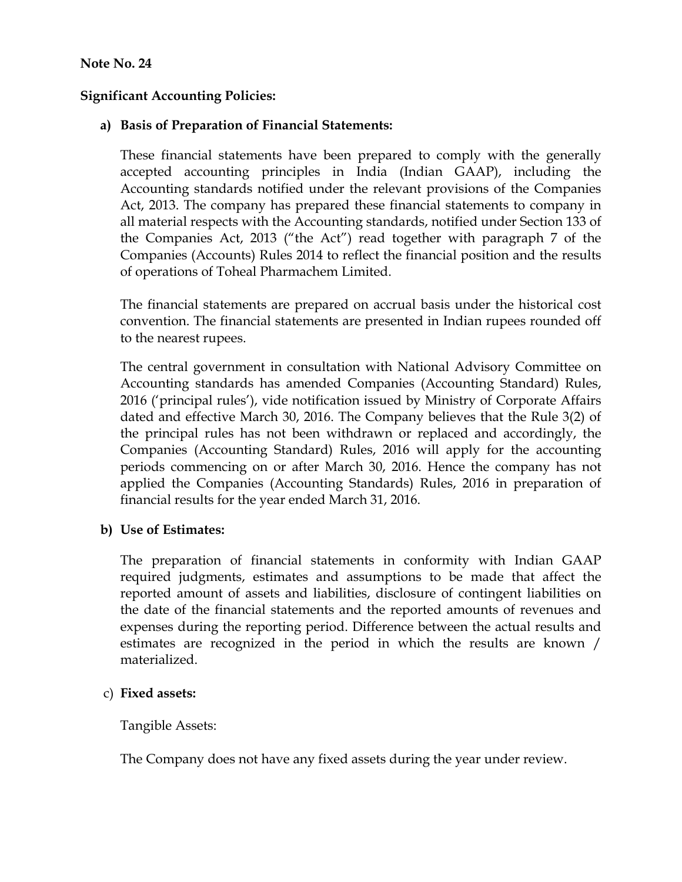### **Note No. 24**

### **Significant Accounting Policies:**

### **a) Basis of Preparation of Financial Statements:**

These financial statements have been prepared to comply with the generally accepted accounting principles in India (Indian GAAP), including the Accounting standards notified under the relevant provisions of the Companies Act, 2013. The company has prepared these financial statements to company in all material respects with the Accounting standards, notified under Section 133 of the Companies Act, 2013 ("the Act") read together with paragraph 7 of the Companies (Accounts) Rules 2014 to reflect the financial position and the results of operations of Toheal Pharmachem Limited.

The financial statements are prepared on accrual basis under the historical cost convention. The financial statements are presented in Indian rupees rounded off to the nearest rupees.

The central government in consultation with National Advisory Committee on Accounting standards has amended Companies (Accounting Standard) Rules, 2016 ('principal rules'), vide notification issued by Ministry of Corporate Affairs dated and effective March 30, 2016. The Company believes that the Rule 3(2) of the principal rules has not been withdrawn or replaced and accordingly, the Companies (Accounting Standard) Rules, 2016 will apply for the accounting periods commencing on or after March 30, 2016. Hence the company has not applied the Companies (Accounting Standards) Rules, 2016 in preparation of financial results for the year ended March 31, 2016.

#### **b) Use of Estimates:**

The preparation of financial statements in conformity with Indian GAAP required judgments, estimates and assumptions to be made that affect the reported amount of assets and liabilities, disclosure of contingent liabilities on the date of the financial statements and the reported amounts of revenues and expenses during the reporting period. Difference between the actual results and estimates are recognized in the period in which the results are known / materialized.

#### c) **Fixed assets:**

Tangible Assets:

The Company does not have any fixed assets during the year under review.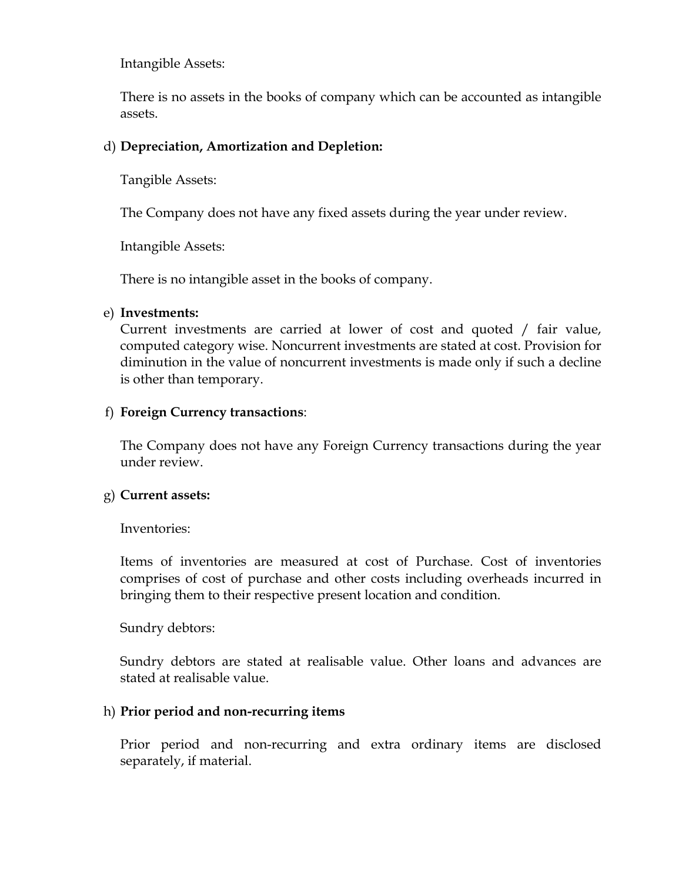Intangible Assets:

There is no assets in the books of company which can be accounted as intangible assets.

## d) **Depreciation, Amortization and Depletion:**

Tangible Assets:

The Company does not have any fixed assets during the year under review.

Intangible Assets:

There is no intangible asset in the books of company.

### e) **Investments:**

Current investments are carried at lower of cost and quoted / fair value, computed category wise. Noncurrent investments are stated at cost. Provision for diminution in the value of noncurrent investments is made only if such a decline is other than temporary.

## f) **Foreign Currency transactions**:

The Company does not have any Foreign Currency transactions during the year under review.

## g) **Current assets:**

Inventories:

Items of inventories are measured at cost of Purchase. Cost of inventories comprises of cost of purchase and other costs including overheads incurred in bringing them to their respective present location and condition.

Sundry debtors:

Sundry debtors are stated at realisable value. Other loans and advances are stated at realisable value.

## h) **Prior period and non-recurring items**

Prior period and non-recurring and extra ordinary items are disclosed separately, if material.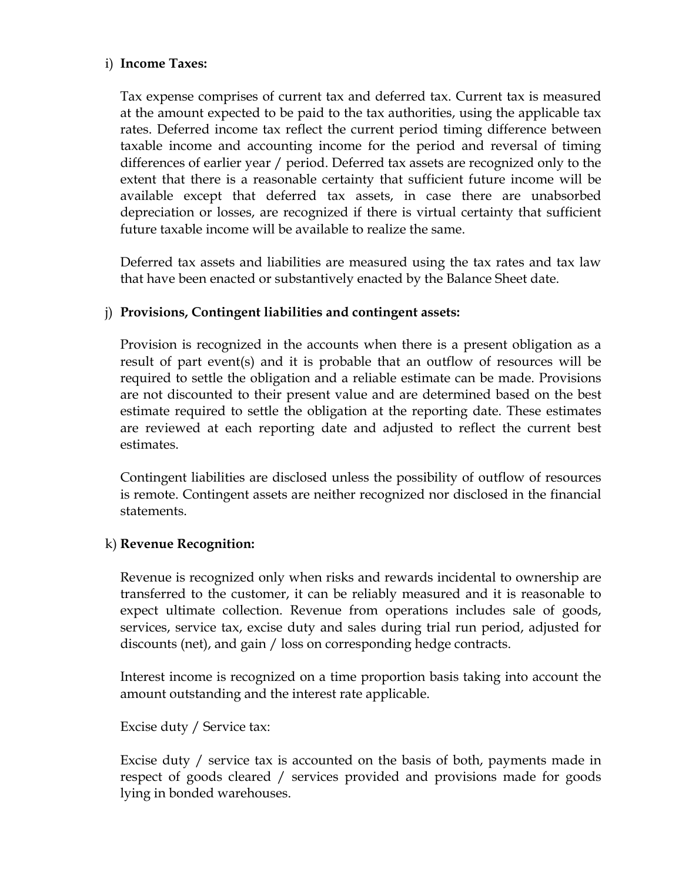#### i) **Income Taxes:**

Tax expense comprises of current tax and deferred tax. Current tax is measured at the amount expected to be paid to the tax authorities, using the applicable tax rates. Deferred income tax reflect the current period timing difference between taxable income and accounting income for the period and reversal of timing differences of earlier year / period. Deferred tax assets are recognized only to the extent that there is a reasonable certainty that sufficient future income will be available except that deferred tax assets, in case there are unabsorbed depreciation or losses, are recognized if there is virtual certainty that sufficient future taxable income will be available to realize the same.

Deferred tax assets and liabilities are measured using the tax rates and tax law that have been enacted or substantively enacted by the Balance Sheet date.

# j) **Provisions, Contingent liabilities and contingent assets:**

Provision is recognized in the accounts when there is a present obligation as a result of part event(s) and it is probable that an outflow of resources will be required to settle the obligation and a reliable estimate can be made. Provisions are not discounted to their present value and are determined based on the best estimate required to settle the obligation at the reporting date. These estimates are reviewed at each reporting date and adjusted to reflect the current best estimates.

Contingent liabilities are disclosed unless the possibility of outflow of resources is remote. Contingent assets are neither recognized nor disclosed in the financial statements.

#### k) **Revenue Recognition:**

Revenue is recognized only when risks and rewards incidental to ownership are transferred to the customer, it can be reliably measured and it is reasonable to expect ultimate collection. Revenue from operations includes sale of goods, services, service tax, excise duty and sales during trial run period, adjusted for discounts (net), and gain / loss on corresponding hedge contracts.

Interest income is recognized on a time proportion basis taking into account the amount outstanding and the interest rate applicable.

Excise duty / Service tax:

Excise duty / service tax is accounted on the basis of both, payments made in respect of goods cleared / services provided and provisions made for goods lying in bonded warehouses.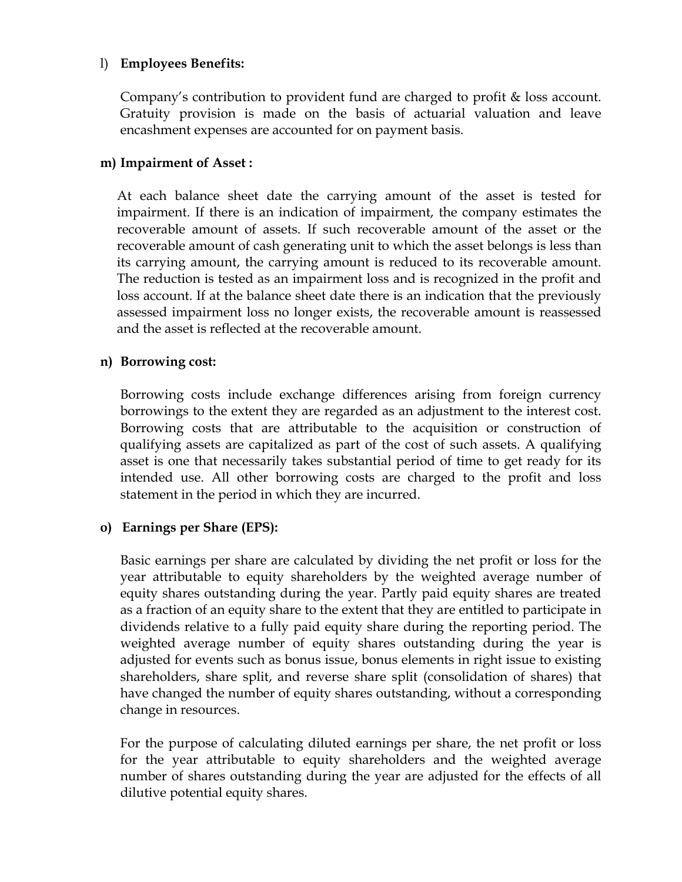#### l) **Employees Benefits:**

Company's contribution to provident fund are charged to profit & loss account. Gratuity provision is made on the basis of actuarial valuation and leave encashment expenses are accounted for on payment basis.

#### **m) Impairment of Asset :**

At each balance sheet date the carrying amount of the asset is tested for impairment. If there is an indication of impairment, the company estimates the recoverable amount of assets. If such recoverable amount of the asset or the recoverable amount of cash generating unit to which the asset belongs is less than its carrying amount, the carrying amount is reduced to its recoverable amount. The reduction is tested as an impairment loss and is recognized in the profit and loss account. If at the balance sheet date there is an indication that the previously assessed impairment loss no longer exists, the recoverable amount is reassessed and the asset is reflected at the recoverable amount.

#### **n) Borrowing cost:**

Borrowing costs include exchange differences arising from foreign currency borrowings to the extent they are regarded as an adjustment to the interest cost. Borrowing costs that are attributable to the acquisition or construction of qualifying assets are capitalized as part of the cost of such assets. A qualifying asset is one that necessarily takes substantial period of time to get ready for its intended use. All other borrowing costs are charged to the profit and loss statement in the period in which they are incurred.

# **o) Earnings per Share (EPS):**

Basic earnings per share are calculated by dividing the net profit or loss for the year attributable to equity shareholders by the weighted average number of equity shares outstanding during the year. Partly paid equity shares are treated as a fraction of an equity share to the extent that they are entitled to participate in dividends relative to a fully paid equity share during the reporting period. The weighted average number of equity shares outstanding during the year is adjusted for events such as bonus issue, bonus elements in right issue to existing shareholders, share split, and reverse share split (consolidation of shares) that have changed the number of equity shares outstanding, without a corresponding change in resources.

For the purpose of calculating diluted earnings per share, the net profit or loss for the year attributable to equity shareholders and the weighted average number of shares outstanding during the year are adjusted for the effects of all dilutive potential equity shares.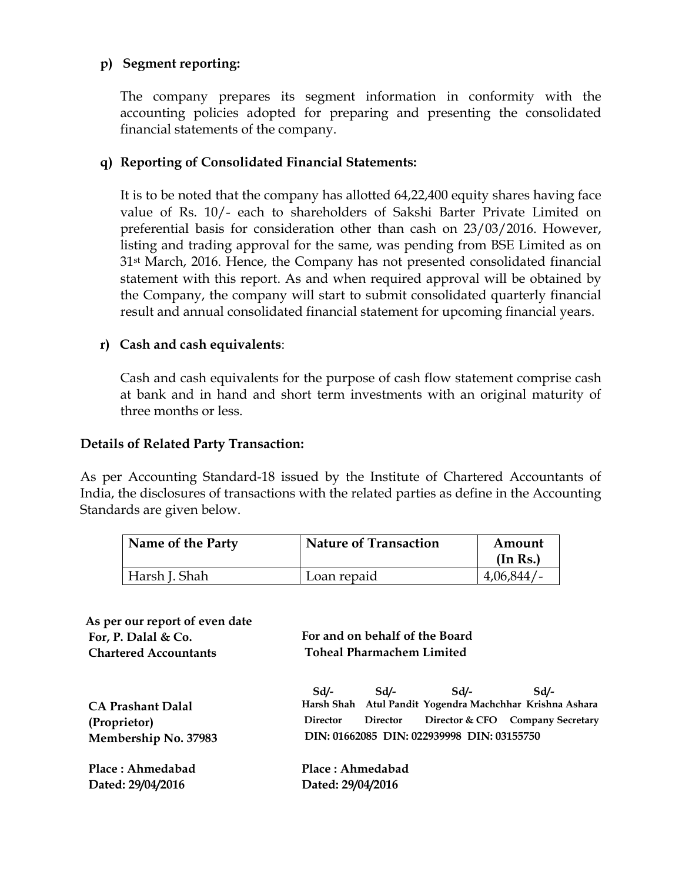## **p) Segment reporting:**

The company prepares its segment information in conformity with the accounting policies adopted for preparing and presenting the consolidated financial statements of the company.

# **q) Reporting of Consolidated Financial Statements:**

 It is to be noted that the company has allotted 64,22,400 equity shares having face value of Rs. 10/- each to shareholders of Sakshi Barter Private Limited on preferential basis for consideration other than cash on 23/03/2016. However, listing and trading approval for the same, was pending from BSE Limited as on 31st March, 2016. Hence, the Company has not presented consolidated financial statement with this report. As and when required approval will be obtained by the Company, the company will start to submit consolidated quarterly financial result and annual consolidated financial statement for upcoming financial years.

#### **r) Cash and cash equivalents**:

Cash and cash equivalents for the purpose of cash flow statement comprise cash at bank and in hand and short term investments with an original maturity of three months or less.

#### **Details of Related Party Transaction:**

As per Accounting Standard-18 issued by the Institute of Chartered Accountants of India, the disclosures of transactions with the related parties as define in the Accounting Standards are given below.

| Name of the Party | <b>Nature of Transaction</b> | Amount<br>(In Rs.) |  |
|-------------------|------------------------------|--------------------|--|
| Harsh J. Shah     | Loan repaid                  | 4,06,844/          |  |

| As per our report of even date |                                            |                 |      |                                                          |
|--------------------------------|--------------------------------------------|-----------------|------|----------------------------------------------------------|
| For, P. Dalal & Co.            | For and on behalf of the Board             |                 |      |                                                          |
| <b>Chartered Accountants</b>   | <b>Toheal Pharmachem Limited</b>           |                 |      |                                                          |
|                                |                                            | $Sd$ - $Sd$ -   | Sd/- | Sd                                                       |
| <b>CA Prashant Dalal</b>       |                                            |                 |      | Harsh Shah Atul Pandit Yogendra Machchhar Krishna Ashara |
| (Proprietor)                   | <b>Director</b>                            | <b>Director</b> |      | Director & CFO Company Secretary                         |
| Membership No. 37983           | DIN: 01662085 DIN: 022939998 DIN: 03155750 |                 |      |                                                          |
| Place: Ahmedabad               | Place: Ahmedabad                           |                 |      |                                                          |
| Dated: 29/04/2016              | Dated: 29/04/2016                          |                 |      |                                                          |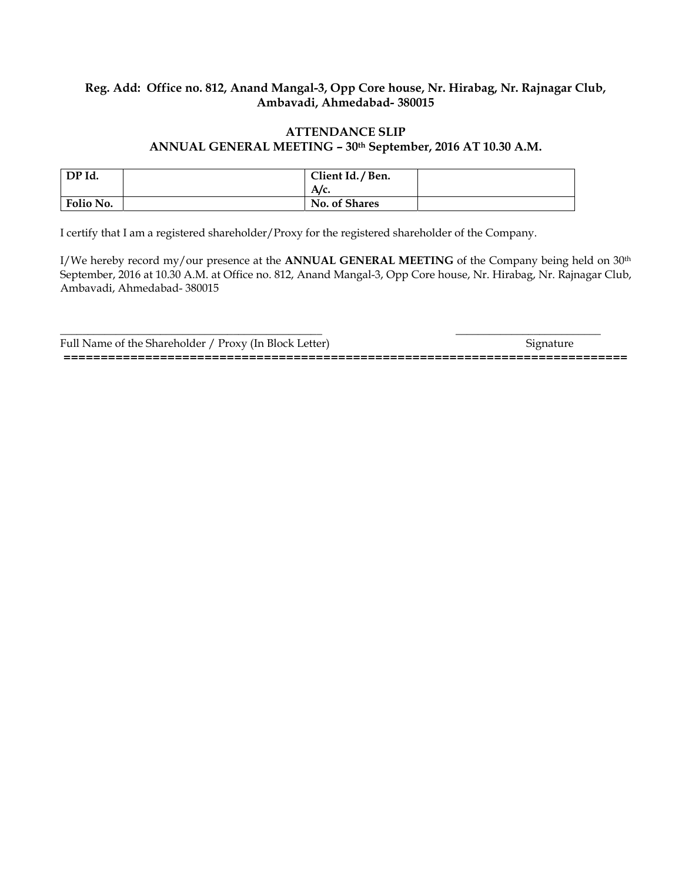#### **Reg. Add: Office no. 812, Anand Mangal-3, Opp Core house, Nr. Hirabag, Nr. Rajnagar Club, Ambavadi, Ahmedabad- 380015**

#### **ATTENDANCE SLIP ANNUAL GENERAL MEETING – 30th September, 2016 AT 10.30 A.M.**

| DP Id.    | Client Id. / Ben. |  |
|-----------|-------------------|--|
|           | A/c.              |  |
| Folio No. | No. of Shares     |  |

I certify that I am a registered shareholder/Proxy for the registered shareholder of the Company.

I/We hereby record my/our presence at the **ANNUAL GENERAL MEETING** of the Company being held on 30th September, 2016 at 10.30 A.M. at Office no. 812, Anand Mangal-3, Opp Core house, Nr. Hirabag, Nr. Rajnagar Club, Ambavadi, Ahmedabad- 380015

\_\_\_\_\_\_\_\_\_\_\_\_\_\_\_\_\_\_\_\_\_\_\_\_\_\_\_\_\_\_\_\_\_\_\_\_\_\_\_\_\_\_\_\_\_\_\_ \_\_\_\_\_\_\_\_\_\_\_\_\_\_\_\_\_\_\_\_\_\_\_\_\_\_ Full Name of the Shareholder / Proxy (In Block Letter) Signature **============================================================================**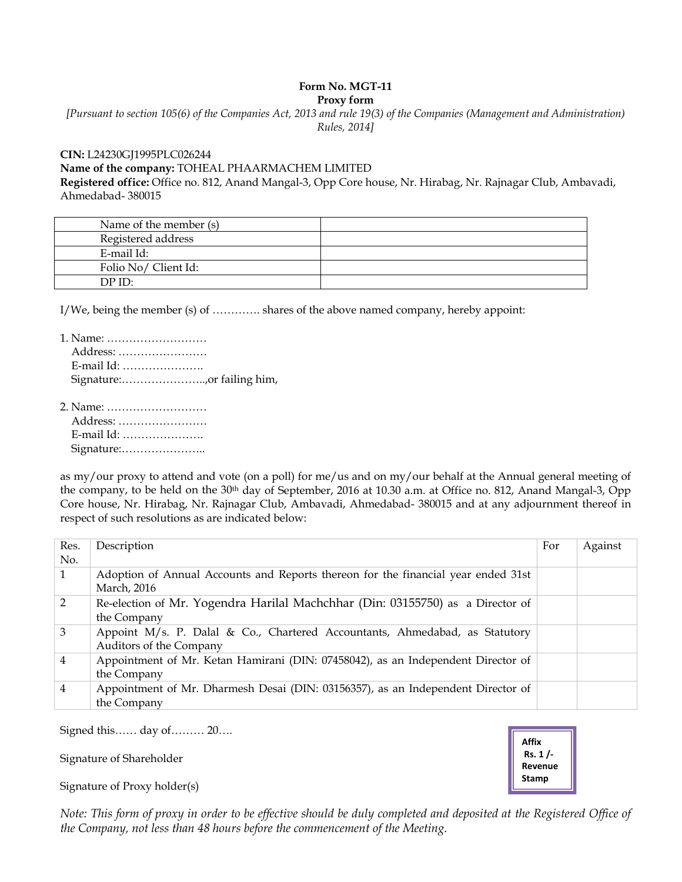# **Form No. MGT-11**

**Proxy form** 

*[Pursuant to section 105(6) of the Companies Act, 2013 and rule 19(3) of the Companies (Management and Administration) Rules, 2014]* 

# **CIN:** L24230GJ1995PLC026244 **Name of the company:** TOHEAL PHAARMACHEM LIMITED

**Registered office:** Office no. 812, Anand Mangal-3, Opp Core house, Nr. Hirabag, Nr. Rajnagar Club, Ambavadi, Ahmedabad- 380015

| Name of the member (s) |  |
|------------------------|--|
| Registered address     |  |
| E-mail Id:             |  |
| Folio No/ Client Id:   |  |
| DPID:                  |  |

I/We, being the member (s) of ............. shares of the above named company, hereby appoint:

| 1. Name:   |  |
|------------|--|
| Address:   |  |
| E-mail Id: |  |
|            |  |

2. Name: ……………………… Address: …………………… E-mail Id: …………………. Signature:…………………..

as my/our proxy to attend and vote (on a poll) for me/us and on my/our behalf at the Annual general meeting of the company, to be held on the 30<sup>th</sup> day of September, 2016 at 10.30 a.m. at Office no. 812, Anand Mangal-3, Opp Core house, Nr. Hirabag, Nr. Rajnagar Club, Ambavadi, Ahmedabad- 380015 and at any adjournment thereof in respect of such resolutions as are indicated below:

| Res.<br>No.    | Description                                                                                            | For | Against |
|----------------|--------------------------------------------------------------------------------------------------------|-----|---------|
| 1              | Adoption of Annual Accounts and Reports thereon for the financial year ended 31st<br>March, 2016       |     |         |
| 2              | Re-election of Mr. Yogendra Harilal Machchhar (Din: 03155750) as a Director of<br>the Company          |     |         |
| 3              | Appoint M/s. P. Dalal & Co., Chartered Accountants, Ahmedabad, as Statutory<br>Auditors of the Company |     |         |
| $\overline{4}$ | Appointment of Mr. Ketan Hamirani (DIN: 07458042), as an Independent Director of<br>the Company        |     |         |
| $\overline{4}$ | Appointment of Mr. Dharmesh Desai (DIN: 03156357), as an Independent Director of<br>the Company        |     |         |

Signed this…… day of……… 20….

Signature of Shareholder

Signature of Proxy holder(s)

**Affix Rs. 1 /‐ Revenue Stamp**

*Note: This form of proxy in order to be effective should be duly completed and deposited at the Registered Office of the Company, not less than 48 hours before the commencement of the Meeting.*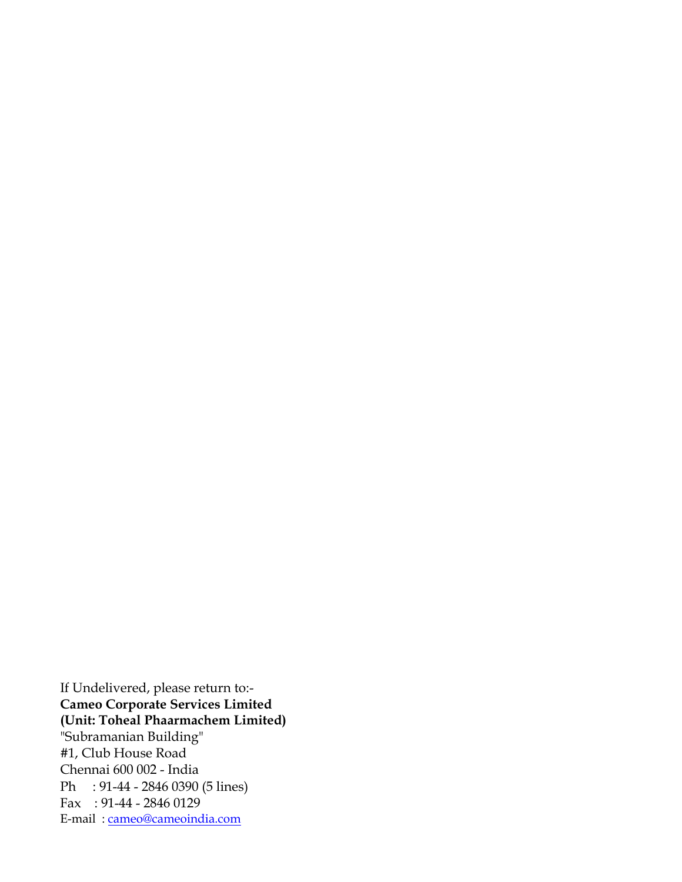If Undelivered, please return to:- **Cameo Corporate Services Limited (Unit: Toheal Phaarmachem Limited)**  "Subramanian Building" #1, Club House Road Chennai 600 002 - India Ph : 91-44 - 2846 0390 (5 lines) Fax : 91-44 - 2846 0129 E-mail : cameo@cameoindia.com